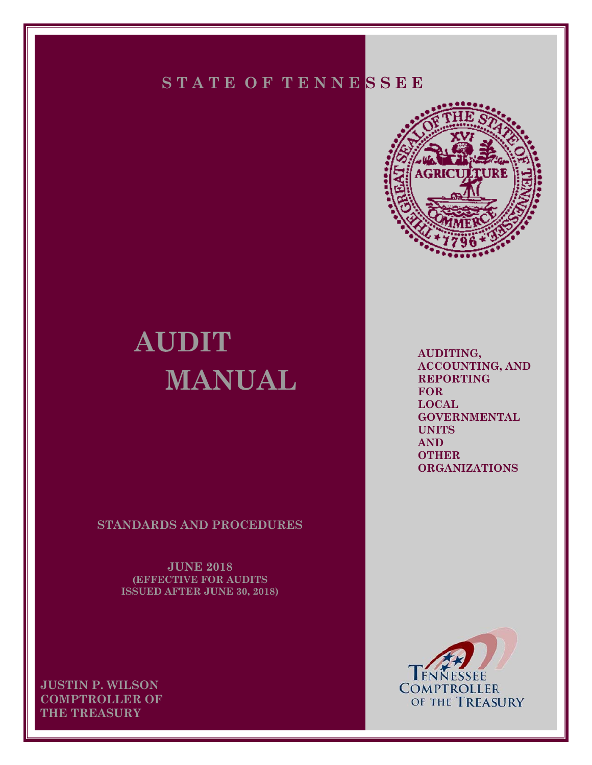# **S S T A T E O F T E N N**



# **AUDIT**  $MANUAL$

 $STANDARDS AND PROCEDURES$ 

**(EFFEC CTIVE FOR R AUDITS ISSUED A AFTER JUN NE 30, 2018) JUNE 2018** 

**JU USTIN P. W WILSON CO OMPTROL LLER OF**   $\bf{THE}$   $\bf{T}$ **REASURY** 

**AUD DITING, ACC OUNTING G, AND REP PORTING FOR**  ${\bf FOR} \ {\bf LOCAL}$  $GOVERNMENTAL$ **UNITS**  $AND$ **OTHER**  $ORGANIZATIONS$ 

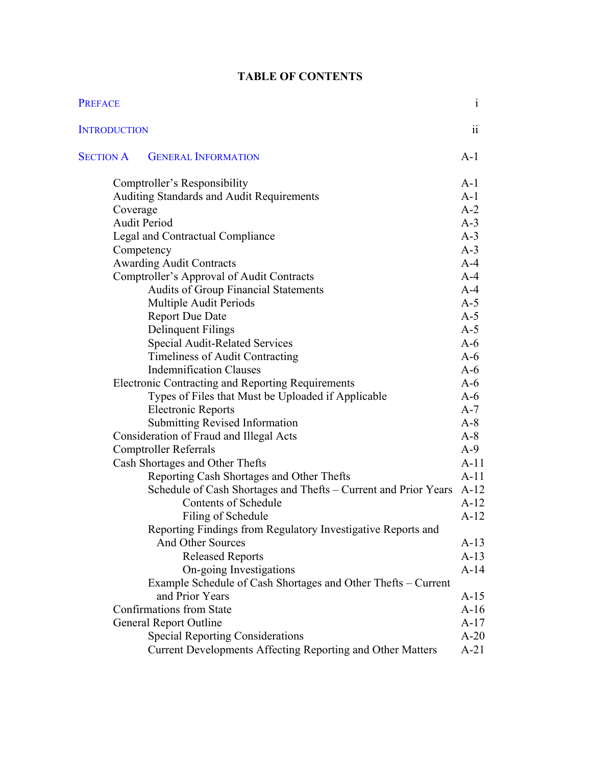| <b>PREFACE</b>                                                    | $\mathbf{i}$ |
|-------------------------------------------------------------------|--------------|
| <b>INTRODUCTION</b>                                               | ii           |
| <b>GENERAL INFORMATION</b><br><b>SECTION A</b>                    | $A-1$        |
| Comptroller's Responsibility                                      | $A-1$        |
| <b>Auditing Standards and Audit Requirements</b>                  | $A-1$        |
| Coverage                                                          | $A-2$        |
| <b>Audit Period</b>                                               | $A-3$        |
| Legal and Contractual Compliance                                  | $A-3$        |
| Competency                                                        | $A-3$        |
| <b>Awarding Audit Contracts</b>                                   | $A-4$        |
| Comptroller's Approval of Audit Contracts                         | $A-4$        |
| <b>Audits of Group Financial Statements</b>                       | $A-4$        |
| Multiple Audit Periods                                            | $A-5$        |
| <b>Report Due Date</b>                                            | $A-5$        |
| <b>Delinquent Filings</b>                                         | $A-5$        |
| <b>Special Audit-Related Services</b>                             | $A-6$        |
| Timeliness of Audit Contracting                                   | $A-6$        |
| <b>Indemnification Clauses</b>                                    | $A-6$        |
| <b>Electronic Contracting and Reporting Requirements</b>          | $A-6$        |
| Types of Files that Must be Uploaded if Applicable                | $A-6$        |
| <b>Electronic Reports</b>                                         | $A-7$        |
| <b>Submitting Revised Information</b>                             | $A-8$        |
| Consideration of Fraud and Illegal Acts                           | $A-8$        |
| <b>Comptroller Referrals</b>                                      | $A-9$        |
| Cash Shortages and Other Thefts                                   | $A-11$       |
| Reporting Cash Shortages and Other Thefts                         | $A-11$       |
| Schedule of Cash Shortages and Thefts - Current and Prior Years   | $A-12$       |
| <b>Contents of Schedule</b>                                       | $A-12$       |
| Filing of Schedule                                                | $A-12$       |
| Reporting Findings from Regulatory Investigative Reports and      |              |
| And Other Sources                                                 | $A-13$       |
| <b>Released Reports</b>                                           | $A-13$       |
| On-going Investigations                                           | $A-14$       |
| Example Schedule of Cash Shortages and Other Thefts – Current     |              |
| and Prior Years                                                   | $A-15$       |
| <b>Confirmations from State</b>                                   | $A-16$       |
| General Report Outline                                            | $A-17$       |
| <b>Special Reporting Considerations</b>                           | $A-20$       |
| <b>Current Developments Affecting Reporting and Other Matters</b> | $A-21$       |

# **TABLE OF CONTENTS**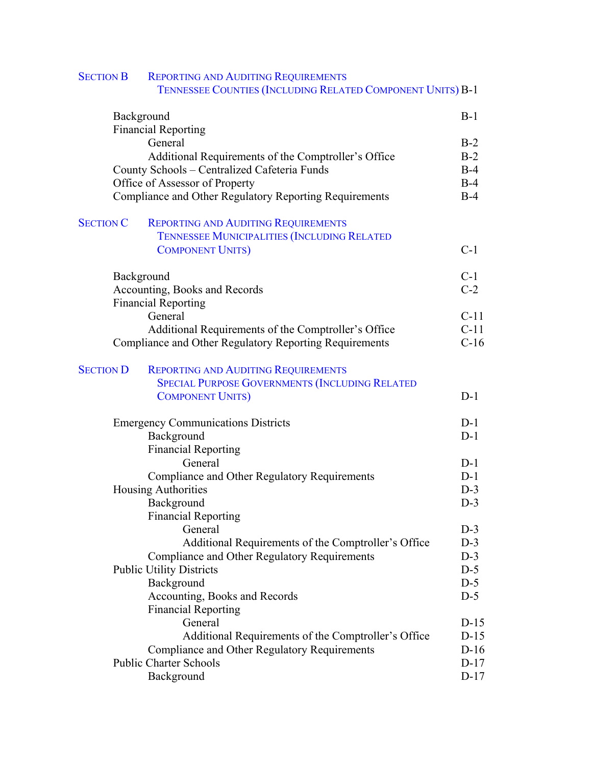| <b>SECTION B</b> | <b>REPORTING AND AUDITING REQUIREMENTS</b>                 |  |
|------------------|------------------------------------------------------------|--|
|                  | TENNESSEE COUNTIES (INCLUDING RELATED COMPONENT UNITS) B-1 |  |

|                  | Background                                                                                                     | $B-1$                   |
|------------------|----------------------------------------------------------------------------------------------------------------|-------------------------|
|                  | <b>Financial Reporting</b>                                                                                     |                         |
|                  | General<br>Additional Requirements of the Comptroller's Office<br>County Schools - Centralized Cafeteria Funds | $B-2$<br>$B-2$<br>$B-4$ |
|                  | Office of Assessor of Property                                                                                 | $B-4$                   |
|                  | Compliance and Other Regulatory Reporting Requirements                                                         | $B-4$                   |
| <b>SECTION C</b> | <b>REPORTING AND AUDITING REQUIREMENTS</b>                                                                     |                         |
|                  | TENNESSEE MUNICIPALITIES (INCLUDING RELATED                                                                    |                         |
|                  | <b>COMPONENT UNITS</b>                                                                                         | $C-1$                   |
|                  | Background                                                                                                     | $C-1$                   |
|                  | Accounting, Books and Records                                                                                  | $C-2$                   |
|                  | <b>Financial Reporting</b>                                                                                     |                         |
|                  | General                                                                                                        | $C-11$                  |
|                  | Additional Requirements of the Comptroller's Office                                                            | $C-11$                  |
|                  | Compliance and Other Regulatory Reporting Requirements                                                         | $C-16$                  |
| <b>SECTION D</b> | <b>REPORTING AND AUDITING REQUIREMENTS</b>                                                                     |                         |
|                  | SPECIAL PURPOSE GOVERNMENTS (INCLUDING RELATED                                                                 |                         |
|                  | <b>COMPONENT UNITS</b>                                                                                         | $D-1$                   |
|                  | <b>Emergency Communications Districts</b>                                                                      | $D-1$                   |
|                  | Background                                                                                                     | $D-1$                   |
|                  | <b>Financial Reporting</b>                                                                                     |                         |
|                  | General                                                                                                        | $D-1$                   |
|                  | Compliance and Other Regulatory Requirements                                                                   | $D-1$                   |
|                  | Housing Authorities                                                                                            | $D-3$                   |
|                  | Background                                                                                                     | $D-3$                   |
|                  | <b>Financial Reporting</b>                                                                                     |                         |
|                  | General                                                                                                        | $D-3$                   |
|                  | Additional Requirements of the Comptroller's Office                                                            | $D-3$                   |
|                  | Compliance and Other Regulatory Requirements                                                                   | $D-3$                   |
|                  | <b>Public Utility Districts</b>                                                                                | $D-5$                   |
|                  | Background                                                                                                     | $D-5$                   |
|                  | Accounting, Books and Records                                                                                  | $D-5$                   |
|                  | <b>Financial Reporting</b>                                                                                     |                         |
|                  | General                                                                                                        | $D-15$                  |
|                  | Additional Requirements of the Comptroller's Office                                                            | $D-15$                  |
|                  | Compliance and Other Regulatory Requirements                                                                   | $D-16$                  |
|                  | <b>Public Charter Schools</b>                                                                                  | $D-17$                  |
|                  | Background                                                                                                     | $D-17$                  |
|                  |                                                                                                                |                         |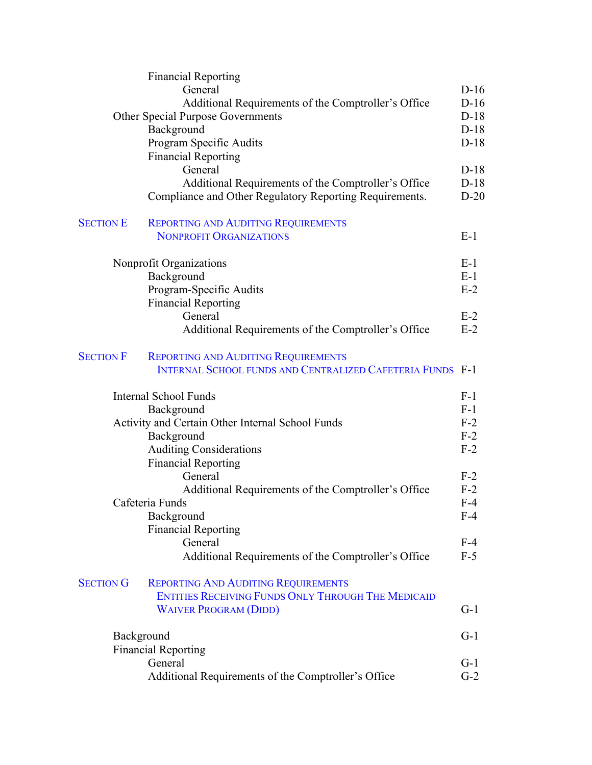|                  | <b>Financial Reporting</b>                                       |                |
|------------------|------------------------------------------------------------------|----------------|
|                  | General                                                          | $D-16$         |
|                  | Additional Requirements of the Comptroller's Office              | $D-16$         |
|                  | <b>Other Special Purpose Governments</b>                         | $D-18$         |
|                  | Background                                                       | $D-18$         |
|                  | Program Specific Audits                                          | $D-18$         |
|                  | <b>Financial Reporting</b>                                       |                |
|                  | General                                                          | $D-18$         |
|                  | Additional Requirements of the Comptroller's Office              | $D-18$         |
|                  | Compliance and Other Regulatory Reporting Requirements.          | $D-20$         |
|                  |                                                                  |                |
| <b>SECTION E</b> | <b>REPORTING AND AUDITING REQUIREMENTS</b>                       |                |
|                  | <b>NONPROFIT ORGANIZATIONS</b>                                   | $E-1$          |
|                  |                                                                  |                |
|                  | Nonprofit Organizations                                          | $E-1$          |
|                  | Background                                                       | $E-1$          |
|                  | Program-Specific Audits                                          | $E-2$          |
|                  | <b>Financial Reporting</b>                                       |                |
|                  | General                                                          | $E-2$          |
|                  | Additional Requirements of the Comptroller's Office              | $E-2$          |
|                  |                                                                  |                |
| <b>SECTION F</b> | <b>REPORTING AND AUDITING REQUIREMENTS</b>                       |                |
|                  | <b>INTERNAL SCHOOL FUNDS AND CENTRALIZED CAFETERIA FUNDS F-1</b> |                |
|                  |                                                                  |                |
|                  | <b>Internal School Funds</b>                                     | $F-1$          |
|                  | Background                                                       | $F-1$          |
|                  | Activity and Certain Other Internal School Funds                 | $F-2$          |
|                  | Background                                                       | $F-2$          |
|                  | <b>Auditing Considerations</b>                                   | $F-2$          |
|                  | <b>Financial Reporting</b>                                       |                |
|                  | General                                                          | $F-2$          |
|                  | Additional Requirements of the Comptroller's Office              | $F-2$          |
|                  | Cafeteria Funds                                                  | $F-4$          |
|                  | Background                                                       | $F-4$          |
|                  | <b>Financial Reporting</b>                                       |                |
|                  | General                                                          | $F-4$          |
|                  | Additional Requirements of the Comptroller's Office              | $F-5$          |
|                  |                                                                  |                |
| <b>SECTION G</b> | <b>REPORTING AND AUDITING REQUIREMENTS</b>                       |                |
|                  | <b>ENTITIES RECEIVING FUNDS ONLY THROUGH THE MEDICAID</b>        |                |
|                  | <b>WAIVER PROGRAM (DIDD)</b>                                     | $G-1$          |
|                  |                                                                  | $G-1$          |
|                  | Background                                                       |                |
|                  | <b>Financial Reporting</b><br>General                            |                |
|                  |                                                                  | $G-1$<br>$G-2$ |
|                  | Additional Requirements of the Comptroller's Office              |                |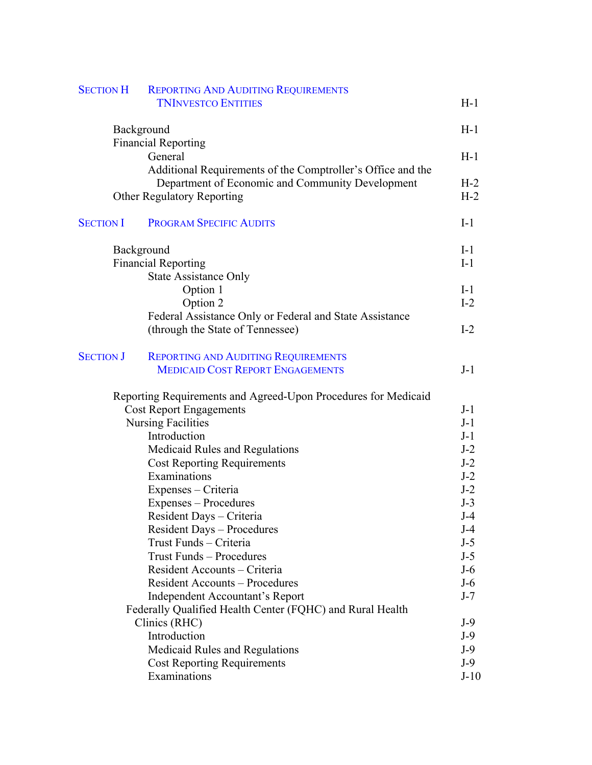| <b>SECTION H</b> | <b>REPORTING AND AUDITING REQUIREMENTS</b><br><b>TNINVESTCO ENTITIES</b>                                                                             | $H-1$          |
|------------------|------------------------------------------------------------------------------------------------------------------------------------------------------|----------------|
|                  | Background                                                                                                                                           | $H-1$          |
|                  | <b>Financial Reporting</b>                                                                                                                           |                |
|                  | General                                                                                                                                              | $H-1$          |
|                  | Additional Requirements of the Comptroller's Office and the<br>Department of Economic and Community Development<br><b>Other Regulatory Reporting</b> | $H-2$<br>$H-2$ |
| <b>SECTION I</b> | <b>PROGRAM SPECIFIC AUDITS</b>                                                                                                                       | $I-1$          |
|                  | Background                                                                                                                                           | $I-1$          |
|                  | <b>Financial Reporting</b>                                                                                                                           | $I-1$          |
|                  | <b>State Assistance Only</b>                                                                                                                         |                |
|                  | Option 1                                                                                                                                             | $I-1$          |
|                  | Option 2                                                                                                                                             | $I-2$          |
|                  | Federal Assistance Only or Federal and State Assistance                                                                                              |                |
|                  | (through the State of Tennessee)                                                                                                                     | $I-2$          |
| <b>SECTION J</b> | <b>REPORTING AND AUDITING REQUIREMENTS</b>                                                                                                           |                |
|                  | <b>MEDICAID COST REPORT ENGAGEMENTS</b>                                                                                                              | $J-1$          |
|                  | Reporting Requirements and Agreed-Upon Procedures for Medicaid                                                                                       |                |
|                  | <b>Cost Report Engagements</b>                                                                                                                       | $J-1$          |
|                  | <b>Nursing Facilities</b>                                                                                                                            | $J-1$          |
|                  | Introduction                                                                                                                                         | $J-1$          |
|                  | Medicaid Rules and Regulations                                                                                                                       | $J-2$          |
|                  | <b>Cost Reporting Requirements</b>                                                                                                                   | $J-2$          |
|                  | Examinations                                                                                                                                         | $J-2$          |
|                  | Expenses - Criteria                                                                                                                                  | $J-2$          |
|                  | Expenses - Procedures                                                                                                                                | $J-3$          |
|                  | Resident Days - Criteria                                                                                                                             | $J-4$          |
|                  | <b>Resident Days - Procedures</b>                                                                                                                    | $J-4$          |
|                  | Trust Funds - Criteria                                                                                                                               | $J-5$          |
|                  | <b>Trust Funds – Procedures</b>                                                                                                                      | $J-5$          |
|                  | Resident Accounts – Criteria                                                                                                                         | $J-6$          |
|                  | <b>Resident Accounts - Procedures</b>                                                                                                                | $J-6$          |
|                  | <b>Independent Accountant's Report</b>                                                                                                               | $J-7$          |
|                  | Federally Qualified Health Center (FQHC) and Rural Health                                                                                            |                |
|                  | Clinics (RHC)                                                                                                                                        | $J-9$          |
|                  | Introduction                                                                                                                                         | $J-9$          |
|                  | Medicaid Rules and Regulations                                                                                                                       | $J-9$          |
|                  | <b>Cost Reporting Requirements</b>                                                                                                                   | $J-9$          |
|                  | Examinations                                                                                                                                         | $J-10$         |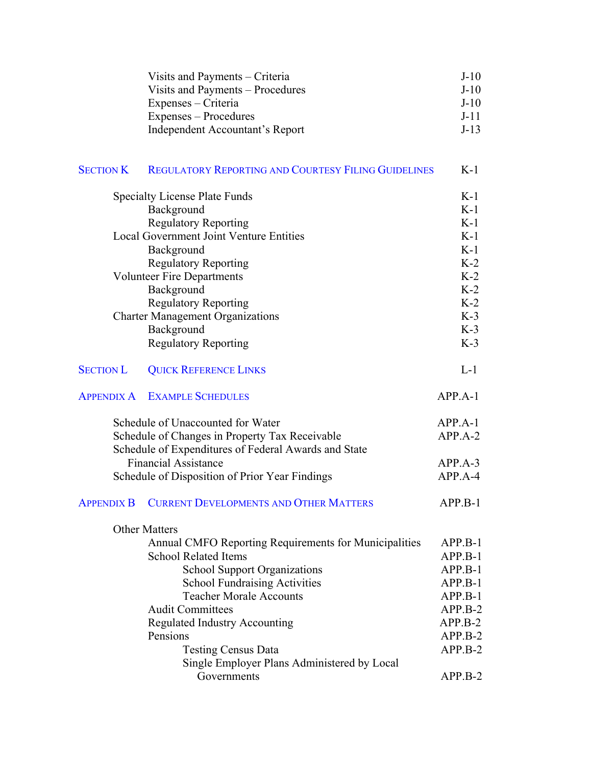| Visits and Payments – Criteria   | $J-10$ |
|----------------------------------|--------|
| Visits and Payments – Procedures | $J-10$ |
| Expenses – Criteria              | $J-10$ |
| Expenses – Procedures            | J-11   |
| Independent Accountant's Report  | $J-13$ |

| <b>SECTION K</b> | <b>REGULATORY REPORTING AND COURTESY FILING GUIDELINES</b> | $K-1$ |
|------------------|------------------------------------------------------------|-------|
|                  | <b>Specialty License Plate Funds</b>                       | $K-1$ |
|                  | Background                                                 | $K-1$ |
|                  | <b>Regulatory Reporting</b>                                | $K-1$ |
|                  | <b>Local Government Joint Venture Entities</b>             | $K-1$ |
|                  | Background                                                 | $K-1$ |
|                  | <b>Regulatory Reporting</b>                                | $K-2$ |
|                  | <b>Volunteer Fire Departments</b>                          | $K-2$ |
|                  | Background                                                 | $K-2$ |
|                  | <b>Regulatory Reporting</b>                                | $K-2$ |
|                  | <b>Charter Management Organizations</b>                    | $K-3$ |
|                  | Background                                                 | $K-3$ |
|                  | <b>Regulatory Reporting</b>                                | $K-3$ |

SECTION L QUICK REFERENCE LINKS L-1

Regulatory Reporting

[APPENDIX A EXAMPLE SCHEDULES](#page-113-0) APP.A-1

| Schedule of Unaccounted for Water                    | $APPA-1$  |
|------------------------------------------------------|-----------|
| Schedule of Changes in Property Tax Receivable       | $APP.A-2$ |
| Schedule of Expenditures of Federal Awards and State |           |
| <b>Financial Assistance</b>                          | $APPA-3$  |
| Schedule of Disposition of Prior Year Findings       | $APP.A-4$ |

# APPENDIX B CURRENT DEVELOPMENTS AND OTHER MATTERS APP.B-1

| $APP.B-1$ |
|-----------|
| $APP.B-1$ |
| $APP.B-1$ |
| $APP.B-1$ |
| $APP.B-1$ |
| $APP.B-2$ |
| $APP.B-2$ |
| $APP.B-2$ |
| $APP.B-2$ |
|           |
| $APP.B-2$ |
|           |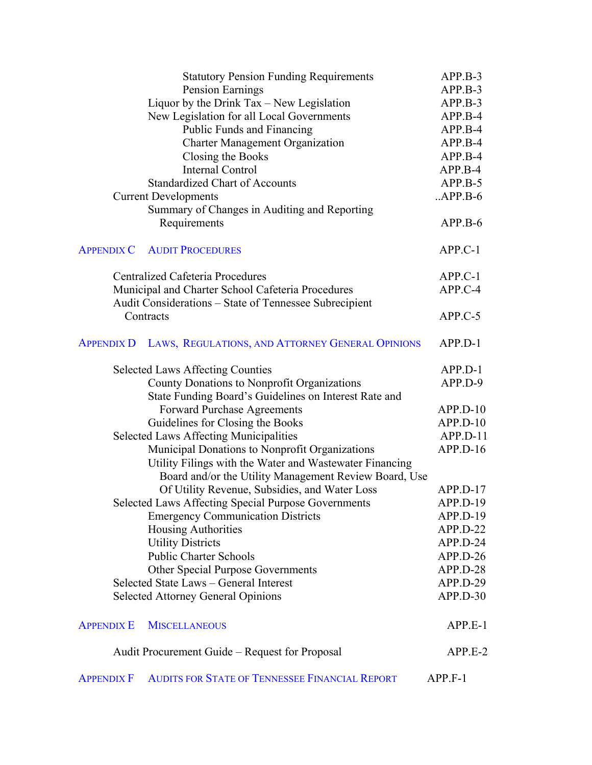|                   | <b>Statutory Pension Funding Requirements</b>                      | $APP.B-3$   |
|-------------------|--------------------------------------------------------------------|-------------|
|                   | Pension Earnings                                                   | APP.B-3     |
|                   | Liquor by the Drink Tax - New Legislation                          | APP.B-3     |
|                   | New Legislation for all Local Governments                          | APP.B-4     |
|                   | Public Funds and Financing                                         | APP.B-4     |
|                   | <b>Charter Management Organization</b>                             | APP.B-4     |
|                   | Closing the Books                                                  | APP.B-4     |
|                   | <b>Internal Control</b>                                            | $APP.B-4$   |
|                   | <b>Standardized Chart of Accounts</b>                              | $APP.B-5$   |
|                   | <b>Current Developments</b>                                        | $.$ APP.B-6 |
|                   | Summary of Changes in Auditing and Reporting                       |             |
|                   | Requirements                                                       | $APP.B-6$   |
|                   |                                                                    |             |
|                   | <b>APPENDIX C AUDIT PROCEDURES</b>                                 | $APP.C-1$   |
|                   |                                                                    |             |
|                   | Centralized Cafeteria Procedures                                   | $APP.C-1$   |
|                   | Municipal and Charter School Cafeteria Procedures                  | APP.C-4     |
|                   | Audit Considerations - State of Tennessee Subrecipient             |             |
|                   | Contracts                                                          | $APP.C-5$   |
|                   |                                                                    |             |
|                   | <b>APPENDIX D LAWS, REGULATIONS, AND ATTORNEY GENERAL OPINIONS</b> | $APP.D-1$   |
|                   | <b>Selected Laws Affecting Counties</b>                            | $APP.D-1$   |
|                   | County Donations to Nonprofit Organizations                        | APP.D-9     |
|                   | State Funding Board's Guidelines on Interest Rate and              |             |
|                   | <b>Forward Purchase Agreements</b>                                 | $APP.D-10$  |
|                   | Guidelines for Closing the Books                                   | $APP.D-10$  |
|                   | <b>Selected Laws Affecting Municipalities</b>                      | $APP.D-11$  |
|                   | Municipal Donations to Nonprofit Organizations                     | $APP.D-16$  |
|                   | Utility Filings with the Water and Wastewater Financing            |             |
|                   | Board and/or the Utility Management Review Board, Use              |             |
|                   | Of Utility Revenue, Subsidies, and Water Loss                      | $APP.D-17$  |
|                   | Selected Laws Affecting Special Purpose Governments                | APP.D-19    |
|                   | <b>Emergency Communication Districts</b>                           | APP.D-19    |
|                   | Housing Authorities                                                | $APP.D-22$  |
|                   | <b>Utility Districts</b>                                           | APP.D-24    |
|                   | <b>Public Charter Schools</b>                                      | APP.D-26    |
|                   | <b>Other Special Purpose Governments</b>                           | APP.D-28    |
|                   | Selected State Laws - General Interest                             |             |
|                   |                                                                    | APP.D-29    |
|                   | <b>Selected Attorney General Opinions</b>                          | APP.D-30    |
| <b>APPENDIX E</b> | <b>MISCELLANEOUS</b>                                               | $APP.E-1$   |
|                   | Audit Procurement Guide – Request for Proposal                     | $APP.E-2$   |
| <b>APPENDIX F</b> | <b>AUDITS FOR STATE OF TENNESSEE FINANCIAL REPORT</b>              | $APP.F-1$   |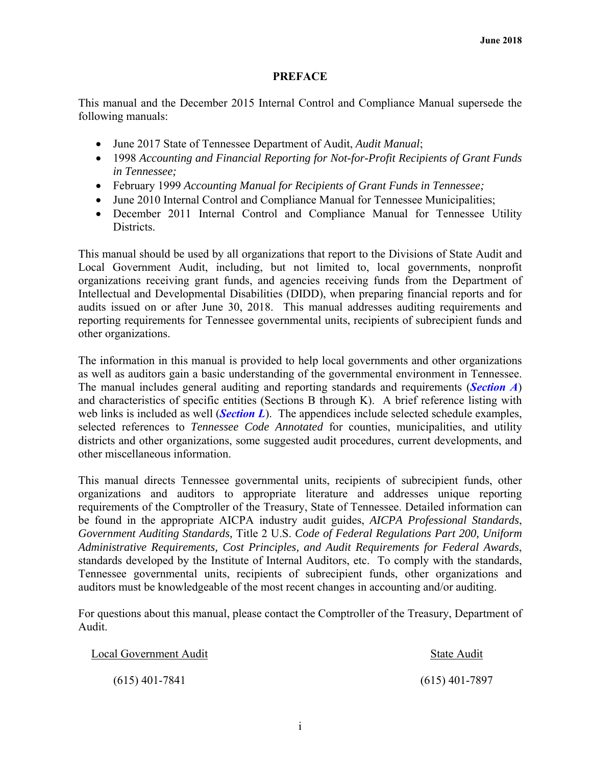#### **PREFACE**

<span id="page-7-0"></span>This manual and the December 2015 Internal Control and Compliance Manual supersede the following manuals:

- June 2017 State of Tennessee Department of Audit, *Audit Manual*;
- 1998 *Accounting and Financial Reporting for Not-for-Profit Recipients of Grant Funds in Tennessee;*
- February 1999 *Accounting Manual for Recipients of Grant Funds in Tennessee;*
- June 2010 Internal Control and Compliance Manual for Tennessee Municipalities;
- December 2011 Internal Control and Compliance Manual for Tennessee Utility **Districts**

This manual should be used by all organizations that report to the Divisions of State Audit and Local Government Audit, including, but not limited to, local governments, nonprofit organizations receiving grant funds, and agencies receiving funds from the Department of Intellectual and Developmental Disabilities (DIDD), when preparing financial reports and for audits issued on or after June 30, 2018. This manual addresses auditing requirements and reporting requirements for Tennessee governmental units, recipients of subrecipient funds and other organizations.

The information in this manual is provided to help local governments and other organizations as well as auditors gain a basic understanding of the governmental environment in Tennessee. The manual includes general auditing and reporting standards and requirements (*[Section A](#page-20-0)*) and characteristics of specific entities (Sections B through K). A brief reference listing with web links is included as well (**[Section L](#page-111-0)**). The appendices include selected schedule examples, selected references to *Tennessee Code Annotated* for counties, municipalities, and utility districts and other organizations, some suggested audit procedures, current developments, and other miscellaneous information.

This manual directs Tennessee governmental units, recipients of subrecipient funds, other organizations and auditors to appropriate literature and addresses unique reporting requirements of the Comptroller of the Treasury, State of Tennessee. Detailed information can be found in the appropriate AICPA industry audit guides, *AICPA Professional Standards*, *Government Auditing Standards,* Title 2 U.S. *Code of Federal Regulations Part 200, Uniform Administrative Requirements, Cost Principles, and Audit Requirements for Federal Awards*, standards developed by the Institute of Internal Auditors, etc. To comply with the standards, Tennessee governmental units, recipients of subrecipient funds, other organizations and auditors must be knowledgeable of the most recent changes in accounting and/or auditing.

For questions about this manual, please contact the Comptroller of the Treasury, Department of Audit.

| Local Government Audit | State Audit      |
|------------------------|------------------|
| $(615)$ 401-7841       | $(615)$ 401-7897 |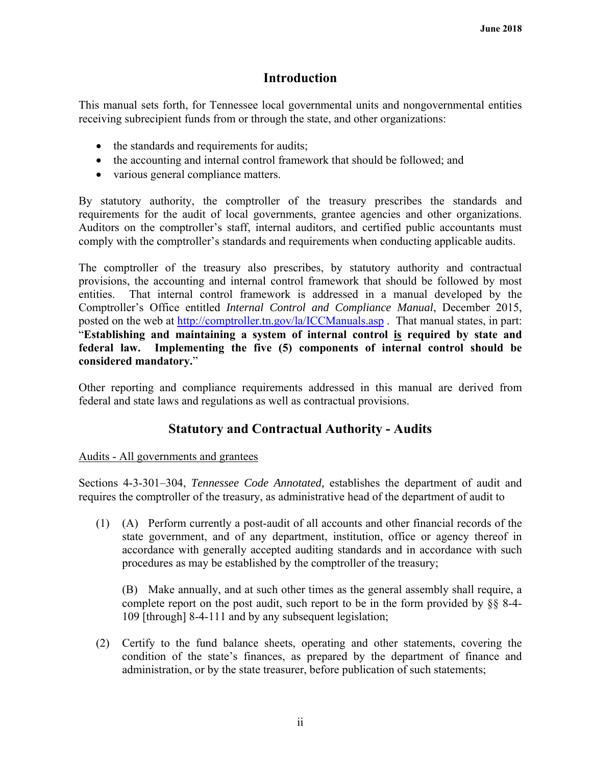# **Introduction**

<span id="page-8-0"></span>This manual sets forth, for Tennessee local governmental units and nongovernmental entities receiving subrecipient funds from or through the state, and other organizations:

- the standards and requirements for audits;
- the accounting and internal control framework that should be followed; and
- various general compliance matters.

By statutory authority, the comptroller of the treasury prescribes the standards and requirements for the audit of local governments, grantee agencies and other organizations. Auditors on the comptroller's staff, internal auditors, and certified public accountants must comply with the comptroller's standards and requirements when conducting applicable audits.

The comptroller of the treasury also prescribes, by statutory authority and contractual provisions, the accounting and internal control framework that should be followed by most entities. That internal control framework is addressed in a manual developed by the Comptroller's Office entitled *Internal Control and Compliance Manual*, December 2015, posted on the web at http://comptroller.tn.gov/la/ICCManuals.asp. That manual states, in part: "**Establishing and maintaining a system of internal control is required by state and federal law. Implementing the five (5) components of internal control should be considered mandatory.**"

Other reporting and compliance requirements addressed in this manual are derived from federal and state laws and regulations as well as contractual provisions.

# **Statutory and Contractual Authority - Audits**

## Audits - All governments and grantees

Sections 4-3-301–304, *Tennessee Code Annotated,* establishes the department of audit and requires the comptroller of the treasury, as administrative head of the department of audit to

(1) (A) Perform currently a post-audit of all accounts and other financial records of the state government, and of any department, institution, office or agency thereof in accordance with generally accepted auditing standards and in accordance with such procedures as may be established by the comptroller of the treasury;

 (B) Make annually, and at such other times as the general assembly shall require, a complete report on the post audit, such report to be in the form provided by §§ 8-4- 109 [through] 8-4-111 and by any subsequent legislation;

(2) Certify to the fund balance sheets, operating and other statements, covering the condition of the state's finances, as prepared by the department of finance and administration, or by the state treasurer, before publication of such statements;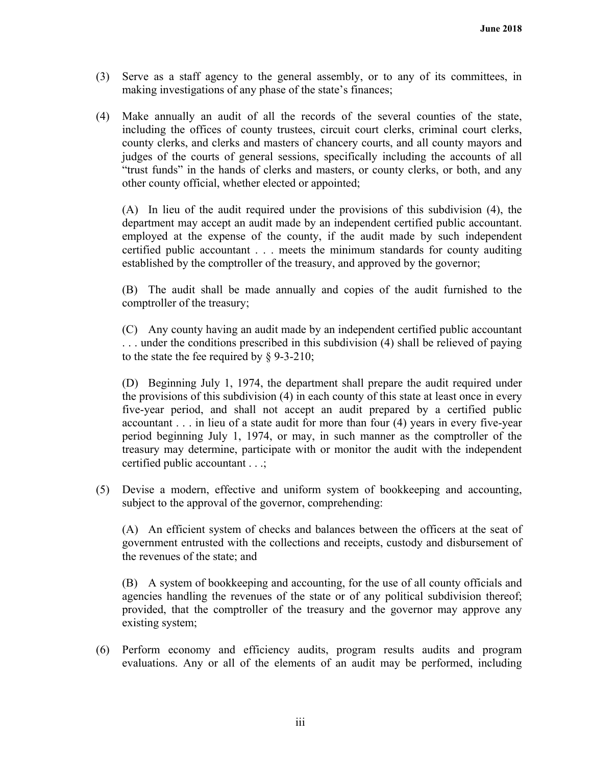- (3) Serve as a staff agency to the general assembly, or to any of its committees, in making investigations of any phase of the state's finances;
- (4) Make annually an audit of all the records of the several counties of the state, including the offices of county trustees, circuit court clerks, criminal court clerks, county clerks, and clerks and masters of chancery courts, and all county mayors and judges of the courts of general sessions, specifically including the accounts of all "trust funds" in the hands of clerks and masters, or county clerks, or both, and any other county official, whether elected or appointed;

 (A) In lieu of the audit required under the provisions of this subdivision (4), the department may accept an audit made by an independent certified public accountant. employed at the expense of the county, if the audit made by such independent certified public accountant . . . meets the minimum standards for county auditing established by the comptroller of the treasury, and approved by the governor;

 (B) The audit shall be made annually and copies of the audit furnished to the comptroller of the treasury;

 (C) Any county having an audit made by an independent certified public accountant . . . under the conditions prescribed in this subdivision (4) shall be relieved of paying to the state the fee required by § 9-3-210;

 (D) Beginning July 1, 1974, the department shall prepare the audit required under the provisions of this subdivision (4) in each county of this state at least once in every five-year period, and shall not accept an audit prepared by a certified public accountant . . . in lieu of a state audit for more than four (4) years in every five-year period beginning July 1, 1974, or may, in such manner as the comptroller of the treasury may determine, participate with or monitor the audit with the independent certified public accountant . . .;

(5) Devise a modern, effective and uniform system of bookkeeping and accounting, subject to the approval of the governor, comprehending:

 (A) An efficient system of checks and balances between the officers at the seat of government entrusted with the collections and receipts, custody and disbursement of the revenues of the state; and

 (B) A system of bookkeeping and accounting, for the use of all county officials and agencies handling the revenues of the state or of any political subdivision thereof; provided, that the comptroller of the treasury and the governor may approve any existing system;

(6) Perform economy and efficiency audits, program results audits and program evaluations. Any or all of the elements of an audit may be performed, including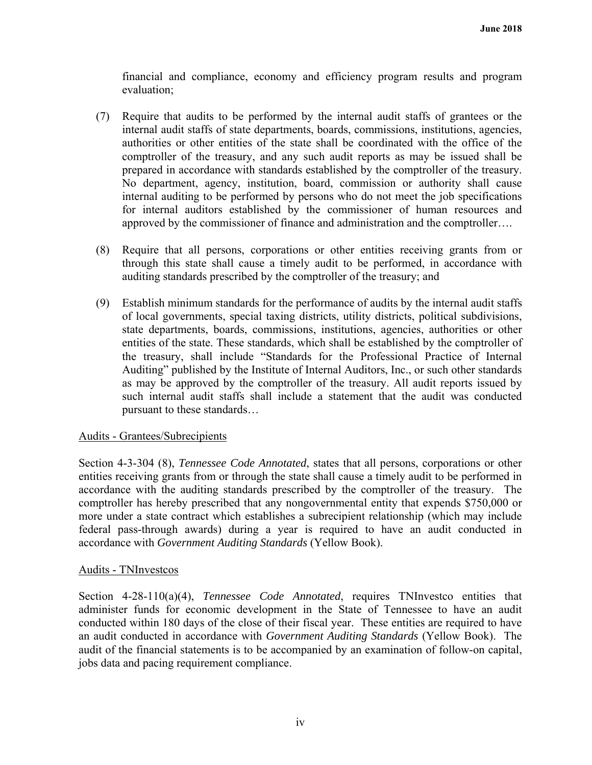financial and compliance, economy and efficiency program results and program evaluation;

- (7) Require that audits to be performed by the internal audit staffs of grantees or the internal audit staffs of state departments, boards, commissions, institutions, agencies, authorities or other entities of the state shall be coordinated with the office of the comptroller of the treasury, and any such audit reports as may be issued shall be prepared in accordance with standards established by the comptroller of the treasury. No department, agency, institution, board, commission or authority shall cause internal auditing to be performed by persons who do not meet the job specifications for internal auditors established by the commissioner of human resources and approved by the commissioner of finance and administration and the comptroller….
- (8) Require that all persons, corporations or other entities receiving grants from or through this state shall cause a timely audit to be performed, in accordance with auditing standards prescribed by the comptroller of the treasury; and
- (9) Establish minimum standards for the performance of audits by the internal audit staffs of local governments, special taxing districts, utility districts, political subdivisions, state departments, boards, commissions, institutions, agencies, authorities or other entities of the state. These standards, which shall be established by the comptroller of the treasury, shall include "Standards for the Professional Practice of Internal Auditing" published by the Institute of Internal Auditors, Inc., or such other standards as may be approved by the comptroller of the treasury. All audit reports issued by such internal audit staffs shall include a statement that the audit was conducted pursuant to these standards…

## Audits - Grantees/Subrecipients

Section 4-3-304 (8), *Tennessee Code Annotated*, states that all persons, corporations or other entities receiving grants from or through the state shall cause a timely audit to be performed in accordance with the auditing standards prescribed by the comptroller of the treasury. The comptroller has hereby prescribed that any nongovernmental entity that expends \$750,000 or more under a state contract which establishes a subrecipient relationship (which may include federal pass-through awards) during a year is required to have an audit conducted in accordance with *Government Auditing Standards* (Yellow Book).

#### Audits - TNInvestcos

Section 4-28-110(a)(4), *Tennessee Code Annotated*, requires TNInvestco entities that administer funds for economic development in the State of Tennessee to have an audit conducted within 180 days of the close of their fiscal year. These entities are required to have an audit conducted in accordance with *Government Auditing Standards* (Yellow Book). The audit of the financial statements is to be accompanied by an examination of follow-on capital, jobs data and pacing requirement compliance.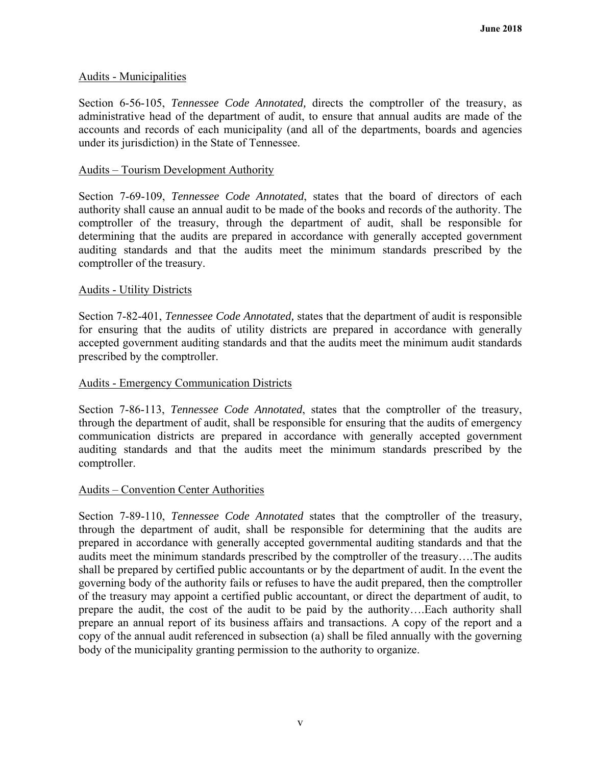#### Audits - Municipalities

Section 6-56-105, *Tennessee Code Annotated,* directs the comptroller of the treasury, as administrative head of the department of audit, to ensure that annual audits are made of the accounts and records of each municipality (and all of the departments, boards and agencies under its jurisdiction) in the State of Tennessee.

#### Audits – Tourism Development Authority

Section 7-69-109, *Tennessee Code Annotated*, states that the board of directors of each authority shall cause an annual audit to be made of the books and records of the authority. The comptroller of the treasury, through the department of audit, shall be responsible for determining that the audits are prepared in accordance with generally accepted government auditing standards and that the audits meet the minimum standards prescribed by the comptroller of the treasury.

#### Audits - Utility Districts

Section 7-82-401, *Tennessee Code Annotated,* states that the department of audit is responsible for ensuring that the audits of utility districts are prepared in accordance with generally accepted government auditing standards and that the audits meet the minimum audit standards prescribed by the comptroller.

#### Audits - Emergency Communication Districts

Section 7-86-113, *Tennessee Code Annotated*, states that the comptroller of the treasury, through the department of audit, shall be responsible for ensuring that the audits of emergency communication districts are prepared in accordance with generally accepted government auditing standards and that the audits meet the minimum standards prescribed by the comptroller.

#### Audits – Convention Center Authorities

Section 7-89-110, *Tennessee Code Annotated* states that the comptroller of the treasury, through the department of audit, shall be responsible for determining that the audits are prepared in accordance with generally accepted governmental auditing standards and that the audits meet the minimum standards prescribed by the comptroller of the treasury….The audits shall be prepared by certified public accountants or by the department of audit. In the event the governing body of the authority fails or refuses to have the audit prepared, then the comptroller of the treasury may appoint a certified public accountant, or direct the department of audit, to prepare the audit, the cost of the audit to be paid by the authority….Each authority shall prepare an annual report of its business affairs and transactions. A copy of the report and a copy of the annual audit referenced in subsection (a) shall be filed annually with the governing body of the municipality granting permission to the authority to organize.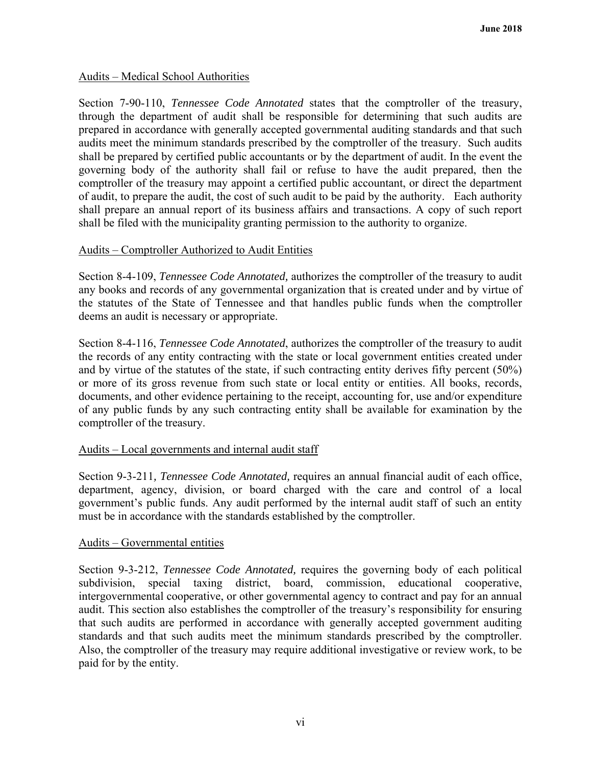#### Audits – Medical School Authorities

Section 7-90-110, *Tennessee Code Annotated* states that the comptroller of the treasury, through the department of audit shall be responsible for determining that such audits are prepared in accordance with generally accepted governmental auditing standards and that such audits meet the minimum standards prescribed by the comptroller of the treasury. Such audits shall be prepared by certified public accountants or by the department of audit. In the event the governing body of the authority shall fail or refuse to have the audit prepared, then the comptroller of the treasury may appoint a certified public accountant, or direct the department of audit, to prepare the audit, the cost of such audit to be paid by the authority. Each authority shall prepare an annual report of its business affairs and transactions. A copy of such report shall be filed with the municipality granting permission to the authority to organize.

#### Audits – Comptroller Authorized to Audit Entities

Section 8-4-109, *Tennessee Code Annotated,* authorizes the comptroller of the treasury to audit any books and records of any governmental organization that is created under and by virtue of the statutes of the State of Tennessee and that handles public funds when the comptroller deems an audit is necessary or appropriate.

Section 8-4-116, *Tennessee Code Annotated*, authorizes the comptroller of the treasury to audit the records of any entity contracting with the state or local government entities created under and by virtue of the statutes of the state, if such contracting entity derives fifty percent (50%) or more of its gross revenue from such state or local entity or entities. All books, records, documents, and other evidence pertaining to the receipt, accounting for, use and/or expenditure of any public funds by any such contracting entity shall be available for examination by the comptroller of the treasury.

#### Audits – Local governments and internal audit staff

Section 9-3-211*, Tennessee Code Annotated,* requires an annual financial audit of each office, department, agency, division, or board charged with the care and control of a local government's public funds. Any audit performed by the internal audit staff of such an entity must be in accordance with the standards established by the comptroller.

#### Audits – Governmental entities

Section 9-3-212, *Tennessee Code Annotated,* requires the governing body of each political subdivision, special taxing district, board, commission, educational cooperative, intergovernmental cooperative, or other governmental agency to contract and pay for an annual audit. This section also establishes the comptroller of the treasury's responsibility for ensuring that such audits are performed in accordance with generally accepted government auditing standards and that such audits meet the minimum standards prescribed by the comptroller. Also, the comptroller of the treasury may require additional investigative or review work, to be paid for by the entity.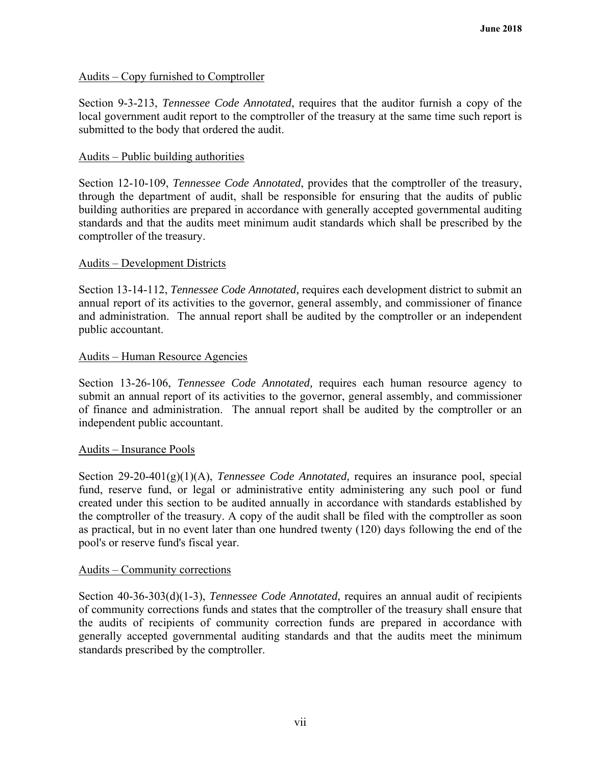#### Audits – Copy furnished to Comptroller

Section 9-3-213, *Tennessee Code Annotated*, requires that the auditor furnish a copy of the local government audit report to the comptroller of the treasury at the same time such report is submitted to the body that ordered the audit.

#### Audits – Public building authorities

Section 12-10-109, *Tennessee Code Annotated*, provides that the comptroller of the treasury, through the department of audit, shall be responsible for ensuring that the audits of public building authorities are prepared in accordance with generally accepted governmental auditing standards and that the audits meet minimum audit standards which shall be prescribed by the comptroller of the treasury.

#### Audits – Development Districts

Section 13-14-112, *Tennessee Code Annotated,* requires each development district to submit an annual report of its activities to the governor, general assembly, and commissioner of finance and administration. The annual report shall be audited by the comptroller or an independent public accountant.

#### Audits – Human Resource Agencies

Section 13-26-106, *Tennessee Code Annotated,* requires each human resource agency to submit an annual report of its activities to the governor, general assembly, and commissioner of finance and administration. The annual report shall be audited by the comptroller or an independent public accountant.

#### Audits – Insurance Pools

Section 29-20-401(g)(1)(A), *Tennessee Code Annotated,* requires an insurance pool, special fund, reserve fund, or legal or administrative entity administering any such pool or fund created under this section to be audited annually in accordance with standards established by the comptroller of the treasury. A copy of the audit shall be filed with the comptroller as soon as practical, but in no event later than one hundred twenty (120) days following the end of the pool's or reserve fund's fiscal year.

#### Audits – Community corrections

Section 40-36-303(d)(1-3), *Tennessee Code Annotated*, requires an annual audit of recipients of community corrections funds and states that the comptroller of the treasury shall ensure that the audits of recipients of community correction funds are prepared in accordance with generally accepted governmental auditing standards and that the audits meet the minimum standards prescribed by the comptroller.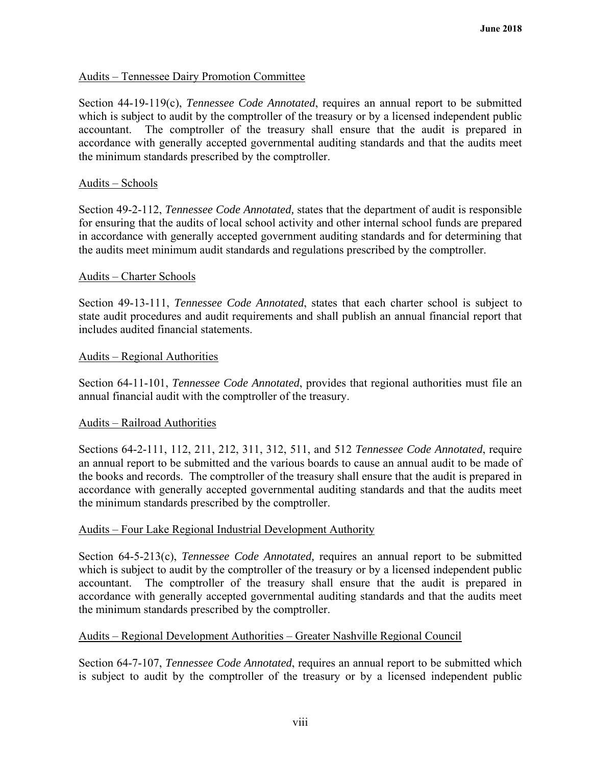#### Audits – Tennessee Dairy Promotion Committee

Section 44-19-119(c), *Tennessee Code Annotated*, requires an annual report to be submitted which is subject to audit by the comptroller of the treasury or by a licensed independent public accountant. The comptroller of the treasury shall ensure that the audit is prepared in accordance with generally accepted governmental auditing standards and that the audits meet the minimum standards prescribed by the comptroller.

#### Audits – Schools

Section 49-2-112, *Tennessee Code Annotated,* states that the department of audit is responsible for ensuring that the audits of local school activity and other internal school funds are prepared in accordance with generally accepted government auditing standards and for determining that the audits meet minimum audit standards and regulations prescribed by the comptroller.

#### Audits – Charter Schools

Section 49-13-111, *Tennessee Code Annotated*, states that each charter school is subject to state audit procedures and audit requirements and shall publish an annual financial report that includes audited financial statements.

#### Audits – Regional Authorities

Section 64-11-101, *Tennessee Code Annotated*, provides that regional authorities must file an annual financial audit with the comptroller of the treasury.

#### Audits – Railroad Authorities

Sections 64-2-111, 112, 211, 212, 311, 312, 511, and 512 *Tennessee Code Annotated*, require an annual report to be submitted and the various boards to cause an annual audit to be made of the books and records. The comptroller of the treasury shall ensure that the audit is prepared in accordance with generally accepted governmental auditing standards and that the audits meet the minimum standards prescribed by the comptroller.

#### Audits – Four Lake Regional Industrial Development Authority

Section 64-5-213(c), *Tennessee Code Annotated,* requires an annual report to be submitted which is subject to audit by the comptroller of the treasury or by a licensed independent public accountant. The comptroller of the treasury shall ensure that the audit is prepared in accordance with generally accepted governmental auditing standards and that the audits meet the minimum standards prescribed by the comptroller.

#### Audits – Regional Development Authorities – Greater Nashville Regional Council

Section 64-7-107, *Tennessee Code Annotated*, requires an annual report to be submitted which is subject to audit by the comptroller of the treasury or by a licensed independent public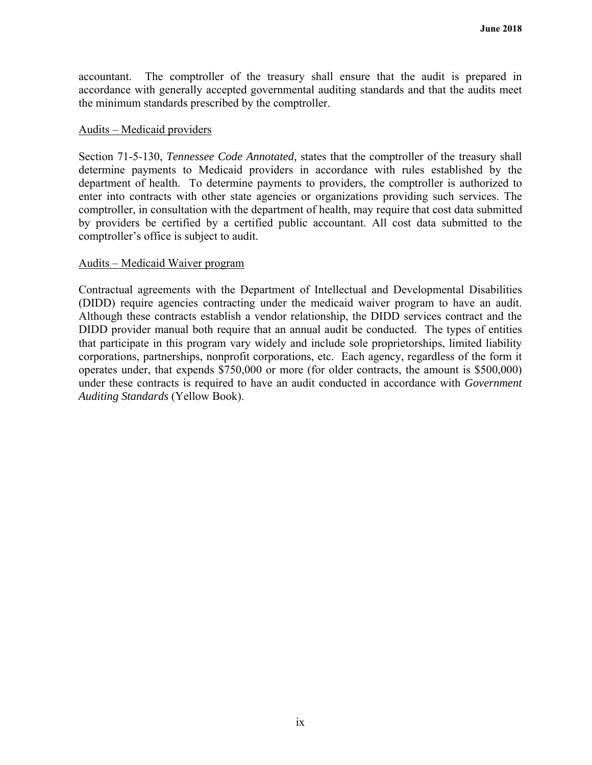accountant. The comptroller of the treasury shall ensure that the audit is prepared in accordance with generally accepted governmental auditing standards and that the audits meet the minimum standards prescribed by the comptroller.

#### Audits – Medicaid providers

Section 71-5-130, *Tennessee Code Annotated,* states that the comptroller of the treasury shall determine payments to Medicaid providers in accordance with rules established by the department of health. To determine payments to providers, the comptroller is authorized to enter into contracts with other state agencies or organizations providing such services. The comptroller, in consultation with the department of health, may require that cost data submitted by providers be certified by a certified public accountant. All cost data submitted to the comptroller's office is subject to audit.

#### Audits – Medicaid Waiver program

Contractual agreements with the Department of Intellectual and Developmental Disabilities (DIDD) require agencies contracting under the medicaid waiver program to have an audit. Although these contracts establish a vendor relationship, the DIDD services contract and the DIDD provider manual both require that an annual audit be conducted. The types of entities that participate in this program vary widely and include sole proprietorships, limited liability corporations, partnerships, nonprofit corporations, etc. Each agency, regardless of the form it operates under, that expends \$750,000 or more (for older contracts, the amount is \$500,000) under these contracts is required to have an audit conducted in accordance with *Government Auditing Standards* (Yellow Book).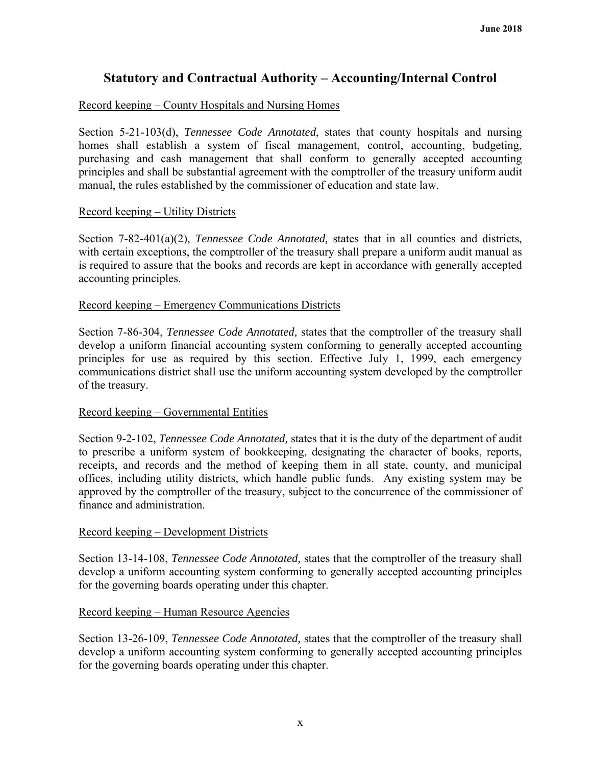# **Statutory and Contractual Authority – Accounting/Internal Control**

#### Record keeping – County Hospitals and Nursing Homes

Section 5-21-103(d), *Tennessee Code Annotated*, states that county hospitals and nursing homes shall establish a system of fiscal management, control, accounting, budgeting, purchasing and cash management that shall conform to generally accepted accounting principles and shall be substantial agreement with the comptroller of the treasury uniform audit manual, the rules established by the commissioner of education and state law.

#### Record keeping – Utility Districts

Section 7-82-401(a)(2), *Tennessee Code Annotated*, states that in all counties and districts, with certain exceptions, the comptroller of the treasury shall prepare a uniform audit manual as is required to assure that the books and records are kept in accordance with generally accepted accounting principles.

#### Record keeping – Emergency Communications Districts

Section 7-86-304, *Tennessee Code Annotated,* states that the comptroller of the treasury shall develop a uniform financial accounting system conforming to generally accepted accounting principles for use as required by this section. Effective July 1, 1999, each emergency communications district shall use the uniform accounting system developed by the comptroller of the treasury.

#### Record keeping – Governmental Entities

Section 9-2-102, *Tennessee Code Annotated,* states that it is the duty of the department of audit to prescribe a uniform system of bookkeeping, designating the character of books, reports, receipts, and records and the method of keeping them in all state, county, and municipal offices, including utility districts, which handle public funds. Any existing system may be approved by the comptroller of the treasury, subject to the concurrence of the commissioner of finance and administration.

#### Record keeping – Development Districts

Section 13-14-108, *Tennessee Code Annotated,* states that the comptroller of the treasury shall develop a uniform accounting system conforming to generally accepted accounting principles for the governing boards operating under this chapter.

#### Record keeping – Human Resource Agencies

Section 13-26-109, *Tennessee Code Annotated,* states that the comptroller of the treasury shall develop a uniform accounting system conforming to generally accepted accounting principles for the governing boards operating under this chapter.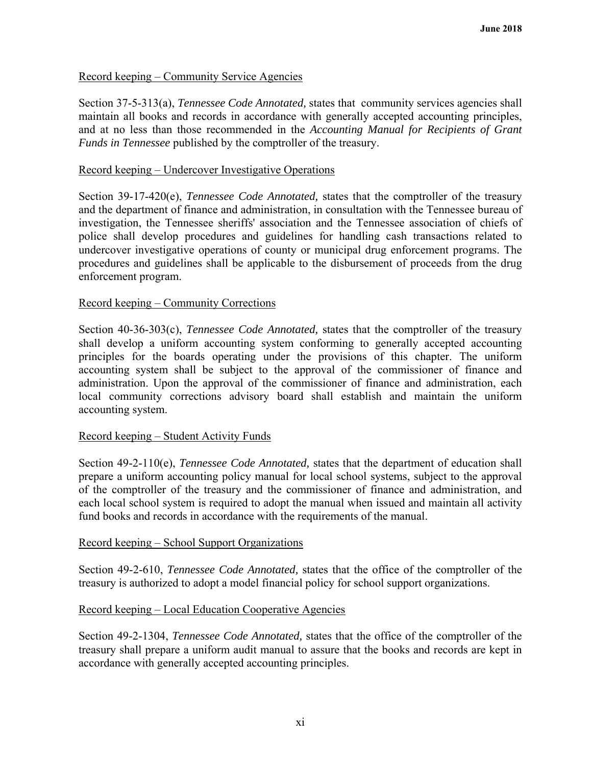#### Record keeping – Community Service Agencies

Section 37-5-313(a), *Tennessee Code Annotated,* states that community services agencies shall maintain all books and records in accordance with generally accepted accounting principles, and at no less than those recommended in the *Accounting Manual for Recipients of Grant Funds in Tennessee* published by the comptroller of the treasury.

#### Record keeping – Undercover Investigative Operations

Section 39-17-420(e), *Tennessee Code Annotated,* states that the comptroller of the treasury and the department of finance and administration, in consultation with the Tennessee bureau of investigation, the Tennessee sheriffs' association and the Tennessee association of chiefs of police shall develop procedures and guidelines for handling cash transactions related to undercover investigative operations of county or municipal drug enforcement programs. The procedures and guidelines shall be applicable to the disbursement of proceeds from the drug enforcement program.

#### Record keeping – Community Corrections

Section 40-36-303(c), *Tennessee Code Annotated,* states that the comptroller of the treasury shall develop a uniform accounting system conforming to generally accepted accounting principles for the boards operating under the provisions of this chapter. The uniform accounting system shall be subject to the approval of the commissioner of finance and administration. Upon the approval of the commissioner of finance and administration, each local community corrections advisory board shall establish and maintain the uniform accounting system.

#### Record keeping – Student Activity Funds

Section 49-2-110(e), *Tennessee Code Annotated,* states that the department of education shall prepare a uniform accounting policy manual for local school systems, subject to the approval of the comptroller of the treasury and the commissioner of finance and administration, and each local school system is required to adopt the manual when issued and maintain all activity fund books and records in accordance with the requirements of the manual.

#### Record keeping – School Support Organizations

Section 49-2-610, *Tennessee Code Annotated,* states that the office of the comptroller of the treasury is authorized to adopt a model financial policy for school support organizations.

#### Record keeping – Local Education Cooperative Agencies

Section 49-2-1304, *Tennessee Code Annotated,* states that the office of the comptroller of the treasury shall prepare a uniform audit manual to assure that the books and records are kept in accordance with generally accepted accounting principles.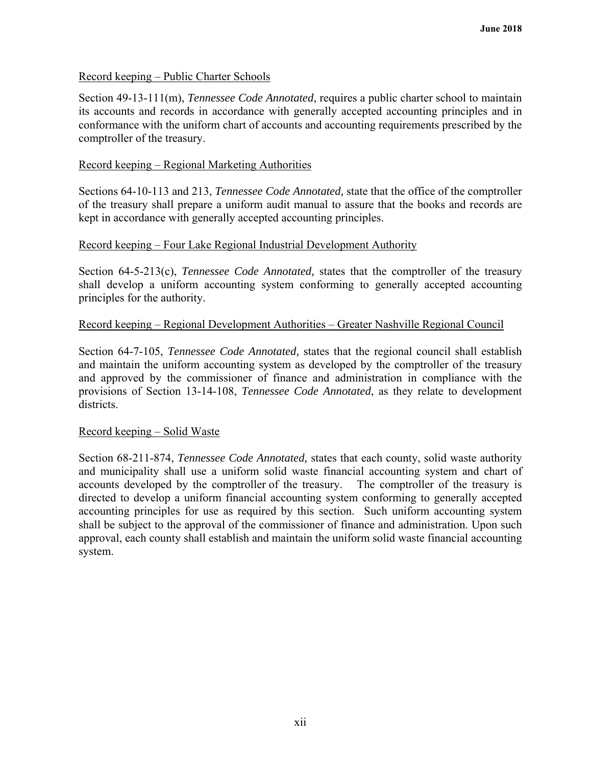#### Record keeping – Public Charter Schools

Section 49-13-111(m), *Tennessee Code Annotated*, requires a public charter school to maintain its accounts and records in accordance with generally accepted accounting principles and in conformance with the uniform chart of accounts and accounting requirements prescribed by the comptroller of the treasury.

#### Record keeping – Regional Marketing Authorities

Sections 64-10-113 and 213, *Tennessee Code Annotated,* state that the office of the comptroller of the treasury shall prepare a uniform audit manual to assure that the books and records are kept in accordance with generally accepted accounting principles.

#### Record keeping – Four Lake Regional Industrial Development Authority

Section 64-5-213(c), *Tennessee Code Annotated,* states that the comptroller of the treasury shall develop a uniform accounting system conforming to generally accepted accounting principles for the authority.

#### Record keeping – Regional Development Authorities – Greater Nashville Regional Council

Section 64-7-105, *Tennessee Code Annotated,* states that the regional council shall establish and maintain the uniform accounting system as developed by the comptroller of the treasury and approved by the commissioner of finance and administration in compliance with the provisions of Section 13-14-108, *Tennessee Code Annotated*, as they relate to development districts.

#### Record keeping – Solid Waste

Section 68-211-874, *Tennessee Code Annotated,* states that each county, solid waste authority and municipality shall use a uniform solid waste financial accounting system and chart of accounts developed by the comptroller of the treasury. The comptroller of the treasury is directed to develop a uniform financial accounting system conforming to generally accepted accounting principles for use as required by this section. Such uniform accounting system shall be subject to the approval of the commissioner of finance and administration. Upon such approval, each county shall establish and maintain the uniform solid waste financial accounting system.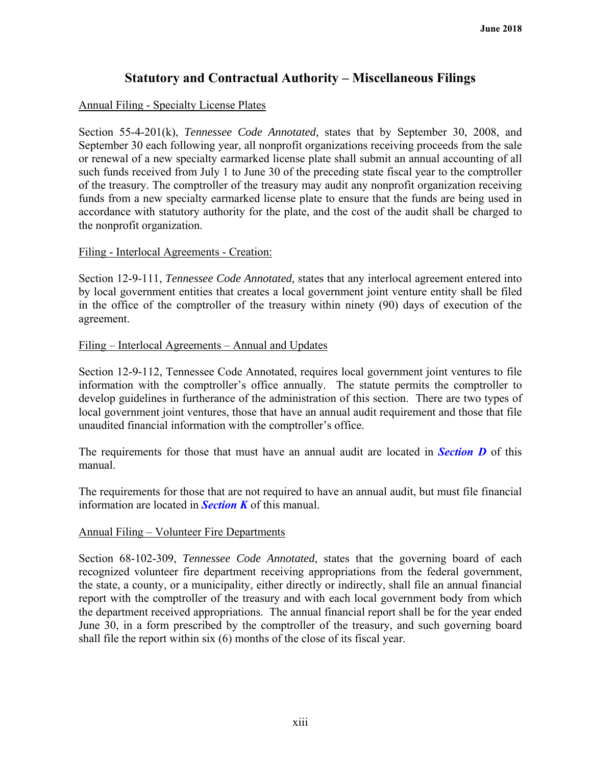# **Statutory and Contractual Authority – Miscellaneous Filings**

#### Annual Filing - Specialty License Plates

Section 55-4-201(k), *Tennessee Code Annotated,* states that by September 30, 2008, and September 30 each following year, all nonprofit organizations receiving proceeds from the sale or renewal of a new specialty earmarked license plate shall submit an annual accounting of all such funds received from July 1 to June 30 of the preceding state fiscal year to the comptroller of the treasury. The comptroller of the treasury may audit any nonprofit organization receiving funds from a new specialty earmarked license plate to ensure that the funds are being used in accordance with statutory authority for the plate, and the cost of the audit shall be charged to the nonprofit organization.

#### Filing - Interlocal Agreements - Creation:

Section 12-9-111, *Tennessee Code Annotated,* states that any interlocal agreement entered into by local government entities that creates a local government joint venture entity shall be filed in the office of the comptroller of the treasury within ninety (90) days of execution of the agreement.

#### Filing – Interlocal Agreements – Annual and Updates

Section 12-9-112, Tennessee Code Annotated, requires local government joint ventures to file information with the comptroller's office annually. The statute permits the comptroller to develop guidelines in furtherance of the administration of this section. There are two types of local government joint ventures, those that have an annual audit requirement and those that file unaudited financial information with the comptroller's office.

The requirements for those that must have an annual audit are located in *[Section D](#page-78-0)* of this manual.

The requirements for those that are not required to have an annual audit, but must file financial information are located in *[Section K](#page-108-0)* of this manual.

#### Annual Filing – Volunteer Fire Departments

Section 68-102-309, *Tennessee Code Annotated*, states that the governing board of each recognized volunteer fire department receiving appropriations from the federal government, the state, a county, or a municipality, either directly or indirectly, shall file an annual financial report with the comptroller of the treasury and with each local government body from which the department received appropriations. The annual financial report shall be for the year ended June 30, in a form prescribed by the comptroller of the treasury, and such governing board shall file the report within six (6) months of the close of its fiscal year.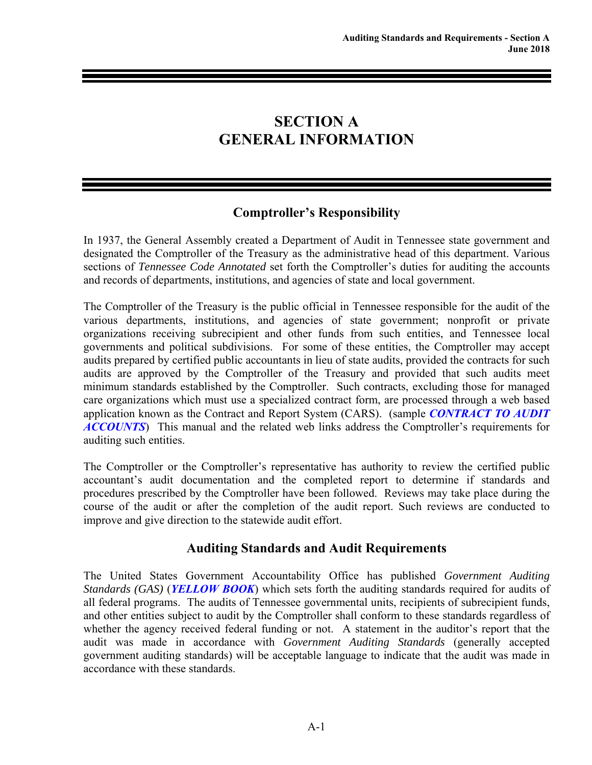# <span id="page-20-0"></span>**SECTION A GENERAL INFORMATION**

# **Comptroller's Responsibility**

In 1937, the General Assembly created a Department of Audit in Tennessee state government and designated the Comptroller of the Treasury as the administrative head of this department. Various sections of *Tennessee Code Annotated* set forth the Comptroller's duties for auditing the accounts and records of departments, institutions, and agencies of state and local government.

The Comptroller of the Treasury is the public official in Tennessee responsible for the audit of the various departments, institutions, and agencies of state government; nonprofit or private organizations receiving subrecipient and other funds from such entities, and Tennessee local governments and political subdivisions. For some of these entities, the Comptroller may accept audits prepared by certified public accountants in lieu of state audits, provided the contracts for such audits are approved by the Comptroller of the Treasury and provided that such audits meet minimum standards established by the Comptroller. Such contracts, excluding those for managed care organizations which must use a specialized contract form, are processed through a web based application known as the Contract and Report System (CARS). (sample *[CONTRACT TO AUDIT](https://www.comptroller.tn.gov/RA_Upload/)  [ACCOUNTS](https://www.comptroller.tn.gov/RA_Upload/)*) This manual and the related web links address the Comptroller's requirements for auditing such entities.

The Comptroller or the Comptroller's representative has authority to review the certified public accountant's audit documentation and the completed report to determine if standards and procedures prescribed by the Comptroller have been followed. Reviews may take place during the course of the audit or after the completion of the audit report. Such reviews are conducted to improve and give direction to the statewide audit effort.

# **Auditing Standards and Audit Requirements**

The United States Government Accountability Office has published *Government Auditing Standards (GAS)* (*[YELLOW BOOK](https://www.gao.gov/yellowbook/overview)*) which sets forth the auditing standards required for audits of all federal programs. The audits of Tennessee governmental units, recipients of subrecipient funds, and other entities subject to audit by the Comptroller shall conform to these standards regardless of whether the agency received federal funding or not. A statement in the auditor's report that the audit was made in accordance with *Government Auditing Standards* (generally accepted government auditing standards) will be acceptable language to indicate that the audit was made in accordance with these standards.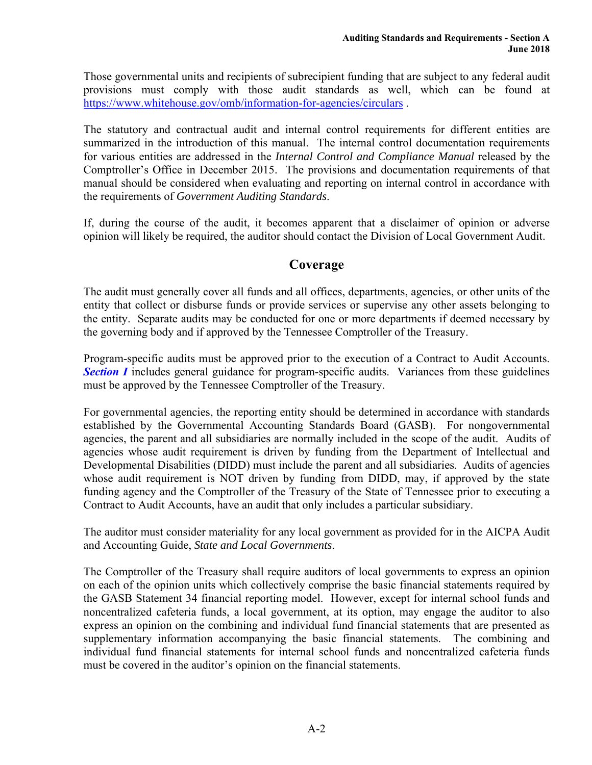Those governmental units and recipients of subrecipient funding that are subject to any federal audit provisions must comply with those audit standards as well, which can be found at https://www.whitehouse.gov/omb/information-for-agencies/circulars .

The statutory and contractual audit and internal control requirements for different entities are summarized in the introduction of this manual. The internal control documentation requirements for various entities are addressed in the *Internal Control and Compliance Manual* released by the Comptroller's Office in December 2015. The provisions and documentation requirements of that manual should be considered when evaluating and reporting on internal control in accordance with the requirements of *Government Auditing Standards*.

If, during the course of the audit, it becomes apparent that a disclaimer of opinion or adverse opinion will likely be required, the auditor should contact the Division of Local Government Audit.

# **Coverage**

The audit must generally cover all funds and all offices, departments, agencies, or other units of the entity that collect or disburse funds or provide services or supervise any other assets belonging to the entity. Separate audits may be conducted for one or more departments if deemed necessary by the governing body and if approved by the Tennessee Comptroller of the Treasury.

Program-specific audits must be approved prior to the execution of a Contract to Audit Accounts. **[Section I](#page-92-0)** includes general guidance for program-specific audits. Variances from these guidelines must be approved by the Tennessee Comptroller of the Treasury.

For governmental agencies, the reporting entity should be determined in accordance with standards established by the Governmental Accounting Standards Board (GASB). For nongovernmental agencies, the parent and all subsidiaries are normally included in the scope of the audit. Audits of agencies whose audit requirement is driven by funding from the Department of Intellectual and Developmental Disabilities (DIDD) must include the parent and all subsidiaries. Audits of agencies whose audit requirement is NOT driven by funding from DIDD, may, if approved by the state funding agency and the Comptroller of the Treasury of the State of Tennessee prior to executing a Contract to Audit Accounts, have an audit that only includes a particular subsidiary.

The auditor must consider materiality for any local government as provided for in the AICPA Audit and Accounting Guide, *State and Local Governments*.

The Comptroller of the Treasury shall require auditors of local governments to express an opinion on each of the opinion units which collectively comprise the basic financial statements required by the GASB Statement 34 financial reporting model. However, except for internal school funds and noncentralized cafeteria funds, a local government, at its option, may engage the auditor to also express an opinion on the combining and individual fund financial statements that are presented as supplementary information accompanying the basic financial statements. The combining and individual fund financial statements for internal school funds and noncentralized cafeteria funds must be covered in the auditor's opinion on the financial statements.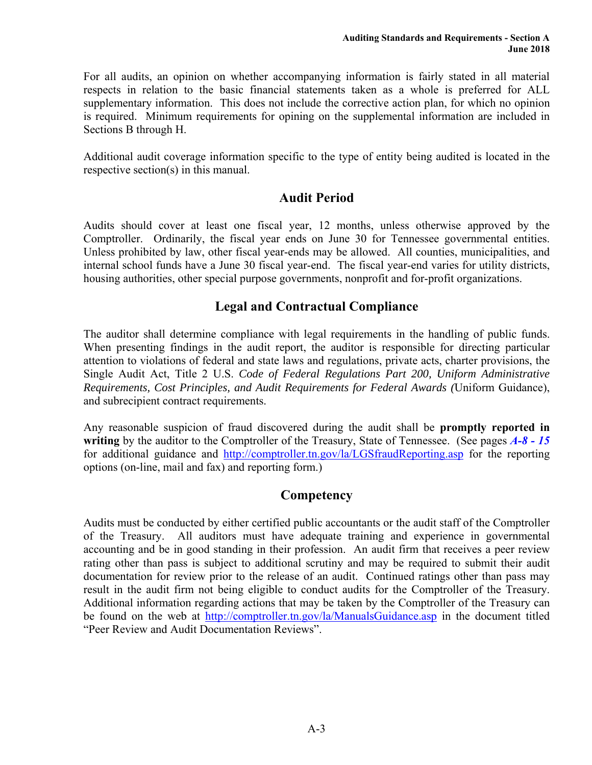For all audits, an opinion on whether accompanying information is fairly stated in all material respects in relation to the basic financial statements taken as a whole is preferred for ALL supplementary information. This does not include the corrective action plan, for which no opinion is required. Minimum requirements for opining on the supplemental information are included in Sections B through H.

Additional audit coverage information specific to the type of entity being audited is located in the respective section(s) in this manual.

# **Audit Period**

Audits should cover at least one fiscal year, 12 months, unless otherwise approved by the Comptroller. Ordinarily, the fiscal year ends on June 30 for Tennessee governmental entities. Unless prohibited by law, other fiscal year-ends may be allowed. All counties, municipalities, and internal school funds have a June 30 fiscal year-end. The fiscal year-end varies for utility districts, housing authorities, other special purpose governments, nonprofit and for-profit organizations.

# **Legal and Contractual Compliance**

The auditor shall determine compliance with legal requirements in the handling of public funds. When presenting findings in the audit report, the auditor is responsible for directing particular attention to violations of federal and state laws and regulations, private acts, charter provisions, the Single Audit Act, Title 2 U.S. *Code of Federal Regulations Part 200, Uniform Administrative Requirements, Cost Principles, and Audit Requirements for Federal Awards (*Uniform Guidance), and subrecipient contract requirements.

Any reasonable suspicion of fraud discovered during the audit shall be **promptly reported in writing** by the auditor to the Comptroller of the Treasury, State of Tennessee. (See pages *[A-8 - 15](#page-27-0)* for additional guidance and http://comptroller.tn.gov/la/LGSfraudReporting.asp for the reporting options (on-line, mail and fax) and reporting form.)

# **Competency**

Audits must be conducted by either certified public accountants or the audit staff of the Comptroller of the Treasury. All auditors must have adequate training and experience in governmental accounting and be in good standing in their profession. An audit firm that receives a peer review rating other than pass is subject to additional scrutiny and may be required to submit their audit documentation for review prior to the release of an audit. Continued ratings other than pass may result in the audit firm not being eligible to conduct audits for the Comptroller of the Treasury. Additional information regarding actions that may be taken by the Comptroller of the Treasury can be found on the web at http://comptroller.tn.gov/la/ManualsGuidance.asp in the document titled "Peer Review and Audit Documentation Reviews".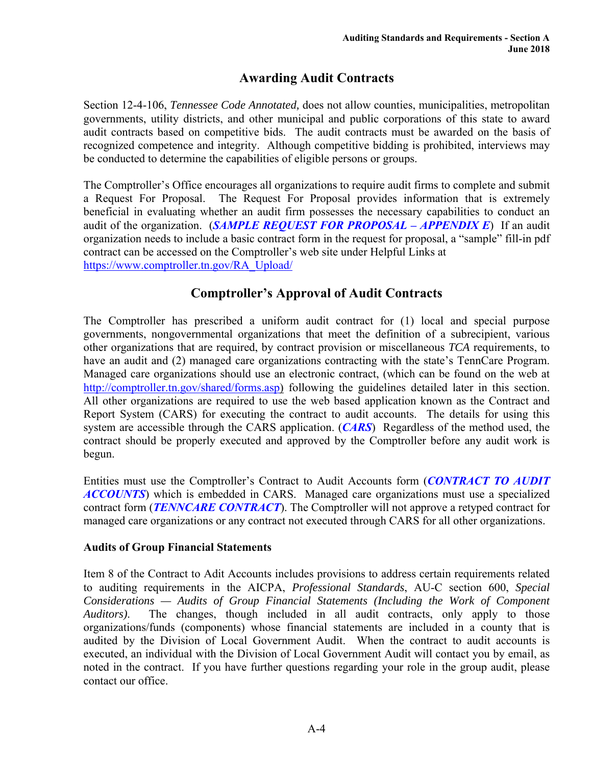# **Awarding Audit Contracts**

Section 12-4-106, *Tennessee Code Annotated,* does not allow counties, municipalities, metropolitan governments, utility districts, and other municipal and public corporations of this state to award audit contracts based on competitive bids. The audit contracts must be awarded on the basis of recognized competence and integrity. Although competitive bidding is prohibited, interviews may be conducted to determine the capabilities of eligible persons or groups.

The Comptroller's Office encourages all organizations to require audit firms to complete and submit a Request For Proposal. The Request For Proposal provides information that is extremely beneficial in evaluating whether an audit firm possesses the necessary capabilities to conduct an audit of the organization. (*[SAMPLE REQUEST FOR PROPOSAL – APPENDIX E](#page-178-0)*) If an audit organization needs to include a basic contract form in the request for proposal, a "sample" fill-in pdf contract can be accessed on the Comptroller's web site under Helpful Links at https://www.comptroller.tn.gov/RA\_Upload/

# **Comptroller's Approval of Audit Contracts**

The Comptroller has prescribed a uniform audit contract for (1) local and special purpose governments, nongovernmental organizations that meet the definition of a subrecipient, various other organizations that are required, by contract provision or miscellaneous *TCA* requirements, to have an audit and (2) managed care organizations contracting with the state's TennCare Program. Managed care organizations should use an electronic contract, (which can be found on the web at http://comptroller.tn.gov/shared/forms.asp) following the guidelines detailed later in this section. All other organizations are required to use the web based application known as the Contract and Report System (CARS) for executing the contract to audit accounts. The details for using this system are accessible through the CARS application. (*[CARS](https://www.comptroller.tn.gov/RA_Upload/)*) Regardless of the method used, the contract should be properly executed and approved by the Comptroller before any audit work is begun.

Entities must use the Comptroller's Contract to Audit Accounts form (*[CONTRACT TO AUDIT](https://www.comptroller.tn.gov/RA_Upload/)  [ACCOUNTS](https://www.comptroller.tn.gov/RA_Upload/)*) which is embedded in CARS. Managed care organizations must use a specialized contract form (*[TENNCARE CONTRACT](https://www.comptroller.tn.gov/shared/forms.asp)*). The Comptroller will not approve a retyped contract for managed care organizations or any contract not executed through CARS for all other organizations.

## **Audits of Group Financial Statements**

Item 8 of the Contract to Adit Accounts includes provisions to address certain requirements related to auditing requirements in the AICPA, *Professional Standards*, AU-C section 600, *Special Considerations — Audits of Group Financial Statements (Including the Work of Component Auditors)*. The changes, though included in all audit contracts, only apply to those organizations/funds (components) whose financial statements are included in a county that is audited by the Division of Local Government Audit. When the contract to audit accounts is executed, an individual with the Division of Local Government Audit will contact you by email, as noted in the contract. If you have further questions regarding your role in the group audit, please contact our office.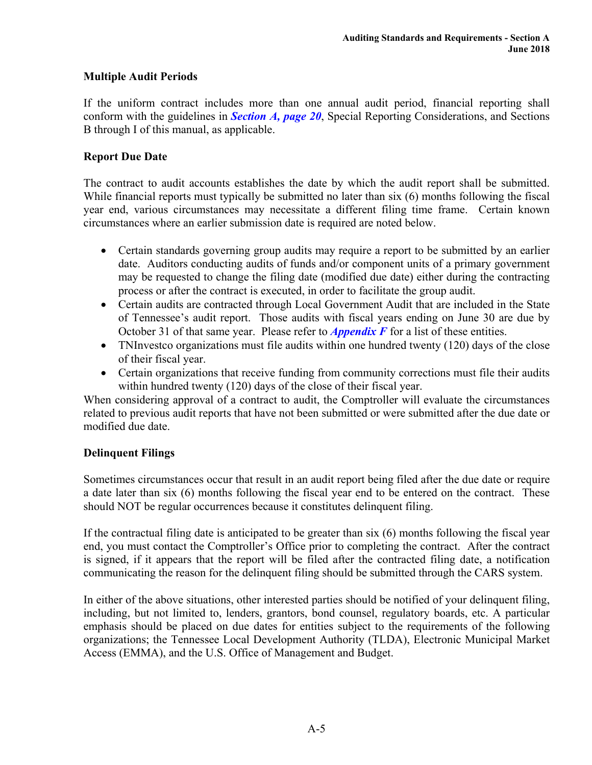## **Multiple Audit Periods**

If the uniform contract includes more than one annual audit period, financial reporting shall conform with the guidelines in *[Section A, page 20](#page-39-0)*, Special Reporting Considerations, and Sections B through I of this manual, as applicable.

#### **Report Due Date**

The contract to audit accounts establishes the date by which the audit report shall be submitted. While financial reports must typically be submitted no later than six (6) months following the fiscal year end, various circumstances may necessitate a different filing time frame. Certain known circumstances where an earlier submission date is required are noted below.

- Certain standards governing group audits may require a report to be submitted by an earlier date. Auditors conducting audits of funds and/or component units of a primary government may be requested to change the filing date (modified due date) either during the contracting process or after the contract is executed, in order to facilitate the group audit.
- Certain audits are contracted through Local Government Audit that are included in the State of Tennessee's audit report. Those audits with fiscal years ending on June 30 are due by October 31 of that same year. Please refer to *[Appendix F](#page-195-0)* for a list of these entities.
- TNInvestco organizations must file audits within one hundred twenty (120) days of the close of their fiscal year.
- Certain organizations that receive funding from community corrections must file their audits within hundred twenty (120) days of the close of their fiscal year.

When considering approval of a contract to audit, the Comptroller will evaluate the circumstances related to previous audit reports that have not been submitted or were submitted after the due date or modified due date.

#### **Delinquent Filings**

Sometimes circumstances occur that result in an audit report being filed after the due date or require a date later than six (6) months following the fiscal year end to be entered on the contract. These should NOT be regular occurrences because it constitutes delinquent filing.

If the contractual filing date is anticipated to be greater than six (6) months following the fiscal year end, you must contact the Comptroller's Office prior to completing the contract. After the contract is signed, if it appears that the report will be filed after the contracted filing date, a notification communicating the reason for the delinquent filing should be submitted through the CARS system.

In either of the above situations, other interested parties should be notified of your delinquent filing, including, but not limited to, lenders, grantors, bond counsel, regulatory boards, etc. A particular emphasis should be placed on due dates for entities subject to the requirements of the following organizations; the Tennessee Local Development Authority (TLDA), Electronic Municipal Market Access (EMMA), and the U.S. Office of Management and Budget.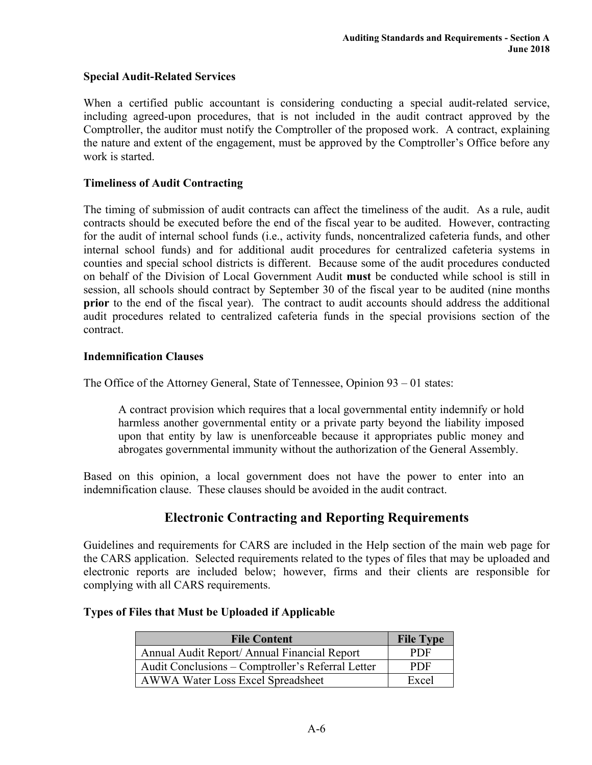#### **Special Audit-Related Services**

When a certified public accountant is considering conducting a special audit-related service, including agreed-upon procedures, that is not included in the audit contract approved by the Comptroller, the auditor must notify the Comptroller of the proposed work. A contract, explaining the nature and extent of the engagement, must be approved by the Comptroller's Office before any work is started.

#### **Timeliness of Audit Contracting**

The timing of submission of audit contracts can affect the timeliness of the audit. As a rule, audit contracts should be executed before the end of the fiscal year to be audited. However, contracting for the audit of internal school funds (i.e., activity funds, noncentralized cafeteria funds, and other internal school funds) and for additional audit procedures for centralized cafeteria systems in counties and special school districts is different. Because some of the audit procedures conducted on behalf of the Division of Local Government Audit **must** be conducted while school is still in session, all schools should contract by September 30 of the fiscal year to be audited (nine months **prior** to the end of the fiscal year). The contract to audit accounts should address the additional audit procedures related to centralized cafeteria funds in the special provisions section of the contract.

#### **Indemnification Clauses**

The Office of the Attorney General, State of Tennessee, Opinion 93 – 01 states:

A contract provision which requires that a local governmental entity indemnify or hold harmless another governmental entity or a private party beyond the liability imposed upon that entity by law is unenforceable because it appropriates public money and abrogates governmental immunity without the authorization of the General Assembly.

Based on this opinion, a local government does not have the power to enter into an indemnification clause. These clauses should be avoided in the audit contract.

# **Electronic Contracting and Reporting Requirements**

Guidelines and requirements for CARS are included in the Help section of the main web page for the CARS application. Selected requirements related to the types of files that may be uploaded and electronic reports are included below; however, firms and their clients are responsible for complying with all CARS requirements.

| <b>Types of Files that Must be Uploaded if Applicable</b> |  |
|-----------------------------------------------------------|--|
|-----------------------------------------------------------|--|

| <b>File Content</b>                               | <b>File Type</b> |  |
|---------------------------------------------------|------------------|--|
| Annual Audit Report/ Annual Financial Report      | PDF              |  |
| Audit Conclusions – Comptroller's Referral Letter | <b>PDF</b>       |  |
| <b>AWWA Water Loss Excel Spreadsheet</b>          | Excel            |  |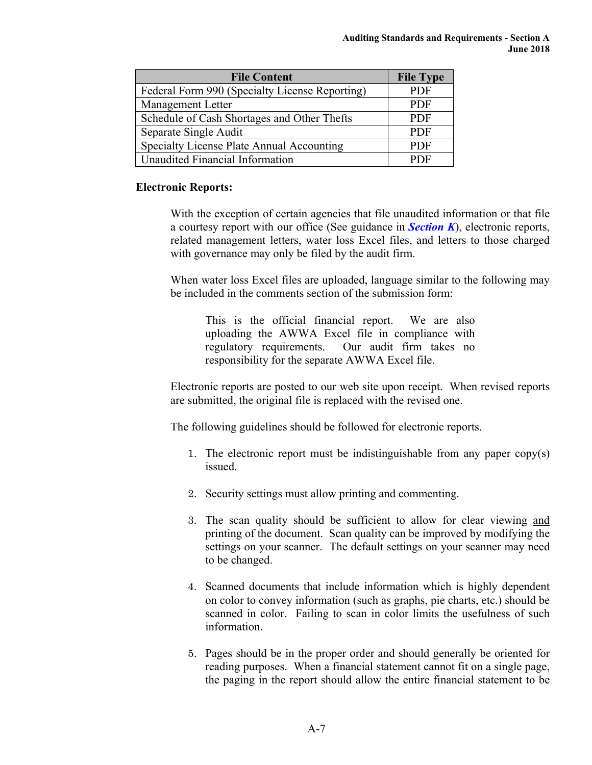| <b>File Content</b>                            | <b>File Type</b> |  |
|------------------------------------------------|------------------|--|
| Federal Form 990 (Specialty License Reporting) | <b>PDF</b>       |  |
| Management Letter                              | <b>PDF</b>       |  |
| Schedule of Cash Shortages and Other Thefts    | <b>PDF</b>       |  |
| Separate Single Audit                          | <b>PDF</b>       |  |
| Specialty License Plate Annual Accounting      | <b>PDF</b>       |  |
| Unaudited Financial Information                | PDE              |  |

#### **Electronic Reports:**

With the exception of certain agencies that file unaudited information or that file a courtesy report with our office (See guidance in *[Section K](#page-108-0)*), electronic reports, related management letters, water loss Excel files, and letters to those charged with governance may only be filed by the audit firm.

When water loss Excel files are uploaded, language similar to the following may be included in the comments section of the submission form:

This is the official financial report. We are also uploading the AWWA Excel file in compliance with regulatory requirements. Our audit firm takes no responsibility for the separate AWWA Excel file.

Electronic reports are posted to our web site upon receipt. When revised reports are submitted, the original file is replaced with the revised one.

The following guidelines should be followed for electronic reports.

- 1. The electronic report must be indistinguishable from any paper copy(s) issued.
- 2. Security settings must allow printing and commenting.
- 3. The scan quality should be sufficient to allow for clear viewing and printing of the document. Scan quality can be improved by modifying the settings on your scanner. The default settings on your scanner may need to be changed.
- 4. Scanned documents that include information which is highly dependent on color to convey information (such as graphs, pie charts, etc.) should be scanned in color. Failing to scan in color limits the usefulness of such information.
- 5. Pages should be in the proper order and should generally be oriented for reading purposes. When a financial statement cannot fit on a single page, the paging in the report should allow the entire financial statement to be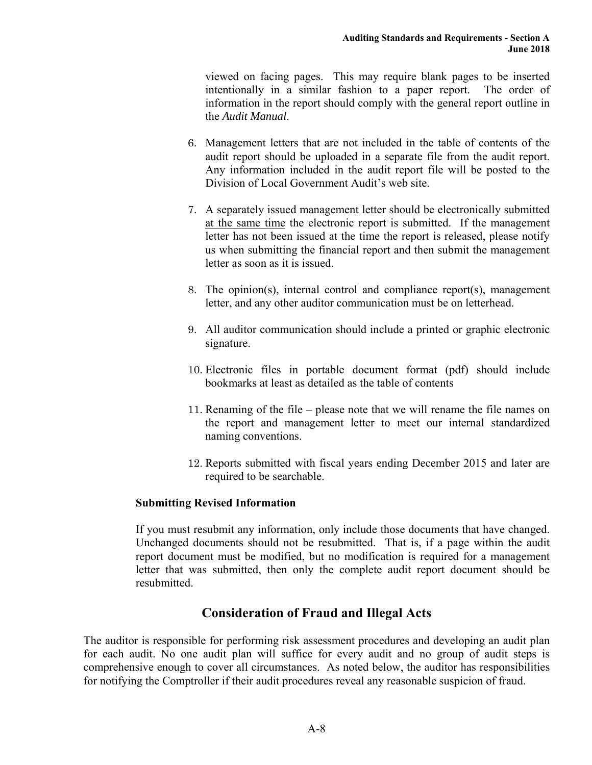<span id="page-27-0"></span>viewed on facing pages. This may require blank pages to be inserted intentionally in a similar fashion to a paper report. The order of information in the report should comply with the general report outline in the *Audit Manual*.

- 6. Management letters that are not included in the table of contents of the audit report should be uploaded in a separate file from the audit report. Any information included in the audit report file will be posted to the Division of Local Government Audit's web site.
- 7. A separately issued management letter should be electronically submitted at the same time the electronic report is submitted. If the management letter has not been issued at the time the report is released, please notify us when submitting the financial report and then submit the management letter as soon as it is issued.
- 8. The opinion(s), internal control and compliance report(s), management letter, and any other auditor communication must be on letterhead.
- 9. All auditor communication should include a printed or graphic electronic signature.
- 10. Electronic files in portable document format (pdf) should include bookmarks at least as detailed as the table of contents
- 11. Renaming of the file please note that we will rename the file names on the report and management letter to meet our internal standardized naming conventions.
- 12. Reports submitted with fiscal years ending December 2015 and later are required to be searchable.

## **Submitting Revised Information**

If you must resubmit any information, only include those documents that have changed. Unchanged documents should not be resubmitted. That is, if a page within the audit report document must be modified, but no modification is required for a management letter that was submitted, then only the complete audit report document should be **resubmitted** 

# **Consideration of Fraud and Illegal Acts**

The auditor is responsible for performing risk assessment procedures and developing an audit plan for each audit. No one audit plan will suffice for every audit and no group of audit steps is comprehensive enough to cover all circumstances. As noted below, the auditor has responsibilities for notifying the Comptroller if their audit procedures reveal any reasonable suspicion of fraud.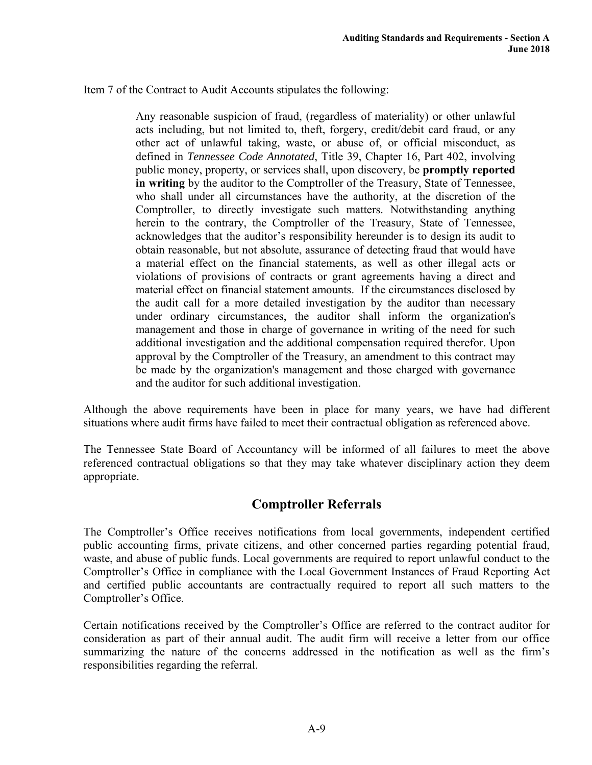Item 7 of the Contract to Audit Accounts stipulates the following:

Any reasonable suspicion of fraud, (regardless of materiality) or other unlawful acts including, but not limited to, theft, forgery, credit/debit card fraud, or any other act of unlawful taking, waste, or abuse of, or official misconduct, as defined in *Tennessee Code Annotated*, Title 39, Chapter 16, Part 402, involving public money, property, or services shall, upon discovery, be **promptly reported in writing** by the auditor to the Comptroller of the Treasury, State of Tennessee, who shall under all circumstances have the authority, at the discretion of the Comptroller, to directly investigate such matters. Notwithstanding anything herein to the contrary, the Comptroller of the Treasury, State of Tennessee, acknowledges that the auditor's responsibility hereunder is to design its audit to obtain reasonable, but not absolute, assurance of detecting fraud that would have a material effect on the financial statements, as well as other illegal acts or violations of provisions of contracts or grant agreements having a direct and material effect on financial statement amounts. If the circumstances disclosed by the audit call for a more detailed investigation by the auditor than necessary under ordinary circumstances, the auditor shall inform the organization's management and those in charge of governance in writing of the need for such additional investigation and the additional compensation required therefor. Upon approval by the Comptroller of the Treasury, an amendment to this contract may be made by the organization's management and those charged with governance and the auditor for such additional investigation.

Although the above requirements have been in place for many years, we have had different situations where audit firms have failed to meet their contractual obligation as referenced above.

The Tennessee State Board of Accountancy will be informed of all failures to meet the above referenced contractual obligations so that they may take whatever disciplinary action they deem appropriate.

# **Comptroller Referrals**

The Comptroller's Office receives notifications from local governments, independent certified public accounting firms, private citizens, and other concerned parties regarding potential fraud, waste, and abuse of public funds. Local governments are required to report unlawful conduct to the Comptroller's Office in compliance with the Local Government Instances of Fraud Reporting Act and certified public accountants are contractually required to report all such matters to the Comptroller's Office.

Certain notifications received by the Comptroller's Office are referred to the contract auditor for consideration as part of their annual audit. The audit firm will receive a letter from our office summarizing the nature of the concerns addressed in the notification as well as the firm's responsibilities regarding the referral.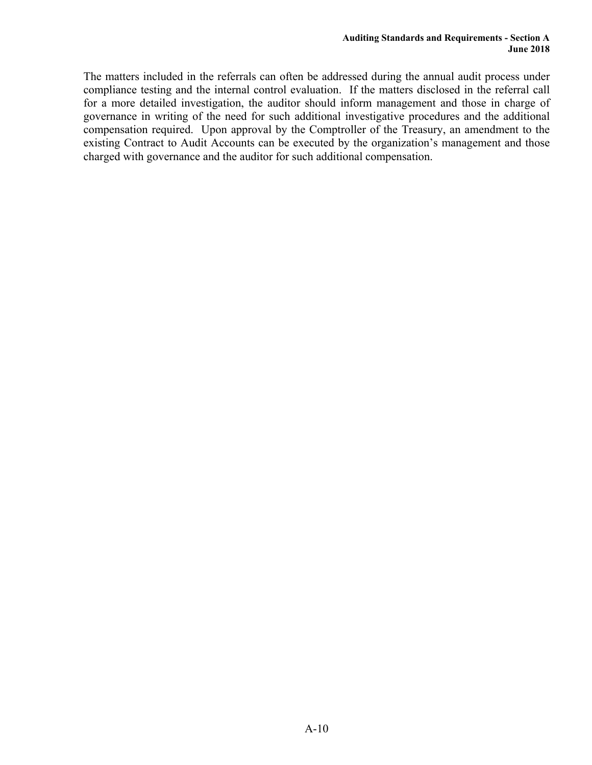The matters included in the referrals can often be addressed during the annual audit process under compliance testing and the internal control evaluation. If the matters disclosed in the referral call for a more detailed investigation, the auditor should inform management and those in charge of governance in writing of the need for such additional investigative procedures and the additional compensation required. Upon approval by the Comptroller of the Treasury, an amendment to the existing Contract to Audit Accounts can be executed by the organization's management and those charged with governance and the auditor for such additional compensation.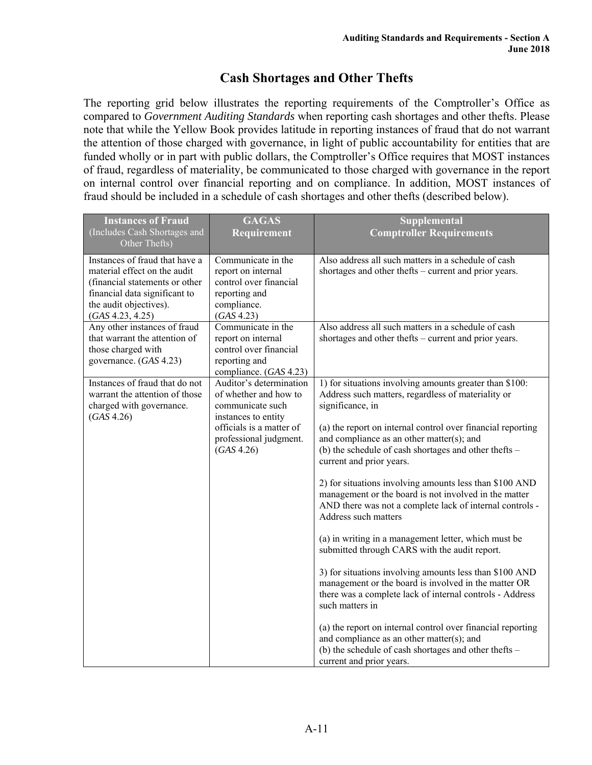# **Cash Shortages and Other Thefts**

The reporting grid below illustrates the reporting requirements of the Comptroller's Office as compared to *Government Auditing Standards* when reporting cash shortages and other thefts. Please note that while the Yellow Book provides latitude in reporting instances of fraud that do not warrant the attention of those charged with governance, in light of public accountability for entities that are funded wholly or in part with public dollars, the Comptroller's Office requires that MOST instances of fraud, regardless of materiality, be communicated to those charged with governance in the report on internal control over financial reporting and on compliance. In addition, MOST instances of fraud should be included in a schedule of cash shortages and other thefts (described below).

| <b>Instances of Fraud</b><br>(Includes Cash Shortages and<br>Other Thefts)                                                                                                      | <b>GAGAS</b><br>Requirement                                                                                                                                     | Supplemental<br><b>Comptroller Requirements</b>                                                                                                                                                                                                                                                                                                                                                                                                                                                                                                                                                                                                                                                                                                                                                                                                                                                                                                                   |
|---------------------------------------------------------------------------------------------------------------------------------------------------------------------------------|-----------------------------------------------------------------------------------------------------------------------------------------------------------------|-------------------------------------------------------------------------------------------------------------------------------------------------------------------------------------------------------------------------------------------------------------------------------------------------------------------------------------------------------------------------------------------------------------------------------------------------------------------------------------------------------------------------------------------------------------------------------------------------------------------------------------------------------------------------------------------------------------------------------------------------------------------------------------------------------------------------------------------------------------------------------------------------------------------------------------------------------------------|
| Instances of fraud that have a<br>material effect on the audit<br>(financial statements or other<br>financial data significant to<br>the audit objectives).<br>(GAS 4.23, 4.25) | Communicate in the<br>report on internal<br>control over financial<br>reporting and<br>compliance.<br>(GAS 4.23)                                                | Also address all such matters in a schedule of cash<br>shortages and other thefts – current and prior years.                                                                                                                                                                                                                                                                                                                                                                                                                                                                                                                                                                                                                                                                                                                                                                                                                                                      |
| Any other instances of fraud<br>that warrant the attention of<br>those charged with<br>governance. (GAS 4.23)                                                                   | Communicate in the<br>report on internal<br>control over financial<br>reporting and<br>compliance. (GAS 4.23)                                                   | Also address all such matters in a schedule of cash<br>shortages and other thefts – current and prior years.                                                                                                                                                                                                                                                                                                                                                                                                                                                                                                                                                                                                                                                                                                                                                                                                                                                      |
| Instances of fraud that do not<br>warrant the attention of those<br>charged with governance.<br>(GAS 4.26)                                                                      | Auditor's determination<br>of whether and how to<br>communicate such<br>instances to entity<br>officials is a matter of<br>professional judgment.<br>(GAS 4.26) | 1) for situations involving amounts greater than \$100:<br>Address such matters, regardless of materiality or<br>significance, in<br>(a) the report on internal control over financial reporting<br>and compliance as an other matter(s); and<br>(b) the schedule of cash shortages and other thefts –<br>current and prior years.<br>2) for situations involving amounts less than \$100 AND<br>management or the board is not involved in the matter<br>AND there was not a complete lack of internal controls -<br>Address such matters<br>(a) in writing in a management letter, which must be<br>submitted through CARS with the audit report.<br>3) for situations involving amounts less than \$100 AND<br>management or the board is involved in the matter OR<br>there was a complete lack of internal controls - Address<br>such matters in<br>(a) the report on internal control over financial reporting<br>and compliance as an other matter(s); and |
|                                                                                                                                                                                 |                                                                                                                                                                 | (b) the schedule of cash shortages and other thefts –<br>current and prior years.                                                                                                                                                                                                                                                                                                                                                                                                                                                                                                                                                                                                                                                                                                                                                                                                                                                                                 |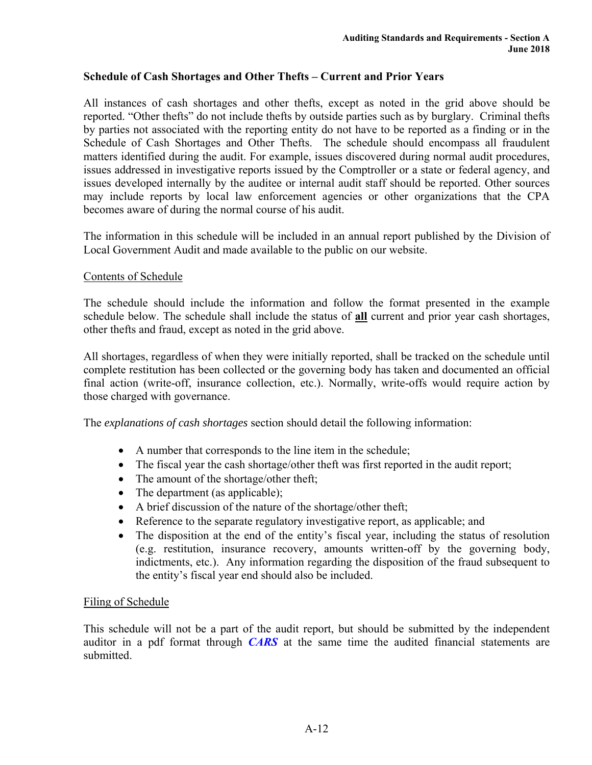#### **Schedule of Cash Shortages and Other Thefts – Current and Prior Years**

All instances of cash shortages and other thefts, except as noted in the grid above should be reported. "Other thefts" do not include thefts by outside parties such as by burglary. Criminal thefts by parties not associated with the reporting entity do not have to be reported as a finding or in the Schedule of Cash Shortages and Other Thefts. The schedule should encompass all fraudulent matters identified during the audit. For example, issues discovered during normal audit procedures, issues addressed in investigative reports issued by the Comptroller or a state or federal agency, and issues developed internally by the auditee or internal audit staff should be reported. Other sources may include reports by local law enforcement agencies or other organizations that the CPA becomes aware of during the normal course of his audit.

The information in this schedule will be included in an annual report published by the Division of Local Government Audit and made available to the public on our website.

#### Contents of Schedule

The schedule should include the information and follow the format presented in the example schedule below. The schedule shall include the status of **all** current and prior year cash shortages, other thefts and fraud, except as noted in the grid above.

All shortages, regardless of when they were initially reported, shall be tracked on the schedule until complete restitution has been collected or the governing body has taken and documented an official final action (write-off, insurance collection, etc.). Normally, write-offs would require action by those charged with governance.

The *explanations of cash shortages* section should detail the following information:

- A number that corresponds to the line item in the schedule;
- The fiscal year the cash shortage/other theft was first reported in the audit report;
- The amount of the shortage/other theft;
- The department (as applicable);
- A brief discussion of the nature of the shortage/other theft;
- Reference to the separate regulatory investigative report, as applicable; and
- The disposition at the end of the entity's fiscal year, including the status of resolution (e.g. restitution, insurance recovery, amounts written-off by the governing body, indictments, etc.). Any information regarding the disposition of the fraud subsequent to the entity's fiscal year end should also be included.

#### Filing of Schedule

This schedule will not be a part of the audit report, but should be submitted by the independent auditor in a pdf format through *[CARS](https://www.comptroller.tn.gov/RA_Upload/)* at the same time the audited financial statements are submitted.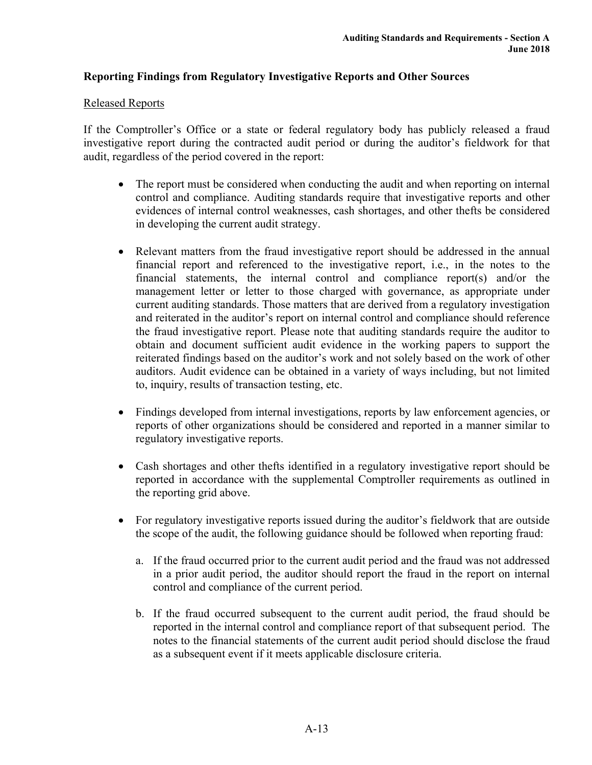#### **Reporting Findings from Regulatory Investigative Reports and Other Sources**

#### Released Reports

If the Comptroller's Office or a state or federal regulatory body has publicly released a fraud investigative report during the contracted audit period or during the auditor's fieldwork for that audit, regardless of the period covered in the report:

- The report must be considered when conducting the audit and when reporting on internal control and compliance. Auditing standards require that investigative reports and other evidences of internal control weaknesses, cash shortages, and other thefts be considered in developing the current audit strategy.
- Relevant matters from the fraud investigative report should be addressed in the annual financial report and referenced to the investigative report, i.e., in the notes to the financial statements, the internal control and compliance report(s) and/or the management letter or letter to those charged with governance, as appropriate under current auditing standards. Those matters that are derived from a regulatory investigation and reiterated in the auditor's report on internal control and compliance should reference the fraud investigative report. Please note that auditing standards require the auditor to obtain and document sufficient audit evidence in the working papers to support the reiterated findings based on the auditor's work and not solely based on the work of other auditors. Audit evidence can be obtained in a variety of ways including, but not limited to, inquiry, results of transaction testing, etc.
- Findings developed from internal investigations, reports by law enforcement agencies, or reports of other organizations should be considered and reported in a manner similar to regulatory investigative reports.
- Cash shortages and other thefts identified in a regulatory investigative report should be reported in accordance with the supplemental Comptroller requirements as outlined in the reporting grid above.
- For regulatory investigative reports issued during the auditor's fieldwork that are outside the scope of the audit, the following guidance should be followed when reporting fraud:
	- a. If the fraud occurred prior to the current audit period and the fraud was not addressed in a prior audit period, the auditor should report the fraud in the report on internal control and compliance of the current period.
	- b. If the fraud occurred subsequent to the current audit period, the fraud should be reported in the internal control and compliance report of that subsequent period. The notes to the financial statements of the current audit period should disclose the fraud as a subsequent event if it meets applicable disclosure criteria.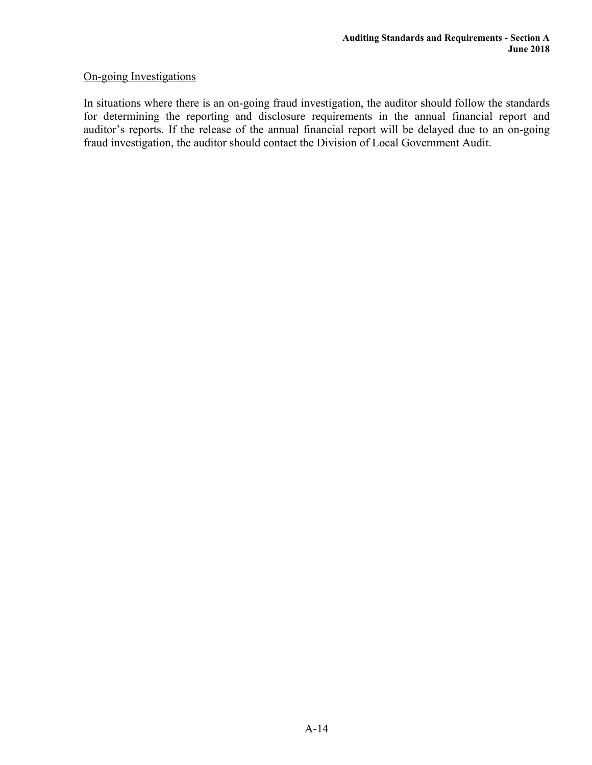## On-going Investigations

In situations where there is an on-going fraud investigation, the auditor should follow the standards for determining the reporting and disclosure requirements in the annual financial report and auditor's reports. If the release of the annual financial report will be delayed due to an on-going fraud investigation, the auditor should contact the Division of Local Government Audit.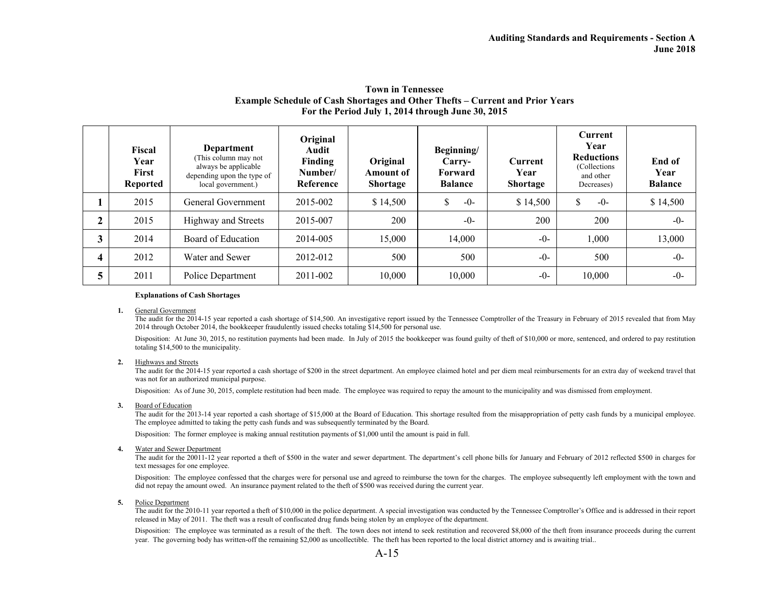| <b>Town in Tennessee</b>                                                             |
|--------------------------------------------------------------------------------------|
| <b>Example Schedule of Cash Shortages and Other Thefts – Current and Prior Years</b> |
| For the Period July 1, 2014 through June 30, 2015                                    |

|   | Fiscal<br>Year<br>First<br>Reported | Department<br>(This column may not<br>always be applicable<br>depending upon the type of<br>local government.) | Original<br>Audit<br>Finding<br>Number/<br>Reference | Original<br><b>Amount of</b><br><b>Shortage</b> | Beginning/<br>Carry-<br>Forward<br><b>Balance</b> | Current<br>Year<br><b>Shortage</b> | <b>Current</b><br>Year<br><b>Reductions</b><br>(Collections)<br>and other<br>Decreases) | End of<br>Year<br><b>Balance</b> |
|---|-------------------------------------|----------------------------------------------------------------------------------------------------------------|------------------------------------------------------|-------------------------------------------------|---------------------------------------------------|------------------------------------|-----------------------------------------------------------------------------------------|----------------------------------|
|   | 2015                                | <b>General Government</b>                                                                                      | 2015-002                                             | \$14,500                                        | \$<br>$-0-$                                       | \$14,500                           | \$<br>$-0-$                                                                             | \$14,500                         |
| ↑ | 2015                                | Highway and Streets                                                                                            | 2015-007                                             | 200                                             | $-0-$                                             | 200                                | 200                                                                                     | $-0-$                            |
| 3 | 2014                                | Board of Education                                                                                             | 2014-005                                             | 15,000                                          | 14,000                                            | $-0-$                              | 1,000                                                                                   | 13,000                           |
| 4 | 2012                                | Water and Sewer                                                                                                | 2012-012                                             | 500                                             | 500                                               | $-0-$                              | 500                                                                                     | $-0-$                            |
| 5 | 2011                                | Police Department                                                                                              | 2011-002                                             | 10,000                                          | 10,000                                            | $-0-$                              | 10,000                                                                                  | $-0-$                            |

#### **Explanations of Cash Shortages**

#### **1.** General Government

The audit for the 2014-15 year reported a cash shortage of \$14,500. An investigative report issued by the Tennessee Comptroller of the Treasury in February of 2015 revealed that from May 2014 through October 2014, the bookkeeper fraudulently issued checks totaling \$14,500 for personal use.

Disposition: At June 30, 2015, no restitution payments had been made. In July of 2015 the bookkeeper was found guilty of theft of \$10,000 or more, sentenced, and ordered to pay restitution totaling \$14,500 to the municipality.

#### **2.** Highways and Streets

The audit for the 2014-15 year reported a cash shortage of \$200 in the street department. An employee claimed hotel and per diem meal reimbursements for an extra day of weekend travel that was not for an authorized municipal purpose.

Disposition: As of June 30, 2015, complete restitution had been made. The employee was required to repay the amount to the municipality and was dismissed from employment.

**3.** Board of Education

The audit for the 2013-14 year reported a cash shortage of \$15,000 at the Board of Education. This shortage resulted from the misappropriation of petty cash funds by a municipal employee. The employee admitted to taking the petty cash funds and was subsequently terminated by the Board.

Disposition: The former employee is making annual restitution payments of \$1,000 until the amount is paid in full.

#### **4.** Water and Sewer Department

The audit for the 20011-12 year reported a theft of \$500 in the water and sewer department. The department's cell phone bills for January and February of 2012 reflected \$500 in charges for text messages for one employee.

Disposition: The employee confessed that the charges were for personal use and agreed to reimburse the town for the charges. The employee subsequently left employment with the town and did not repay the amount owed. An insurance payment related to the theft of \$500 was received during the current year.

**5.** Police Department

The audit for the 2010-11 year reported a theft of \$10,000 in the police department. A special investigation was conducted by the Tennessee Comptroller's Office and is addressed in their report released in May of 2011. The theft was a result of confiscated drug funds being stolen by an employee of the department.

Disposition: The employee was terminated as a result of the theft. The town does not intend to seek restitution and recovered \$8,000 of the theft from insurance proceeds during the current year. The governing body has written-off the remaining \$2,000 as uncollectible. The theft has been reported to the local district attorney and is awaiting trial..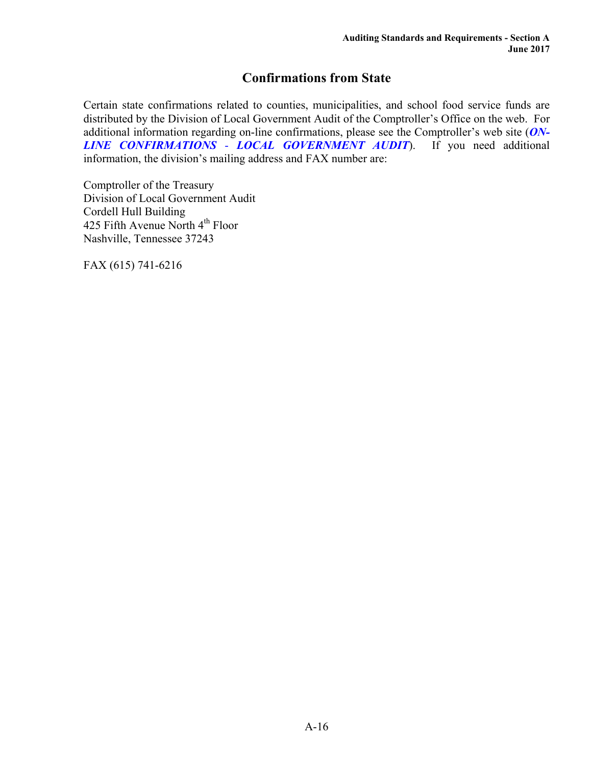# **Confirmations from State**

Certain state confirmations related to counties, municipalities, and school food service funds are distributed by the Division of Local Government Audit of the Comptroller's Office on the web. For additional information regarding on-line confirmations, please see the Comptroller's web site (*[ON-](http://comptroller.tn.gov/la/Confirmations.asp)LINE CONFIRMATIONS* - *[LOCAL GOVERNMENT AUDIT](http://comptroller.tn.gov/la/Confirmations.asp)*). If you need additional information, the division's mailing address and FAX number are:

Comptroller of the Treasury Division of Local Government Audit Cordell Hull Building 425 Fifth Avenue North  $4<sup>th</sup>$  Floor Nashville, Tennessee 37243

FAX (615) 741-6216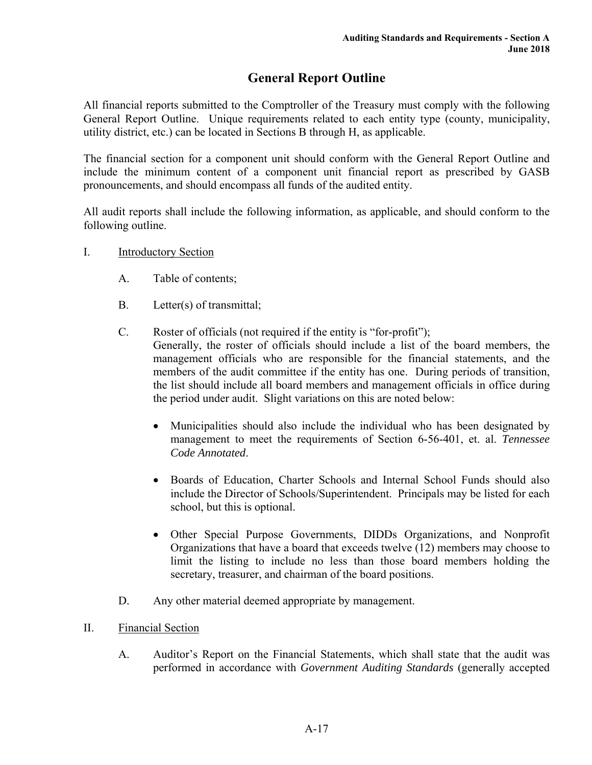## **General Report Outline**

<span id="page-36-0"></span>All financial reports submitted to the Comptroller of the Treasury must comply with the following General Report Outline. Unique requirements related to each entity type (county, municipality, utility district, etc.) can be located in Sections B through H, as applicable.

The financial section for a component unit should conform with the General Report Outline and include the minimum content of a component unit financial report as prescribed by GASB pronouncements, and should encompass all funds of the audited entity.

All audit reports shall include the following information, as applicable, and should conform to the following outline.

- I. Introductory Section
	- A. Table of contents;
	- B. Letter(s) of transmittal;
	- C. Roster of officials (not required if the entity is "for-profit"); Generally, the roster of officials should include a list of the board members, the management officials who are responsible for the financial statements, and the members of the audit committee if the entity has one. During periods of transition, the list should include all board members and management officials in office during the period under audit. Slight variations on this are noted below:
		- Municipalities should also include the individual who has been designated by management to meet the requirements of Section 6-56-401, et. al. *Tennessee Code Annotated*.
		- Boards of Education, Charter Schools and Internal School Funds should also include the Director of Schools/Superintendent. Principals may be listed for each school, but this is optional.
		- Other Special Purpose Governments, DIDDs Organizations, and Nonprofit Organizations that have a board that exceeds twelve (12) members may choose to limit the listing to include no less than those board members holding the secretary, treasurer, and chairman of the board positions.
	- D. Any other material deemed appropriate by management.
- II. Financial Section
	- A. Auditor's Report on the Financial Statements, which shall state that the audit was performed in accordance with *Government Auditing Standards* (generally accepted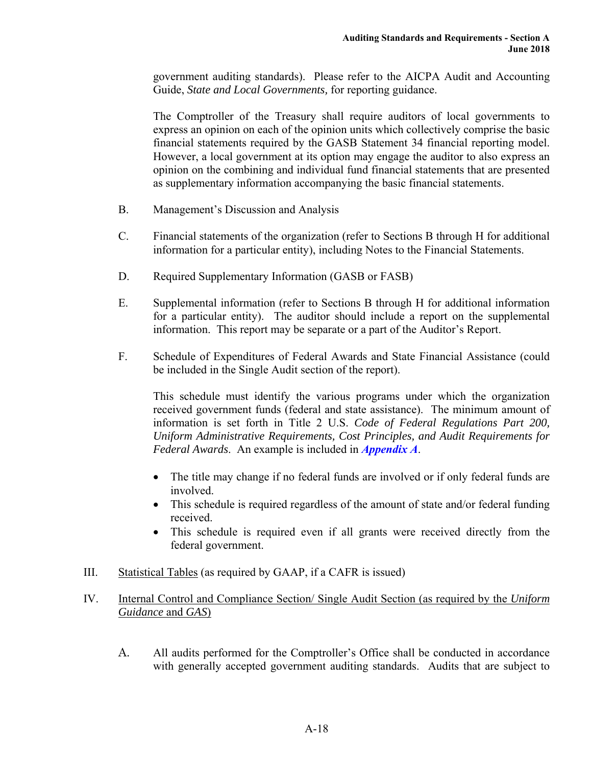government auditing standards). Please refer to the AICPA Audit and Accounting Guide, *State and Local Governments,* for reporting guidance.

The Comptroller of the Treasury shall require auditors of local governments to express an opinion on each of the opinion units which collectively comprise the basic financial statements required by the GASB Statement 34 financial reporting model. However, a local government at its option may engage the auditor to also express an opinion on the combining and individual fund financial statements that are presented as supplementary information accompanying the basic financial statements.

- B. Management's Discussion and Analysis
- C. Financial statements of the organization (refer to Sections B through H for additional information for a particular entity), including Notes to the Financial Statements.
- D. Required Supplementary Information (GASB or FASB)
- E. Supplemental information (refer to Sections B through H for additional information for a particular entity). The auditor should include a report on the supplemental information. This report may be separate or a part of the Auditor's Report.
- F. Schedule of Expenditures of Federal Awards and State Financial Assistance (could be included in the Single Audit section of the report).

 This schedule must identify the various programs under which the organization received government funds (federal and state assistance). The minimum amount of information is set forth in Title 2 U.S. *Code of Federal Regulations Part 200, Uniform Administrative Requirements, Cost Principles, and Audit Requirements for Federal Awards*. An example is included in *[Appendix A](#page-115-0)*.

- The title may change if no federal funds are involved or if only federal funds are involved.
- This schedule is required regardless of the amount of state and/or federal funding received.
- This schedule is required even if all grants were received directly from the federal government.
- III. Statistical Tables (as required by GAAP, if a CAFR is issued)
- IV. Internal Control and Compliance Section/ Single Audit Section (as required by the *Uniform Guidance* and *GAS*)
	- A. All audits performed for the Comptroller's Office shall be conducted in accordance with generally accepted government auditing standards. Audits that are subject to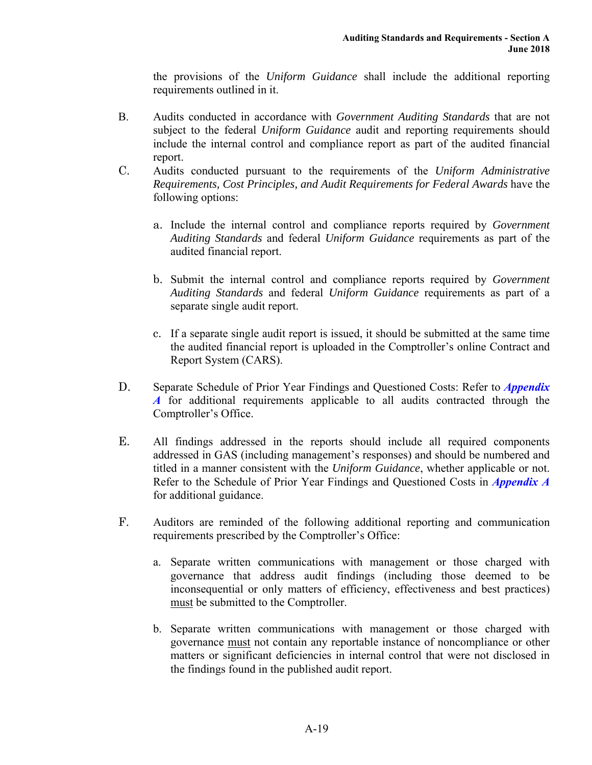the provisions of the *Uniform Guidance* shall include the additional reporting requirements outlined in it.

- B. Audits conducted in accordance with *Government Auditing Standards* that are not subject to the federal *Uniform Guidance* audit and reporting requirements should include the internal control and compliance report as part of the audited financial report.
- C. Audits conducted pursuant to the requirements of the *Uniform Administrative Requirements, Cost Principles, and Audit Requirements for Federal Awards* have the following options:
	- a. Include the internal control and compliance reports required by *Government Auditing Standards* and federal *Uniform Guidance* requirements as part of the audited financial report.
	- b. Submit the internal control and compliance reports required by *Government Auditing Standards* and federal *Uniform Guidance* requirements as part of a separate single audit report.
	- c. If a separate single audit report is issued, it should be submitted at the same time the audited financial report is uploaded in the Comptroller's online Contract and Report System (CARS).
- D. Separate Schedule of Prior Year Findings and Questioned Costs: Refer to *[Appendix](#page-116-0)  [A](#page-116-0)* for additional requirements applicable to all audits contracted through the Comptroller's Office.
- E. All findings addressed in the reports should include all required components addressed in GAS (including management's responses) and should be numbered and titled in a manner consistent with the *Uniform Guidance*, whether applicable or not. Refer to the Schedule of Prior Year Findings and Questioned Costs in *[Appendix A](#page-116-0)* for additional guidance.
- F. Auditors are reminded of the following additional reporting and communication requirements prescribed by the Comptroller's Office:
	- a. Separate written communications with management or those charged with governance that address audit findings (including those deemed to be inconsequential or only matters of efficiency, effectiveness and best practices) must be submitted to the Comptroller.
	- b. Separate written communications with management or those charged with governance must not contain any reportable instance of noncompliance or other matters or significant deficiencies in internal control that were not disclosed in the findings found in the published audit report.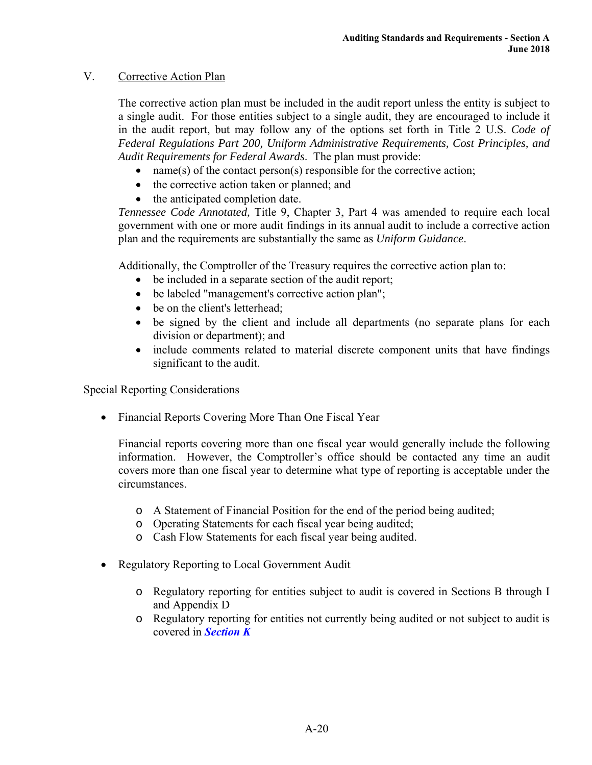#### V. Corrective Action Plan

 The corrective action plan must be included in the audit report unless the entity is subject to a single audit. For those entities subject to a single audit, they are encouraged to include it in the audit report, but may follow any of the options set forth in Title 2 U.S. *Code of Federal Regulations Part 200, Uniform Administrative Requirements, Cost Principles, and Audit Requirements for Federal Awards*. The plan must provide:

- name(s) of the contact person(s) responsible for the corrective action;
- the corrective action taken or planned; and
- the anticipated completion date.

*Tennessee Code Annotated,* Title 9, Chapter 3, Part 4 was amended to require each local government with one or more audit findings in its annual audit to include a corrective action plan and the requirements are substantially the same as *Uniform Guidance*.

Additionally, the Comptroller of the Treasury requires the corrective action plan to:

- be included in a separate section of the audit report;
- be labeled "management's corrective action plan";
- be on the client's letterhead;
- be signed by the client and include all departments (no separate plans for each division or department); and
- include comments related to material discrete component units that have findings significant to the audit.

#### Special Reporting Considerations

• Financial Reports Covering More Than One Fiscal Year

Financial reports covering more than one fiscal year would generally include the following information. However, the Comptroller's office should be contacted any time an audit covers more than one fiscal year to determine what type of reporting is acceptable under the circumstances.

- o A Statement of Financial Position for the end of the period being audited;
- o Operating Statements for each fiscal year being audited;
- o Cash Flow Statements for each fiscal year being audited.
- Regulatory Reporting to Local Government Audit
	- o Regulatory reporting for entities subject to audit is covered in Sections B through I and Appendix D
	- o Regulatory reporting for entities not currently being audited or not subject to audit is covered in *[Section K](#page-108-0)*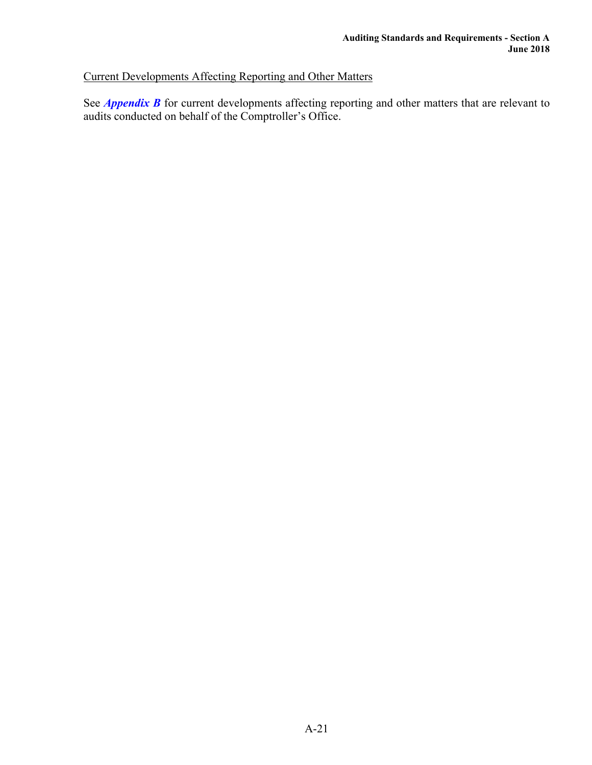## Current Developments Affecting Reporting and Other Matters

See *[Appendix B](#page-117-0)* for current developments affecting reporting and other matters that are relevant to audits conducted on behalf of the Comptroller's Office.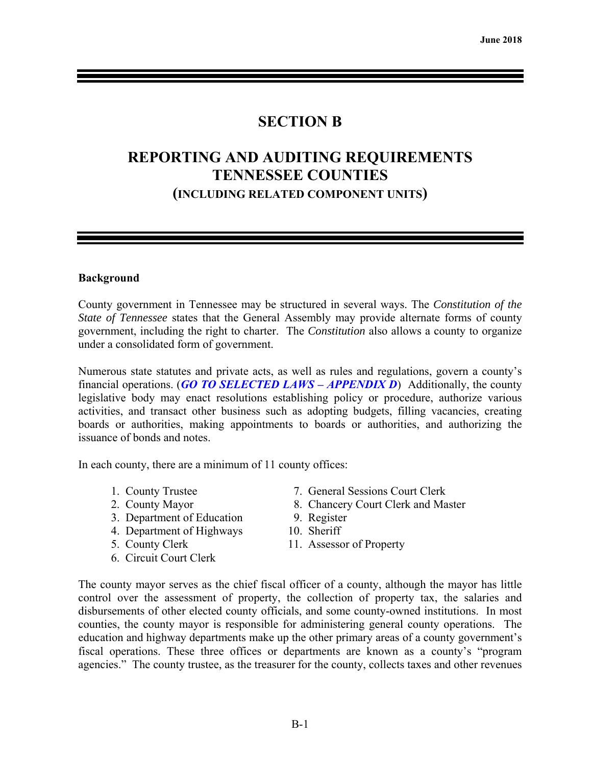## **SECTION B**

# **REPORTING AND AUDITING REQUIREMENTS TENNESSEE COUNTIES (INCLUDING RELATED COMPONENT UNITS)**

#### **Background**

County government in Tennessee may be structured in several ways. The *Constitution of the State of Tennessee* states that the General Assembly may provide alternate forms of county government, including the right to charter. The *Constitution* also allows a county to organize under a consolidated form of government.

Numerous state statutes and private acts, as well as rules and regulations, govern a county's financial operations. (*[GO TO SELECTED LAWS – APPENDIX D](#page-146-0)*) Additionally, the county legislative body may enact resolutions establishing policy or procedure, authorize various activities, and transact other business such as adopting budgets, filling vacancies, creating boards or authorities, making appointments to boards or authorities, and authorizing the issuance of bonds and notes.

In each county, there are a minimum of 11 county offices:

- 
- 
- 3. Department of Education 9. Register<br>
4. Department of Highways 10. Sheriff
- 4. Department of Highways
- 
- 6. Circuit Court Clerk
- 1. County Trustee 7. General Sessions Court Clerk
- 2. County Mayor 8. Chancery Court Clerk and Master
	-
	-
- 5. County Clerk 11. Assessor of Property

The county mayor serves as the chief fiscal officer of a county, although the mayor has little control over the assessment of property, the collection of property tax, the salaries and disbursements of other elected county officials, and some county-owned institutions. In most counties, the county mayor is responsible for administering general county operations. The education and highway departments make up the other primary areas of a county government's fiscal operations. These three offices or departments are known as a county's "program agencies." The county trustee, as the treasurer for the county, collects taxes and other revenues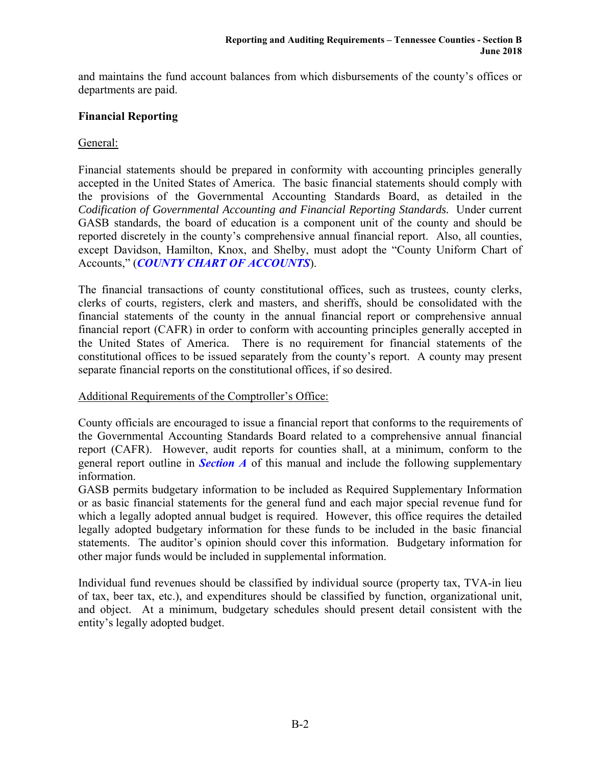and maintains the fund account balances from which disbursements of the county's offices or departments are paid.

### **Financial Reporting**

### General:

Financial statements should be prepared in conformity with accounting principles generally accepted in the United States of America. The basic financial statements should comply with the provisions of the Governmental Accounting Standards Board, as detailed in the *Codification of Governmental Accounting and Financial Reporting Standards.* Under current GASB standards, the board of education is a component unit of the county and should be reported discretely in the county's comprehensive annual financial report. Also, all counties, except Davidson, Hamilton, Knox, and Shelby, must adopt the "County Uniform Chart of Accounts," (*[COUNTY CHART OF ACCOUNTS](http://comptroller.tn.gov/la/LGSlocalGovernment.asp)*).

The financial transactions of county constitutional offices, such as trustees, county clerks, clerks of courts, registers, clerk and masters, and sheriffs, should be consolidated with the financial statements of the county in the annual financial report or comprehensive annual financial report (CAFR) in order to conform with accounting principles generally accepted in the United States of America. There is no requirement for financial statements of the constitutional offices to be issued separately from the county's report. A county may present separate financial reports on the constitutional offices, if so desired.

#### Additional Requirements of the Comptroller's Office:

County officials are encouraged to issue a financial report that conforms to the requirements of the Governmental Accounting Standards Board related to a comprehensive annual financial report (CAFR). However, audit reports for counties shall, at a minimum, conform to the general report outline in *[Section A](#page-36-0)* of this manual and include the following supplementary information.

GASB permits budgetary information to be included as Required Supplementary Information or as basic financial statements for the general fund and each major special revenue fund for which a legally adopted annual budget is required. However, this office requires the detailed legally adopted budgetary information for these funds to be included in the basic financial statements. The auditor's opinion should cover this information. Budgetary information for other major funds would be included in supplemental information.

Individual fund revenues should be classified by individual source (property tax, TVA-in lieu of tax, beer tax, etc.), and expenditures should be classified by function, organizational unit, and object. At a minimum, budgetary schedules should present detail consistent with the entity's legally adopted budget.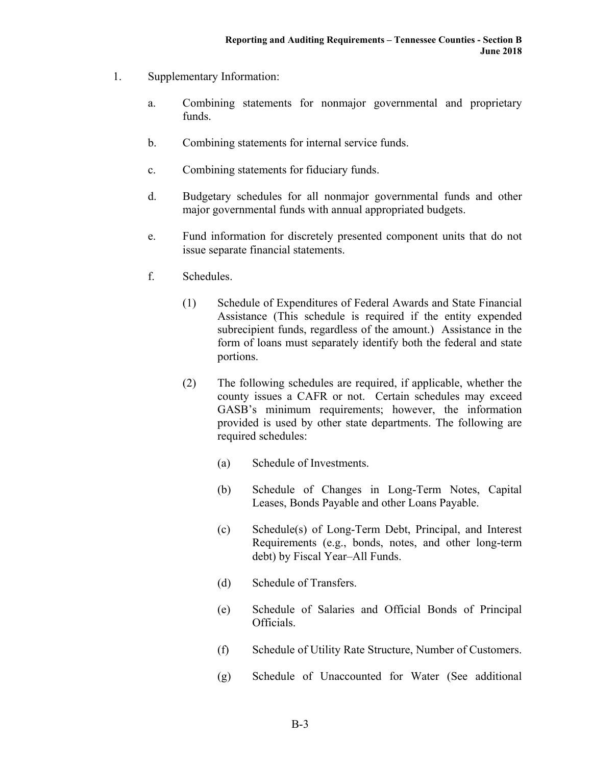- 1. Supplementary Information:
	- a. Combining statements for nonmajor governmental and proprietary funds.
	- b. Combining statements for internal service funds.
	- c. Combining statements for fiduciary funds.
	- d. Budgetary schedules for all nonmajor governmental funds and other major governmental funds with annual appropriated budgets.
	- e. Fund information for discretely presented component units that do not issue separate financial statements.
	- f. Schedules.
		- (1) Schedule of Expenditures of Federal Awards and State Financial Assistance (This schedule is required if the entity expended subrecipient funds, regardless of the amount.) Assistance in the form of loans must separately identify both the federal and state portions.
		- (2) The following schedules are required, if applicable, whether the county issues a CAFR or not. Certain schedules may exceed GASB's minimum requirements; however, the information provided is used by other state departments. The following are required schedules:
			- (a) Schedule of Investments.
			- (b) Schedule of Changes in Long-Term Notes, Capital Leases, Bonds Payable and other Loans Payable.
			- (c) Schedule(s) of Long-Term Debt, Principal, and Interest Requirements (e.g., bonds, notes, and other long-term debt) by Fiscal Year–All Funds.
			- (d) Schedule of Transfers.
			- (e) Schedule of Salaries and Official Bonds of Principal Officials.
			- (f) Schedule of Utility Rate Structure, Number of Customers.
			- (g) Schedule of Unaccounted for Water (See additional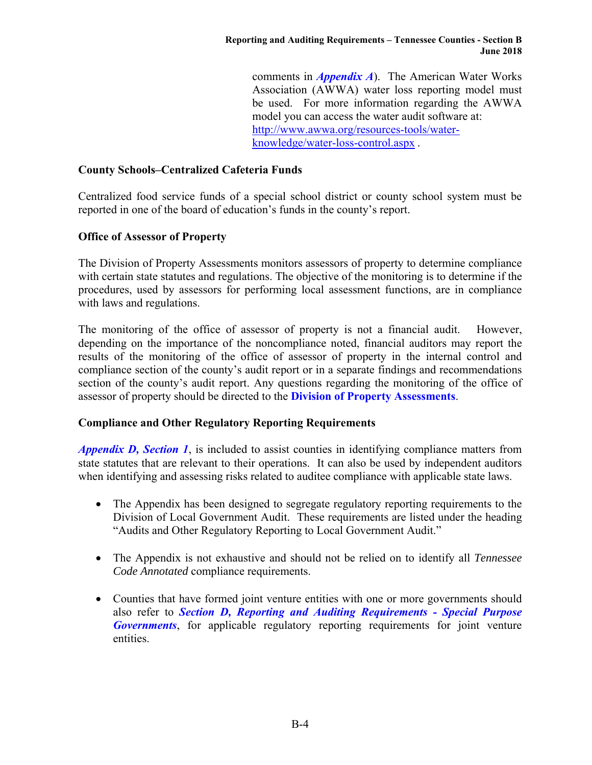comments in *[Appendix A](#page-113-0)*). The American Water Works Association (AWWA) water loss reporting model must be used. For more information regarding the AWWA model you can access the water audit software at: http://www.awwa.org/resources-tools/waterknowledge/water-loss-control.aspx .

### **County Schools–Centralized Cafeteria Funds**

Centralized food service funds of a special school district or county school system must be reported in one of the board of education's funds in the county's report.

### **Office of Assessor of Property**

The Division of Property Assessments monitors assessors of property to determine compliance with certain state statutes and regulations. The objective of the monitoring is to determine if the procedures, used by assessors for performing local assessment functions, are in compliance with laws and regulations.

The monitoring of the office of assessor of property is not a financial audit. However, depending on the importance of the noncompliance noted, financial auditors may report the results of the monitoring of the office of assessor of property in the internal control and compliance section of the county's audit report or in a separate findings and recommendations section of the county's audit report. Any questions regarding the monitoring of the office of assessor of property should be directed to the **Division of [Property Assessments](http://comptroller.tn.gov/pa/)**.

#### **Compliance and Other Regulatory Reporting Requirements**

*[Appendix D, Section 1](#page-146-0)*, is included to assist counties in identifying compliance matters from state statutes that are relevant to their operations. It can also be used by independent auditors when identifying and assessing risks related to auditee compliance with applicable state laws.

- The Appendix has been designed to segregate regulatory reporting requirements to the Division of Local Government Audit. These requirements are listed under the heading "Audits and Other Regulatory Reporting to Local Government Audit."
- The Appendix is not exhaustive and should not be relied on to identify all *Tennessee Code Annotated* compliance requirements.
- Counties that have formed joint venture entities with one or more governments should also refer to *[Section D, Reporting and Auditing Requirements - Special Purpose](#page-78-0)  [Governments](#page-78-0)*, for applicable regulatory reporting requirements for joint venture entities.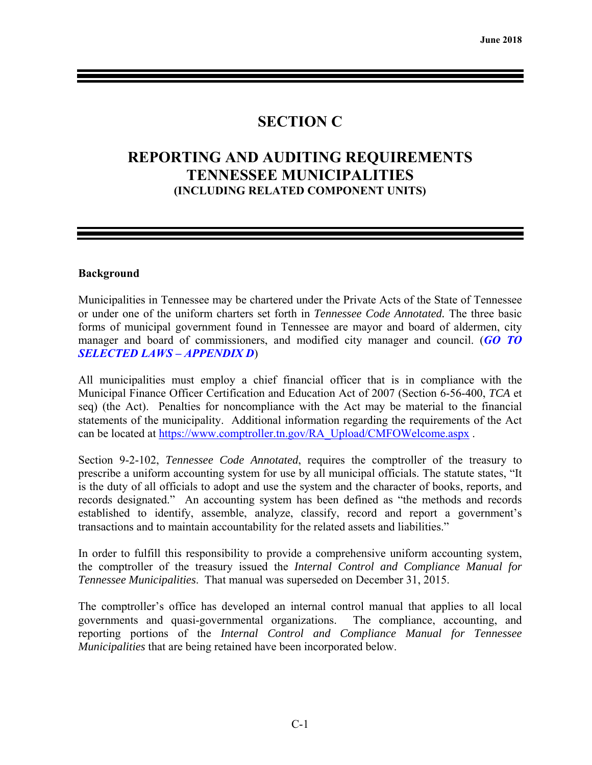# **SECTION C**

## **REPORTING AND AUDITING REQUIREMENTS TENNESSEE MUNICIPALITIES (INCLUDING RELATED COMPONENT UNITS)**

#### **Background**

Municipalities in Tennessee may be chartered under the Private Acts of the State of Tennessee or under one of the uniform charters set forth in *Tennessee Code Annotated.* The three basic forms of municipal government found in Tennessee are mayor and board of aldermen, city manager and board of commissioners, and modified city manager and council. (*[GO TO](#page-156-0)  [SELECTED LAWS – APPENDIX D](#page-156-0)*)

All municipalities must employ a chief financial officer that is in compliance with the Municipal Finance Officer Certification and Education Act of 2007 (Section 6-56-400, *TCA* et seq) (the Act). Penalties for noncompliance with the Act may be material to the financial statements of the municipality. Additional information regarding the requirements of the Act can be located at https://www.comptroller.tn.gov/RA\_Upload/CMFOWelcome.aspx .

Section 9-2-102, *Tennessee Code Annotated*, requires the comptroller of the treasury to prescribe a uniform accounting system for use by all municipal officials. The statute states, "It is the duty of all officials to adopt and use the system and the character of books, reports, and records designated." An accounting system has been defined as "the methods and records established to identify, assemble, analyze, classify, record and report a government's transactions and to maintain accountability for the related assets and liabilities."

In order to fulfill this responsibility to provide a comprehensive uniform accounting system, the comptroller of the treasury issued the *Internal Control and Compliance Manual for Tennessee Municipalities*. That manual was superseded on December 31, 2015.

The comptroller's office has developed an internal control manual that applies to all local governments and quasi-governmental organizations. The compliance, accounting, and reporting portions of the *Internal Control and Compliance Manual for Tennessee Municipalities* that are being retained have been incorporated below.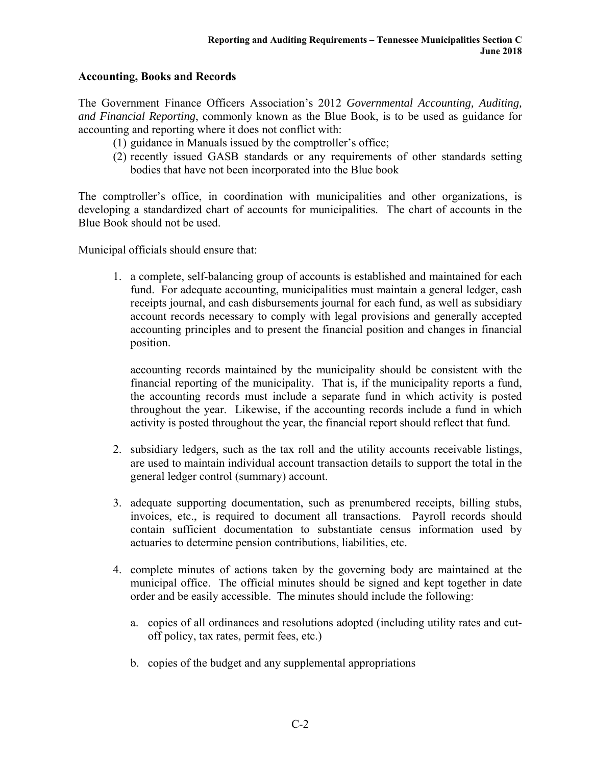#### **Accounting, Books and Records**

The Government Finance Officers Association's 2012 *Governmental Accounting, Auditing, and Financial Reporting*, commonly known as the Blue Book, is to be used as guidance for accounting and reporting where it does not conflict with:

- (1) guidance in Manuals issued by the comptroller's office;
- (2) recently issued GASB standards or any requirements of other standards setting bodies that have not been incorporated into the Blue book

The comptroller's office, in coordination with municipalities and other organizations, is developing a standardized chart of accounts for municipalities. The chart of accounts in the Blue Book should not be used.

Municipal officials should ensure that:

1. a complete, self-balancing group of accounts is established and maintained for each fund. For adequate accounting, municipalities must maintain a general ledger, cash receipts journal, and cash disbursements journal for each fund, as well as subsidiary account records necessary to comply with legal provisions and generally accepted accounting principles and to present the financial position and changes in financial position.

accounting records maintained by the municipality should be consistent with the financial reporting of the municipality. That is, if the municipality reports a fund, the accounting records must include a separate fund in which activity is posted throughout the year. Likewise, if the accounting records include a fund in which activity is posted throughout the year, the financial report should reflect that fund.

- 2. subsidiary ledgers, such as the tax roll and the utility accounts receivable listings, are used to maintain individual account transaction details to support the total in the general ledger control (summary) account.
- 3. adequate supporting documentation, such as prenumbered receipts, billing stubs, invoices, etc., is required to document all transactions. Payroll records should contain sufficient documentation to substantiate census information used by actuaries to determine pension contributions, liabilities, etc.
- 4. complete minutes of actions taken by the governing body are maintained at the municipal office. The official minutes should be signed and kept together in date order and be easily accessible. The minutes should include the following:
	- a. copies of all ordinances and resolutions adopted (including utility rates and cutoff policy, tax rates, permit fees, etc.)
	- b. copies of the budget and any supplemental appropriations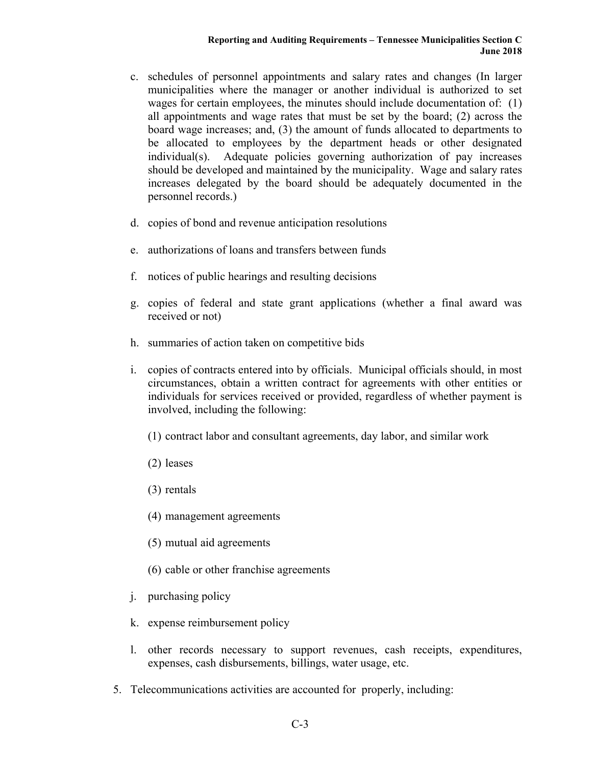- c. schedules of personnel appointments and salary rates and changes (In larger municipalities where the manager or another individual is authorized to set wages for certain employees, the minutes should include documentation of: (1) all appointments and wage rates that must be set by the board; (2) across the board wage increases; and, (3) the amount of funds allocated to departments to be allocated to employees by the department heads or other designated individual(s). Adequate policies governing authorization of pay increases should be developed and maintained by the municipality. Wage and salary rates increases delegated by the board should be adequately documented in the personnel records.)
- d. copies of bond and revenue anticipation resolutions
- e. authorizations of loans and transfers between funds
- f. notices of public hearings and resulting decisions
- g. copies of federal and state grant applications (whether a final award was received or not)
- h. summaries of action taken on competitive bids
- i. copies of contracts entered into by officials. Municipal officials should, in most circumstances, obtain a written contract for agreements with other entities or individuals for services received or provided, regardless of whether payment is involved, including the following:
	- (1) contract labor and consultant agreements, day labor, and similar work
	- (2) leases
	- (3) rentals
	- (4) management agreements
	- (5) mutual aid agreements
	- (6) cable or other franchise agreements
- j. purchasing policy
- k. expense reimbursement policy
- l. other records necessary to support revenues, cash receipts, expenditures, expenses, cash disbursements, billings, water usage, etc.
- 5. Telecommunications activities are accounted for properly, including: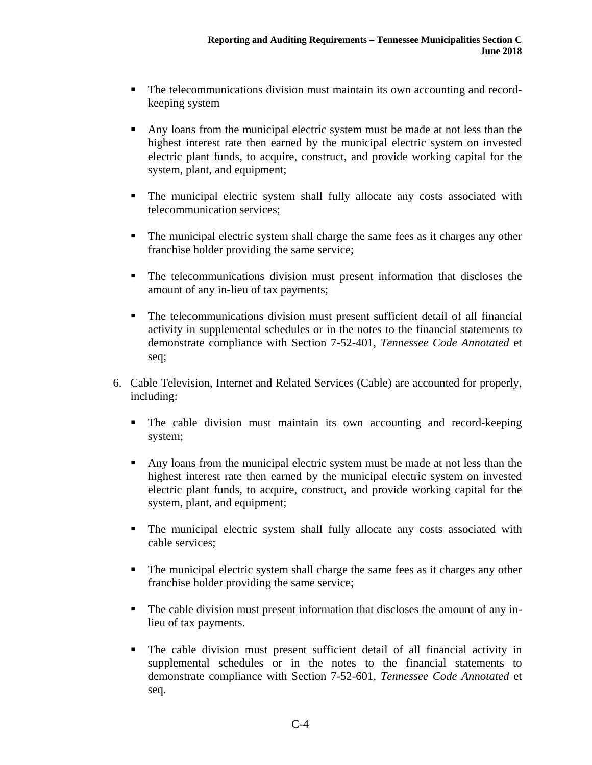- The telecommunications division must maintain its own accounting and recordkeeping system
- Any loans from the municipal electric system must be made at not less than the highest interest rate then earned by the municipal electric system on invested electric plant funds, to acquire, construct, and provide working capital for the system, plant, and equipment;
- The municipal electric system shall fully allocate any costs associated with telecommunication services;
- The municipal electric system shall charge the same fees as it charges any other franchise holder providing the same service;
- The telecommunications division must present information that discloses the amount of any in-lieu of tax payments;
- The telecommunications division must present sufficient detail of all financial activity in supplemental schedules or in the notes to the financial statements to demonstrate compliance with Section 7-52-401, *Tennessee Code Annotated* et seq;
- 6. Cable Television, Internet and Related Services (Cable) are accounted for properly, including:
	- The cable division must maintain its own accounting and record-keeping system;
	- Any loans from the municipal electric system must be made at not less than the highest interest rate then earned by the municipal electric system on invested electric plant funds, to acquire, construct, and provide working capital for the system, plant, and equipment;
	- The municipal electric system shall fully allocate any costs associated with cable services;
	- The municipal electric system shall charge the same fees as it charges any other franchise holder providing the same service;
	- The cable division must present information that discloses the amount of any inlieu of tax payments.
	- The cable division must present sufficient detail of all financial activity in supplemental schedules or in the notes to the financial statements to demonstrate compliance with Section 7-52-601, *Tennessee Code Annotated* et seq.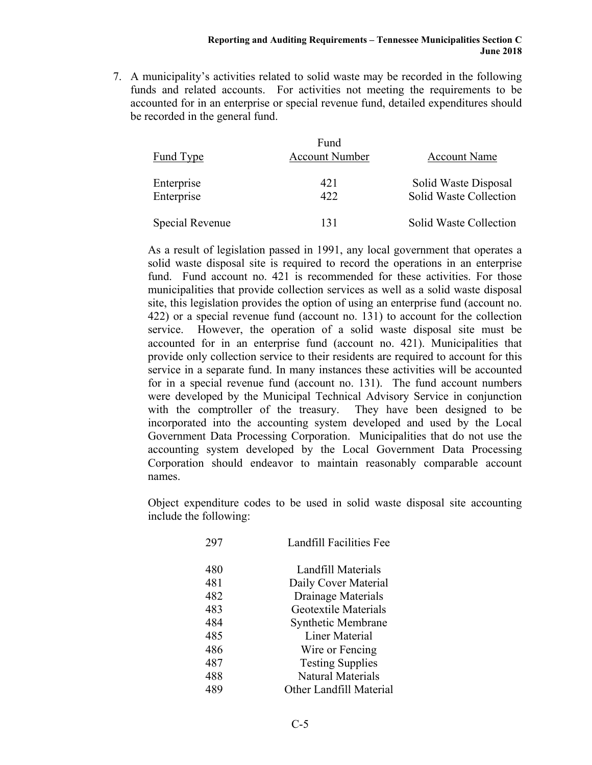7. A municipality's activities related to solid waste may be recorded in the following funds and related accounts. For activities not meeting the requirements to be accounted for in an enterprise or special revenue fund, detailed expenditures should be recorded in the general fund.

| Fund Type                | Fund<br><b>Account Number</b> | <b>Account Name</b>                                   |
|--------------------------|-------------------------------|-------------------------------------------------------|
| Enterprise<br>Enterprise | 421<br>422                    | Solid Waste Disposal<br><b>Solid Waste Collection</b> |
| Special Revenue          | 131                           | <b>Solid Waste Collection</b>                         |

As a result of legislation passed in 1991, any local government that operates a solid waste disposal site is required to record the operations in an enterprise fund. Fund account no. 421 is recommended for these activities. For those municipalities that provide collection services as well as a solid waste disposal site, this legislation provides the option of using an enterprise fund (account no. 422) or a special revenue fund (account no. 131) to account for the collection service. However, the operation of a solid waste disposal site must be accounted for in an enterprise fund (account no. 421). Municipalities that provide only collection service to their residents are required to account for this service in a separate fund. In many instances these activities will be accounted for in a special revenue fund (account no. 131). The fund account numbers were developed by the Municipal Technical Advisory Service in conjunction with the comptroller of the treasury. They have been designed to be incorporated into the accounting system developed and used by the Local Government Data Processing Corporation. Municipalities that do not use the accounting system developed by the Local Government Data Processing Corporation should endeavor to maintain reasonably comparable account names.

Object expenditure codes to be used in solid waste disposal site accounting include the following:

| 297 | <b>Landfill Facilities Fee</b> |
|-----|--------------------------------|
| 480 | Landfill Materials             |
| 481 | Daily Cover Material           |
| 482 | Drainage Materials             |
| 483 | Geotextile Materials           |
| 484 | <b>Synthetic Membrane</b>      |
| 485 | Liner Material                 |
| 486 | Wire or Fencing                |
| 487 | <b>Testing Supplies</b>        |
| 488 | <b>Natural Materials</b>       |
| 489 | Other Landfill Material        |
|     |                                |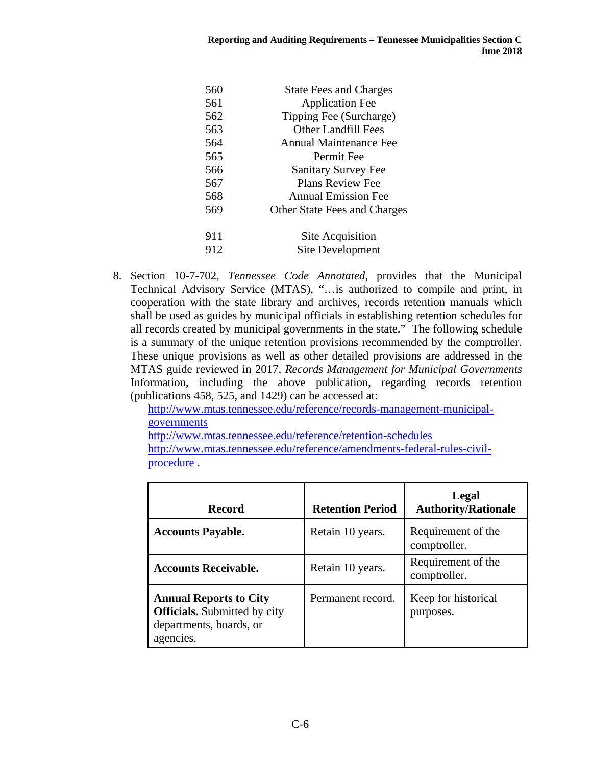| 560 | <b>State Fees and Charges</b>       |
|-----|-------------------------------------|
| 561 | <b>Application Fee</b>              |
| 562 | Tipping Fee (Surcharge)             |
| 563 | <b>Other Landfill Fees</b>          |
| 564 | Annual Maintenance Fee              |
| 565 | Permit Fee                          |
| 566 | <b>Sanitary Survey Fee</b>          |
| 567 | <b>Plans Review Fee</b>             |
| 568 | <b>Annual Emission Fee</b>          |
| 569 | <b>Other State Fees and Charges</b> |
|     |                                     |
| 911 | Site Acquisition                    |
| 912 | Site Development                    |

8. Section 10-7-702, *Tennessee Code Annotated*, provides that the Municipal Technical Advisory Service (MTAS), "…is authorized to compile and print, in cooperation with the state library and archives, records retention manuals which shall be used as guides by municipal officials in establishing retention schedules for all records created by municipal governments in the state." The following schedule is a summary of the unique retention provisions recommended by the comptroller. These unique provisions as well as other detailed provisions are addressed in the MTAS guide reviewed in 2017, *Records Management for Municipal Governments* Information, including the above publication, regarding records retention (publications 458, 525, and 1429) can be accessed at:

http://www.mtas.tennessee.edu/reference/records-management-municipalgovernments http://www.mtas.tennessee.edu/reference/retention-schedules http://www.mtas.tennessee.edu/reference/amendments-federal-rules-civilprocedure .

| <b>Record</b>                                                                                                | <b>Retention Period</b> | Legal<br><b>Authority/Rationale</b> |
|--------------------------------------------------------------------------------------------------------------|-------------------------|-------------------------------------|
| <b>Accounts Payable.</b>                                                                                     | Retain 10 years.        | Requirement of the<br>comptroller.  |
| <b>Accounts Receivable.</b>                                                                                  | Retain 10 years.        | Requirement of the<br>comptroller.  |
| <b>Annual Reports to City</b><br><b>Officials.</b> Submitted by city<br>departments, boards, or<br>agencies. | Permanent record.       | Keep for historical<br>purposes.    |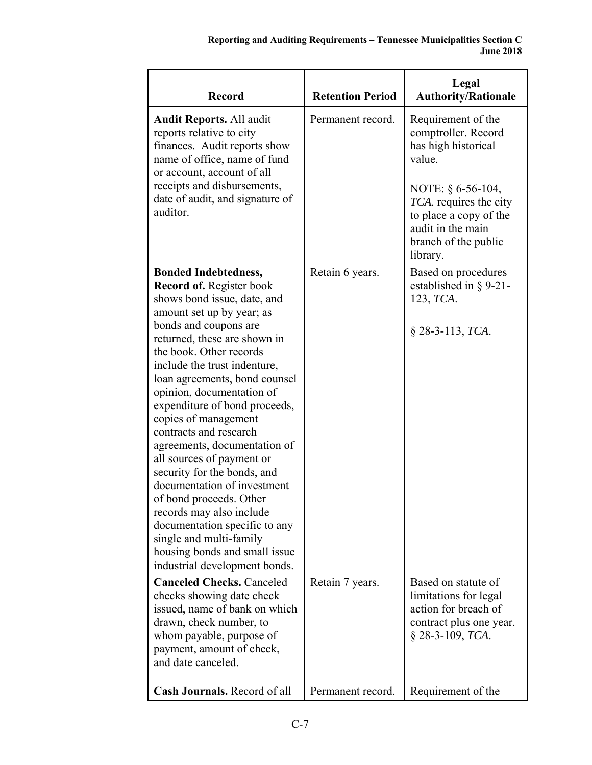| <b>Record</b>                                                                                                                                                                                                                                                                                                                                                                                                                                                                                                                                                                                                                                                                                                                                       | <b>Retention Period</b>            | Legal<br><b>Authority/Rationale</b>                                                                                                                                                                          |
|-----------------------------------------------------------------------------------------------------------------------------------------------------------------------------------------------------------------------------------------------------------------------------------------------------------------------------------------------------------------------------------------------------------------------------------------------------------------------------------------------------------------------------------------------------------------------------------------------------------------------------------------------------------------------------------------------------------------------------------------------------|------------------------------------|--------------------------------------------------------------------------------------------------------------------------------------------------------------------------------------------------------------|
| <b>Audit Reports. All audit</b><br>reports relative to city<br>finances. Audit reports show<br>name of office, name of fund<br>or account, account of all<br>receipts and disbursements,<br>date of audit, and signature of<br>auditor.                                                                                                                                                                                                                                                                                                                                                                                                                                                                                                             | Permanent record.                  | Requirement of the<br>comptroller. Record<br>has high historical<br>value.<br>NOTE: § 6-56-104,<br>TCA. requires the city<br>to place a copy of the<br>audit in the main<br>branch of the public<br>library. |
| <b>Bonded Indebtedness,</b><br><b>Record of.</b> Register book<br>shows bond issue, date, and<br>amount set up by year; as<br>bonds and coupons are<br>returned, these are shown in<br>the book. Other records<br>include the trust indenture,<br>loan agreements, bond counsel<br>opinion, documentation of<br>expenditure of bond proceeds,<br>copies of management<br>contracts and research<br>agreements, documentation of<br>all sources of payment or<br>security for the bonds, and<br>documentation of investment<br>of bond proceeds. Other<br>records may also include<br>documentation specific to any<br>single and multi-family<br>housing bonds and small issue<br>industrial development bonds.<br><b>Canceled Checks. Canceled</b> | Retain 6 years.<br>Retain 7 years. | Based on procedures<br>established in $\S$ 9-21-<br>123, TCA.<br>$§$ 28-3-113, <i>TCA</i> .<br>Based on statute of                                                                                           |
| checks showing date check<br>issued, name of bank on which<br>drawn, check number, to<br>whom payable, purpose of<br>payment, amount of check,<br>and date canceled.                                                                                                                                                                                                                                                                                                                                                                                                                                                                                                                                                                                |                                    | limitations for legal<br>action for breach of<br>contract plus one year.<br>$§$ 28-3-109, TCA.                                                                                                               |
| Cash Journals. Record of all                                                                                                                                                                                                                                                                                                                                                                                                                                                                                                                                                                                                                                                                                                                        | Permanent record.                  | Requirement of the                                                                                                                                                                                           |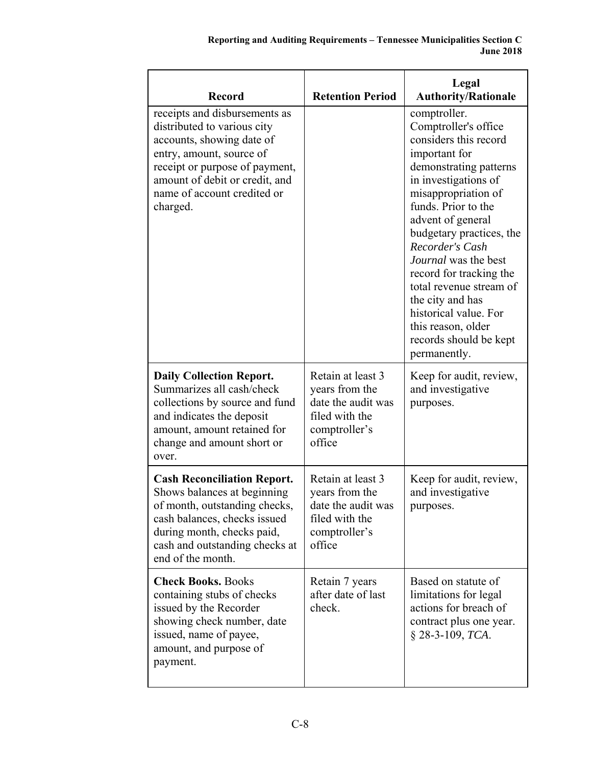| <b>Record</b>                                                                                                                                                                                                                        | <b>Retention Period</b>                                                                                | Legal<br><b>Authority/Rationale</b>                                                                                                                                                                                                                                                                                                                                                                                                                  |
|--------------------------------------------------------------------------------------------------------------------------------------------------------------------------------------------------------------------------------------|--------------------------------------------------------------------------------------------------------|------------------------------------------------------------------------------------------------------------------------------------------------------------------------------------------------------------------------------------------------------------------------------------------------------------------------------------------------------------------------------------------------------------------------------------------------------|
| receipts and disbursements as<br>distributed to various city<br>accounts, showing date of<br>entry, amount, source of<br>receipt or purpose of payment,<br>amount of debit or credit, and<br>name of account credited or<br>charged. |                                                                                                        | comptroller.<br>Comptroller's office<br>considers this record<br>important for<br>demonstrating patterns<br>in investigations of<br>misappropriation of<br>funds. Prior to the<br>advent of general<br>budgetary practices, the<br>Recorder's Cash<br><i>Journal</i> was the best<br>record for tracking the<br>total revenue stream of<br>the city and has<br>historical value. For<br>this reason, older<br>records should be kept<br>permanently. |
| <b>Daily Collection Report.</b><br>Summarizes all cash/check<br>collections by source and fund<br>and indicates the deposit<br>amount, amount retained for<br>change and amount short or<br>over.                                    | Retain at least 3<br>years from the<br>date the audit was<br>filed with the<br>comptroller's<br>office | Keep for audit, review,<br>and investigative<br>purposes.                                                                                                                                                                                                                                                                                                                                                                                            |
| <b>Cash Reconciliation Report.</b><br>Shows balances at beginning<br>of month, outstanding checks,<br>cash balances, checks issued<br>during month, checks paid,<br>cash and outstanding checks at<br>end of the month.              | Retain at least 3<br>years from the<br>date the audit was<br>filed with the<br>comptroller's<br>office | Keep for audit, review,<br>and investigative<br>purposes.                                                                                                                                                                                                                                                                                                                                                                                            |
| <b>Check Books. Books</b><br>containing stubs of checks<br>issued by the Recorder<br>showing check number, date<br>issued, name of payee,<br>amount, and purpose of<br>payment.                                                      | Retain 7 years<br>after date of last<br>check.                                                         | Based on statute of<br>limitations for legal<br>actions for breach of<br>contract plus one year.<br>$§$ 28-3-109, TCA.                                                                                                                                                                                                                                                                                                                               |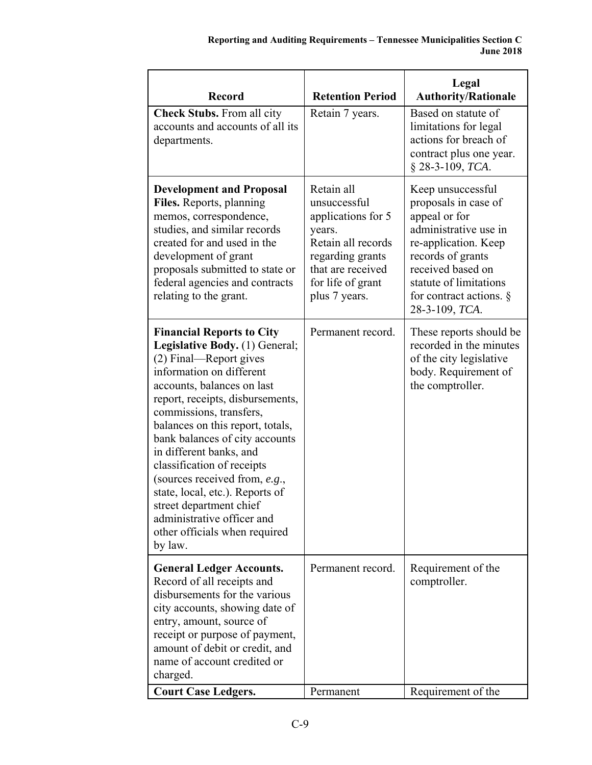| <b>Record</b>                                                                                                                                                                                                                                                                                                                                                                                                                                                                                                                 | <b>Retention Period</b>                                                                                                                                         | Legal<br><b>Authority/Rationale</b>                                                                                                                                                                                             |
|-------------------------------------------------------------------------------------------------------------------------------------------------------------------------------------------------------------------------------------------------------------------------------------------------------------------------------------------------------------------------------------------------------------------------------------------------------------------------------------------------------------------------------|-----------------------------------------------------------------------------------------------------------------------------------------------------------------|---------------------------------------------------------------------------------------------------------------------------------------------------------------------------------------------------------------------------------|
| <b>Check Stubs.</b> From all city<br>accounts and accounts of all its<br>departments.                                                                                                                                                                                                                                                                                                                                                                                                                                         | Retain 7 years.                                                                                                                                                 | Based on statute of<br>limitations for legal<br>actions for breach of<br>contract plus one year.<br>$§$ 28-3-109, TCA.                                                                                                          |
| <b>Development and Proposal</b><br>Files. Reports, planning<br>memos, correspondence,<br>studies, and similar records<br>created for and used in the<br>development of grant<br>proposals submitted to state or<br>federal agencies and contracts<br>relating to the grant.                                                                                                                                                                                                                                                   | Retain all<br>unsuccessful<br>applications for 5<br>years.<br>Retain all records<br>regarding grants<br>that are received<br>for life of grant<br>plus 7 years. | Keep unsuccessful<br>proposals in case of<br>appeal or for<br>administrative use in<br>re-application. Keep<br>records of grants<br>received based on<br>statute of limitations<br>for contract actions. $\S$<br>28-3-109, TCA. |
| <b>Financial Reports to City</b><br>Legislative Body. (1) General;<br>(2) Final—Report gives<br>information on different<br>accounts, balances on last<br>report, receipts, disbursements,<br>commissions, transfers,<br>balances on this report, totals,<br>bank balances of city accounts<br>in different banks, and<br>classification of receipts<br>(sources received from, e.g.,<br>state, local, etc.). Reports of<br>street department chief<br>administrative officer and<br>other officials when required<br>by law. | Permanent record.                                                                                                                                               | These reports should be<br>recorded in the minutes<br>of the city legislative<br>body. Requirement of<br>the comptroller.                                                                                                       |
| <b>General Ledger Accounts.</b><br>Record of all receipts and<br>disbursements for the various<br>city accounts, showing date of<br>entry, amount, source of<br>receipt or purpose of payment,<br>amount of debit or credit, and<br>name of account credited or<br>charged.<br><b>Court Case Ledgers.</b>                                                                                                                                                                                                                     | Permanent record.<br>Permanent                                                                                                                                  | Requirement of the<br>comptroller.<br>Requirement of the                                                                                                                                                                        |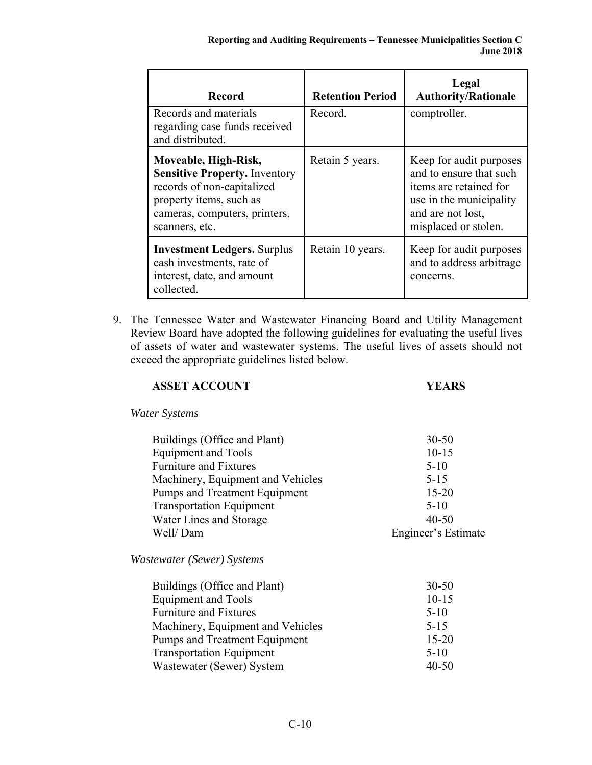| <b>Record</b>                                                                                                                                                            | <b>Retention Period</b> | Legal<br><b>Authority/Rationale</b>                                                                                                                  |
|--------------------------------------------------------------------------------------------------------------------------------------------------------------------------|-------------------------|------------------------------------------------------------------------------------------------------------------------------------------------------|
| Records and materials<br>regarding case funds received<br>and distributed.                                                                                               | Record                  | comptroller.                                                                                                                                         |
| Moveable, High-Risk,<br><b>Sensitive Property.</b> Inventory<br>records of non-capitalized<br>property items, such as<br>cameras, computers, printers,<br>scanners, etc. | Retain 5 years.         | Keep for audit purposes<br>and to ensure that such<br>items are retained for<br>use in the municipality<br>and are not lost,<br>misplaced or stolen. |
| <b>Investment Ledgers.</b> Surplus<br>cash investments, rate of<br>interest, date, and amount<br>collected.                                                              | Retain 10 years.        | Keep for audit purposes<br>and to address arbitrage<br>concerns.                                                                                     |

9. The Tennessee Water and Wastewater Financing Board and Utility Management Review Board have adopted the following guidelines for evaluating the useful lives of assets of water and wastewater systems. The useful lives of assets should not exceed the appropriate guidelines listed below.

#### **ASSET ACCOUNT YEARS**

#### *Water Systems*

| Buildings (Office and Plant)      | $30 - 50$           |
|-----------------------------------|---------------------|
| <b>Equipment and Tools</b>        | $10 - 15$           |
| <b>Furniture and Fixtures</b>     | $5 - 10$            |
| Machinery, Equipment and Vehicles | $5 - 15$            |
| Pumps and Treatment Equipment     | $15 - 20$           |
| <b>Transportation Equipment</b>   | $5-10$              |
| Water Lines and Storage           | $40 - 50$           |
| Well/Dam                          | Engineer's Estimate |

 *Wastewater (Sewer) Systems* 

| $30 - 50$ |
|-----------|
| $10 - 15$ |
| $5 - 10$  |
| $5 - 15$  |
| $15 - 20$ |
| $5-10$    |
| $40 - 50$ |
|           |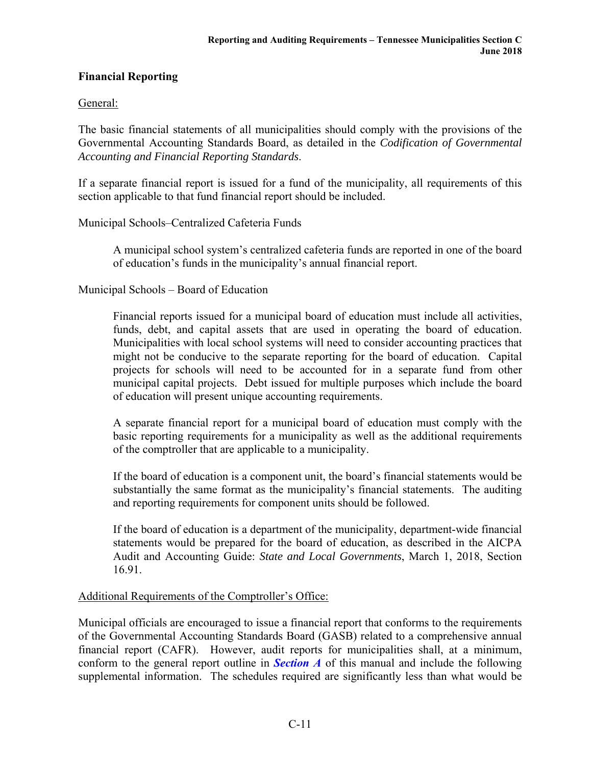## **Financial Reporting**

General:

The basic financial statements of all municipalities should comply with the provisions of the Governmental Accounting Standards Board, as detailed in the *Codification of Governmental Accounting and Financial Reporting Standards*.

If a separate financial report is issued for a fund of the municipality, all requirements of this section applicable to that fund financial report should be included.

Municipal Schools–Centralized Cafeteria Funds

A municipal school system's centralized cafeteria funds are reported in one of the board of education's funds in the municipality's annual financial report.

Municipal Schools – Board of Education

 Financial reports issued for a municipal board of education must include all activities, funds, debt, and capital assets that are used in operating the board of education. Municipalities with local school systems will need to consider accounting practices that might not be conducive to the separate reporting for the board of education. Capital projects for schools will need to be accounted for in a separate fund from other municipal capital projects. Debt issued for multiple purposes which include the board of education will present unique accounting requirements.

 A separate financial report for a municipal board of education must comply with the basic reporting requirements for a municipality as well as the additional requirements of the comptroller that are applicable to a municipality.

If the board of education is a component unit, the board's financial statements would be substantially the same format as the municipality's financial statements. The auditing and reporting requirements for component units should be followed.

 If the board of education is a department of the municipality, department-wide financial statements would be prepared for the board of education, as described in the AICPA Audit and Accounting Guide: *State and Local Governments*, March 1, 2018, Section 16.91.

#### Additional Requirements of the Comptroller's Office:

Municipal officials are encouraged to issue a financial report that conforms to the requirements of the Governmental Accounting Standards Board (GASB) related to a comprehensive annual financial report (CAFR). However, audit reports for municipalities shall, at a minimum, conform to the general report outline in *[Section A](#page-36-0)* of this manual and include the following supplemental information. The schedules required are significantly less than what would be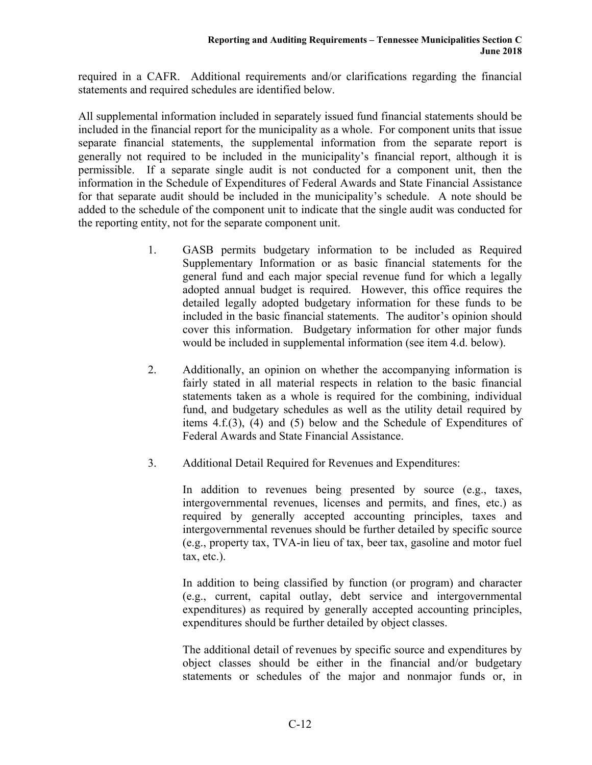required in a CAFR. Additional requirements and/or clarifications regarding the financial statements and required schedules are identified below.

All supplemental information included in separately issued fund financial statements should be included in the financial report for the municipality as a whole. For component units that issue separate financial statements, the supplemental information from the separate report is generally not required to be included in the municipality's financial report, although it is permissible. If a separate single audit is not conducted for a component unit, then the information in the Schedule of Expenditures of Federal Awards and State Financial Assistance for that separate audit should be included in the municipality's schedule. A note should be added to the schedule of the component unit to indicate that the single audit was conducted for the reporting entity, not for the separate component unit.

- 1. GASB permits budgetary information to be included as Required Supplementary Information or as basic financial statements for the general fund and each major special revenue fund for which a legally adopted annual budget is required. However, this office requires the detailed legally adopted budgetary information for these funds to be included in the basic financial statements. The auditor's opinion should cover this information. Budgetary information for other major funds would be included in supplemental information (see item 4.d. below).
- 2. Additionally, an opinion on whether the accompanying information is fairly stated in all material respects in relation to the basic financial statements taken as a whole is required for the combining, individual fund, and budgetary schedules as well as the utility detail required by items 4.f.(3), (4) and (5) below and the Schedule of Expenditures of Federal Awards and State Financial Assistance.
- 3. Additional Detail Required for Revenues and Expenditures:

In addition to revenues being presented by source (e.g., taxes, intergovernmental revenues, licenses and permits, and fines, etc.) as required by generally accepted accounting principles, taxes and intergovernmental revenues should be further detailed by specific source (e.g., property tax, TVA-in lieu of tax, beer tax, gasoline and motor fuel tax, etc.).

In addition to being classified by function (or program) and character (e.g., current, capital outlay, debt service and intergovernmental expenditures) as required by generally accepted accounting principles, expenditures should be further detailed by object classes.

The additional detail of revenues by specific source and expenditures by object classes should be either in the financial and/or budgetary statements or schedules of the major and nonmajor funds or, in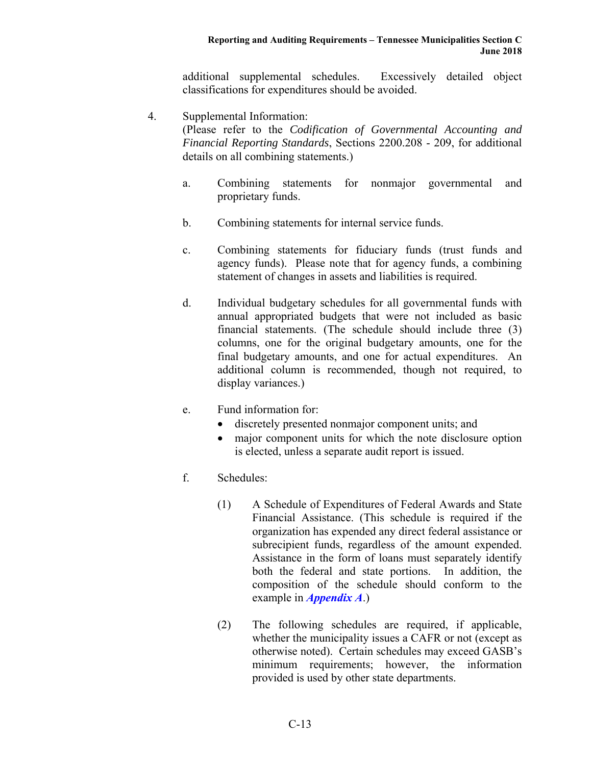additional supplemental schedules. Excessively detailed object classifications for expenditures should be avoided.

4. Supplemental Information:

(Please refer to the *Codification of Governmental Accounting and Financial Reporting Standards*, Sections 2200.208 - 209, for additional details on all combining statements.)

- a. Combining statements for nonmajor governmental and proprietary funds.
- b. Combining statements for internal service funds.
- c. Combining statements for fiduciary funds (trust funds and agency funds). Please note that for agency funds, a combining statement of changes in assets and liabilities is required.
- d. Individual budgetary schedules for all governmental funds with annual appropriated budgets that were not included as basic financial statements. (The schedule should include three (3) columns, one for the original budgetary amounts, one for the final budgetary amounts, and one for actual expenditures. An additional column is recommended, though not required, to display variances.)
- e. Fund information for:
	- discretely presented nonmajor component units; and
	- major component units for which the note disclosure option is elected, unless a separate audit report is issued.
- f. Schedules:
	- (1) A Schedule of Expenditures of Federal Awards and State Financial Assistance. (This schedule is required if the organization has expended any direct federal assistance or subrecipient funds, regardless of the amount expended. Assistance in the form of loans must separately identify both the federal and state portions. In addition, the composition of the schedule should conform to the example in *[Appendix A](#page-115-0)*.)
	- (2) The following schedules are required, if applicable, whether the municipality issues a CAFR or not (except as otherwise noted). Certain schedules may exceed GASB's minimum requirements; however, the information provided is used by other state departments.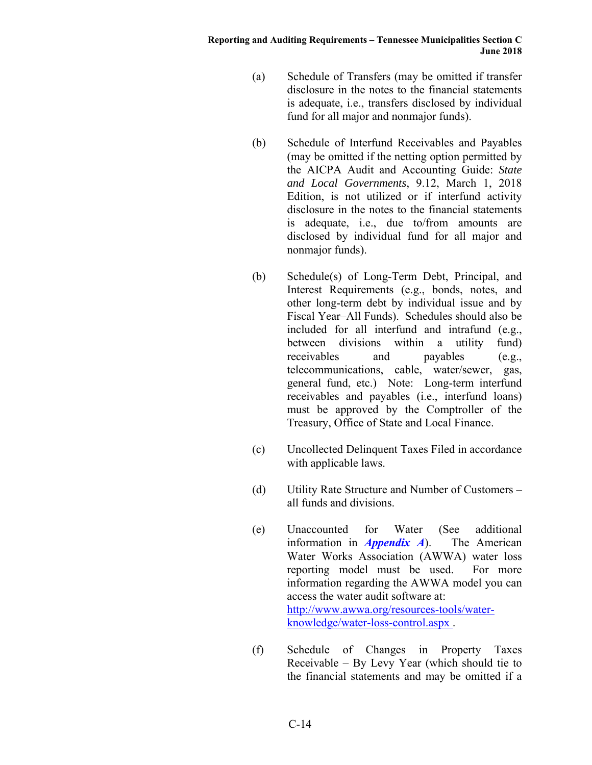- (a) Schedule of Transfers (may be omitted if transfer disclosure in the notes to the financial statements is adequate, i.e., transfers disclosed by individual fund for all major and nonmajor funds).
- (b) Schedule of Interfund Receivables and Payables (may be omitted if the netting option permitted by the AICPA Audit and Accounting Guide: *State and Local Governments*, 9.12, March 1, 2018 Edition, is not utilized or if interfund activity disclosure in the notes to the financial statements is adequate, i.e., due to/from amounts are disclosed by individual fund for all major and nonmajor funds).
- (b) Schedule(s) of Long-Term Debt, Principal, and Interest Requirements (e.g., bonds, notes, and other long-term debt by individual issue and by Fiscal Year–All Funds). Schedules should also be included for all interfund and intrafund (e.g., between divisions within a utility fund) receivables and payables (e.g., telecommunications, cable, water/sewer, gas, general fund, etc.) Note: Long-term interfund receivables and payables (i.e., interfund loans) must be approved by the Comptroller of the Treasury, Office of State and Local Finance.
- (c) Uncollected Delinquent Taxes Filed in accordance with applicable laws.
- (d) Utility Rate Structure and Number of Customers all funds and divisions.
- (e) Unaccounted for Water (See additional information in *[Appendix A](#page-113-0)*). The American Water Works Association (AWWA) water loss reporting model must be used. For more information regarding the AWWA model you can access the water audit software at: http://www.awwa.org/resources-tools/waterknowledge/water-loss-control.aspx .
- (f) Schedule of Changes in Property Taxes Receivable – By Levy Year (which should tie to the financial statements and may be omitted if a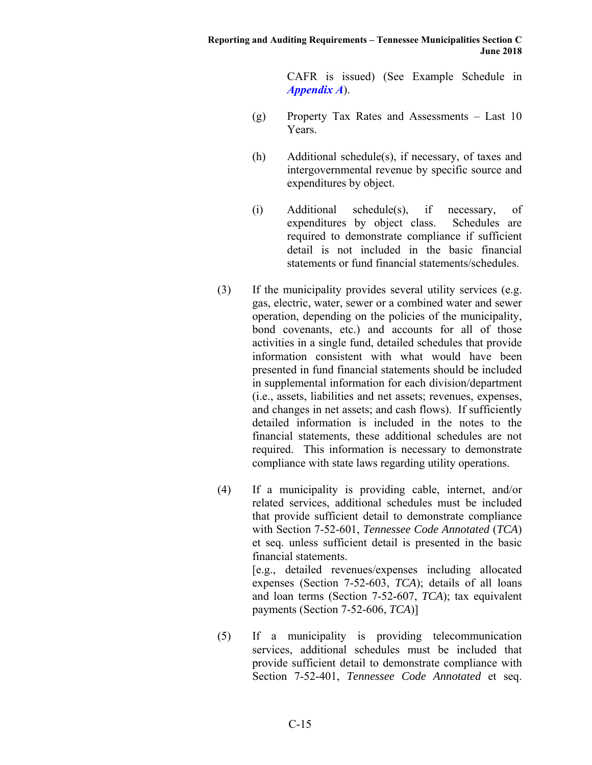CAFR is issued) (See Example Schedule in *[Appendix A](#page-114-0)*).

- (g) Property Tax Rates and Assessments Last 10 Years.
- (h) Additional schedule(s), if necessary, of taxes and intergovernmental revenue by specific source and expenditures by object.
- (i) Additional schedule(s), if necessary, of expenditures by object class. Schedules are required to demonstrate compliance if sufficient detail is not included in the basic financial statements or fund financial statements/schedules.
- (3) If the municipality provides several utility services (e.g. gas, electric, water, sewer or a combined water and sewer operation, depending on the policies of the municipality, bond covenants, etc.) and accounts for all of those activities in a single fund, detailed schedules that provide information consistent with what would have been presented in fund financial statements should be included in supplemental information for each division/department (i.e., assets, liabilities and net assets; revenues, expenses, and changes in net assets; and cash flows). If sufficiently detailed information is included in the notes to the financial statements, these additional schedules are not required. This information is necessary to demonstrate compliance with state laws regarding utility operations.
- (4) If a municipality is providing cable, internet, and/or related services, additional schedules must be included that provide sufficient detail to demonstrate compliance with Section 7-52-601, *Tennessee Code Annotated* (*TCA*) et seq. unless sufficient detail is presented in the basic financial statements. [e.g., detailed revenues/expenses including allocated expenses (Section 7-52-603, *TCA*); details of all loans and loan terms (Section 7-52-607, *TCA*); tax equivalent payments (Section 7-52-606, *TCA*)]
- (5) If a municipality is providing telecommunication services, additional schedules must be included that provide sufficient detail to demonstrate compliance with Section 7-52-401, *Tennessee Code Annotated* et seq.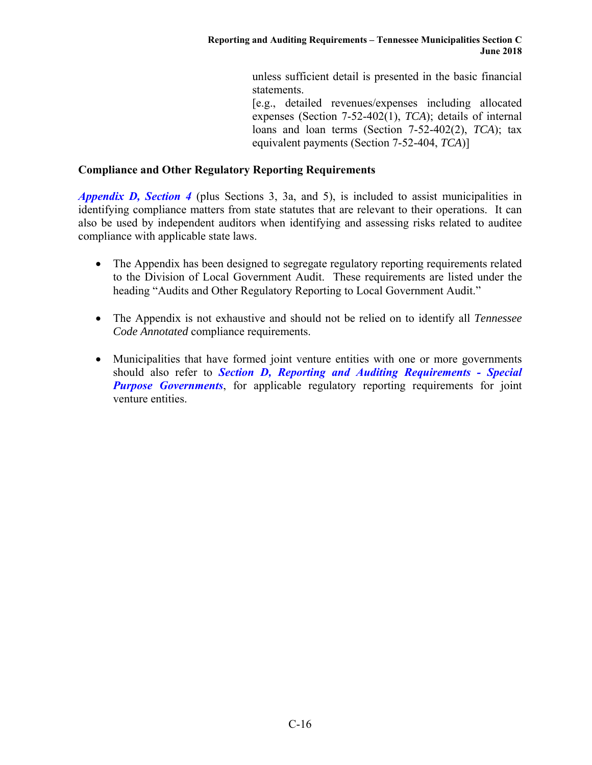unless sufficient detail is presented in the basic financial statements.

 [e.g., detailed revenues/expenses including allocated expenses (Section 7-52-402(1), *TCA*); details of internal loans and loan terms (Section 7-52-402(2), *TCA*); tax equivalent payments (Section 7-52-404, *TCA*)]

## **Compliance and Other Regulatory Reporting Requirements**

*[Appendix D, Section 4](#page-156-0)* (plus Sections 3, 3a, and 5), is included to assist municipalities in identifying compliance matters from state statutes that are relevant to their operations. It can also be used by independent auditors when identifying and assessing risks related to auditee compliance with applicable state laws.

- The Appendix has been designed to segregate regulatory reporting requirements related to the Division of Local Government Audit. These requirements are listed under the heading "Audits and Other Regulatory Reporting to Local Government Audit."
- The Appendix is not exhaustive and should not be relied on to identify all *Tennessee Code Annotated* compliance requirements.
- Municipalities that have formed joint venture entities with one or more governments should also refer to *[Section D, Reporting and Auditing Requirements - Special](#page-78-0)  [Purpose Governments](#page-78-0)*, for applicable regulatory reporting requirements for joint venture entities.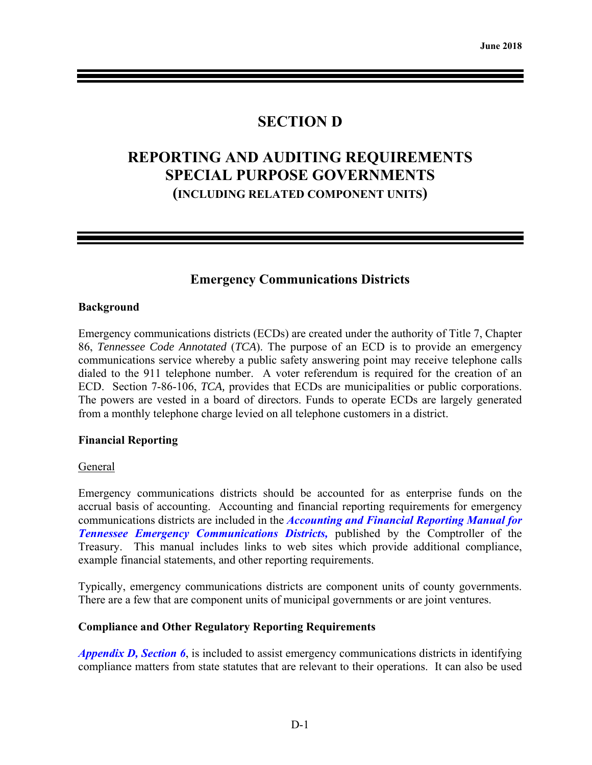## **SECTION D**

# **REPORTING AND AUDITING REQUIREMENTS SPECIAL PURPOSE GOVERNMENTS (INCLUDING RELATED COMPONENT UNITS)**

#### **Emergency Communications Districts**

#### **Background**

Emergency communications districts (ECDs) are created under the authority of Title 7, Chapter 86, *Tennessee Code Annotated* (*TCA*). The purpose of an ECD is to provide an emergency communications service whereby a public safety answering point may receive telephone calls dialed to the 911 telephone number. A voter referendum is required for the creation of an ECD. Section 7-86-106, *TCA,* provides that ECDs are municipalities or public corporations. The powers are vested in a board of directors. Funds to operate ECDs are largely generated from a monthly telephone charge levied on all telephone customers in a district.

#### **Financial Reporting**

#### General

Emergency communications districts should be accounted for as enterprise funds on the accrual basis of accounting. Accounting and financial reporting requirements for emergency communications districts are included in the *[Accounting and Financial Reporting Manual for](http://comptroller.tn.gov/shared/manuals.asp) [Tennessee Emergency Communications Districts,](http://comptroller.tn.gov/shared/manuals.asp)* published by the Comptroller of the Treasury. This manual includes links to web sites which provide additional compliance, example financial statements, and other reporting requirements.

Typically, emergency communications districts are component units of county governments. There are a few that are component units of municipal governments or are joint ventures.

#### **Compliance and Other Regulatory Reporting Requirements**

*[Appendix D, Section 6](#page-164-0)*, is included to assist emergency communications districts in identifying compliance matters from state statutes that are relevant to their operations. It can also be used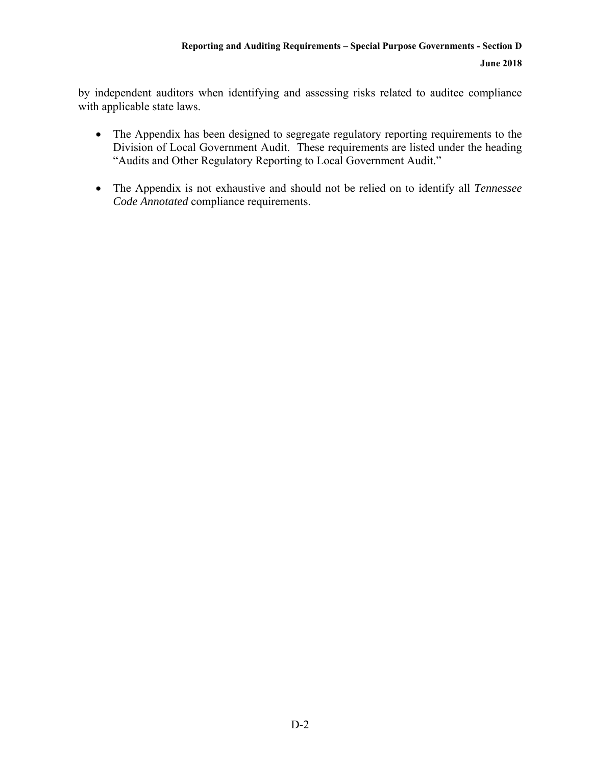by independent auditors when identifying and assessing risks related to auditee compliance with applicable state laws.

- The Appendix has been designed to segregate regulatory reporting requirements to the Division of Local Government Audit. These requirements are listed under the heading "Audits and Other Regulatory Reporting to Local Government Audit."
- The Appendix is not exhaustive and should not be relied on to identify all *Tennessee Code Annotated* compliance requirements.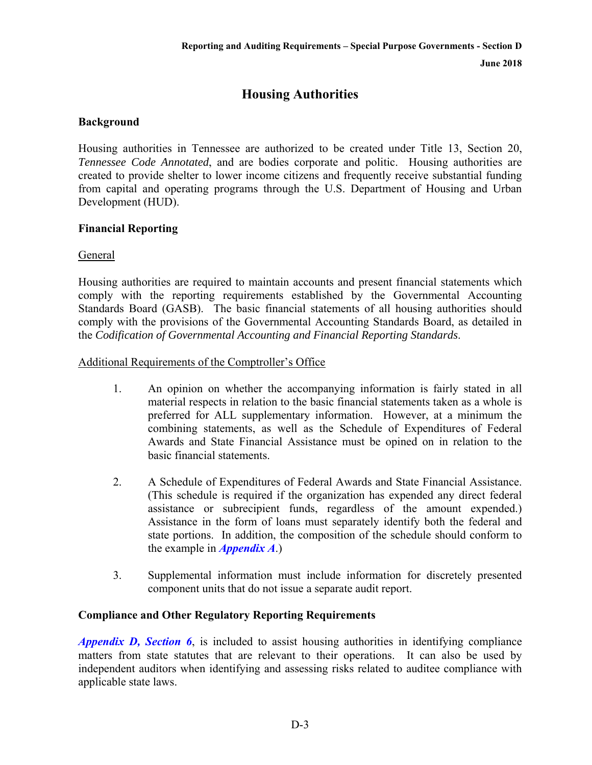## **Housing Authorities**

### **Background**

Housing authorities in Tennessee are authorized to be created under Title 13, Section 20, *Tennessee Code Annotated*, and are bodies corporate and politic. Housing authorities are created to provide shelter to lower income citizens and frequently receive substantial funding from capital and operating programs through the U.S. Department of Housing and Urban Development (HUD).

### **Financial Reporting**

#### General

Housing authorities are required to maintain accounts and present financial statements which comply with the reporting requirements established by the Governmental Accounting Standards Board (GASB). The basic financial statements of all housing authorities should comply with the provisions of the Governmental Accounting Standards Board, as detailed in the *Codification of Governmental Accounting and Financial Reporting Standards*.

#### Additional Requirements of the Comptroller's Office

- 1. An opinion on whether the accompanying information is fairly stated in all material respects in relation to the basic financial statements taken as a whole is preferred for ALL supplementary information. However, at a minimum the combining statements, as well as the Schedule of Expenditures of Federal Awards and State Financial Assistance must be opined on in relation to the basic financial statements.
- 2. A Schedule of Expenditures of Federal Awards and State Financial Assistance. (This schedule is required if the organization has expended any direct federal assistance or subrecipient funds, regardless of the amount expended.) Assistance in the form of loans must separately identify both the federal and state portions. In addition, the composition of the schedule should conform to the example in *[Appendix A](#page-115-0)*.)
- 3. Supplemental information must include information for discretely presented component units that do not issue a separate audit report.

#### **Compliance and Other Regulatory Reporting Requirements**

*[Appendix D, Section 6](#page-167-0)*, is included to assist housing authorities in identifying compliance matters from state statutes that are relevant to their operations. It can also be used by independent auditors when identifying and assessing risks related to auditee compliance with applicable state laws.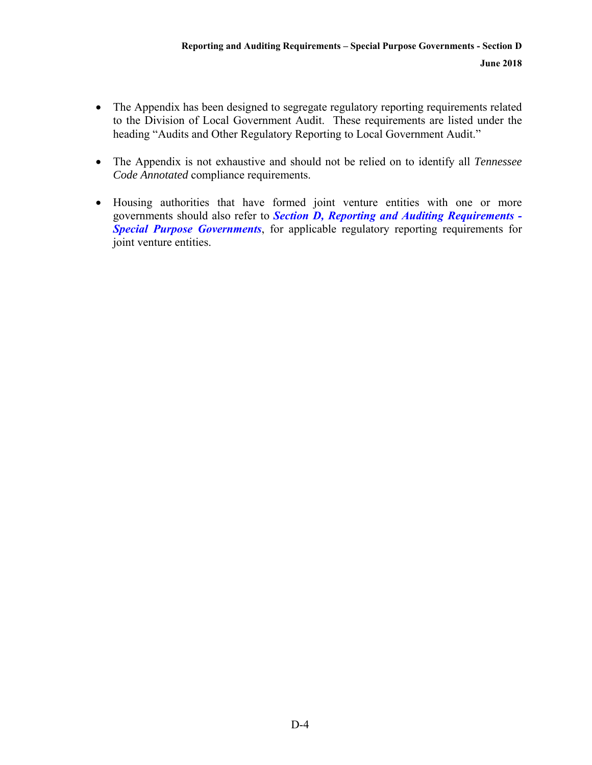- The Appendix has been designed to segregate regulatory reporting requirements related to the Division of Local Government Audit. These requirements are listed under the heading "Audits and Other Regulatory Reporting to Local Government Audit."
- The Appendix is not exhaustive and should not be relied on to identify all *Tennessee Code Annotated* compliance requirements.
- Housing authorities that have formed joint venture entities with one or more governments should also refer to *[Section D, Reporting and Auditing Requirements -](#page-78-0) [Special Purpose Governments](#page-78-0)*, for applicable regulatory reporting requirements for joint venture entities.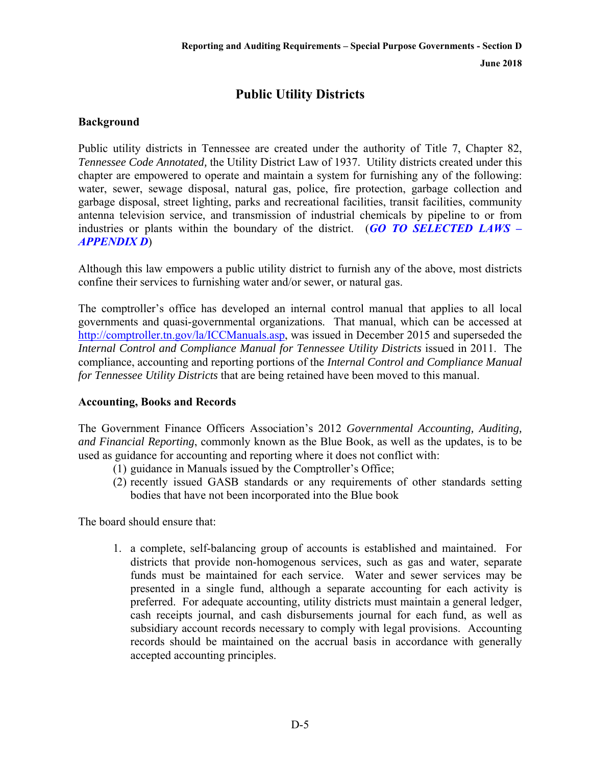## **Public Utility Districts**

### **Background**

Public utility districts in Tennessee are created under the authority of Title 7, Chapter 82, *Tennessee Code Annotated,* the Utility District Law of 1937. Utility districts created under this chapter are empowered to operate and maintain a system for furnishing any of the following: water, sewer, sewage disposal, natural gas, police, fire protection, garbage collection and garbage disposal, street lighting, parks and recreational facilities, transit facilities, community antenna television service, and transmission of industrial chemicals by pipeline to or from industries or plants within the boundary of the district. (*[GO TO SELECTED LAWS –](#page-169-0)  [APPENDIX D](#page-169-0)*)

Although this law empowers a public utility district to furnish any of the above, most districts confine their services to furnishing water and/or sewer, or natural gas.

The comptroller's office has developed an internal control manual that applies to all local governments and quasi-governmental organizations. That manual, which can be accessed at http://comptroller.tn.gov/la/ICCManuals.asp, was issued in December 2015 and superseded the *Internal Control and Compliance Manual for Tennessee Utility Districts* issued in 2011. The compliance, accounting and reporting portions of the *Internal Control and Compliance Manual for Tennessee Utility Districts* that are being retained have been moved to this manual.

#### **Accounting, Books and Records**

The Government Finance Officers Association's 2012 *Governmental Accounting, Auditing, and Financial Reporting*, commonly known as the Blue Book, as well as the updates, is to be used as guidance for accounting and reporting where it does not conflict with:

- (1) guidance in Manuals issued by the Comptroller's Office;
- (2) recently issued GASB standards or any requirements of other standards setting bodies that have not been incorporated into the Blue book

The board should ensure that:

1. a complete, self-balancing group of accounts is established and maintained. For districts that provide non-homogenous services, such as gas and water, separate funds must be maintained for each service. Water and sewer services may be presented in a single fund, although a separate accounting for each activity is preferred. For adequate accounting, utility districts must maintain a general ledger, cash receipts journal, and cash disbursements journal for each fund, as well as subsidiary account records necessary to comply with legal provisions. Accounting records should be maintained on the accrual basis in accordance with generally accepted accounting principles.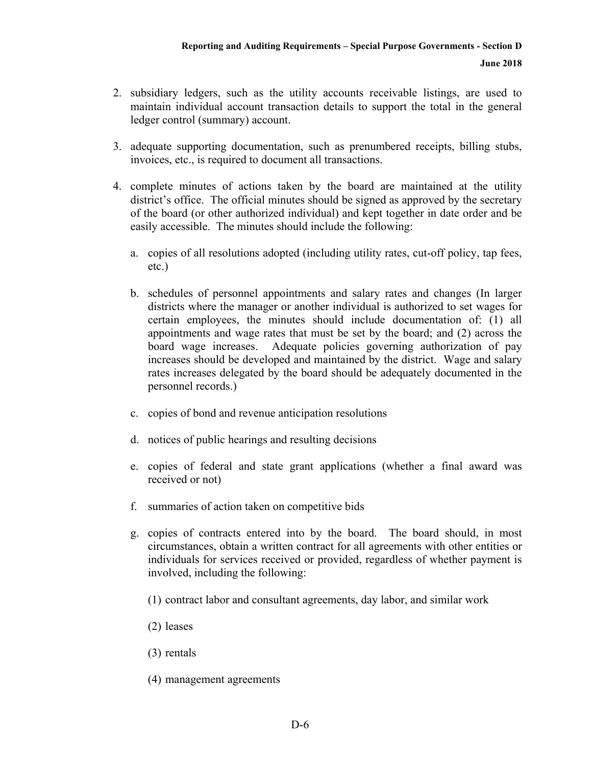- 2. subsidiary ledgers, such as the utility accounts receivable listings, are used to maintain individual account transaction details to support the total in the general ledger control (summary) account.
- 3. adequate supporting documentation, such as prenumbered receipts, billing stubs, invoices, etc., is required to document all transactions.
- 4. complete minutes of actions taken by the board are maintained at the utility district's office. The official minutes should be signed as approved by the secretary of the board (or other authorized individual) and kept together in date order and be easily accessible. The minutes should include the following:
	- a. copies of all resolutions adopted (including utility rates, cut-off policy, tap fees, etc.)
	- b. schedules of personnel appointments and salary rates and changes (In larger districts where the manager or another individual is authorized to set wages for certain employees, the minutes should include documentation of: (1) all appointments and wage rates that must be set by the board; and (2) across the board wage increases. Adequate policies governing authorization of pay increases should be developed and maintained by the district. Wage and salary rates increases delegated by the board should be adequately documented in the personnel records.)
	- c. copies of bond and revenue anticipation resolutions
	- d. notices of public hearings and resulting decisions
	- e. copies of federal and state grant applications (whether a final award was received or not)
	- f. summaries of action taken on competitive bids
	- g. copies of contracts entered into by the board. The board should, in most circumstances, obtain a written contract for all agreements with other entities or individuals for services received or provided, regardless of whether payment is involved, including the following:
		- (1) contract labor and consultant agreements, day labor, and similar work
		- (2) leases
		- (3) rentals
		- (4) management agreements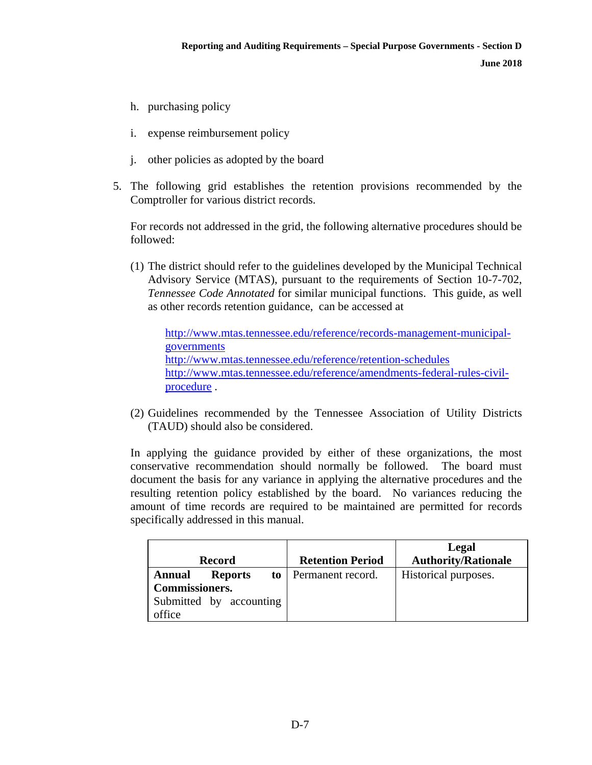- h. purchasing policy
- i. expense reimbursement policy
- j. other policies as adopted by the board
- 5. The following grid establishes the retention provisions recommended by the Comptroller for various district records.

For records not addressed in the grid, the following alternative procedures should be followed:

(1) The district should refer to the guidelines developed by the Municipal Technical Advisory Service (MTAS), pursuant to the requirements of Section 10-7-702, *Tennessee Code Annotated* for similar municipal functions. This guide, as well as other records retention guidance, can be accessed at

http://www.mtas.tennessee.edu/reference/records-management-municipalgovernments http://www.mtas.tennessee.edu/reference/retention-schedules http://www.mtas.tennessee.edu/reference/amendments-federal-rules-civilprocedure .

(2) Guidelines recommended by the Tennessee Association of Utility Districts (TAUD) should also be considered.

In applying the guidance provided by either of these organizations, the most conservative recommendation should normally be followed. The board must document the basis for any variance in applying the alternative procedures and the resulting retention policy established by the board. No variances reducing the amount of time records are required to be maintained are permitted for records specifically addressed in this manual.

|                         | Record         |      | <b>Retention Period</b> | Legal<br><b>Authority/Rationale</b> |
|-------------------------|----------------|------|-------------------------|-------------------------------------|
| <b>Annual</b>           | <b>Reports</b> | to l | Permanent record.       | Historical purposes.                |
| <b>Commissioners.</b>   |                |      |                         |                                     |
| Submitted by accounting |                |      |                         |                                     |
| office                  |                |      |                         |                                     |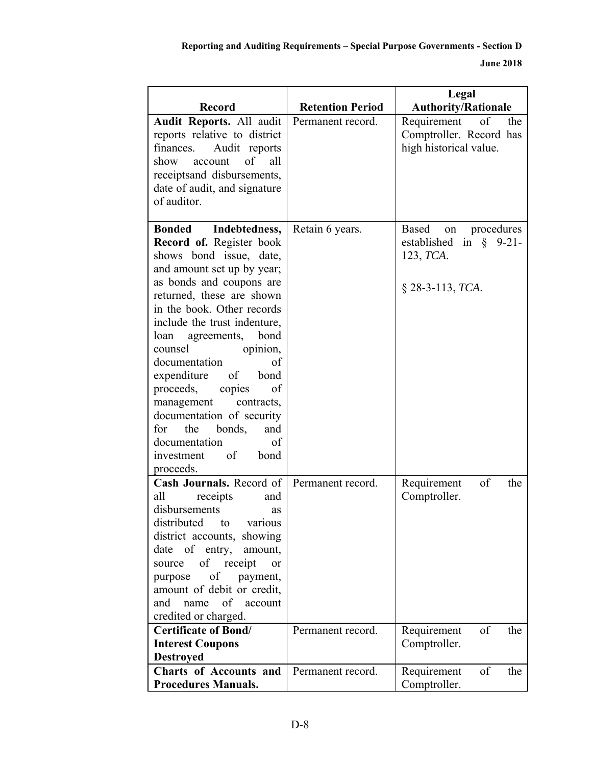|                                                                                                                                                                                                                                                                                                                                                                                                                                                                                                                                              |                         | Legal                                                                                             |
|----------------------------------------------------------------------------------------------------------------------------------------------------------------------------------------------------------------------------------------------------------------------------------------------------------------------------------------------------------------------------------------------------------------------------------------------------------------------------------------------------------------------------------------------|-------------------------|---------------------------------------------------------------------------------------------------|
| <b>Record</b>                                                                                                                                                                                                                                                                                                                                                                                                                                                                                                                                | <b>Retention Period</b> | <b>Authority/Rationale</b>                                                                        |
| <b>Audit Reports.</b> All audit<br>reports relative to district<br>finances.<br>Audit reports<br>of<br>all<br>show<br>account<br>receipts and disbursements,<br>date of audit, and signature<br>of auditor.                                                                                                                                                                                                                                                                                                                                  | Permanent record.       | Requirement<br>of<br>the<br>Comptroller. Record has<br>high historical value.                     |
| <b>Bonded</b><br>Indebtedness,<br>Record of. Register book<br>shows bond issue, date,<br>and amount set up by year;<br>as bonds and coupons are<br>returned, these are shown<br>in the book. Other records<br>include the trust indenture,<br>bond<br>loan<br>agreements,<br>counsel<br>opinion,<br>of<br>documentation<br>expenditure<br>of<br>bond<br>proceeds, copies<br>of<br>management<br>contracts,<br>documentation of security<br>the<br>bonds,<br>and<br>for<br>of<br>documentation<br>$\sigma$<br>bond<br>investment<br>proceeds. | Retain 6 years.         | Based<br>procedures<br>on<br>established in $\S$ 9-21-<br>123, TCA.<br>$§$ 28-3-113, <i>TCA</i> . |
| Cash Journals. Record of<br>all<br>receipts<br>and<br>disbursements<br>as<br>distributed<br>to<br>various<br>district accounts, showing<br>date of entry,<br>amount,<br>of<br>receipt<br>source<br><sub>or</sub><br>of<br>purpose<br>payment,<br>amount of debit or credit,<br>and<br>of<br>name<br>account<br>credited or charged.                                                                                                                                                                                                          | Permanent record.       | Requirement<br>of<br>the<br>Comptroller.                                                          |
| <b>Certificate of Bond/</b><br><b>Interest Coupons</b><br><b>Destroyed</b>                                                                                                                                                                                                                                                                                                                                                                                                                                                                   | Permanent record.       | Requirement<br>of<br>the<br>Comptroller.                                                          |
| <b>Charts of Accounts and</b><br><b>Procedures Manuals.</b>                                                                                                                                                                                                                                                                                                                                                                                                                                                                                  | Permanent record.       | Requirement<br>of<br>the<br>Comptroller.                                                          |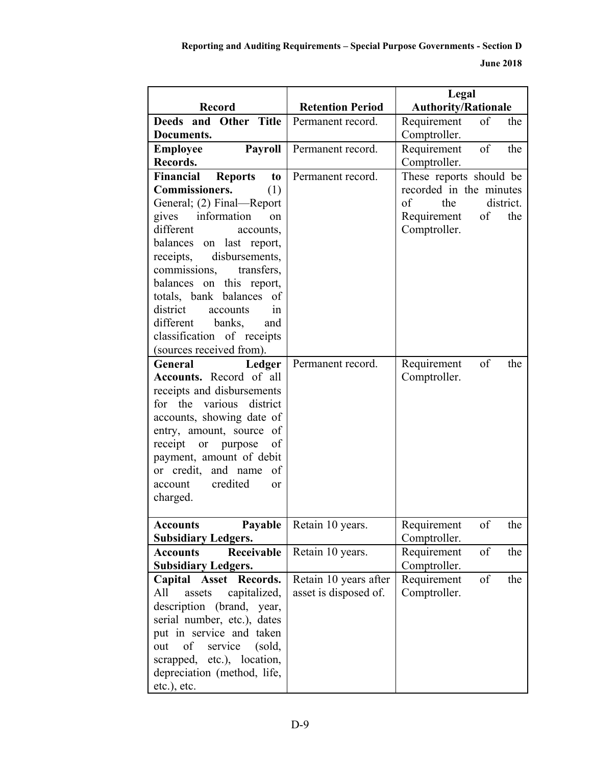|                                                           |                         | Legal                                    |
|-----------------------------------------------------------|-------------------------|------------------------------------------|
| <b>Record</b>                                             | <b>Retention Period</b> | <b>Authority/Rationale</b>               |
| Deeds and<br>Other Title                                  | Permanent record.       | Requirement<br>of<br>the                 |
| Documents.                                                |                         | Comptroller.                             |
| <b>Payroll</b><br><b>Employee</b>                         | Permanent record.       | of<br>the<br>Requirement                 |
| Records.                                                  |                         | Comptroller.                             |
| Financial<br><b>Reports</b><br>to                         | Permanent record.       | These reports should be                  |
| <b>Commissioners.</b><br>(1)                              |                         | recorded in the minutes                  |
| General; (2) Final—Report                                 |                         | of<br>district.<br>the                   |
| gives information<br>on.                                  |                         | of<br>Requirement<br>the                 |
| different<br>accounts,                                    |                         | Comptroller.                             |
| balances on last report,                                  |                         |                                          |
| disbursements,<br>receipts,                               |                         |                                          |
| commissions,<br>transfers,                                |                         |                                          |
| balances<br>on this report,                               |                         |                                          |
| totals, bank balances of                                  |                         |                                          |
| district<br>accounts<br>in                                |                         |                                          |
| different<br>banks,<br>and                                |                         |                                          |
| classification of receipts                                |                         |                                          |
| (sources received from).                                  |                         |                                          |
| General<br>Ledger                                         | Permanent record.       | of<br>Requirement<br>the                 |
| Accounts. Record of all                                   |                         | Comptroller.                             |
| receipts and disbursements                                |                         |                                          |
| for the various<br>district                               |                         |                                          |
| accounts, showing date of                                 |                         |                                          |
| entry, amount, source of                                  |                         |                                          |
| receipt<br><b>or</b><br>purpose<br>of                     |                         |                                          |
| payment, amount of debit                                  |                         |                                          |
| or credit, and name<br>of                                 |                         |                                          |
| credited<br>account<br><sub>or</sub>                      |                         |                                          |
| charged.                                                  |                         |                                          |
|                                                           |                         |                                          |
| <b>Accounts</b><br>Payable                                | Retain 10 years.        | Requirement<br>of<br>the                 |
| <b>Subsidiary Ledgers.</b>                                |                         | Comptroller.                             |
| Receivable<br><b>Accounts</b>                             | Retain 10 years.        | Requirement<br>of<br>the<br>Comptroller. |
| <b>Subsidiary Ledgers.</b>                                |                         |                                          |
| Capital Asset Records.                                    | Retain 10 years after   | Requirement<br>of<br>the                 |
| All<br>assets<br>capitalized,                             | asset is disposed of.   | Comptroller.                             |
| description (brand, year,<br>serial number, etc.), dates  |                         |                                          |
| put in service and taken                                  |                         |                                          |
| service<br>of                                             |                         |                                          |
| out<br>(sold,                                             |                         |                                          |
| scrapped, etc.), location,<br>depreciation (method, life, |                         |                                          |
| etc.), etc.                                               |                         |                                          |
|                                                           |                         |                                          |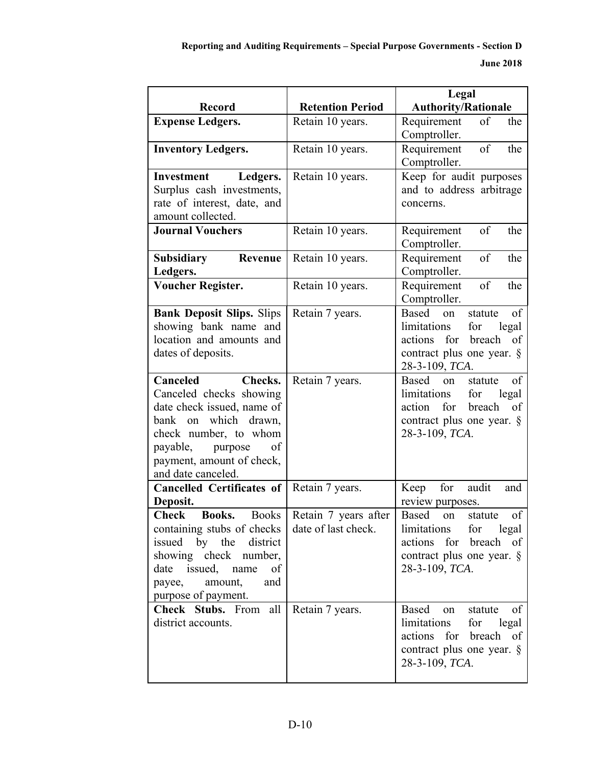|                                                                                                                                                                                                                     |                                             | Legal                                                                                                                                       |
|---------------------------------------------------------------------------------------------------------------------------------------------------------------------------------------------------------------------|---------------------------------------------|---------------------------------------------------------------------------------------------------------------------------------------------|
| <b>Record</b>                                                                                                                                                                                                       | <b>Retention Period</b>                     | <b>Authority/Rationale</b>                                                                                                                  |
| <b>Expense Ledgers.</b>                                                                                                                                                                                             | Retain 10 years.                            | of<br>Requirement<br>the<br>Comptroller.                                                                                                    |
| <b>Inventory Ledgers.</b>                                                                                                                                                                                           | Retain 10 years.                            | of<br>Requirement<br>the<br>Comptroller.                                                                                                    |
| Ledgers.<br>Investment<br>Surplus cash investments,<br>rate of interest, date, and<br>amount collected.                                                                                                             | Retain 10 years.                            | Keep for audit purposes<br>and to address arbitrage<br>concerns.                                                                            |
| <b>Journal Vouchers</b>                                                                                                                                                                                             | Retain 10 years.                            | of<br>Requirement<br>the<br>Comptroller.                                                                                                    |
| <b>Subsidiary</b><br>Revenue<br>Ledgers.                                                                                                                                                                            | Retain 10 years.                            | Requirement<br>of<br>the<br>Comptroller.                                                                                                    |
| <b>Voucher Register.</b>                                                                                                                                                                                            | Retain 10 years.                            | of<br>Requirement<br>the<br>Comptroller.                                                                                                    |
| <b>Bank Deposit Slips.</b> Slips<br>showing bank name and<br>location and amounts and<br>dates of deposits.                                                                                                         | Retain 7 years.                             | Based<br>of<br>statute<br>on<br>limitations<br>legal<br>for<br>actions for breach<br>of<br>contract plus one year. $\S$<br>28-3-109, TCA.   |
| Checks.<br>Canceled<br>Canceled checks showing<br>date check issued, name of<br>which<br>drawn,<br>bank on<br>check number, to whom<br>payable,<br>purpose<br>οf<br>payment, amount of check,<br>and date canceled. | Retain 7 years.                             | Based<br>of<br>on<br>statute<br>limitations<br>legal<br>for<br>for<br>breach<br>action<br>of<br>contract plus one year. §<br>28-3-109, TCA. |
| <b>Cancelled Certificates of</b><br>Deposit.                                                                                                                                                                        | Retain 7 years.                             | for<br>audit<br>Keep<br>and<br>review purposes.                                                                                             |
| <b>Check</b><br>Books<br>Books.<br>containing stubs of checks<br>issued by the district<br>showing check number,<br>issued, name<br>date<br>of<br>payee, amount,<br>and<br>purpose of payment.                      | Retain 7 years after<br>date of last check. | of<br>Based<br>on<br>statute<br>limitations<br>for legal<br>actions for breach of<br>contract plus one year. $\S$<br>28-3-109, TCA.         |
| Check Stubs. From all<br>district accounts.                                                                                                                                                                         | Retain 7 years.                             | Based<br>statute<br>on<br>οf<br>limitations<br>for legal<br>actions for breach of<br>contract plus one year. $\S$<br>28-3-109, TCA.         |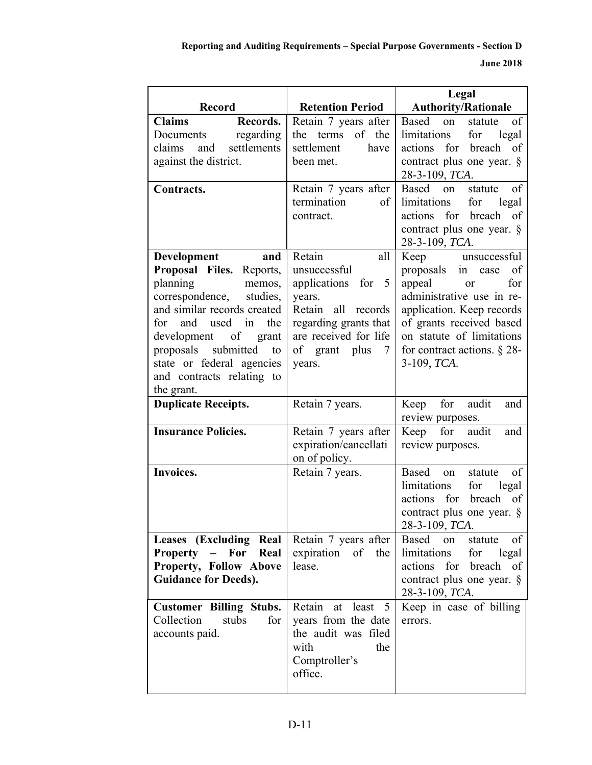|                                                                                                                                                                                                                                                                                                                                  |                                                                                                                                                                             | Legal                                                                                                                                                                                                                                                                     |
|----------------------------------------------------------------------------------------------------------------------------------------------------------------------------------------------------------------------------------------------------------------------------------------------------------------------------------|-----------------------------------------------------------------------------------------------------------------------------------------------------------------------------|---------------------------------------------------------------------------------------------------------------------------------------------------------------------------------------------------------------------------------------------------------------------------|
| <b>Record</b>                                                                                                                                                                                                                                                                                                                    | <b>Retention Period</b>                                                                                                                                                     | <b>Authority/Rationale</b>                                                                                                                                                                                                                                                |
| <b>Claims</b><br>Records.<br>regarding<br>Documents<br>settlements<br>and<br>claims<br>against the district.<br>Contracts.                                                                                                                                                                                                       | Retain 7 years after<br>the terms<br>of the<br>settlement<br>have<br>been met.<br>Retain 7 years after                                                                      | Based<br>of<br>on<br>statute<br>limitations<br>for<br>legal<br>actions for breach<br>of<br>contract plus one year. $\S$<br>28-3-109, TCA.<br>$% \left( \left( \mathcal{A},\mathcal{A}\right) \right) =\left( \mathcal{A},\mathcal{A}\right)$ of<br>Based<br>statute<br>on |
|                                                                                                                                                                                                                                                                                                                                  | termination<br>of<br>contract.                                                                                                                                              | limitations<br>for<br>legal<br>actions for breach of<br>contract plus one year. §<br>28-3-109, TCA.                                                                                                                                                                       |
| and<br><b>Development</b><br><b>Proposal Files.</b> Reports,<br>planning<br>memos,<br>correspondence,<br>studies,<br>and similar records created<br>and<br>used<br>the<br>for<br>in<br>development<br>$\circ$ f<br>grant<br>submitted<br>proposals<br>to<br>state or federal agencies<br>and contracts relating to<br>the grant. | Retain<br>all<br>unsuccessful<br>applications<br>for<br>5<br>years.<br>Retain all records<br>regarding grants that<br>are received for life<br>of grant plus<br>7<br>years. | Keep unsuccessful<br>proposals<br>in<br>of<br>case<br>appeal<br>for<br>or<br>administrative use in re-<br>application. Keep records<br>of grants received based<br>on statute of limitations<br>for contract actions. $\S$ 28-<br>3-109, TCA.                             |
| <b>Duplicate Receipts.</b>                                                                                                                                                                                                                                                                                                       | Retain 7 years.                                                                                                                                                             | Keep for<br>audit<br>and<br>review purposes.                                                                                                                                                                                                                              |
| <b>Insurance Policies.</b>                                                                                                                                                                                                                                                                                                       | Retain 7 years after<br>expiration/cancellati<br>on of policy.                                                                                                              | Keep for<br>audit<br>and<br>review purposes.                                                                                                                                                                                                                              |
| <b>Invoices.</b>                                                                                                                                                                                                                                                                                                                 | Retain 7 years.                                                                                                                                                             | Based<br>$\sigma f$<br>statute<br>on<br>limitations<br>for<br>legal<br>for<br>breach<br>actions<br>of<br>contract plus one year. §<br>28-3-109, TCA.                                                                                                                      |
| Leases (Excluding Real<br><b>Property – For</b><br>Real<br>Property, Follow Above<br><b>Guidance for Deeds).</b>                                                                                                                                                                                                                 | Retain 7 years after<br>expiration of<br>the<br>lease.                                                                                                                      | Based<br>of<br>on<br>statute<br>limitations<br>for<br>legal<br>for<br>actions<br>breach<br>of<br>contract plus one year. $\S$<br>28-3-109, TCA.                                                                                                                           |
| <b>Customer Billing Stubs.</b><br>Collection<br>stubs<br>for<br>accounts paid.                                                                                                                                                                                                                                                   | Retain at least 5<br>years from the date<br>the audit was filed<br>with<br>the<br>Comptroller's<br>office.                                                                  | Keep in case of billing<br>errors.                                                                                                                                                                                                                                        |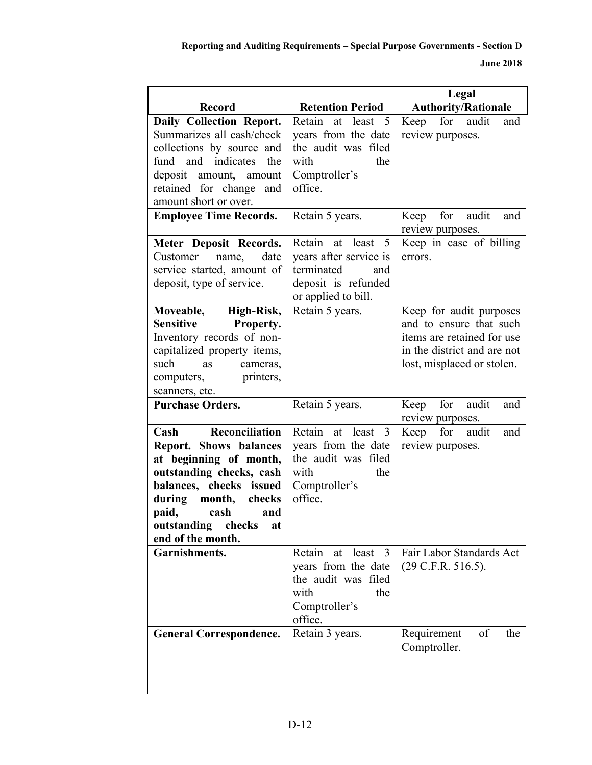**Reporting and Auditing Requirements – Special Purpose Governments - Section D June 2018**

|                                                                                                                                                                                                                                                           |                                                                                                                   | Legal                                                                                                                                         |
|-----------------------------------------------------------------------------------------------------------------------------------------------------------------------------------------------------------------------------------------------------------|-------------------------------------------------------------------------------------------------------------------|-----------------------------------------------------------------------------------------------------------------------------------------------|
| <b>Record</b>                                                                                                                                                                                                                                             | <b>Retention Period</b>                                                                                           | <b>Authority/Rationale</b>                                                                                                                    |
| Daily Collection Report.<br>Summarizes all cash/check<br>collections by source and<br>fund and indicates<br>the<br>deposit amount, amount<br>retained for change and<br>amount short or over.                                                             | Retain at<br>least<br>5<br>years from the date<br>the audit was filed<br>with<br>the<br>Comptroller's<br>office.  | for<br>Keep<br>audit<br>and<br>review purposes.                                                                                               |
| <b>Employee Time Records.</b>                                                                                                                                                                                                                             | Retain 5 years.                                                                                                   | for<br>audit<br>Keep<br>and<br>review purposes.                                                                                               |
| Meter Deposit Records.<br>Customer<br>name,<br>date<br>service started, amount of<br>deposit, type of service.                                                                                                                                            | Retain at least<br>5<br>years after service is<br>terminated<br>and<br>deposit is refunded<br>or applied to bill. | Keep in case of billing<br>errors.                                                                                                            |
| Moveable, High-Risk,<br><b>Sensitive</b><br>Property.<br>Inventory records of non-<br>capitalized property items,<br>such<br>as<br>cameras,<br>computers,<br>printers,<br>scanners, etc.                                                                  | Retain 5 years.                                                                                                   | Keep for audit purposes<br>and to ensure that such<br>items are retained for use<br>in the district and are not<br>lost, misplaced or stolen. |
| <b>Purchase Orders.</b>                                                                                                                                                                                                                                   | Retain 5 years.                                                                                                   | Keep for audit<br>and<br>review purposes.                                                                                                     |
| <b>Reconciliation</b><br>Cash<br><b>Report.</b> Shows balances<br>at beginning of month,<br>outstanding checks, cash<br>balances, checks issued<br>during<br>month,<br>checks<br>paid,<br>cash<br>and<br>outstanding<br>checks<br>at<br>end of the month. | Retain at least<br>3<br>years from the date<br>the audit was filed<br>with<br>the<br>Comptroller's<br>office.     | Keep for<br>audit<br>and<br>review purposes.                                                                                                  |
| <b>Garnishments.</b>                                                                                                                                                                                                                                      | Retain<br>at least 3<br>years from the date<br>the audit was filed<br>with<br>the<br>Comptroller's<br>office.     | Fair Labor Standards Act<br>$(29 \text{ C.F.R. } 516.5)$ .                                                                                    |
| <b>General Correspondence.</b>                                                                                                                                                                                                                            | Retain 3 years.                                                                                                   | Requirement<br>of<br>the<br>Comptroller.                                                                                                      |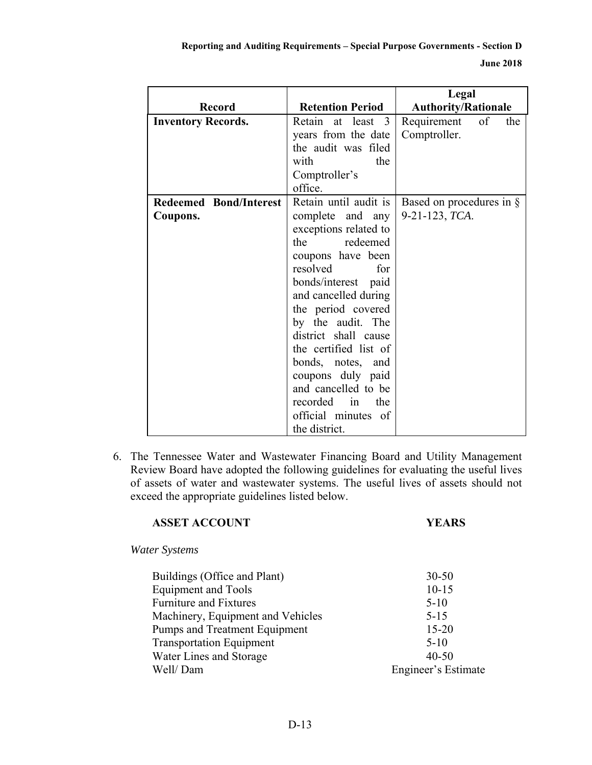**Reporting and Auditing Requirements – Special Purpose Governments - Section D June 2018**

|                                           |                                                                                                                                                                                                                                                                                                                                                                                                         | Legal<br><b>Authority/Rationale</b>              |  |
|-------------------------------------------|---------------------------------------------------------------------------------------------------------------------------------------------------------------------------------------------------------------------------------------------------------------------------------------------------------------------------------------------------------------------------------------------------------|--------------------------------------------------|--|
| <b>Record</b>                             | <b>Retention Period</b>                                                                                                                                                                                                                                                                                                                                                                                 |                                                  |  |
| <b>Inventory Records.</b>                 | Retain at least 3<br>years from the date<br>the audit was filed<br>the<br>with<br>Comptroller's<br>office.                                                                                                                                                                                                                                                                                              | Requirement of<br>the<br>Comptroller.            |  |
| <b>Redeemed Bond/Interest</b><br>Coupons. | Retain until audit is<br>complete and any<br>exceptions related to<br>redeemed<br>the<br>coupons have been<br>resolved<br>for<br>bonds/interest paid<br>and cancelled during<br>the period covered<br>by the audit. The<br>district shall cause<br>the certified list of<br>bonds, notes, and<br>coupons duly paid<br>and cancelled to be<br>recorded in<br>the<br>official minutes of<br>the district. | Based on procedures in $\S$<br>$9-21-123$ , TCA. |  |

6. The Tennessee Water and Wastewater Financing Board and Utility Management Review Board have adopted the following guidelines for evaluating the useful lives of assets of water and wastewater systems. The useful lives of assets should not exceed the appropriate guidelines listed below.

# **ASSET ACCOUNT YEARS**

 *Water Systems* 

| Buildings (Office and Plant)      | $30 - 50$           |
|-----------------------------------|---------------------|
| Equipment and Tools               | $10 - 15$           |
| Furniture and Fixtures            | $5 - 10$            |
| Machinery, Equipment and Vehicles | $5 - 15$            |
| Pumps and Treatment Equipment     | $15 - 20$           |
| <b>Transportation Equipment</b>   | $5 - 10$            |
| Water Lines and Storage           | $40 - 50$           |
| Well/Dam                          | Engineer's Estimate |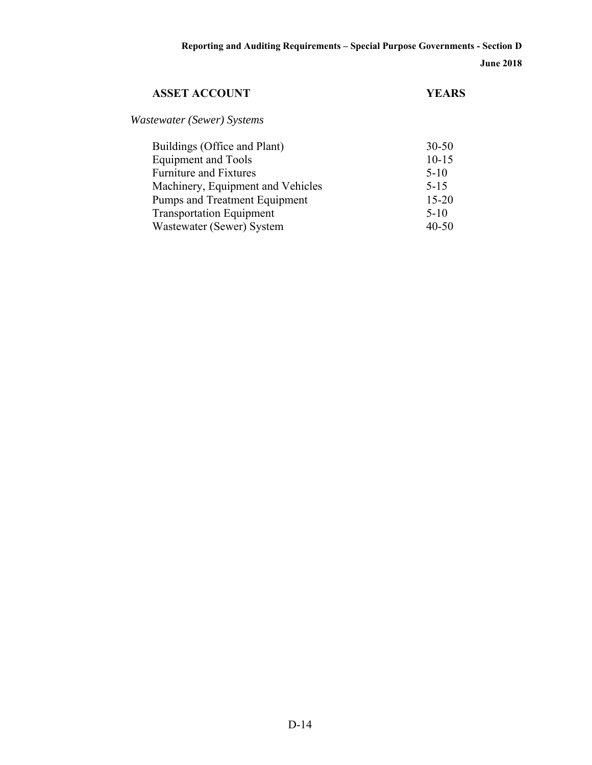| <b>ASSET ACCOUNT</b> | <b>YEARS</b> |
|----------------------|--------------|
|----------------------|--------------|

# *Wastewater (Sewer) Systems*

| Buildings (Office and Plant)      | $30 - 50$ |
|-----------------------------------|-----------|
| Equipment and Tools               | $10 - 15$ |
| <b>Furniture and Fixtures</b>     | $5-10$    |
| Machinery, Equipment and Vehicles | $5 - 15$  |
| Pumps and Treatment Equipment     | $15 - 20$ |
| <b>Transportation Equipment</b>   | $5-10$    |
| Wastewater (Sewer) System         | $40 - 50$ |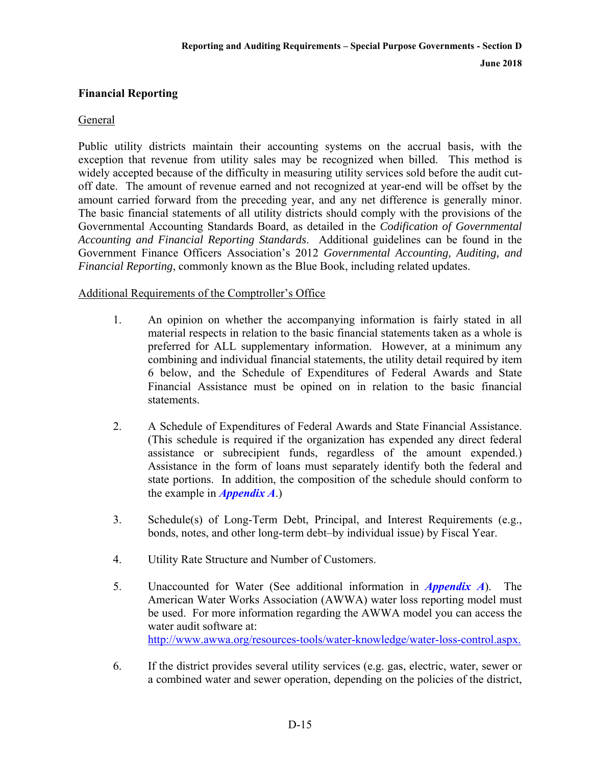### **Financial Reporting**

### General

Public utility districts maintain their accounting systems on the accrual basis, with the exception that revenue from utility sales may be recognized when billed. This method is widely accepted because of the difficulty in measuring utility services sold before the audit cutoff date. The amount of revenue earned and not recognized at year-end will be offset by the amount carried forward from the preceding year, and any net difference is generally minor. The basic financial statements of all utility districts should comply with the provisions of the Governmental Accounting Standards Board, as detailed in the *Codification of Governmental Accounting and Financial Reporting Standards*. Additional guidelines can be found in the Government Finance Officers Association's 2012 *Governmental Accounting, Auditing, and Financial Reporting*, commonly known as the Blue Book, including related updates.

### Additional Requirements of the Comptroller's Office

- 1. An opinion on whether the accompanying information is fairly stated in all material respects in relation to the basic financial statements taken as a whole is preferred for ALL supplementary information. However, at a minimum any combining and individual financial statements, the utility detail required by item 6 below, and the Schedule of Expenditures of Federal Awards and State Financial Assistance must be opined on in relation to the basic financial statements.
- 2. A Schedule of Expenditures of Federal Awards and State Financial Assistance. (This schedule is required if the organization has expended any direct federal assistance or subrecipient funds, regardless of the amount expended.) Assistance in the form of loans must separately identify both the federal and state portions. In addition, the composition of the schedule should conform to the example in *[Appendix A](#page-115-0)*.)
- 3. Schedule(s) of Long-Term Debt, Principal, and Interest Requirements (e.g., bonds, notes, and other long-term debt–by individual issue) by Fiscal Year.
- 4. Utility Rate Structure and Number of Customers.
- 5. Unaccounted for Water (See additional information in *[Appendix A](#page-113-0)*). The American Water Works Association (AWWA) water loss reporting model must be used. For more information regarding the AWWA model you can access the water audit software at: http://www.awwa.org/resources-tools/water-knowledge/water-loss-control.aspx.
- 6. If the district provides several utility services (e.g. gas, electric, water, sewer or a combined water and sewer operation, depending on the policies of the district,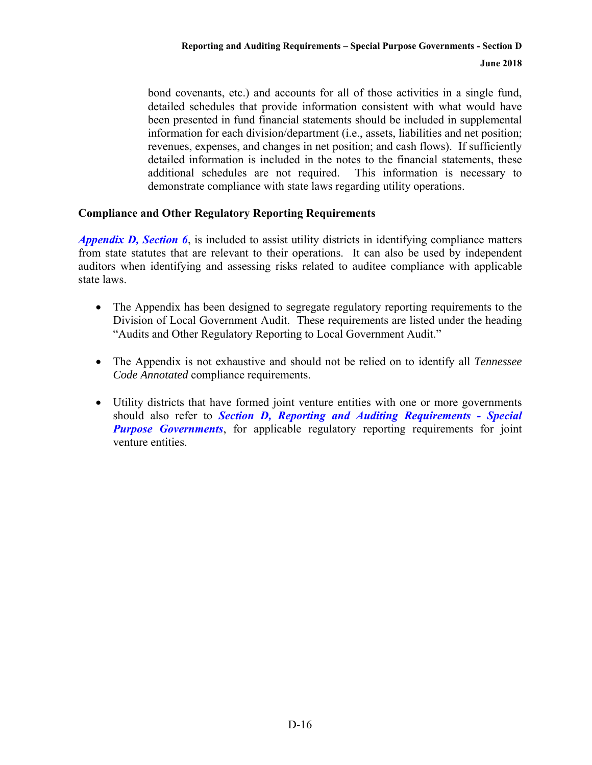bond covenants, etc.) and accounts for all of those activities in a single fund, detailed schedules that provide information consistent with what would have been presented in fund financial statements should be included in supplemental information for each division/department (i.e., assets, liabilities and net position; revenues, expenses, and changes in net position; and cash flows). If sufficiently detailed information is included in the notes to the financial statements, these additional schedules are not required. This information is necessary to demonstrate compliance with state laws regarding utility operations.

### **Compliance and Other Regulatory Reporting Requirements**

*[Appendix D, Section 6](#page-169-0)*, is included to assist utility districts in identifying compliance matters from state statutes that are relevant to their operations. It can also be used by independent auditors when identifying and assessing risks related to auditee compliance with applicable state laws.

- The Appendix has been designed to segregate regulatory reporting requirements to the Division of Local Government Audit. These requirements are listed under the heading "Audits and Other Regulatory Reporting to Local Government Audit."
- The Appendix is not exhaustive and should not be relied on to identify all *Tennessee Code Annotated* compliance requirements.
- Utility districts that have formed joint venture entities with one or more governments should also refer to *[Section D, Reporting and Auditing Requirements - Special](#page-78-0)  [Purpose Governments](#page-78-0)*, for applicable regulatory reporting requirements for joint venture entities.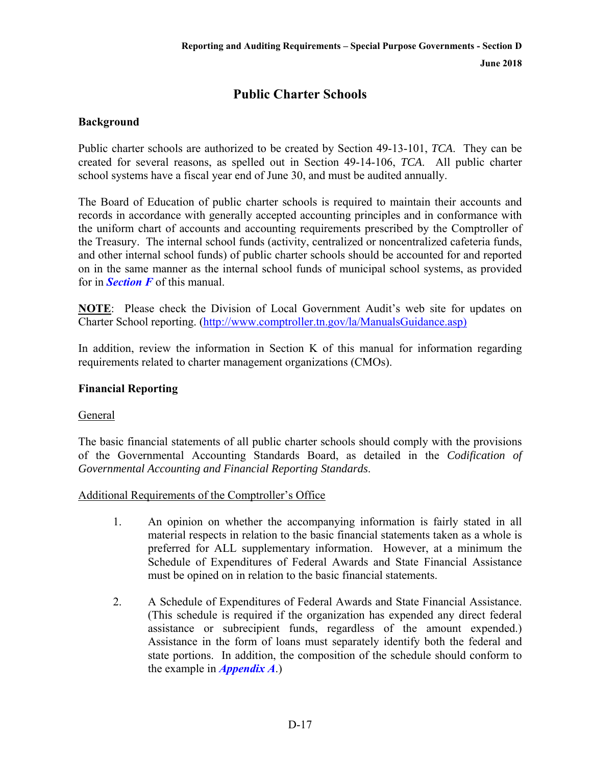# **Public Charter Schools**

### **Background**

Public charter schools are authorized to be created by Section 49-13-101, *TCA*. They can be created for several reasons, as spelled out in Section 49-14-106, *TCA*. All public charter school systems have a fiscal year end of June 30, and must be audited annually.

The Board of Education of public charter schools is required to maintain their accounts and records in accordance with generally accepted accounting principles and in conformance with the uniform chart of accounts and accounting requirements prescribed by the Comptroller of the Treasury. The internal school funds (activity, centralized or noncentralized cafeteria funds, and other internal school funds) of public charter schools should be accounted for and reported on in the same manner as the internal school funds of municipal school systems, as provided for in *[Section F](#page-83-0)* of this manual.

**NOTE**: Please check the Division of Local Government Audit's web site for updates on Charter School reporting. (http://www.comptroller.tn.gov/la/ManualsGuidance.asp)

In addition, review the information in Section K of this manual for information regarding requirements related to charter management organizations (CMOs).

### **Financial Reporting**

### General

The basic financial statements of all public charter schools should comply with the provisions of the Governmental Accounting Standards Board, as detailed in the *Codification of Governmental Accounting and Financial Reporting Standards*.

Additional Requirements of the Comptroller's Office

- 1. An opinion on whether the accompanying information is fairly stated in all material respects in relation to the basic financial statements taken as a whole is preferred for ALL supplementary information. However, at a minimum the Schedule of Expenditures of Federal Awards and State Financial Assistance must be opined on in relation to the basic financial statements.
- 2. A Schedule of Expenditures of Federal Awards and State Financial Assistance. (This schedule is required if the organization has expended any direct federal assistance or subrecipient funds, regardless of the amount expended.) Assistance in the form of loans must separately identify both the federal and state portions. In addition, the composition of the schedule should conform to the example in *[Appendix A](#page-115-0)*.)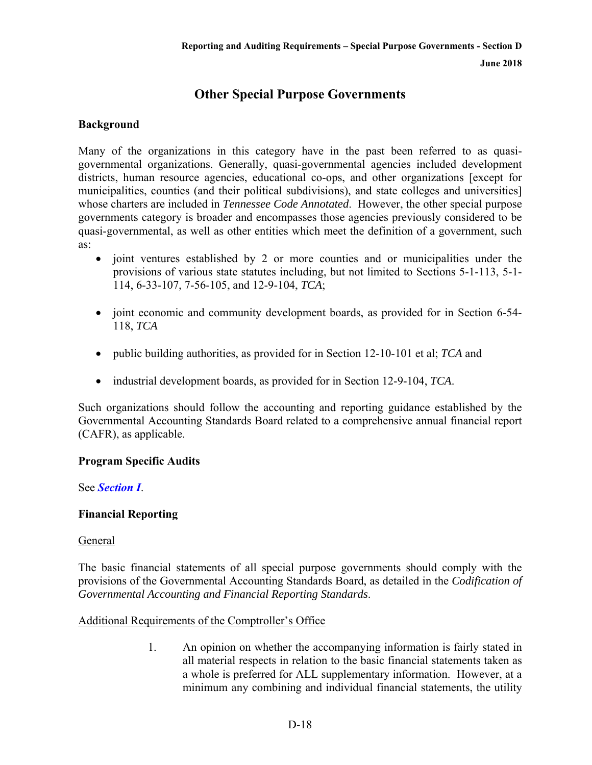# **Other Special Purpose Governments**

### <span id="page-78-0"></span>**Background**

Many of the organizations in this category have in the past been referred to as quasigovernmental organizations. Generally, quasi-governmental agencies included development districts, human resource agencies, educational co-ops, and other organizations [except for municipalities, counties (and their political subdivisions), and state colleges and universities] whose charters are included in *Tennessee Code Annotated*. However, the other special purpose governments category is broader and encompasses those agencies previously considered to be quasi-governmental, as well as other entities which meet the definition of a government, such as:

- joint ventures established by 2 or more counties and or municipalities under the provisions of various state statutes including, but not limited to Sections 5-1-113, 5-1- 114, 6-33-107, 7-56-105, and 12-9-104, *TCA*;
- joint economic and community development boards, as provided for in Section 6-54-118, *TCA*
- public building authorities, as provided for in Section 12-10-101 et al; *TCA* and
- industrial development boards, as provided for in Section 12-9-104, *TCA*.

Such organizations should follow the accounting and reporting guidance established by the Governmental Accounting Standards Board related to a comprehensive annual financial report (CAFR), as applicable.

### **Program Specific Audits**

See *[Section I](#page-92-0)*.

# **Financial Reporting**

### General

The basic financial statements of all special purpose governments should comply with the provisions of the Governmental Accounting Standards Board, as detailed in the *Codification of Governmental Accounting and Financial Reporting Standards*.

### Additional Requirements of the Comptroller's Office

1. An opinion on whether the accompanying information is fairly stated in all material respects in relation to the basic financial statements taken as a whole is preferred for ALL supplementary information. However, at a minimum any combining and individual financial statements, the utility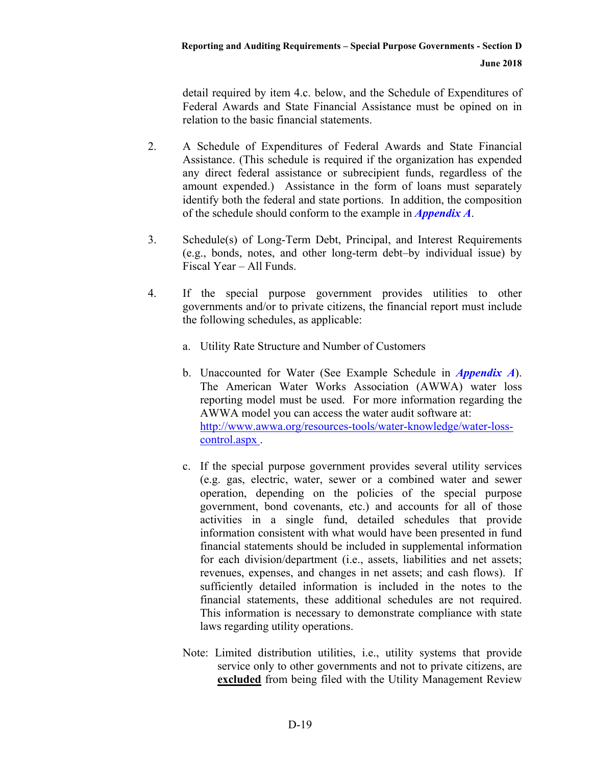detail required by item 4.c. below, and the Schedule of Expenditures of Federal Awards and State Financial Assistance must be opined on in relation to the basic financial statements.

- 2. A Schedule of Expenditures of Federal Awards and State Financial Assistance. (This schedule is required if the organization has expended any direct federal assistance or subrecipient funds, regardless of the amount expended.) Assistance in the form of loans must separately identify both the federal and state portions. In addition, the composition of the schedule should conform to the example in *[Appendix A](#page-115-0)*.
- 3. Schedule(s) of Long-Term Debt, Principal, and Interest Requirements (e.g., bonds, notes, and other long-term debt–by individual issue) by Fiscal Year – All Funds.
- 4. If the special purpose government provides utilities to other governments and/or to private citizens, the financial report must include the following schedules, as applicable:
	- a. Utility Rate Structure and Number of Customers
	- b. Unaccounted for Water (See Example Schedule in *[Appendix A](#page-113-0)*). The American Water Works Association (AWWA) water loss reporting model must be used. For more information regarding the AWWA model you can access the water audit software at: http://www.awwa.org/resources-tools/water-knowledge/water-losscontrol.aspx .
	- c. If the special purpose government provides several utility services (e.g. gas, electric, water, sewer or a combined water and sewer operation, depending on the policies of the special purpose government, bond covenants, etc.) and accounts for all of those activities in a single fund, detailed schedules that provide information consistent with what would have been presented in fund financial statements should be included in supplemental information for each division/department (i.e., assets, liabilities and net assets; revenues, expenses, and changes in net assets; and cash flows). If sufficiently detailed information is included in the notes to the financial statements, these additional schedules are not required. This information is necessary to demonstrate compliance with state laws regarding utility operations.
	- Note: Limited distribution utilities, i.e., utility systems that provide service only to other governments and not to private citizens, are **excluded** from being filed with the Utility Management Review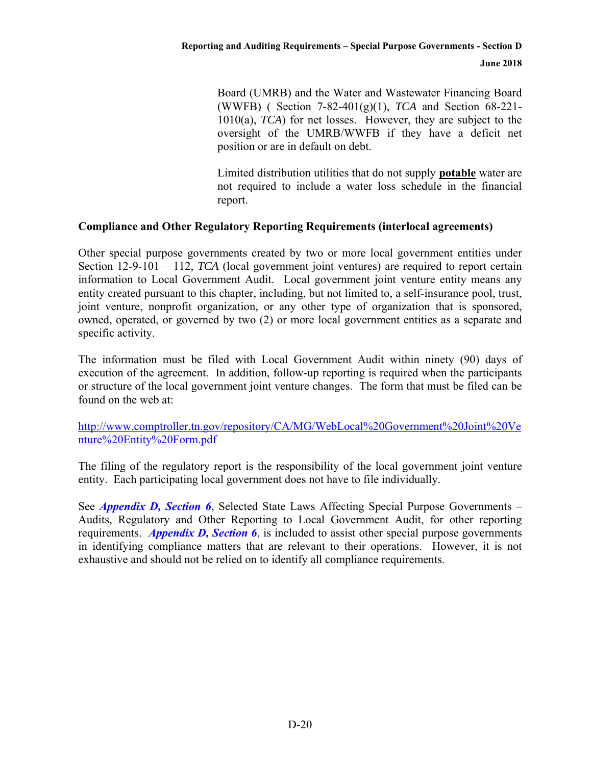Board (UMRB) and the Water and Wastewater Financing Board (WWFB) ( Section 7-82-401(g)(1), *TCA* and Section 68-221- 1010(a), *TCA*) for net losses. However, they are subject to the oversight of the UMRB/WWFB if they have a deficit net position or are in default on debt.

Limited distribution utilities that do not supply **potable** water are not required to include a water loss schedule in the financial report.

### **Compliance and Other Regulatory Reporting Requirements (interlocal agreements)**

Other special purpose governments created by two or more local government entities under Section 12-9-101 – 112, *TCA* (local government joint ventures) are required to report certain information to Local Government Audit. Local government joint venture entity means any entity created pursuant to this chapter, including, but not limited to, a self-insurance pool, trust, joint venture, nonprofit organization, or any other type of organization that is sponsored, owned, operated, or governed by two (2) or more local government entities as a separate and specific activity.

The information must be filed with Local Government Audit within ninety (90) days of execution of the agreement. In addition, follow-up reporting is required when the participants or structure of the local government joint venture changes. The form that must be filed can be found on the web at:

http://www.comptroller.tn.gov/repository/CA/MG/WebLocal%20Government%20Joint%20Ve nture%20Entity%20Form.pdf

The filing of the regulatory report is the responsibility of the local government joint venture entity. Each participating local government does not have to file individually.

See *[Appendix D, Section 6](#page-173-0)*, Selected State Laws Affecting Special Purpose Governments – Audits, Regulatory and Other Reporting to Local Government Audit, for other reporting requirements. *[Appendix D,](#page-173-0) Section 6*, is included to assist other special purpose governments in identifying compliance matters that are relevant to their operations. However, it is not exhaustive and should not be relied on to identify all compliance requirements.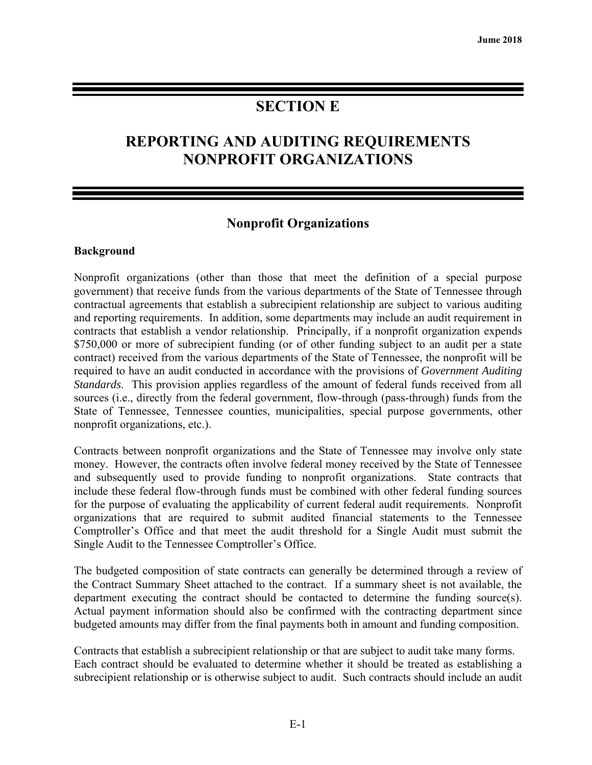# **SECTION E**

# <span id="page-81-0"></span>**REPORTING AND AUDITING REQUIREMENTS NONPROFIT ORGANIZATIONS**

# **Nonprofit Organizations**

### **Background**

Nonprofit organizations (other than those that meet the definition of a special purpose government) that receive funds from the various departments of the State of Tennessee through contractual agreements that establish a subrecipient relationship are subject to various auditing and reporting requirements. In addition, some departments may include an audit requirement in contracts that establish a vendor relationship. Principally, if a nonprofit organization expends \$750,000 or more of subrecipient funding (or of other funding subject to an audit per a state contract) received from the various departments of the State of Tennessee, the nonprofit will be required to have an audit conducted in accordance with the provisions of *Government Auditing Standards*. This provision applies regardless of the amount of federal funds received from all sources (i.e., directly from the federal government, flow-through (pass-through) funds from the State of Tennessee, Tennessee counties, municipalities, special purpose governments, other nonprofit organizations, etc.).

Contracts between nonprofit organizations and the State of Tennessee may involve only state money. However, the contracts often involve federal money received by the State of Tennessee and subsequently used to provide funding to nonprofit organizations. State contracts that include these federal flow-through funds must be combined with other federal funding sources for the purpose of evaluating the applicability of current federal audit requirements. Nonprofit organizations that are required to submit audited financial statements to the Tennessee Comptroller's Office and that meet the audit threshold for a Single Audit must submit the Single Audit to the Tennessee Comptroller's Office.

The budgeted composition of state contracts can generally be determined through a review of the Contract Summary Sheet attached to the contract. If a summary sheet is not available, the department executing the contract should be contacted to determine the funding source(s). Actual payment information should also be confirmed with the contracting department since budgeted amounts may differ from the final payments both in amount and funding composition.

Contracts that establish a subrecipient relationship or that are subject to audit take many forms. Each contract should be evaluated to determine whether it should be treated as establishing a subrecipient relationship or is otherwise subject to audit. Such contracts should include an audit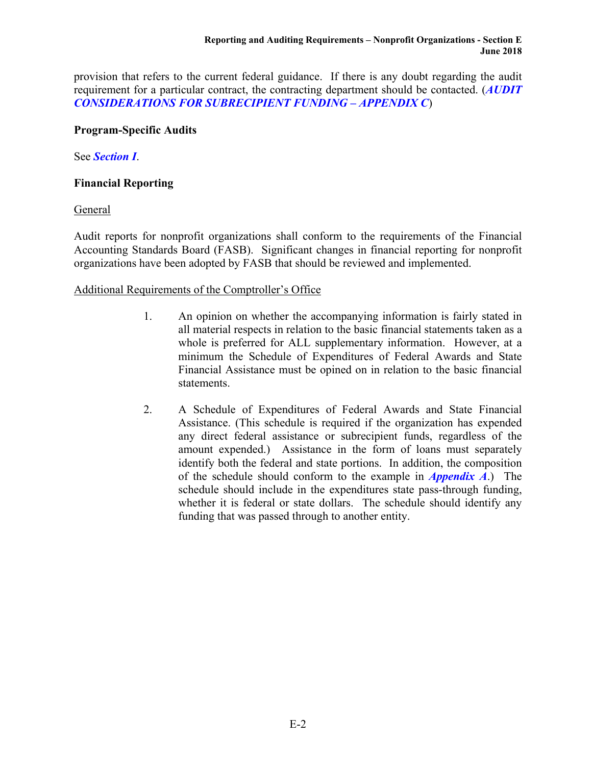provision that refers to the current federal guidance. If there is any doubt regarding the audit requirement for a particular contract, the contracting department should be contacted. (*[AUDIT](#page-144-0)  [CONSIDERATIONS FOR SUBRECIPIENT FUNDING – APPENDIX C](#page-144-0)*)

### **Program-Specific Audits**

See *[Section I](#page-92-0)*.

### **Financial Reporting**

#### General

Audit reports for nonprofit organizations shall conform to the requirements of the Financial Accounting Standards Board (FASB). Significant changes in financial reporting for nonprofit organizations have been adopted by FASB that should be reviewed and implemented.

#### Additional Requirements of the Comptroller's Office

- 1. An opinion on whether the accompanying information is fairly stated in all material respects in relation to the basic financial statements taken as a whole is preferred for ALL supplementary information. However, at a minimum the Schedule of Expenditures of Federal Awards and State Financial Assistance must be opined on in relation to the basic financial statements.
- 2. A Schedule of Expenditures of Federal Awards and State Financial Assistance. (This schedule is required if the organization has expended any direct federal assistance or subrecipient funds, regardless of the amount expended.) Assistance in the form of loans must separately identify both the federal and state portions. In addition, the composition of the schedule should conform to the example in *[Appendix A](#page-115-0)*.) The schedule should include in the expenditures state pass-through funding, whether it is federal or state dollars. The schedule should identify any funding that was passed through to another entity.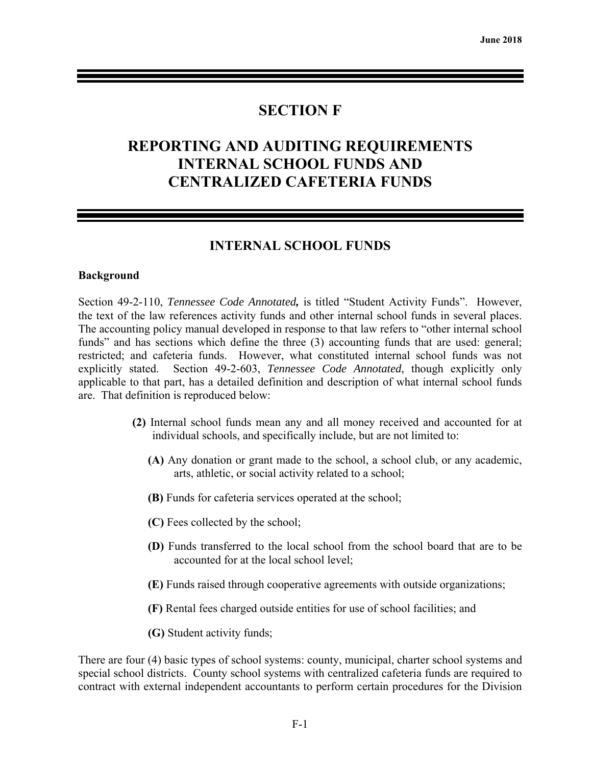# **SECTION F**

# <span id="page-83-0"></span>**REPORTING AND AUDITING REQUIREMENTS INTERNAL SCHOOL FUNDS AND CENTRALIZED CAFETERIA FUNDS**

# **INTERNAL SCHOOL FUNDS**

#### **Background**

Section 49-2-110, *Tennessee Code Annotated,* is titled "Student Activity Funds". However, the text of the law references activity funds and other internal school funds in several places. The accounting policy manual developed in response to that law refers to "other internal school funds" and has sections which define the three (3) accounting funds that are used: general; restricted; and cafeteria funds. However, what constituted internal school funds was not explicitly stated. Section 49-2-603, *Tennessee Code Annotated*, though explicitly only applicable to that part, has a detailed definition and description of what internal school funds are. That definition is reproduced below:

- **(2)** Internal school funds mean any and all money received and accounted for at individual schools, and specifically include, but are not limited to:
	- **(A)** Any donation or grant made to the school, a school club, or any academic, arts, athletic, or social activity related to a school;
	- **(B)** Funds for cafeteria services operated at the school;
	- **(C)** Fees collected by the school;
	- **(D)** Funds transferred to the local school from the school board that are to be accounted for at the local school level;
	- **(E)** Funds raised through cooperative agreements with outside organizations;
	- **(F)** Rental fees charged outside entities for use of school facilities; and
	- **(G)** Student activity funds;

There are four (4) basic types of school systems: county, municipal, charter school systems and special school districts. County school systems with centralized cafeteria funds are required to contract with external independent accountants to perform certain procedures for the Division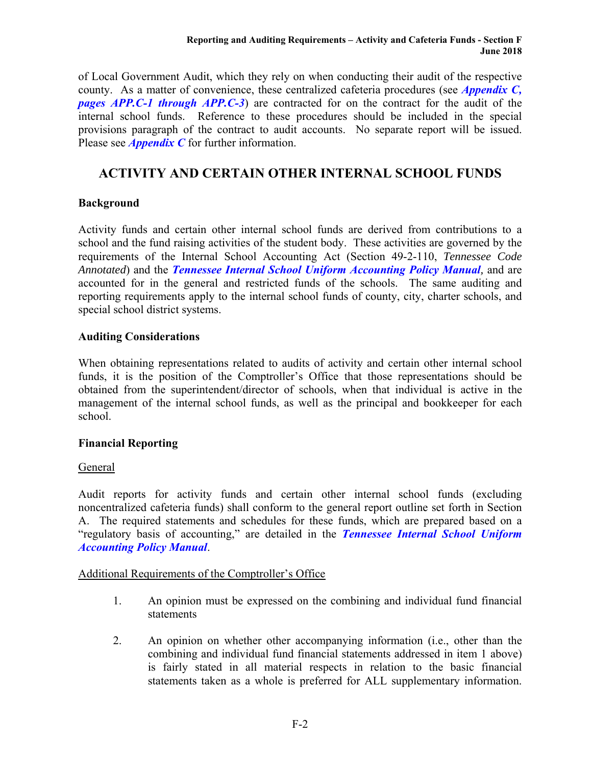of Local Government Audit, which they rely on when conducting their audit of the respective county. As a matter of convenience, these centralized cafeteria procedures (see *[Appendix C,](#page-140-0)  [pages APP.C-1 through APP.C-3](#page-140-0)*) are contracted for on the contract for the audit of the internal school funds. Reference to these procedures should be included in the special provisions paragraph of the contract to audit accounts. No separate report will be issued. Please see *[Appendix C](#page-140-0)* for further information.

# **ACTIVITY AND CERTAIN OTHER INTERNAL SCHOOL FUNDS**

### **Background**

Activity funds and certain other internal school funds are derived from contributions to a school and the fund raising activities of the student body. These activities are governed by the requirements of the Internal School Accounting Act (Section 49-2-110, *Tennessee Code Annotated*) and the *[Tennessee Internal School Uniform Accounting Policy Manual](http://comptroller.tn.gov/la/manual.asp),* and are accounted for in the general and restricted funds of the schools. The same auditing and reporting requirements apply to the internal school funds of county, city, charter schools, and special school district systems.

### **Auditing Considerations**

When obtaining representations related to audits of activity and certain other internal school funds, it is the position of the Comptroller's Office that those representations should be obtained from the superintendent/director of schools, when that individual is active in the management of the internal school funds, as well as the principal and bookkeeper for each school.

# **Financial Reporting**

# General

Audit reports for activity funds and certain other internal school funds (excluding noncentralized cafeteria funds) shall conform to the general report outline set forth in Section A. The required statements and schedules for these funds, which are prepared based on a "regulatory basis of accounting," are detailed in the *Tennessee [Internal School Uniform](http://comptroller.tn.gov/la/manual.asp)  [Accounting Policy Manual](http://comptroller.tn.gov/la/manual.asp)*.

### Additional Requirements of the Comptroller's Office

- 1. An opinion must be expressed on the combining and individual fund financial statements
- 2. An opinion on whether other accompanying information (i.e., other than the combining and individual fund financial statements addressed in item 1 above) is fairly stated in all material respects in relation to the basic financial statements taken as a whole is preferred for ALL supplementary information.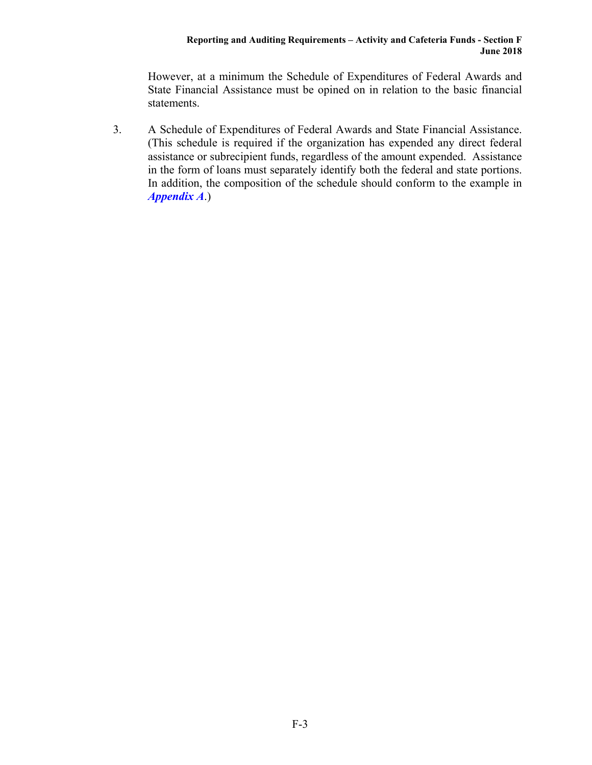#### **Reporting and Auditing Requirements – Activity and Cafeteria Funds - Section F June 2018**

However, at a minimum the Schedule of Expenditures of Federal Awards and State Financial Assistance must be opined on in relation to the basic financial statements.

3. A Schedule of Expenditures of Federal Awards and State Financial Assistance. (This schedule is required if the organization has expended any direct federal assistance or subrecipient funds, regardless of the amount expended. Assistance in the form of loans must separately identify both the federal and state portions. In addition, the composition of the schedule should conform to the example in *[Appendix A](#page-115-0)*.)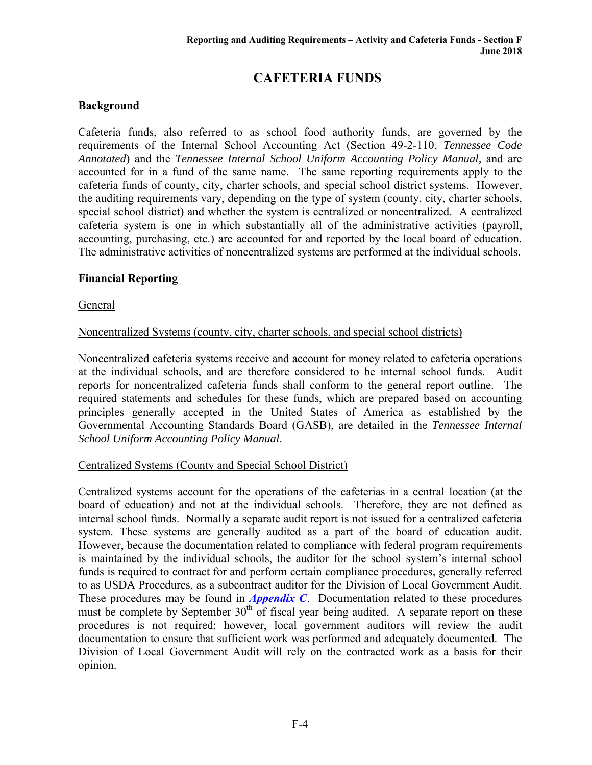# **CAFETERIA FUNDS**

### **Background**

Cafeteria funds, also referred to as school food authority funds, are governed by the requirements of the Internal School Accounting Act (Section 49-2-110, *Tennessee Code Annotated*) and the *Tennessee Internal School Uniform Accounting Policy Manual,* and are accounted for in a fund of the same name. The same reporting requirements apply to the cafeteria funds of county, city, charter schools, and special school district systems. However, the auditing requirements vary, depending on the type of system (county, city, charter schools, special school district) and whether the system is centralized or noncentralized. A centralized cafeteria system is one in which substantially all of the administrative activities (payroll, accounting, purchasing, etc.) are accounted for and reported by the local board of education. The administrative activities of noncentralized systems are performed at the individual schools.

### **Financial Reporting**

General

### Noncentralized Systems (county, city, charter schools, and special school districts)

Noncentralized cafeteria systems receive and account for money related to cafeteria operations at the individual schools, and are therefore considered to be internal school funds. Audit reports for noncentralized cafeteria funds shall conform to the general report outline. The required statements and schedules for these funds, which are prepared based on accounting principles generally accepted in the United States of America as established by the Governmental Accounting Standards Board (GASB), are detailed in the *Tennessee Internal School Uniform Accounting Policy Manual*.

### Centralized Systems (County and Special School District)

Centralized systems account for the operations of the cafeterias in a central location (at the board of education) and not at the individual schools. Therefore, they are not defined as internal school funds. Normally a separate audit report is not issued for a centralized cafeteria system. These systems are generally audited as a part of the board of education audit. However, because the documentation related to compliance with federal program requirements is maintained by the individual schools, the auditor for the school system's internal school funds is required to contract for and perform certain compliance procedures, generally referred to as USDA Procedures, as a subcontract auditor for the Division of Local Government Audit. These procedures may be found in *[Appendix C](#page-140-0)*. Documentation related to these procedures must be complete by September  $30<sup>th</sup>$  of fiscal year being audited. A separate report on these procedures is not required; however, local government auditors will review the audit documentation to ensure that sufficient work was performed and adequately documented. The Division of Local Government Audit will rely on the contracted work as a basis for their opinion.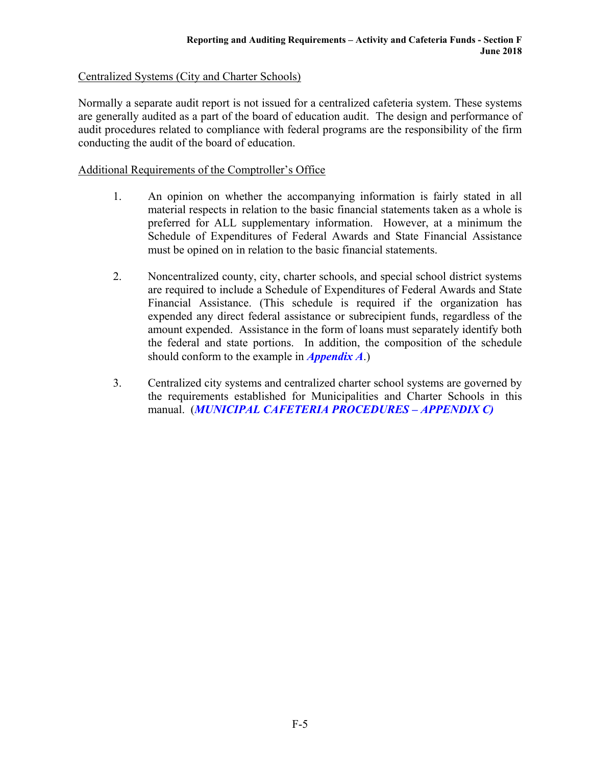### Centralized Systems (City and Charter Schools)

Normally a separate audit report is not issued for a centralized cafeteria system. These systems are generally audited as a part of the board of education audit. The design and performance of audit procedures related to compliance with federal programs are the responsibility of the firm conducting the audit of the board of education.

### Additional Requirements of the Comptroller's Office

- 1. An opinion on whether the accompanying information is fairly stated in all material respects in relation to the basic financial statements taken as a whole is preferred for ALL supplementary information. However, at a minimum the Schedule of Expenditures of Federal Awards and State Financial Assistance must be opined on in relation to the basic financial statements.
- 2. Noncentralized county, city, charter schools, and special school district systems are required to include a Schedule of Expenditures of Federal Awards and State Financial Assistance. (This schedule is required if the organization has expended any direct federal assistance or subrecipient funds, regardless of the amount expended. Assistance in the form of loans must separately identify both the federal and state portions. In addition, the composition of the schedule should conform to the example in *[Appendix A](#page-115-0)*.)
- 3. Centralized city systems and centralized charter school systems are governed by the requirements established for Municipalities and Charter Schools in this manual. (*[MUNICIPAL CAFETERIA PROCEDURES – APPENDIX C\)](#page-143-0)*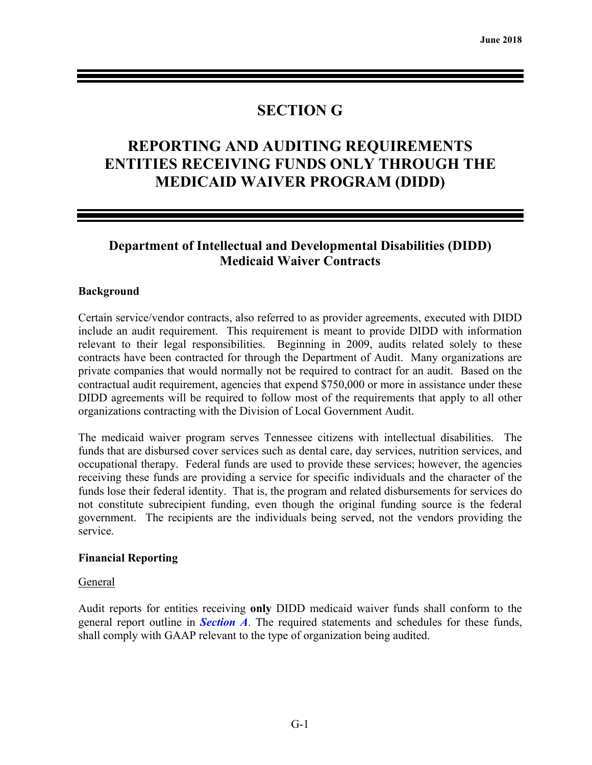# **SECTION G**

# **REPORTING AND AUDITING REQUIREMENTS ENTITIES RECEIVING FUNDS ONLY THROUGH THE MEDICAID WAIVER PROGRAM (DIDD)**

# **Department of Intellectual and Developmental Disabilities (DIDD) Medicaid Waiver Contracts**

### **Background**

Certain service/vendor contracts, also referred to as provider agreements, executed with DIDD include an audit requirement. This requirement is meant to provide DIDD with information relevant to their legal responsibilities. Beginning in 2009, audits related solely to these contracts have been contracted for through the Department of Audit. Many organizations are private companies that would normally not be required to contract for an audit. Based on the contractual audit requirement, agencies that expend \$750,000 or more in assistance under these DIDD agreements will be required to follow most of the requirements that apply to all other organizations contracting with the Division of Local Government Audit.

The medicaid waiver program serves Tennessee citizens with intellectual disabilities. The funds that are disbursed cover services such as dental care, day services, nutrition services, and occupational therapy. Federal funds are used to provide these services; however, the agencies receiving these funds are providing a service for specific individuals and the character of the funds lose their federal identity. That is, the program and related disbursements for services do not constitute subrecipient funding, even though the original funding source is the federal government. The recipients are the individuals being served, not the vendors providing the service.

#### **Financial Reporting**

#### General

Audit reports for entities receiving **only** DIDD medicaid waiver funds shall conform to the general report outline in *[Section A](#page-36-0)*. The required statements and schedules for these funds, shall comply with GAAP relevant to the type of organization being audited.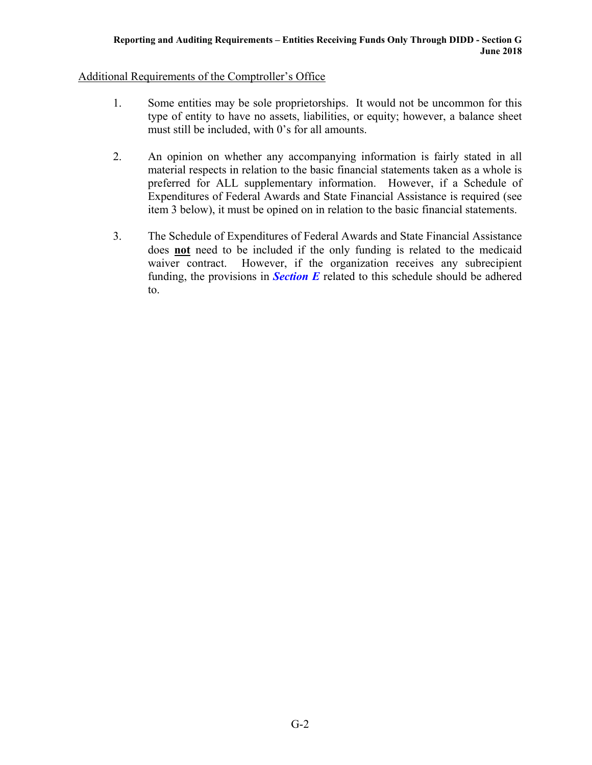### Additional Requirements of the Comptroller's Office

- 1. Some entities may be sole proprietorships. It would not be uncommon for this type of entity to have no assets, liabilities, or equity; however, a balance sheet must still be included, with 0's for all amounts.
- 2. An opinion on whether any accompanying information is fairly stated in all material respects in relation to the basic financial statements taken as a whole is preferred for ALL supplementary information. However, if a Schedule of Expenditures of Federal Awards and State Financial Assistance is required (see item 3 below), it must be opined on in relation to the basic financial statements.
- 3. The Schedule of Expenditures of Federal Awards and State Financial Assistance does **not** need to be included if the only funding is related to the medicaid waiver contract. However, if the organization receives any subrecipient funding, the provisions in **[Section E](#page-81-0)** related to this schedule should be adhered to.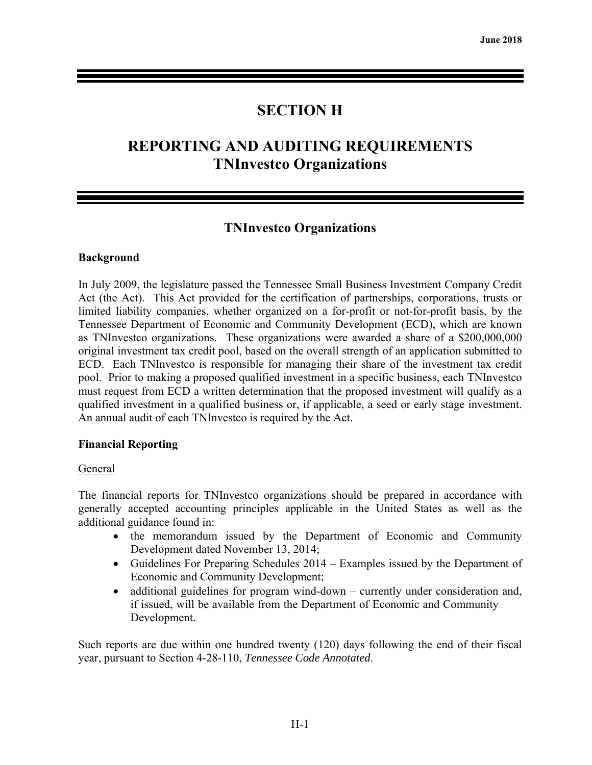# **SECTION H**

# **REPORTING AND AUDITING REQUIREMENTS TNInvestco Organizations**

# **TNInvestco Organizations**

#### **Background**

In July 2009, the legislature passed the Tennessee Small Business Investment Company Credit Act (the Act). This Act provided for the certification of partnerships, corporations, trusts or limited liability companies, whether organized on a for-profit or not-for-profit basis, by the Tennessee Department of Economic and Community Development (ECD), which are known as TNInvestco organizations. These organizations were awarded a share of a \$200,000,000 original investment tax credit pool, based on the overall strength of an application submitted to ECD. Each TNInvestco is responsible for managing their share of the investment tax credit pool. Prior to making a proposed qualified investment in a specific business, each TNInvestco must request from ECD a written determination that the proposed investment will qualify as a qualified investment in a qualified business or, if applicable, a seed or early stage investment. An annual audit of each TNInvestco is required by the Act.

### **Financial Reporting**

#### General

The financial reports for TNInvestco organizations should be prepared in accordance with generally accepted accounting principles applicable in the United States as well as the additional guidance found in:

- the memorandum issued by the Department of Economic and Community Development dated November 13, 2014;
- Guidelines For Preparing Schedules 2014 Examples issued by the Department of Economic and Community Development;
- additional guidelines for program wind-down currently under consideration and, if issued, will be available from the Department of Economic and Community Development.

Such reports are due within one hundred twenty (120) days following the end of their fiscal year, pursuant to Section 4-28-110, *Tennessee Code Annotated*.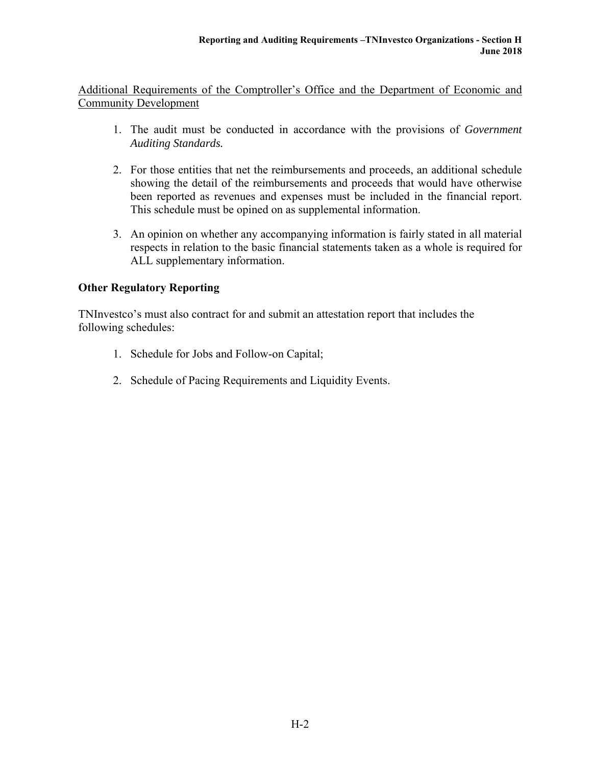Additional Requirements of the Comptroller's Office and the Department of Economic and Community Development

- 1. The audit must be conducted in accordance with the provisions of *Government Auditing Standards.*
- 2. For those entities that net the reimbursements and proceeds, an additional schedule showing the detail of the reimbursements and proceeds that would have otherwise been reported as revenues and expenses must be included in the financial report. This schedule must be opined on as supplemental information.
- 3. An opinion on whether any accompanying information is fairly stated in all material respects in relation to the basic financial statements taken as a whole is required for ALL supplementary information.

# **Other Regulatory Reporting**

TNInvestco's must also contract for and submit an attestation report that includes the following schedules:

- 1. Schedule for Jobs and Follow-on Capital;
- 2. Schedule of Pacing Requirements and Liquidity Events.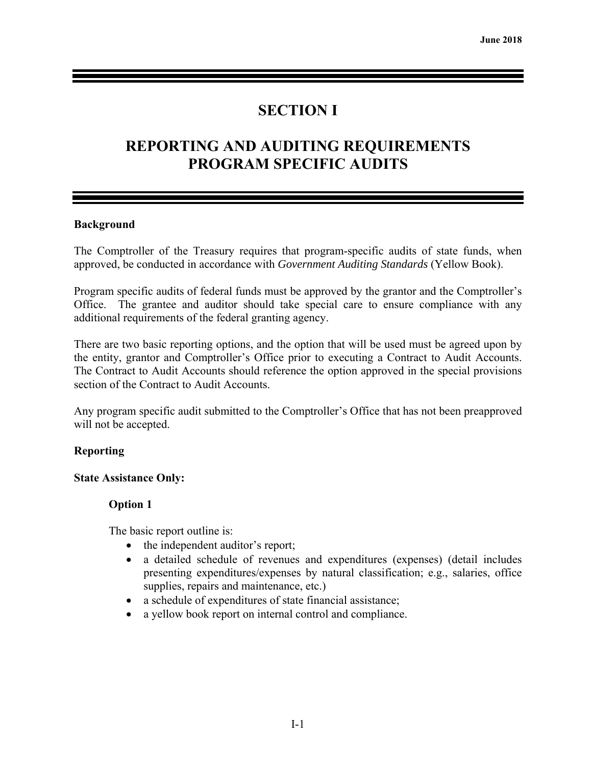# **SECTION I**

# <span id="page-92-0"></span>**REPORTING AND AUDITING REQUIREMENTS PROGRAM SPECIFIC AUDITS**

#### **Background**

The Comptroller of the Treasury requires that program-specific audits of state funds, when approved, be conducted in accordance with *Government Auditing Standards* (Yellow Book).

Program specific audits of federal funds must be approved by the grantor and the Comptroller's Office. The grantee and auditor should take special care to ensure compliance with any additional requirements of the federal granting agency.

There are two basic reporting options, and the option that will be used must be agreed upon by the entity, grantor and Comptroller's Office prior to executing a Contract to Audit Accounts. The Contract to Audit Accounts should reference the option approved in the special provisions section of the Contract to Audit Accounts.

Any program specific audit submitted to the Comptroller's Office that has not been preapproved will not be accepted.

### **Reporting**

#### **State Assistance Only:**

#### **Option 1**

The basic report outline is:

- the independent auditor's report;
- a detailed schedule of revenues and expenditures (expenses) (detail includes presenting expenditures/expenses by natural classification; e.g., salaries, office supplies, repairs and maintenance, etc.)
- a schedule of expenditures of state financial assistance;
- a yellow book report on internal control and compliance.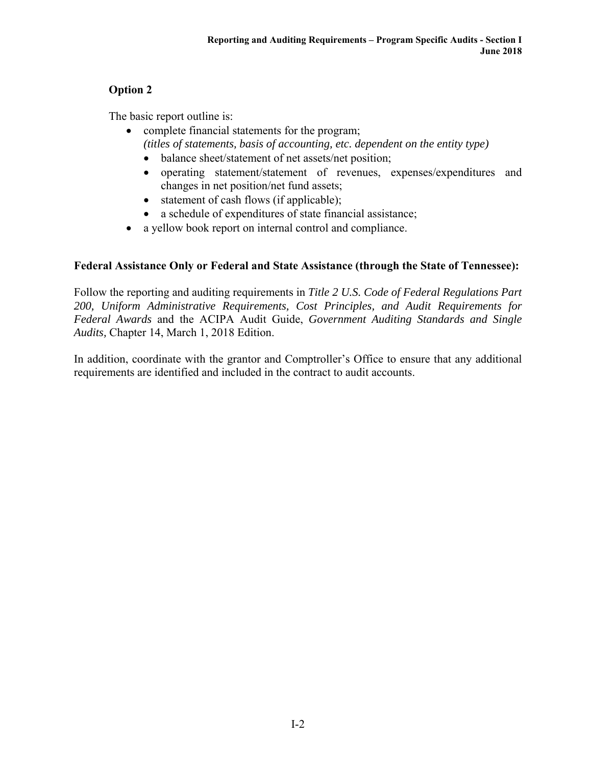# **Option 2**

The basic report outline is:

- complete financial statements for the program; *(titles of statements, basis of accounting, etc. dependent on the entity type)*
	- balance sheet/statement of net assets/net position;
	- operating statement/statement of revenues, expenses/expenditures and changes in net position/net fund assets;
	- $\bullet$  statement of cash flows (if applicable);
	- a schedule of expenditures of state financial assistance;
- a yellow book report on internal control and compliance.

# **Federal Assistance Only or Federal and State Assistance (through the State of Tennessee):**

Follow the reporting and auditing requirements in *Title 2 U.S. Code of Federal Regulations Part 200, Uniform Administrative Requirements, Cost Principles, and Audit Requirements for Federal Awards* and the ACIPA Audit Guide, *Government Auditing Standards and Single Audits,* Chapter 14, March 1, 2018 Edition.

In addition, coordinate with the grantor and Comptroller's Office to ensure that any additional requirements are identified and included in the contract to audit accounts.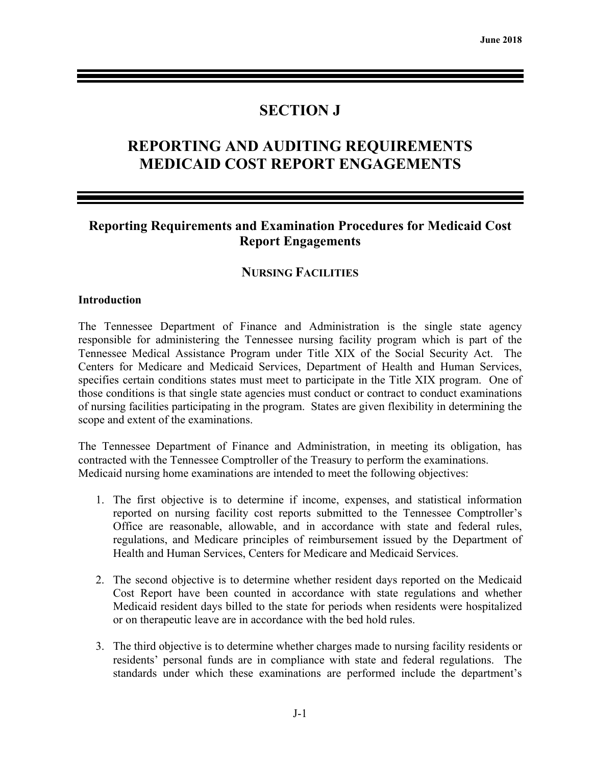# **SECTION J**

# **REPORTING AND AUDITING REQUIREMENTS MEDICAID COST REPORT ENGAGEMENTS**

# **Reporting Requirements and Examination Procedures for Medicaid Cost Report Engagements**

# **NURSING FACILITIES**

#### **Introduction**

The Tennessee Department of Finance and Administration is the single state agency responsible for administering the Tennessee nursing facility program which is part of the Tennessee Medical Assistance Program under Title XIX of the Social Security Act. The Centers for Medicare and Medicaid Services, Department of Health and Human Services, specifies certain conditions states must meet to participate in the Title XIX program. One of those conditions is that single state agencies must conduct or contract to conduct examinations of nursing facilities participating in the program. States are given flexibility in determining the scope and extent of the examinations.

The Tennessee Department of Finance and Administration, in meeting its obligation, has contracted with the Tennessee Comptroller of the Treasury to perform the examinations. Medicaid nursing home examinations are intended to meet the following objectives:

- 1. The first objective is to determine if income, expenses, and statistical information reported on nursing facility cost reports submitted to the Tennessee Comptroller's Office are reasonable, allowable, and in accordance with state and federal rules, regulations, and Medicare principles of reimbursement issued by the Department of Health and Human Services, Centers for Medicare and Medicaid Services.
- 2. The second objective is to determine whether resident days reported on the Medicaid Cost Report have been counted in accordance with state regulations and whether Medicaid resident days billed to the state for periods when residents were hospitalized or on therapeutic leave are in accordance with the bed hold rules.
- 3. The third objective is to determine whether charges made to nursing facility residents or residents' personal funds are in compliance with state and federal regulations. The standards under which these examinations are performed include the department's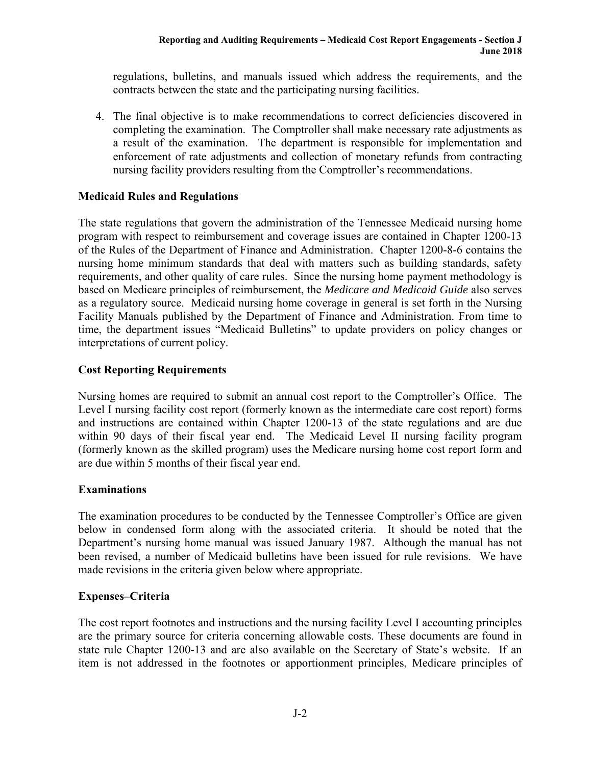regulations, bulletins, and manuals issued which address the requirements, and the contracts between the state and the participating nursing facilities.

4. The final objective is to make recommendations to correct deficiencies discovered in completing the examination. The Comptroller shall make necessary rate adjustments as a result of the examination. The department is responsible for implementation and enforcement of rate adjustments and collection of monetary refunds from contracting nursing facility providers resulting from the Comptroller's recommendations.

# **Medicaid Rules and Regulations**

The state regulations that govern the administration of the Tennessee Medicaid nursing home program with respect to reimbursement and coverage issues are contained in Chapter 1200-13 of the Rules of the Department of Finance and Administration. Chapter 1200-8-6 contains the nursing home minimum standards that deal with matters such as building standards, safety requirements, and other quality of care rules. Since the nursing home payment methodology is based on Medicare principles of reimbursement, the *Medicare and Medicaid Guide* also serves as a regulatory source. Medicaid nursing home coverage in general is set forth in the Nursing Facility Manuals published by the Department of Finance and Administration. From time to time, the department issues "Medicaid Bulletins" to update providers on policy changes or interpretations of current policy.

### **Cost Reporting Requirements**

Nursing homes are required to submit an annual cost report to the Comptroller's Office. The Level I nursing facility cost report (formerly known as the intermediate care cost report) forms and instructions are contained within Chapter 1200-13 of the state regulations and are due within 90 days of their fiscal year end. The Medicaid Level II nursing facility program (formerly known as the skilled program) uses the Medicare nursing home cost report form and are due within 5 months of their fiscal year end.

### **Examinations**

The examination procedures to be conducted by the Tennessee Comptroller's Office are given below in condensed form along with the associated criteria. It should be noted that the Department's nursing home manual was issued January 1987. Although the manual has not been revised, a number of Medicaid bulletins have been issued for rule revisions. We have made revisions in the criteria given below where appropriate.

### **Expenses–Criteria**

The cost report footnotes and instructions and the nursing facility Level I accounting principles are the primary source for criteria concerning allowable costs. These documents are found in state rule Chapter 1200-13 and are also available on the Secretary of State's website. If an item is not addressed in the footnotes or apportionment principles, Medicare principles of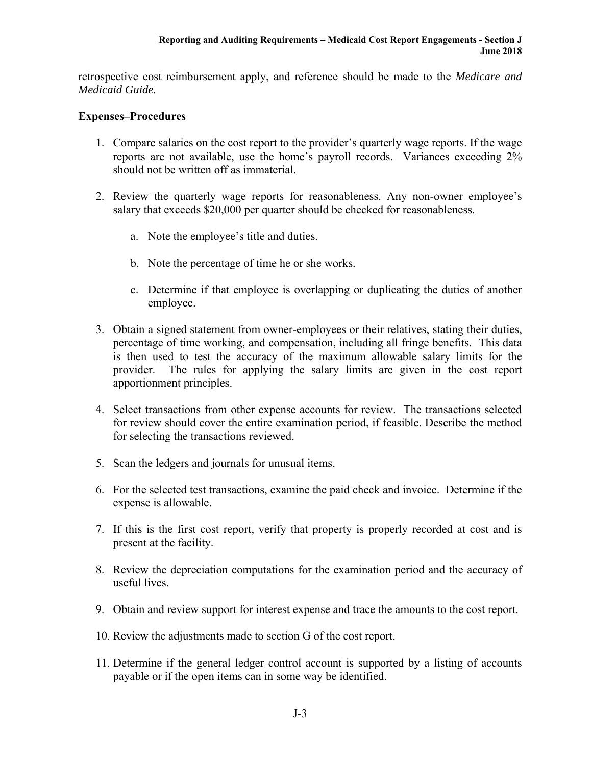retrospective cost reimbursement apply, and reference should be made to the *Medicare and Medicaid Guide.* 

### **Expenses–Procedures**

- 1. Compare salaries on the cost report to the provider's quarterly wage reports. If the wage reports are not available, use the home's payroll records. Variances exceeding 2% should not be written off as immaterial.
- 2. Review the quarterly wage reports for reasonableness. Any non-owner employee's salary that exceeds \$20,000 per quarter should be checked for reasonableness.
	- a. Note the employee's title and duties.
	- b. Note the percentage of time he or she works.
	- c. Determine if that employee is overlapping or duplicating the duties of another employee.
- 3. Obtain a signed statement from owner-employees or their relatives, stating their duties, percentage of time working, and compensation, including all fringe benefits. This data is then used to test the accuracy of the maximum allowable salary limits for the provider. The rules for applying the salary limits are given in the cost report apportionment principles.
- 4. Select transactions from other expense accounts for review. The transactions selected for review should cover the entire examination period, if feasible. Describe the method for selecting the transactions reviewed.
- 5. Scan the ledgers and journals for unusual items.
- 6. For the selected test transactions, examine the paid check and invoice. Determine if the expense is allowable.
- 7. If this is the first cost report, verify that property is properly recorded at cost and is present at the facility.
- 8. Review the depreciation computations for the examination period and the accuracy of useful lives.
- 9. Obtain and review support for interest expense and trace the amounts to the cost report.
- 10. Review the adjustments made to section G of the cost report.
- 11. Determine if the general ledger control account is supported by a listing of accounts payable or if the open items can in some way be identified.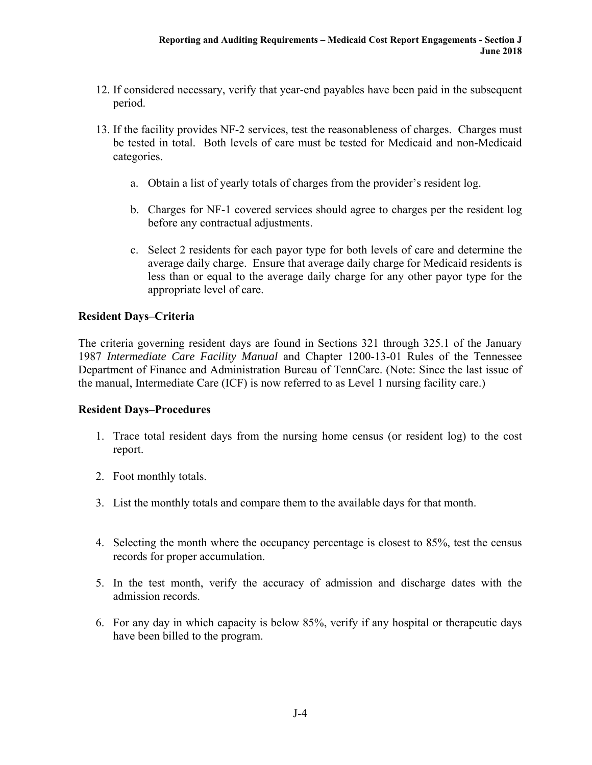- 12. If considered necessary, verify that year-end payables have been paid in the subsequent period.
- 13. If the facility provides NF-2 services, test the reasonableness of charges. Charges must be tested in total. Both levels of care must be tested for Medicaid and non-Medicaid categories.
	- a. Obtain a list of yearly totals of charges from the provider's resident log.
	- b. Charges for NF-1 covered services should agree to charges per the resident log before any contractual adjustments.
	- c. Select 2 residents for each payor type for both levels of care and determine the average daily charge. Ensure that average daily charge for Medicaid residents is less than or equal to the average daily charge for any other payor type for the appropriate level of care.

### **Resident Days–Criteria**

The criteria governing resident days are found in Sections 321 through 325.1 of the January 1987 *Intermediate Care Facility Manual* and Chapter 1200-13-01 Rules of the Tennessee Department of Finance and Administration Bureau of TennCare. (Note: Since the last issue of the manual, Intermediate Care (ICF) is now referred to as Level 1 nursing facility care.)

### **Resident Days–Procedures**

- 1. Trace total resident days from the nursing home census (or resident log) to the cost report.
- 2. Foot monthly totals.
- 3. List the monthly totals and compare them to the available days for that month.
- 4. Selecting the month where the occupancy percentage is closest to 85%, test the census records for proper accumulation.
- 5. In the test month, verify the accuracy of admission and discharge dates with the admission records.
- 6. For any day in which capacity is below 85%, verify if any hospital or therapeutic days have been billed to the program.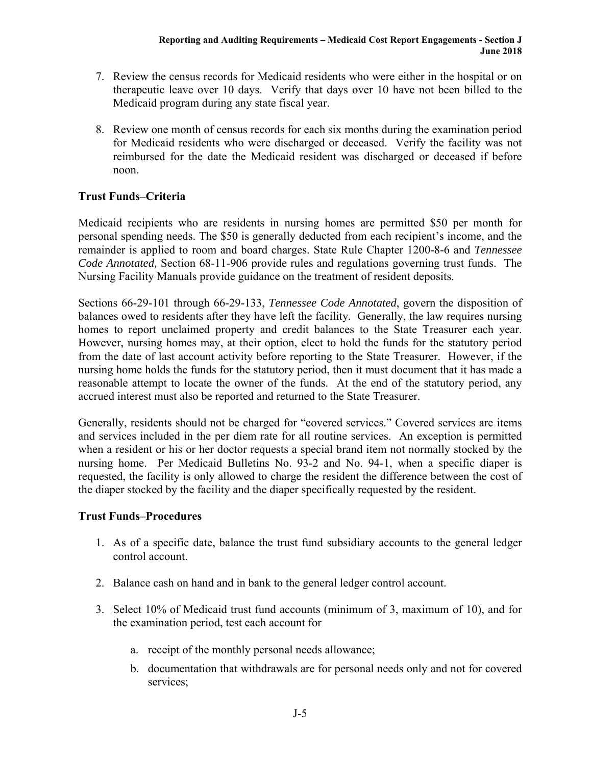- 7. Review the census records for Medicaid residents who were either in the hospital or on therapeutic leave over 10 days. Verify that days over 10 have not been billed to the Medicaid program during any state fiscal year.
- 8. Review one month of census records for each six months during the examination period for Medicaid residents who were discharged or deceased. Verify the facility was not reimbursed for the date the Medicaid resident was discharged or deceased if before noon.

# **Trust Funds–Criteria**

Medicaid recipients who are residents in nursing homes are permitted \$50 per month for personal spending needs. The \$50 is generally deducted from each recipient's income, and the remainder is applied to room and board charges. State Rule Chapter 1200-8-6 and *Tennessee Code Annotated,* Section 68-11-906 provide rules and regulations governing trust funds. The Nursing Facility Manuals provide guidance on the treatment of resident deposits.

Sections 66-29-101 through 66-29-133, *Tennessee Code Annotated*, govern the disposition of balances owed to residents after they have left the facility*.* Generally, the law requires nursing homes to report unclaimed property and credit balances to the State Treasurer each year. However, nursing homes may, at their option, elect to hold the funds for the statutory period from the date of last account activity before reporting to the State Treasurer. However, if the nursing home holds the funds for the statutory period, then it must document that it has made a reasonable attempt to locate the owner of the funds. At the end of the statutory period, any accrued interest must also be reported and returned to the State Treasurer.

Generally, residents should not be charged for "covered services." Covered services are items and services included in the per diem rate for all routine services. An exception is permitted when a resident or his or her doctor requests a special brand item not normally stocked by the nursing home. Per Medicaid Bulletins No. 93-2 and No. 94-1, when a specific diaper is requested, the facility is only allowed to charge the resident the difference between the cost of the diaper stocked by the facility and the diaper specifically requested by the resident.

### **Trust Funds–Procedures**

- 1. As of a specific date, balance the trust fund subsidiary accounts to the general ledger control account.
- 2. Balance cash on hand and in bank to the general ledger control account.
- 3. Select 10% of Medicaid trust fund accounts (minimum of 3, maximum of 10), and for the examination period, test each account for
	- a. receipt of the monthly personal needs allowance;
	- b. documentation that withdrawals are for personal needs only and not for covered services;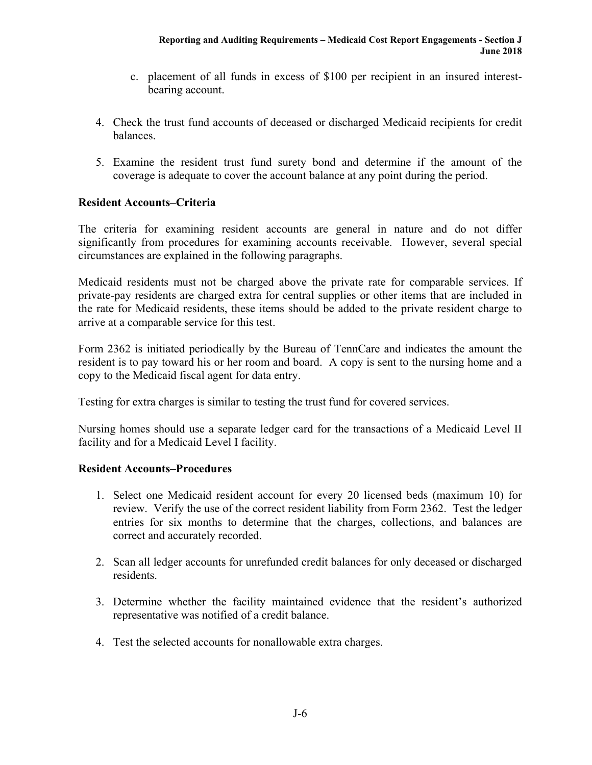- c. placement of all funds in excess of \$100 per recipient in an insured interestbearing account.
- 4. Check the trust fund accounts of deceased or discharged Medicaid recipients for credit balances.
- 5. Examine the resident trust fund surety bond and determine if the amount of the coverage is adequate to cover the account balance at any point during the period.

### **Resident Accounts–Criteria**

The criteria for examining resident accounts are general in nature and do not differ significantly from procedures for examining accounts receivable. However, several special circumstances are explained in the following paragraphs.

Medicaid residents must not be charged above the private rate for comparable services. If private-pay residents are charged extra for central supplies or other items that are included in the rate for Medicaid residents, these items should be added to the private resident charge to arrive at a comparable service for this test.

Form 2362 is initiated periodically by the Bureau of TennCare and indicates the amount the resident is to pay toward his or her room and board. A copy is sent to the nursing home and a copy to the Medicaid fiscal agent for data entry.

Testing for extra charges is similar to testing the trust fund for covered services.

Nursing homes should use a separate ledger card for the transactions of a Medicaid Level II facility and for a Medicaid Level I facility.

### **Resident Accounts–Procedures**

- 1. Select one Medicaid resident account for every 20 licensed beds (maximum 10) for review. Verify the use of the correct resident liability from Form 2362. Test the ledger entries for six months to determine that the charges, collections, and balances are correct and accurately recorded.
- 2. Scan all ledger accounts for unrefunded credit balances for only deceased or discharged residents.
- 3. Determine whether the facility maintained evidence that the resident's authorized representative was notified of a credit balance.
- 4. Test the selected accounts for nonallowable extra charges.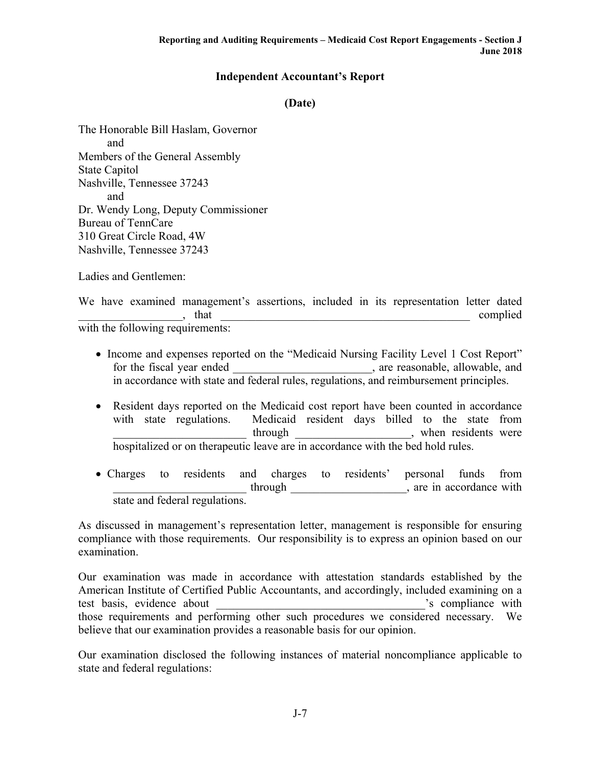### **Independent Accountant's Report**

#### **(Date)**

The Honorable Bill Haslam, Governor and Members of the General Assembly State Capitol Nashville, Tennessee 37243 and Dr. Wendy Long, Deputy Commissioner Bureau of TennCare 310 Great Circle Road, 4W Nashville, Tennessee 37243

Ladies and Gentlemen:

We have examined management's assertions, included in its representation letter dated  $\Box$ , that  $\Box$ with the following requirements:

- Income and expenses reported on the "Medicaid Nursing Facility Level 1 Cost Report" for the fiscal year ended \_\_\_\_\_\_\_\_\_\_\_\_\_\_\_\_\_\_\_\_\_\_\_, are reasonable, allowable, and in accordance with state and federal rules, regulations, and reimbursement principles.
- Resident days reported on the Medicaid cost report have been counted in accordance with state regulations. Medicaid resident days billed to the state from Through \_\_\_\_\_\_\_\_\_\_\_\_\_\_, when residents were hospitalized or on therapeutic leave are in accordance with the bed hold rules.
- Charges to residents and charges to residents' personal funds from \_\_\_\_\_\_\_\_\_\_\_\_\_\_\_\_\_\_\_\_\_\_\_ through \_\_\_\_\_\_\_\_\_\_\_\_\_\_\_\_\_\_\_\_, are in accordance with state and federal regulations.

As discussed in management's representation letter, management is responsible for ensuring compliance with those requirements. Our responsibility is to express an opinion based on our examination.

Our examination was made in accordance with attestation standards established by the American Institute of Certified Public Accountants, and accordingly, included examining on a test basis, evidence about  $\sim$  s compliance with those requirements and performing other such procedures we considered necessary. We believe that our examination provides a reasonable basis for our opinion.

Our examination disclosed the following instances of material noncompliance applicable to state and federal regulations: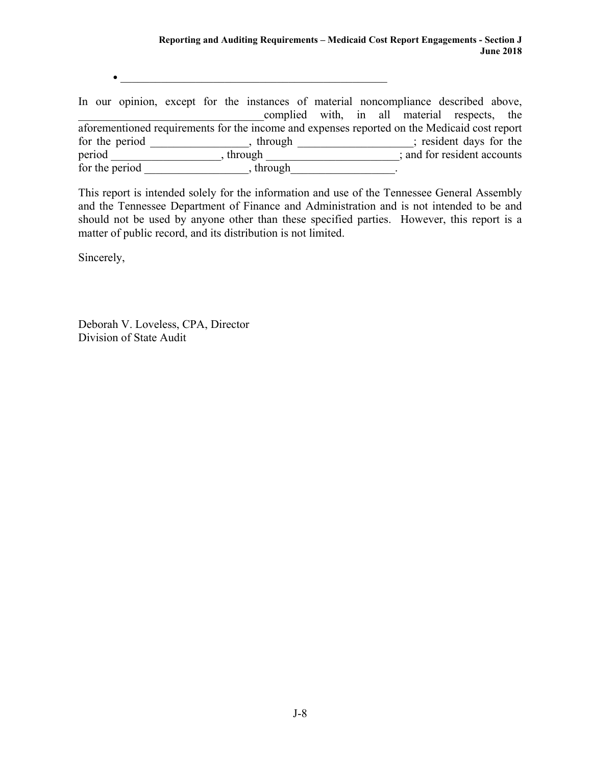\_\_\_\_\_\_\_\_\_\_\_\_\_\_\_\_\_\_\_\_\_\_\_\_\_\_\_\_\_\_\_\_\_\_\_\_\_\_\_\_\_\_\_\_\_\_

In our opinion, except for the instances of material noncompliance described above, complied with, in all material respects, the aforementioned requirements for the income and expenses reported on the Medicaid cost report for the period \_\_\_\_\_\_\_\_\_\_\_\_, through \_\_\_\_\_\_\_\_\_\_\_\_\_; resident days for the period \_\_\_\_\_\_\_\_\_\_\_\_\_\_\_\_\_, through \_\_\_\_\_\_\_\_\_\_\_\_\_\_\_\_\_\_\_\_; and for resident accounts for the period  $\qquad \qquad$ , through

This report is intended solely for the information and use of the Tennessee General Assembly and the Tennessee Department of Finance and Administration and is not intended to be and should not be used by anyone other than these specified parties. However, this report is a matter of public record, and its distribution is not limited.

Sincerely,

Deborah V. Loveless, CPA, Director Division of State Audit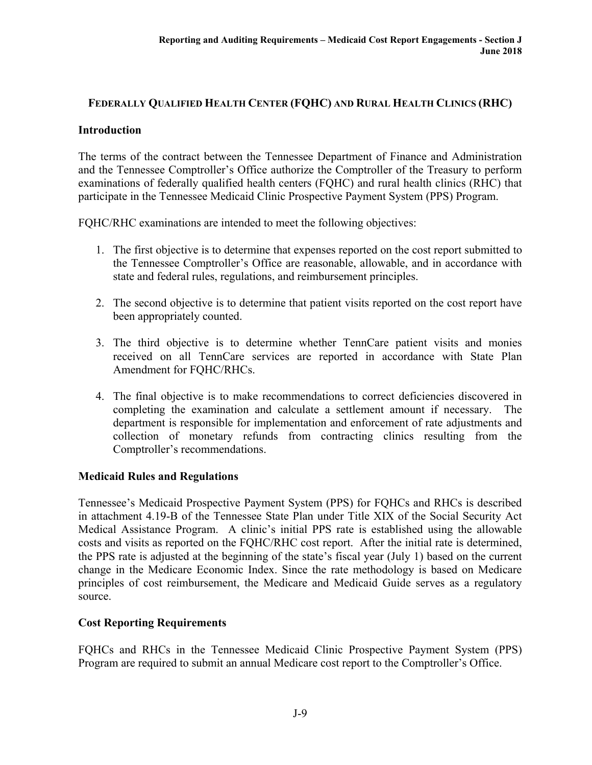### **FEDERALLY QUALIFIED HEALTH CENTER (FQHC) AND RURAL HEALTH CLINICS (RHC)**

### **Introduction**

The terms of the contract between the Tennessee Department of Finance and Administration and the Tennessee Comptroller's Office authorize the Comptroller of the Treasury to perform examinations of federally qualified health centers (FQHC) and rural health clinics (RHC) that participate in the Tennessee Medicaid Clinic Prospective Payment System (PPS) Program.

FQHC/RHC examinations are intended to meet the following objectives:

- 1. The first objective is to determine that expenses reported on the cost report submitted to the Tennessee Comptroller's Office are reasonable, allowable, and in accordance with state and federal rules, regulations, and reimbursement principles.
- 2. The second objective is to determine that patient visits reported on the cost report have been appropriately counted.
- 3. The third objective is to determine whether TennCare patient visits and monies received on all TennCare services are reported in accordance with State Plan Amendment for FQHC/RHCs.
- 4. The final objective is to make recommendations to correct deficiencies discovered in completing the examination and calculate a settlement amount if necessary. The department is responsible for implementation and enforcement of rate adjustments and collection of monetary refunds from contracting clinics resulting from the Comptroller's recommendations.

### **Medicaid Rules and Regulations**

Tennessee's Medicaid Prospective Payment System (PPS) for FQHCs and RHCs is described in attachment 4.19-B of the Tennessee State Plan under Title XIX of the Social Security Act Medical Assistance Program. A clinic's initial PPS rate is established using the allowable costs and visits as reported on the FQHC/RHC cost report. After the initial rate is determined, the PPS rate is adjusted at the beginning of the state's fiscal year (July 1) based on the current change in the Medicare Economic Index. Since the rate methodology is based on Medicare principles of cost reimbursement, the Medicare and Medicaid Guide serves as a regulatory source.

#### **Cost Reporting Requirements**

FQHCs and RHCs in the Tennessee Medicaid Clinic Prospective Payment System (PPS) Program are required to submit an annual Medicare cost report to the Comptroller's Office.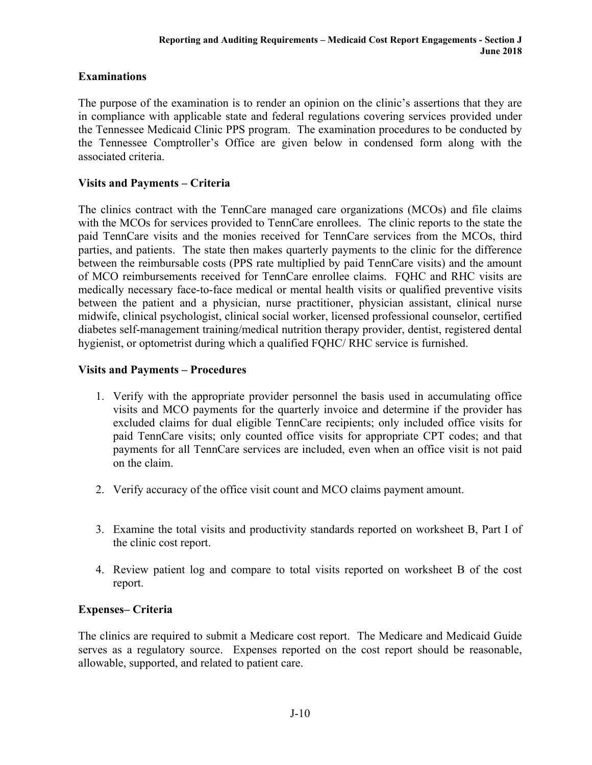### **Examinations**

The purpose of the examination is to render an opinion on the clinic's assertions that they are in compliance with applicable state and federal regulations covering services provided under the Tennessee Medicaid Clinic PPS program. The examination procedures to be conducted by the Tennessee Comptroller's Office are given below in condensed form along with the associated criteria.

### **Visits and Payments – Criteria**

The clinics contract with the TennCare managed care organizations (MCOs) and file claims with the MCOs for services provided to TennCare enrollees. The clinic reports to the state the paid TennCare visits and the monies received for TennCare services from the MCOs, third parties, and patients. The state then makes quarterly payments to the clinic for the difference between the reimbursable costs (PPS rate multiplied by paid TennCare visits) and the amount of MCO reimbursements received for TennCare enrollee claims. FQHC and RHC visits are medically necessary face-to-face medical or mental health visits or qualified preventive visits between the patient and a physician, nurse practitioner, physician assistant, clinical nurse midwife, clinical psychologist, clinical social worker, licensed professional counselor, certified diabetes self-management training/medical nutrition therapy provider, dentist, registered dental hygienist, or optometrist during which a qualified FQHC/ RHC service is furnished.

### **Visits and Payments – Procedures**

- 1. Verify with the appropriate provider personnel the basis used in accumulating office visits and MCO payments for the quarterly invoice and determine if the provider has excluded claims for dual eligible TennCare recipients; only included office visits for paid TennCare visits; only counted office visits for appropriate CPT codes; and that payments for all TennCare services are included, even when an office visit is not paid on the claim.
- 2. Verify accuracy of the office visit count and MCO claims payment amount.
- 3. Examine the total visits and productivity standards reported on worksheet B, Part I of the clinic cost report.
- 4. Review patient log and compare to total visits reported on worksheet B of the cost report.

### **Expenses– Criteria**

The clinics are required to submit a Medicare cost report. The Medicare and Medicaid Guide serves as a regulatory source. Expenses reported on the cost report should be reasonable, allowable, supported, and related to patient care.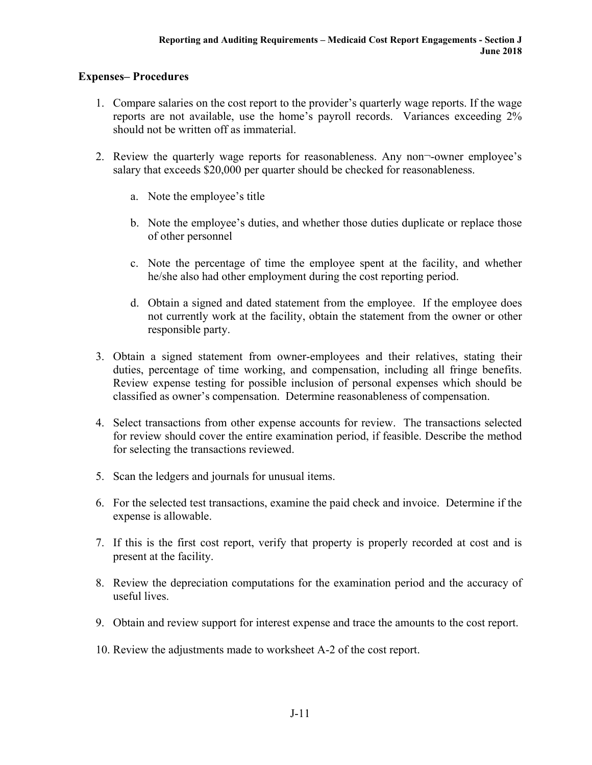### **Expenses– Procedures**

- 1. Compare salaries on the cost report to the provider's quarterly wage reports. If the wage reports are not available, use the home's payroll records. Variances exceeding 2% should not be written off as immaterial.
- 2. Review the quarterly wage reports for reasonableness. Any non¬-owner employee's salary that exceeds \$20,000 per quarter should be checked for reasonableness.
	- a. Note the employee's title
	- b. Note the employee's duties, and whether those duties duplicate or replace those of other personnel
	- c. Note the percentage of time the employee spent at the facility, and whether he/she also had other employment during the cost reporting period.
	- d. Obtain a signed and dated statement from the employee. If the employee does not currently work at the facility, obtain the statement from the owner or other responsible party.
- 3. Obtain a signed statement from owner-employees and their relatives, stating their duties, percentage of time working, and compensation, including all fringe benefits. Review expense testing for possible inclusion of personal expenses which should be classified as owner's compensation. Determine reasonableness of compensation.
- 4. Select transactions from other expense accounts for review. The transactions selected for review should cover the entire examination period, if feasible. Describe the method for selecting the transactions reviewed.
- 5. Scan the ledgers and journals for unusual items.
- 6. For the selected test transactions, examine the paid check and invoice. Determine if the expense is allowable.
- 7. If this is the first cost report, verify that property is properly recorded at cost and is present at the facility.
- 8. Review the depreciation computations for the examination period and the accuracy of useful lives.
- 9. Obtain and review support for interest expense and trace the amounts to the cost report.
- 10. Review the adjustments made to worksheet A-2 of the cost report.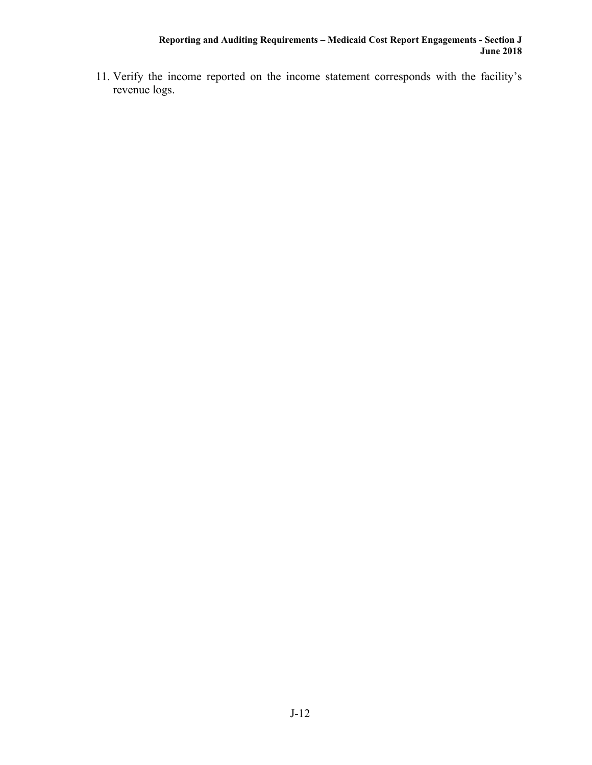11. Verify the income reported on the income statement corresponds with the facility's revenue logs.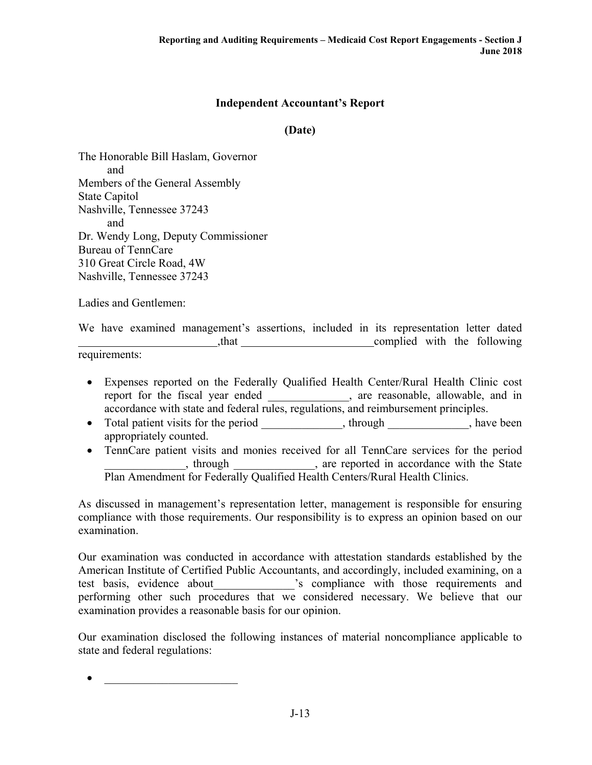### **Independent Accountant's Report**

#### **(Date)**

The Honorable Bill Haslam, Governor and Members of the General Assembly State Capitol Nashville, Tennessee 37243 and Dr. Wendy Long, Deputy Commissioner Bureau of TennCare 310 Great Circle Road, 4W Nashville, Tennessee 37243

Ladies and Gentlemen:

We have examined management's assertions, included in its representation letter dated ,that complied with the following requirements:

- Expenses reported on the Federally Qualified Health Center/Rural Health Clinic cost report for the fiscal year ended \_\_\_\_\_\_\_\_\_\_\_\_\_\_, are reasonable, allowable, and in accordance with state and federal rules, regulations, and reimbursement principles.
- Total patient visits for the period \_\_\_\_\_\_\_\_\_\_\_\_\_, through \_\_\_\_\_\_\_\_\_\_\_, have been appropriately counted.
- TennCare patient visits and monies received for all TennCare services for the period The state of through  $\frac{1}{\sqrt{1-\frac{1}{n}}}\$ , are reported in accordance with the State Plan Amendment for Federally Qualified Health Centers/Rural Health Clinics.

As discussed in management's representation letter, management is responsible for ensuring compliance with those requirements. Our responsibility is to express an opinion based on our examination.

Our examination was conducted in accordance with attestation standards established by the American Institute of Certified Public Accountants, and accordingly, included examining, on a test basis, evidence about  $\sim$  's compliance with those requirements and performing other such procedures that we considered necessary. We believe that our examination provides a reasonable basis for our opinion.

Our examination disclosed the following instances of material noncompliance applicable to state and federal regulations:

 $\bullet$   $\_\_$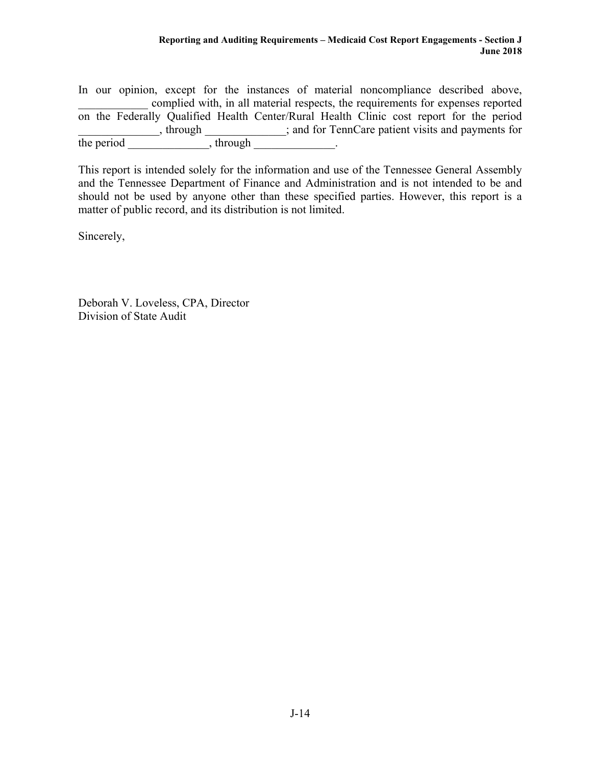In our opinion, except for the instances of material noncompliance described above, complied with, in all material respects, the requirements for expenses reported on the Federally Qualified Health Center/Rural Health Clinic cost report for the period \_\_\_\_\_\_\_\_\_\_\_\_\_\_, through \_\_\_\_\_\_\_\_\_\_\_\_\_\_; and for TennCare patient visits and payments for the period  $\overline{\phantom{a}}$ , through  $\overline{\phantom{a}}$ .

This report is intended solely for the information and use of the Tennessee General Assembly and the Tennessee Department of Finance and Administration and is not intended to be and should not be used by anyone other than these specified parties. However, this report is a matter of public record, and its distribution is not limited.

Sincerely,

Deborah V. Loveless, CPA, Director Division of State Audit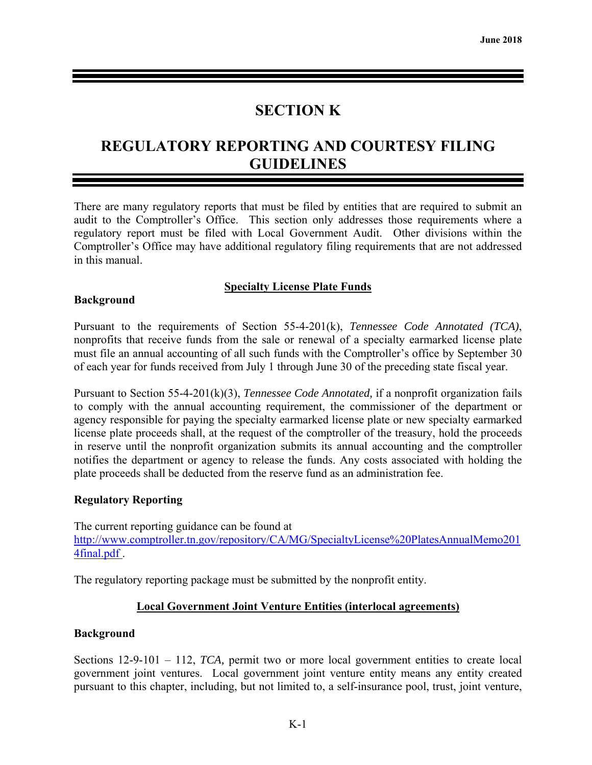# **SECTION K**

# **REGULATORY REPORTING AND COURTESY FILING GUIDELINES**

There are many regulatory reports that must be filed by entities that are required to submit an audit to the Comptroller's Office. This section only addresses those requirements where a regulatory report must be filed with Local Government Audit. Other divisions within the Comptroller's Office may have additional regulatory filing requirements that are not addressed in this manual.

# **Specialty License Plate Funds**

# **Background**

Pursuant to the requirements of Section 55-4-201(k), *Tennessee Code Annotated (TCA)*, nonprofits that receive funds from the sale or renewal of a specialty earmarked license plate must file an annual accounting of all such funds with the Comptroller's office by September 30 of each year for funds received from July 1 through June 30 of the preceding state fiscal year.

Pursuant to Section 55-4-201(k)(3), *Tennessee Code Annotated,* if a nonprofit organization fails to comply with the annual accounting requirement, the commissioner of the department or agency responsible for paying the specialty earmarked license plate or new specialty earmarked license plate proceeds shall, at the request of the comptroller of the treasury, hold the proceeds in reserve until the nonprofit organization submits its annual accounting and the comptroller notifies the department or agency to release the funds. Any costs associated with holding the plate proceeds shall be deducted from the reserve fund as an administration fee.

#### **Regulatory Reporting**

The current reporting guidance can be found at http://www.comptroller.tn.gov/repository/CA/MG/SpecialtyLicense%20PlatesAnnualMemo201 4final.pdf .

The regulatory reporting package must be submitted by the nonprofit entity.

# **Local Government Joint Venture Entities (interlocal agreements)**

#### **Background**

Sections 12-9-101 – 112, *TCA,* permit two or more local government entities to create local government joint ventures. Local government joint venture entity means any entity created pursuant to this chapter, including, but not limited to, a self-insurance pool, trust, joint venture,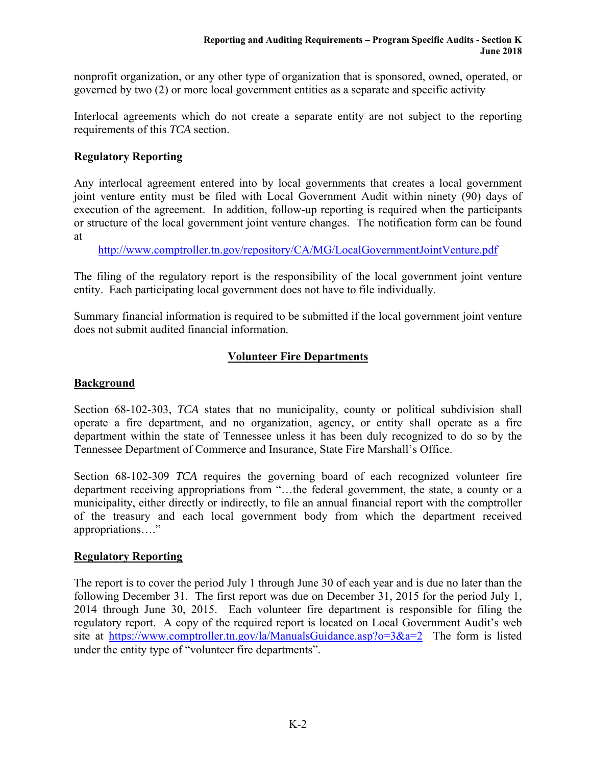nonprofit organization, or any other type of organization that is sponsored, owned, operated, or governed by two (2) or more local government entities as a separate and specific activity

Interlocal agreements which do not create a separate entity are not subject to the reporting requirements of this *TCA* section.

# **Regulatory Reporting**

Any interlocal agreement entered into by local governments that creates a local government joint venture entity must be filed with Local Government Audit within ninety (90) days of execution of the agreement. In addition, follow-up reporting is required when the participants or structure of the local government joint venture changes. The notification form can be found at

http://www.comptroller.tn.gov/repository/CA/MG/LocalGovernmentJointVenture.pdf

The filing of the regulatory report is the responsibility of the local government joint venture entity. Each participating local government does not have to file individually.

Summary financial information is required to be submitted if the local government joint venture does not submit audited financial information.

# **Volunteer Fire Departments**

### **Background**

Section 68-102-303, *TCA* states that no municipality, county or political subdivision shall operate a fire department, and no organization, agency, or entity shall operate as a fire department within the state of Tennessee unless it has been duly recognized to do so by the Tennessee Department of Commerce and Insurance, State Fire Marshall's Office.

Section 68-102-309 *TCA* requires the governing board of each recognized volunteer fire department receiving appropriations from "…the federal government, the state, a county or a municipality, either directly or indirectly, to file an annual financial report with the comptroller of the treasury and each local government body from which the department received appropriations…."

#### **Regulatory Reporting**

The report is to cover the period July 1 through June 30 of each year and is due no later than the following December 31. The first report was due on December 31, 2015 for the period July 1, 2014 through June 30, 2015. Each volunteer fire department is responsible for filing the regulatory report. A copy of the required report is located on Local Government Audit's web site at https://www.comptroller.tn.gov/la/ManualsGuidance.asp?o=3&a=2 The form is listed under the entity type of "volunteer fire departments".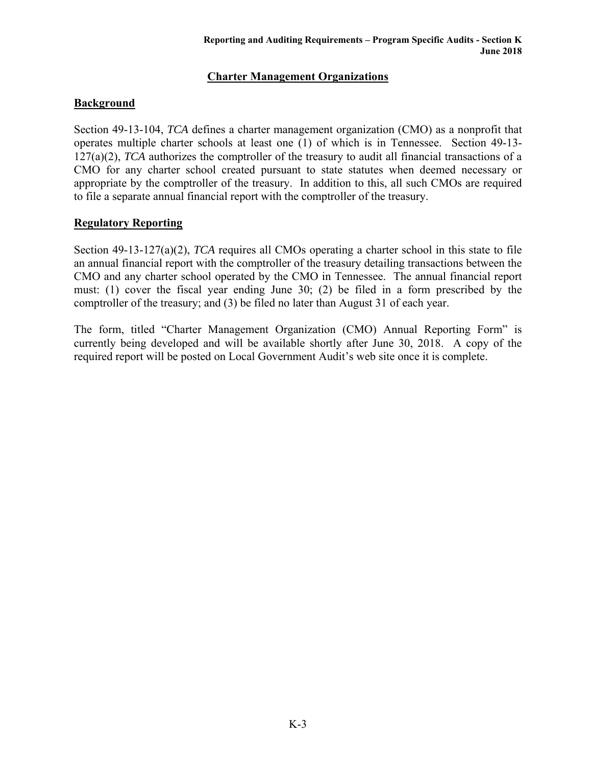# **Charter Management Organizations**

# **Background**

Section 49-13-104, *TCA* defines a charter management organization (CMO) as a nonprofit that operates multiple charter schools at least one (1) of which is in Tennessee. Section 49-13- 127(a)(2), *TCA* authorizes the comptroller of the treasury to audit all financial transactions of a CMO for any charter school created pursuant to state statutes when deemed necessary or appropriate by the comptroller of the treasury. In addition to this, all such CMOs are required to file a separate annual financial report with the comptroller of the treasury.

# **Regulatory Reporting**

Section 49-13-127(a)(2), *TCA* requires all CMOs operating a charter school in this state to file an annual financial report with the comptroller of the treasury detailing transactions between the CMO and any charter school operated by the CMO in Tennessee. The annual financial report must: (1) cover the fiscal year ending June 30; (2) be filed in a form prescribed by the comptroller of the treasury; and (3) be filed no later than August 31 of each year.

The form, titled "Charter Management Organization (CMO) Annual Reporting Form" is currently being developed and will be available shortly after June 30, 2018. A copy of the required report will be posted on Local Government Audit's web site once it is complete.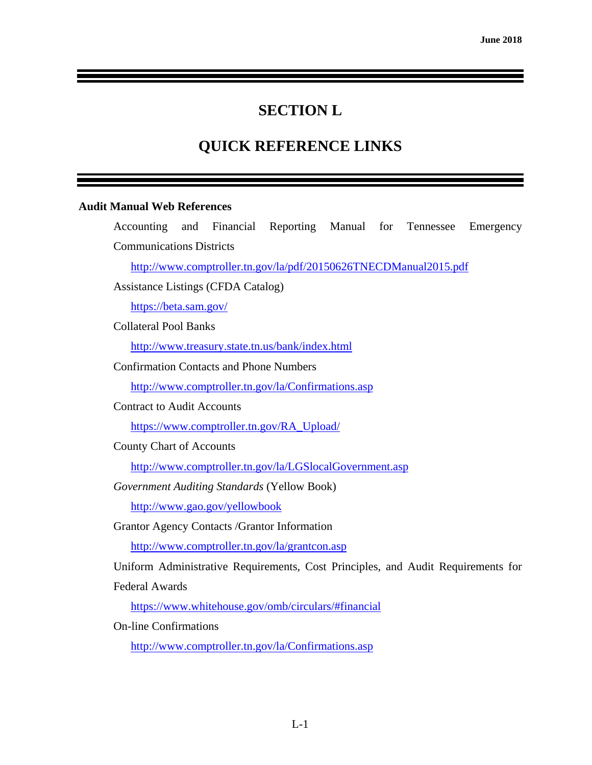# **SECTION L**

# **QUICK REFERENCE LINKS**

# **Audit Manual Web References**

| Accounting                                                                       | and | Financial | Reporting                                               | Manual | for | Tennessee                                                        | Emergency |
|----------------------------------------------------------------------------------|-----|-----------|---------------------------------------------------------|--------|-----|------------------------------------------------------------------|-----------|
| <b>Communications Districts</b>                                                  |     |           |                                                         |        |     |                                                                  |           |
|                                                                                  |     |           |                                                         |        |     | http://www.comptroller.tn.gov/la/pdf/20150626TNECDManual2015.pdf |           |
| <b>Assistance Listings (CFDA Catalog)</b>                                        |     |           |                                                         |        |     |                                                                  |           |
| https://beta.sam.gov/                                                            |     |           |                                                         |        |     |                                                                  |           |
| <b>Collateral Pool Banks</b>                                                     |     |           |                                                         |        |     |                                                                  |           |
|                                                                                  |     |           | http://www.treasury.state.tn.us/bank/index.html         |        |     |                                                                  |           |
| <b>Confirmation Contacts and Phone Numbers</b>                                   |     |           |                                                         |        |     |                                                                  |           |
|                                                                                  |     |           | http://www.comptroller.tn.gov/la/Confirmations.asp      |        |     |                                                                  |           |
| <b>Contract to Audit Accounts</b>                                                |     |           |                                                         |        |     |                                                                  |           |
| https://www.comptroller.tn.gov/RA_Upload/                                        |     |           |                                                         |        |     |                                                                  |           |
| <b>County Chart of Accounts</b>                                                  |     |           |                                                         |        |     |                                                                  |           |
|                                                                                  |     |           | http://www.comptroller.tn.gov/la/LGSlocalGovernment.asp |        |     |                                                                  |           |
| <b>Government Auditing Standards (Yellow Book)</b>                               |     |           |                                                         |        |     |                                                                  |           |
| http://www.gao.gov/yellowbook                                                    |     |           |                                                         |        |     |                                                                  |           |
| Grantor Agency Contacts / Grantor Information                                    |     |           |                                                         |        |     |                                                                  |           |
|                                                                                  |     |           | http://www.comptroller.tn.gov/la/grantcon.asp           |        |     |                                                                  |           |
| Uniform Administrative Requirements, Cost Principles, and Audit Requirements for |     |           |                                                         |        |     |                                                                  |           |
| <b>Federal Awards</b>                                                            |     |           |                                                         |        |     |                                                                  |           |
|                                                                                  |     |           | https://www.whitehouse.gov/omb/circulars/#financial     |        |     |                                                                  |           |
| <b>On-line Confirmations</b>                                                     |     |           |                                                         |        |     |                                                                  |           |
| http://www.comptroller.tn.gov/la/Confirmations.asp                               |     |           |                                                         |        |     |                                                                  |           |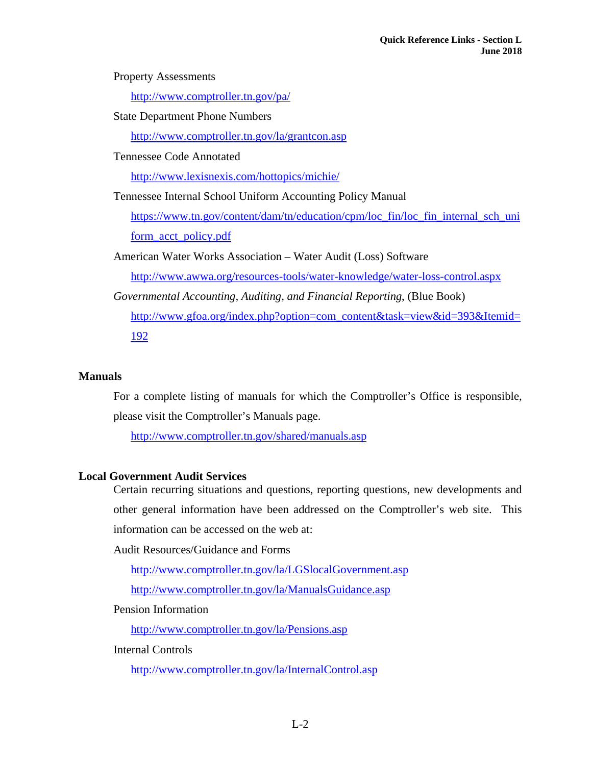Property Assessments

http://www.comptroller.tn.gov/pa/

#### State Department Phone Numbers

http://www.comptroller.tn.gov/la/grantcon.asp

Tennessee Code Annotated

http://www.lexisnexis.com/hottopics/michie/

Tennessee Internal School Uniform Accounting Policy Manual

https://www.tn.gov/content/dam/tn/education/cpm/loc\_fin/loc\_fin\_internal\_sch\_uni form\_acct\_policy.pdf

American Water Works Association – Water Audit (Loss) Software

http://www.awwa.org/resources-tools/water-knowledge/water-loss-control.aspx

*Governmental Accounting, Auditing, and Financial Reporting*, (Blue Book) http://www.gfoa.org/index.php?option=com\_content&task=view&id=393&Itemid=

192

#### **Manuals**

For a complete listing of manuals for which the Comptroller's Office is responsible, please visit the Comptroller's Manuals page.

http://www.comptroller.tn.gov/shared/manuals.asp

#### **Local Government Audit Services**

 Certain recurring situations and questions, reporting questions, new developments and other general information have been addressed on the Comptroller's web site. This information can be accessed on the web at:

Audit Resources/Guidance and Forms

http://www.comptroller.tn.gov/la/LGSlocalGovernment.asp

http://www.comptroller.tn.gov/la/ManualsGuidance.asp

#### Pension Information

http://www.comptroller.tn.gov/la/Pensions.asp

Internal Controls

http://www.comptroller.tn.gov/la/InternalControl.asp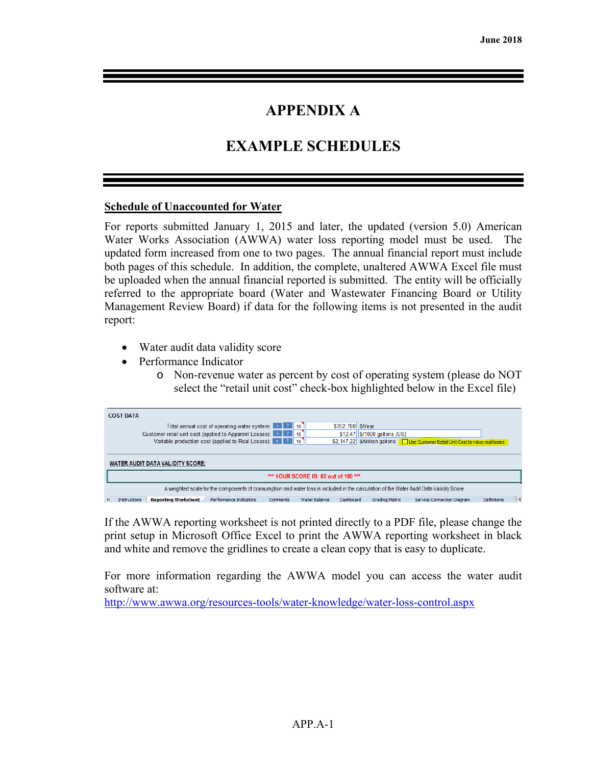# **APPENDIX A**

# **EXAMPLE SCHEDULES**

#### **Schedule of Unaccounted for Water**

For reports submitted January 1, 2015 and later, the updated (version 5.0) American Water Works Association (AWWA) water loss reporting model must be used. The updated form increased from one to two pages. The annual financial report must include both pages of this schedule. In addition, the complete, unaltered AWWA Excel file must be uploaded when the annual financial reported is submitted. The entity will be officially referred to the appropriate board (Water and Wastewater Financing Board or Utility Management Review Board) if data for the following items is not presented in the audit report:

- Water audit data validity score
- Performance Indicator
	- o Non-revenue water as percent by cost of operating system (please do NOT select the "retail unit cost" check-box highlighted below in the Excel file)

| <b>COST DATA</b>                                                                                                                        |                                   |                                                                                    |  |  |  |  |  |
|-----------------------------------------------------------------------------------------------------------------------------------------|-----------------------------------|------------------------------------------------------------------------------------|--|--|--|--|--|
| Total annual cost of operating water system: 1 2 40                                                                                     | \$352,780 \$/Year                 |                                                                                    |  |  |  |  |  |
| Customer retail unit cost (applied to Apparent Losses): $\overline{+}$ 2<br>10 <sup>10</sup>                                            |                                   | \$12.47 \$/1000 gallons (US)                                                       |  |  |  |  |  |
|                                                                                                                                         |                                   | \$2,147.22 \$/Million gallons   Use Customer Retail Unit Cost to value real losses |  |  |  |  |  |
| <b>WATER AUDIT DATA VALIDITY SCORE:</b>                                                                                                 |                                   |                                                                                    |  |  |  |  |  |
| *** YOUR SCORE IS: 82 out of 100 ***                                                                                                    |                                   |                                                                                    |  |  |  |  |  |
| A weighted scale for the components of consumption and water loss is included in the calculation of the Water Audit Data Validity Score |                                   |                                                                                    |  |  |  |  |  |
| <b>Reporting Worksheet</b><br>Performance Indicators<br>$\blacktriangleright$<br>Instructions<br>Comments                               | Dashboard<br><b>Water Balance</b> | <b>Grading Matrix</b><br>Service Connection Diagram<br>Definitions                 |  |  |  |  |  |

If the AWWA reporting worksheet is not printed directly to a PDF file, please change the print setup in Microsoft Office Excel to print the AWWA reporting worksheet in black and white and remove the gridlines to create a clean copy that is easy to duplicate.

For more information regarding the AWWA model you can access the water audit software at:

http://www.awwa.org/resources-tools/water-knowledge/water-loss-control.aspx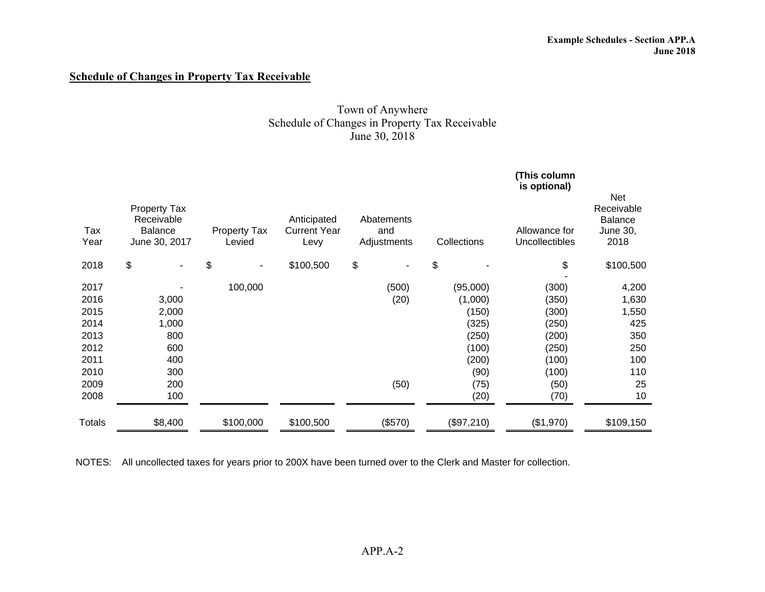# **Schedule of Changes in Property Tax Receivable**

# Town of Anywhere Schedule of Changes in Property Tax Receivable June 30, 2018

|               |                                                                      |                               |                                            |                                  |             | (This column<br>is optional)    |                                                                       |
|---------------|----------------------------------------------------------------------|-------------------------------|--------------------------------------------|----------------------------------|-------------|---------------------------------|-----------------------------------------------------------------------|
| Tax<br>Year   | <b>Property Tax</b><br>Receivable<br><b>Balance</b><br>June 30, 2017 | <b>Property Tax</b><br>Levied | Anticipated<br><b>Current Year</b><br>Levy | Abatements<br>and<br>Adjustments | Collections | Allowance for<br>Uncollectibles | <b>Net</b><br>Receivable<br><b>Balance</b><br><b>June 30,</b><br>2018 |
| 2018          | \$<br>۰                                                              | \$                            | \$100,500                                  | \$<br>۰                          | \$          | \$                              | \$100,500                                                             |
| 2017          |                                                                      | 100,000                       |                                            | (500)                            | (95,000)    | (300)                           | 4,200                                                                 |
| 2016          | 3,000                                                                |                               |                                            | (20)                             | (1,000)     | (350)                           | 1,630                                                                 |
| 2015          | 2,000                                                                |                               |                                            |                                  | (150)       | (300)                           | 1,550                                                                 |
| 2014          | 1,000                                                                |                               |                                            |                                  | (325)       | (250)                           | 425                                                                   |
| 2013          | 800                                                                  |                               |                                            |                                  | (250)       | (200)                           | 350                                                                   |
| 2012          | 600                                                                  |                               |                                            |                                  | (100)       | (250)                           | 250                                                                   |
| 2011          | 400                                                                  |                               |                                            |                                  | (200)       | (100)                           | 100                                                                   |
| 2010          | 300                                                                  |                               |                                            |                                  | (90)        | (100)                           | 110                                                                   |
| 2009          | 200                                                                  |                               |                                            | (50)                             | (75)        | (50)                            | 25                                                                    |
| 2008          | 100                                                                  |                               |                                            |                                  | (20)        | (70)                            | 10                                                                    |
| <b>Totals</b> | \$8,400                                                              | \$100,000                     | \$100,500                                  | (\$570)                          | (\$97,210)  | (\$1,970)                       | \$109,150                                                             |

NOTES: All uncollected taxes for years prior to 200X have been turned over to the Clerk and Master for collection.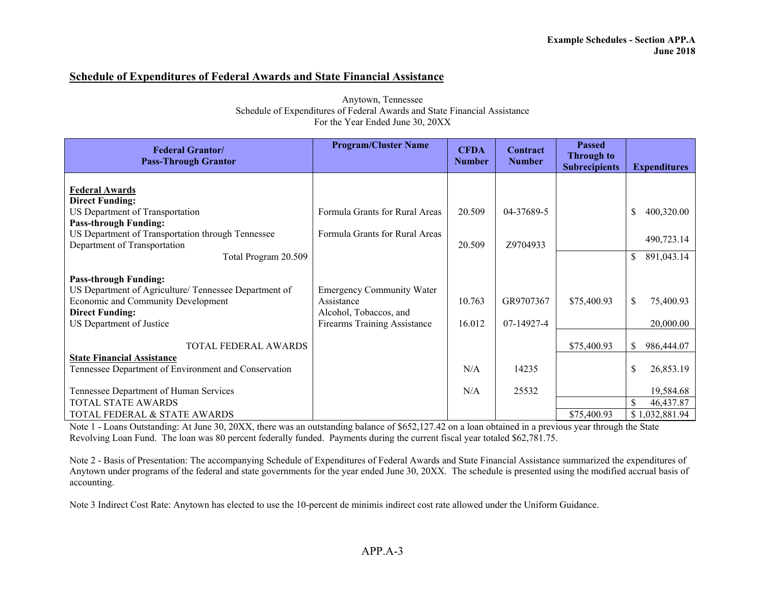#### **Schedule of Expenditures of Federal Awards and State Financial Assistance**

| For the Year Ended June 30, 20XX                                                  |                                     |                              |                                  |                                                            |                     |  |
|-----------------------------------------------------------------------------------|-------------------------------------|------------------------------|----------------------------------|------------------------------------------------------------|---------------------|--|
| <b>Federal Grantor/</b><br><b>Pass-Through Grantor</b>                            | <b>Program/Cluster Name</b>         | <b>CFDA</b><br><b>Number</b> | <b>Contract</b><br><b>Number</b> | <b>Passed</b><br><b>Through to</b><br><b>Subrecipients</b> | <b>Expenditures</b> |  |
| <b>Federal Awards</b>                                                             |                                     |                              |                                  |                                                            |                     |  |
| <b>Direct Funding:</b>                                                            |                                     |                              |                                  |                                                            |                     |  |
| US Department of Transportation                                                   | Formula Grants for Rural Areas      | 20.509                       | 04-37689-5                       |                                                            | \$<br>400,320.00    |  |
| <b>Pass-through Funding:</b>                                                      |                                     |                              |                                  |                                                            |                     |  |
| US Department of Transportation through Tennessee<br>Department of Transportation | Formula Grants for Rural Areas      | 20.509                       | Z9704933                         |                                                            | 490,723.14          |  |
| Total Program 20.509                                                              |                                     |                              |                                  |                                                            | 891,043.14<br>S.    |  |
| <b>Pass-through Funding:</b>                                                      |                                     |                              |                                  |                                                            |                     |  |
| US Department of Agriculture/ Tennessee Department of                             | <b>Emergency Community Water</b>    |                              |                                  |                                                            |                     |  |
| Economic and Community Development                                                | Assistance                          | 10.763                       | GR9707367                        | \$75,400.93                                                | \$<br>75,400.93     |  |
| <b>Direct Funding:</b>                                                            | Alcohol, Tobaccos, and              |                              |                                  |                                                            |                     |  |
| US Department of Justice                                                          | <b>Firearms Training Assistance</b> | 16.012                       | 07-14927-4                       |                                                            | 20,000.00           |  |
| TOTAL FEDERAL AWARDS                                                              |                                     |                              |                                  | \$75,400.93                                                | S.<br>986,444.07    |  |
| <b>State Financial Assistance</b>                                                 |                                     |                              |                                  |                                                            |                     |  |
| Tennessee Department of Environment and Conservation                              |                                     | N/A                          | 14235                            |                                                            | \$<br>26,853.19     |  |
| Tennessee Department of Human Services                                            |                                     | N/A                          | 25532                            |                                                            | 19,584.68           |  |
| TOTAL STATE AWARDS                                                                |                                     |                              |                                  |                                                            | \$<br>46,437.87     |  |
| TOTAL FEDERAL & STATE AWARDS                                                      |                                     |                              |                                  | \$75,400.93                                                | \$1,032,881.94      |  |

Anytown, Tennessee Schedule of Expenditures of Federal Awards and State Financial Assistance For the Year Ended June 30, 20XX

Note 1 - Loans Outstanding: At June 30, 20XX, there was an outstanding balance of \$652,127.42 on a loan obtained in a previous year through the State Revolving Loan Fund. The loan was 80 percent federally funded. Payments during the current fiscal year totaled \$62,781.75.

Note 2 - Basis of Presentation: The accompanying Schedule of Expenditures of Federal Awards and State Financial Assistance summarized the expenditures of Anytown under programs of the federal and state governments for the year ended June 30, 20XX. The schedule is presented using the modified accrual basis of accounting.

Note 3 Indirect Cost Rate: Anytown has elected to use the 10-percent de minimis indirect cost rate allowed under the Uniform Guidance.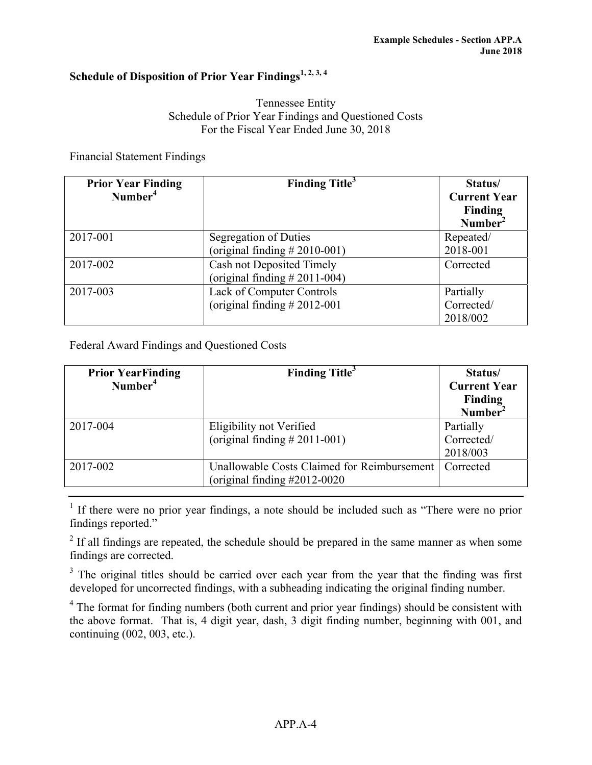# **Schedule of Disposition of Prior Year Findings1, 2, 3, 4**

# Tennessee Entity Schedule of Prior Year Findings and Questioned Costs For the Fiscal Year Ended June 30, 2018

#### Financial Statement Findings

| <b>Prior Year Finding</b><br>Number <sup>4</sup> | Finding Title <sup>3</sup>                                     | Status/<br><b>Current Year</b><br><b>Finding</b><br>Number <sup>2</sup> |
|--------------------------------------------------|----------------------------------------------------------------|-------------------------------------------------------------------------|
| 2017-001                                         | Segregation of Duties<br>(original finding $#2010-001$ )       | Repeated/<br>2018-001                                                   |
| 2017-002                                         | Cash not Deposited Timely<br>(original finding $#2011-004$ )   | Corrected                                                               |
| 2017-003                                         | Lack of Computer Controls<br>(original finding $\# 2012 - 001$ | Partially<br>Corrected/<br>2018/002                                     |

Federal Award Findings and Questioned Costs

| <b>Prior YearFinding</b><br>Number <sup>4</sup> | Finding Title <sup>3</sup>                                                     | Status/<br><b>Current Year</b><br><b>Finding</b><br>Number <sup>2</sup> |
|-------------------------------------------------|--------------------------------------------------------------------------------|-------------------------------------------------------------------------|
| 2017-004                                        | Eligibility not Verified<br>(original finding $\# 2011 -001$ )                 | Partially<br>Corrected/<br>2018/003                                     |
| 2017-002                                        | Unallowable Costs Claimed for Reimbursement<br>(original finding $\#2012-0020$ | Corrected                                                               |

<sup>1</sup> If there were no prior year findings, a note should be included such as "There were no prior findings reported."

 $2$  If all findings are repeated, the schedule should be prepared in the same manner as when some findings are corrected.

 $3$  The original titles should be carried over each year from the year that the finding was first developed for uncorrected findings, with a subheading indicating the original finding number.

<sup>4</sup> The format for finding numbers (both current and prior year findings) should be consistent with the above format. That is, 4 digit year, dash, 3 digit finding number, beginning with 001, and continuing (002, 003, etc.).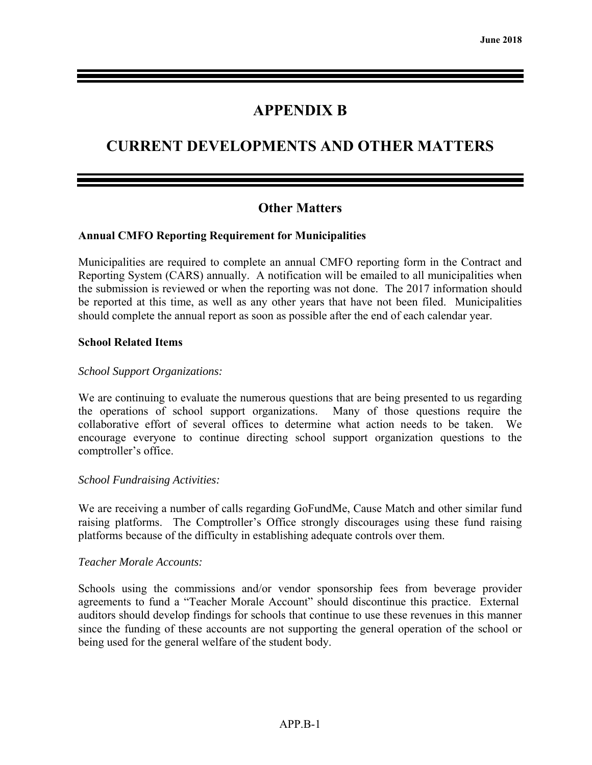# **APPENDIX B**

# **CURRENT DEVELOPMENTS AND OTHER MATTERS**

# **Other Matters**

#### **Annual CMFO Reporting Requirement for Municipalities**

Municipalities are required to complete an annual CMFO reporting form in the Contract and Reporting System (CARS) annually. A notification will be emailed to all municipalities when the submission is reviewed or when the reporting was not done. The 2017 information should be reported at this time, as well as any other years that have not been filed. Municipalities should complete the annual report as soon as possible after the end of each calendar year.

#### **School Related Items**

#### *School Support Organizations:*

We are continuing to evaluate the numerous questions that are being presented to us regarding the operations of school support organizations. Many of those questions require the collaborative effort of several offices to determine what action needs to be taken. We encourage everyone to continue directing school support organization questions to the comptroller's office.

#### *School Fundraising Activities:*

We are receiving a number of calls regarding GoFundMe, Cause Match and other similar fund raising platforms. The Comptroller's Office strongly discourages using these fund raising platforms because of the difficulty in establishing adequate controls over them.

#### *Teacher Morale Accounts:*

Schools using the commissions and/or vendor sponsorship fees from beverage provider agreements to fund a "Teacher Morale Account" should discontinue this practice. External auditors should develop findings for schools that continue to use these revenues in this manner since the funding of these accounts are not supporting the general operation of the school or being used for the general welfare of the student body.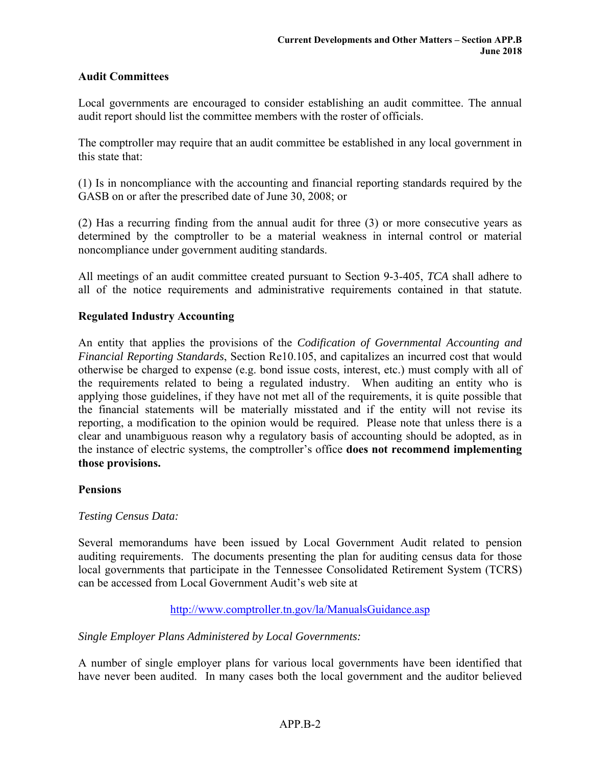# **Audit Committees**

Local governments are encouraged to consider establishing an audit committee. The annual audit report should list the committee members with the roster of officials.

The comptroller may require that an audit committee be established in any local government in this state that:

(1) Is in noncompliance with the accounting and financial reporting standards required by the GASB on or after the prescribed date of June 30, 2008; or

(2) Has a recurring finding from the annual audit for three (3) or more consecutive years as determined by the comptroller to be a material weakness in internal control or material noncompliance under government auditing standards.

All meetings of an audit committee created pursuant to Section 9-3-405, *TCA* shall adhere to all of the notice requirements and administrative requirements contained in that statute.

#### **Regulated Industry Accounting**

An entity that applies the provisions of the *Codification of Governmental Accounting and Financial Reporting Standards*, Section Re10.105, and capitalizes an incurred cost that would otherwise be charged to expense (e.g. bond issue costs, interest, etc.) must comply with all of the requirements related to being a regulated industry. When auditing an entity who is applying those guidelines, if they have not met all of the requirements, it is quite possible that the financial statements will be materially misstated and if the entity will not revise its reporting, a modification to the opinion would be required. Please note that unless there is a clear and unambiguous reason why a regulatory basis of accounting should be adopted, as in the instance of electric systems, the comptroller's office **does not recommend implementing those provisions.**

### **Pensions**

#### *Testing Census Data:*

Several memorandums have been issued by Local Government Audit related to pension auditing requirements. The documents presenting the plan for auditing census data for those local governments that participate in the Tennessee Consolidated Retirement System (TCRS) can be accessed from Local Government Audit's web site at

http://www.comptroller.tn.gov/la/ManualsGuidance.asp

*Single Employer Plans Administered by Local Governments:* 

A number of single employer plans for various local governments have been identified that have never been audited. In many cases both the local government and the auditor believed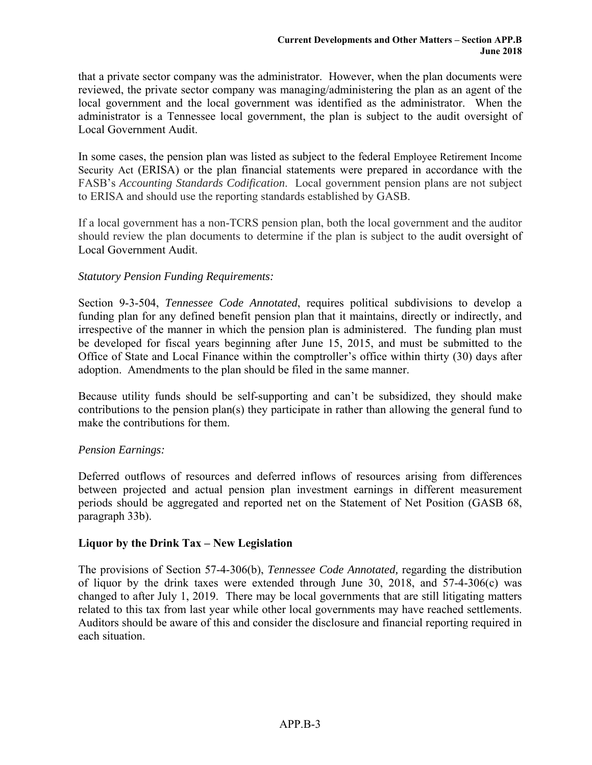that a private sector company was the administrator. However, when the plan documents were reviewed, the private sector company was managing/administering the plan as an agent of the local government and the local government was identified as the administrator. When the administrator is a Tennessee local government, the plan is subject to the audit oversight of Local Government Audit.

In some cases, the pension plan was listed as subject to the federal Employee Retirement Income Security Act (ERISA) or the plan financial statements were prepared in accordance with the FASB's *Accounting Standards Codification*. Local government pension plans are not subject to ERISA and should use the reporting standards established by GASB.

If a local government has a non-TCRS pension plan, both the local government and the auditor should review the plan documents to determine if the plan is subject to the audit oversight of Local Government Audit.

# *Statutory Pension Funding Requirements:*

Section 9-3-504, *Tennessee Code Annotated*, requires political subdivisions to develop a funding plan for any defined benefit pension plan that it maintains, directly or indirectly, and irrespective of the manner in which the pension plan is administered. The funding plan must be developed for fiscal years beginning after June 15, 2015, and must be submitted to the Office of State and Local Finance within the comptroller's office within thirty (30) days after adoption. Amendments to the plan should be filed in the same manner.

Because utility funds should be self-supporting and can't be subsidized, they should make contributions to the pension plan(s) they participate in rather than allowing the general fund to make the contributions for them.

#### *Pension Earnings:*

Deferred outflows of resources and deferred inflows of resources arising from differences between projected and actual pension plan investment earnings in different measurement periods should be aggregated and reported net on the Statement of Net Position (GASB 68, paragraph 33b).

#### **Liquor by the Drink Tax – New Legislation**

The provisions of Section 57-4-306(b), *Tennessee Code Annotated,* regarding the distribution of liquor by the drink taxes were extended through June 30, 2018, and 57-4-306(c) was changed to after July 1, 2019. There may be local governments that are still litigating matters related to this tax from last year while other local governments may have reached settlements. Auditors should be aware of this and consider the disclosure and financial reporting required in each situation.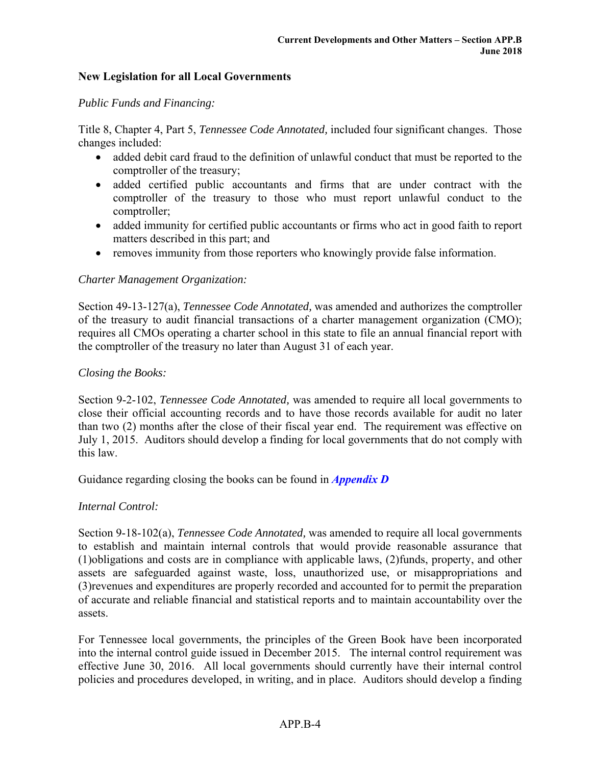# **New Legislation for all Local Governments**

### *Public Funds and Financing:*

Title 8, Chapter 4, Part 5, *Tennessee Code Annotated,* included four significant changes. Those changes included:

- added debit card fraud to the definition of unlawful conduct that must be reported to the comptroller of the treasury;
- added certified public accountants and firms that are under contract with the comptroller of the treasury to those who must report unlawful conduct to the comptroller;
- added immunity for certified public accountants or firms who act in good faith to report matters described in this part; and
- removes immunity from those reporters who knowingly provide false information.

# *Charter Management Organization:*

Section 49-13-127(a), *Tennessee Code Annotated,* was amended and authorizes the comptroller of the treasury to audit financial transactions of a charter management organization (CMO); requires all CMOs operating a charter school in this state to file an annual financial report with the comptroller of the treasury no later than August 31 of each year.

#### *Closing the Books:*

Section 9-2-102, *Tennessee Code Annotated,* was amended to require all local governments to close their official accounting records and to have those records available for audit no later than two (2) months after the close of their fiscal year end. The requirement was effective on July 1, 2015. Auditors should develop a finding for local governments that do not comply with this law.

Guidance regarding closing the books can be found in *[Appendix D](#page-155-0)*

#### *Internal Control:*

Section 9-18-102(a), *Tennessee Code Annotated,* was amended to require all local governments to establish and maintain internal controls that would provide reasonable assurance that (1)obligations and costs are in compliance with applicable laws, (2)funds, property, and other assets are safeguarded against waste, loss, unauthorized use, or misappropriations and (3)revenues and expenditures are properly recorded and accounted for to permit the preparation of accurate and reliable financial and statistical reports and to maintain accountability over the assets.

For Tennessee local governments, the principles of the Green Book have been incorporated into the internal control guide issued in December 2015. The internal control requirement was effective June 30, 2016. All local governments should currently have their internal control policies and procedures developed, in writing, and in place. Auditors should develop a finding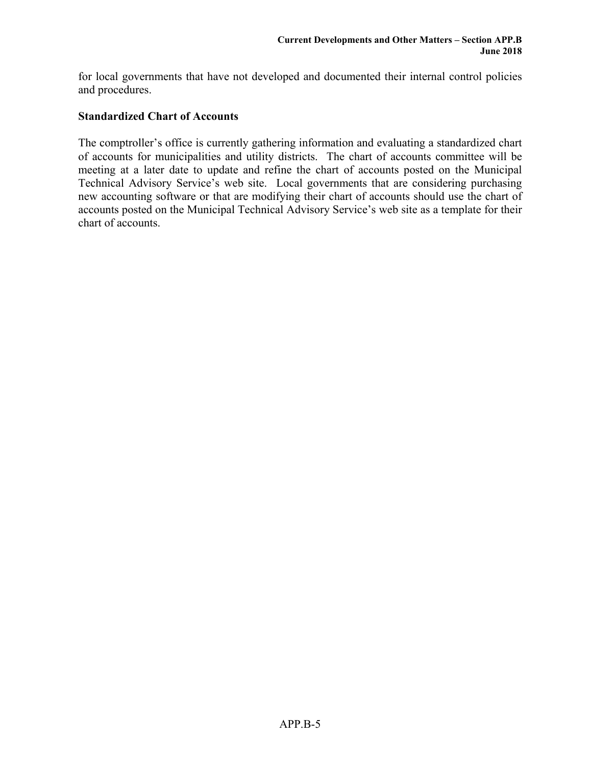for local governments that have not developed and documented their internal control policies and procedures.

#### **Standardized Chart of Accounts**

The comptroller's office is currently gathering information and evaluating a standardized chart of accounts for municipalities and utility districts. The chart of accounts committee will be meeting at a later date to update and refine the chart of accounts posted on the Municipal Technical Advisory Service's web site. Local governments that are considering purchasing new accounting software or that are modifying their chart of accounts should use the chart of accounts posted on the Municipal Technical Advisory Service's web site as a template for their chart of accounts.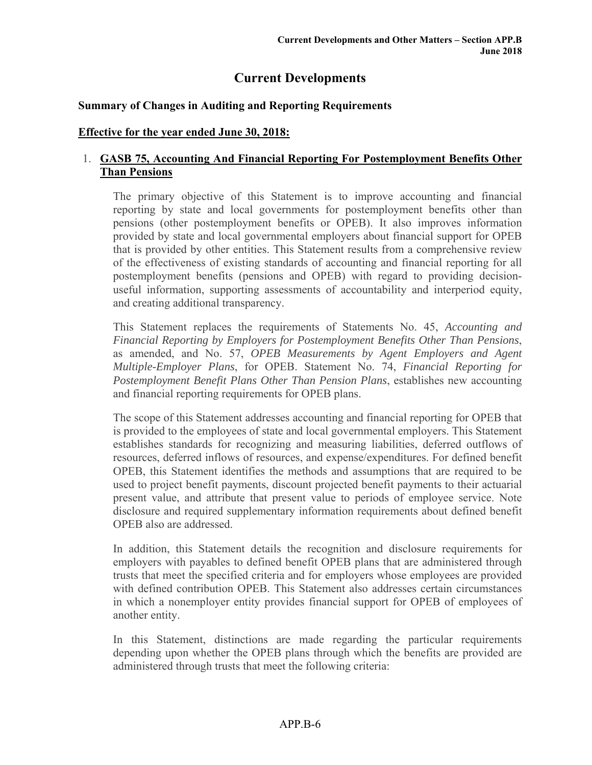# **Current Developments**

# **Summary of Changes in Auditing and Reporting Requirements**

### **Effective for the year ended June 30, 2018:**

# 1. **GASB 75, Accounting And Financial Reporting For Postemployment Benefits Other Than Pensions**

The primary objective of this Statement is to improve accounting and financial reporting by state and local governments for postemployment benefits other than pensions (other postemployment benefits or OPEB). It also improves information provided by state and local governmental employers about financial support for OPEB that is provided by other entities. This Statement results from a comprehensive review of the effectiveness of existing standards of accounting and financial reporting for all postemployment benefits (pensions and OPEB) with regard to providing decisionuseful information, supporting assessments of accountability and interperiod equity, and creating additional transparency.

This Statement replaces the requirements of Statements No. 45, *Accounting and Financial Reporting by Employers for Postemployment Benefits Other Than Pensions*, as amended, and No. 57, *OPEB Measurements by Agent Employers and Agent Multiple-Employer Plans*, for OPEB. Statement No. 74, *Financial Reporting for Postemployment Benefit Plans Other Than Pension Plans*, establishes new accounting and financial reporting requirements for OPEB plans.

The scope of this Statement addresses accounting and financial reporting for OPEB that is provided to the employees of state and local governmental employers. This Statement establishes standards for recognizing and measuring liabilities, deferred outflows of resources, deferred inflows of resources, and expense/expenditures. For defined benefit OPEB, this Statement identifies the methods and assumptions that are required to be used to project benefit payments, discount projected benefit payments to their actuarial present value, and attribute that present value to periods of employee service. Note disclosure and required supplementary information requirements about defined benefit OPEB also are addressed.

In addition, this Statement details the recognition and disclosure requirements for employers with payables to defined benefit OPEB plans that are administered through trusts that meet the specified criteria and for employers whose employees are provided with defined contribution OPEB. This Statement also addresses certain circumstances in which a nonemployer entity provides financial support for OPEB of employees of another entity.

In this Statement, distinctions are made regarding the particular requirements depending upon whether the OPEB plans through which the benefits are provided are administered through trusts that meet the following criteria: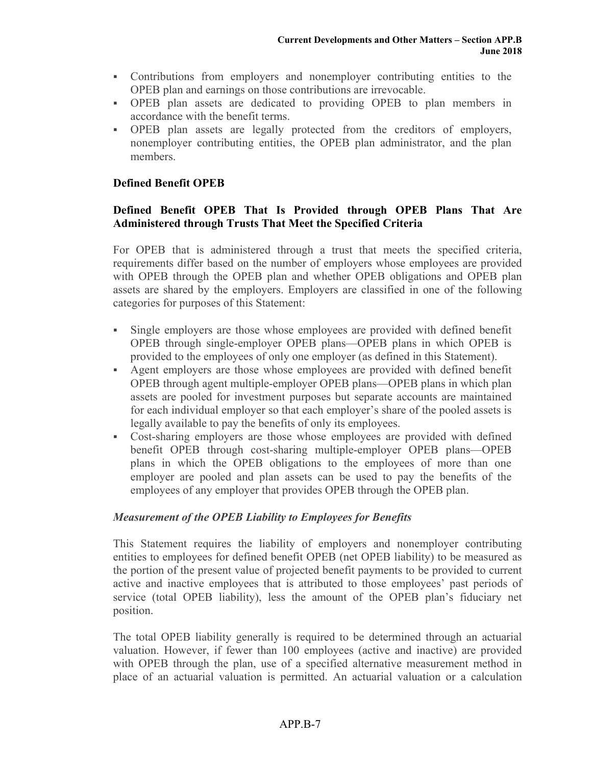- Contributions from employers and nonemployer contributing entities to the OPEB plan and earnings on those contributions are irrevocable.
- OPEB plan assets are dedicated to providing OPEB to plan members in accordance with the benefit terms.
- OPEB plan assets are legally protected from the creditors of employers, nonemployer contributing entities, the OPEB plan administrator, and the plan members.

# **Defined Benefit OPEB**

# **Defined Benefit OPEB That Is Provided through OPEB Plans That Are Administered through Trusts That Meet the Specified Criteria**

For OPEB that is administered through a trust that meets the specified criteria, requirements differ based on the number of employers whose employees are provided with OPEB through the OPEB plan and whether OPEB obligations and OPEB plan assets are shared by the employers. Employers are classified in one of the following categories for purposes of this Statement:

- Single employers are those whose employees are provided with defined benefit OPEB through single-employer OPEB plans—OPEB plans in which OPEB is provided to the employees of only one employer (as defined in this Statement).
- Agent employers are those whose employees are provided with defined benefit OPEB through agent multiple-employer OPEB plans—OPEB plans in which plan assets are pooled for investment purposes but separate accounts are maintained for each individual employer so that each employer's share of the pooled assets is legally available to pay the benefits of only its employees.
- Cost-sharing employers are those whose employees are provided with defined benefit OPEB through cost-sharing multiple-employer OPEB plans—OPEB plans in which the OPEB obligations to the employees of more than one employer are pooled and plan assets can be used to pay the benefits of the employees of any employer that provides OPEB through the OPEB plan.

#### *Measurement of the OPEB Liability to Employees for Benefits*

This Statement requires the liability of employers and nonemployer contributing entities to employees for defined benefit OPEB (net OPEB liability) to be measured as the portion of the present value of projected benefit payments to be provided to current active and inactive employees that is attributed to those employees' past periods of service (total OPEB liability), less the amount of the OPEB plan's fiduciary net position.

The total OPEB liability generally is required to be determined through an actuarial valuation. However, if fewer than 100 employees (active and inactive) are provided with OPEB through the plan, use of a specified alternative measurement method in place of an actuarial valuation is permitted. An actuarial valuation or a calculation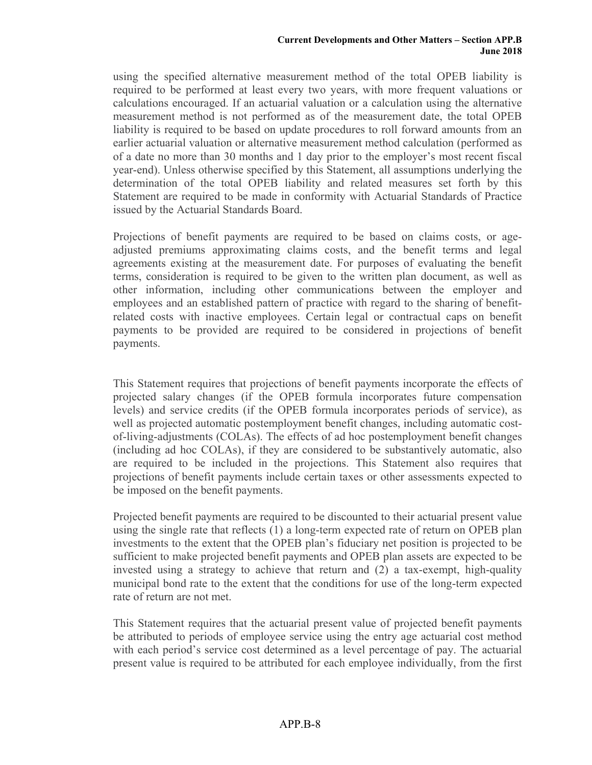using the specified alternative measurement method of the total OPEB liability is required to be performed at least every two years, with more frequent valuations or calculations encouraged. If an actuarial valuation or a calculation using the alternative measurement method is not performed as of the measurement date, the total OPEB liability is required to be based on update procedures to roll forward amounts from an earlier actuarial valuation or alternative measurement method calculation (performed as of a date no more than 30 months and 1 day prior to the employer's most recent fiscal year-end). Unless otherwise specified by this Statement, all assumptions underlying the determination of the total OPEB liability and related measures set forth by this Statement are required to be made in conformity with Actuarial Standards of Practice issued by the Actuarial Standards Board.

Projections of benefit payments are required to be based on claims costs, or ageadjusted premiums approximating claims costs, and the benefit terms and legal agreements existing at the measurement date. For purposes of evaluating the benefit terms, consideration is required to be given to the written plan document, as well as other information, including other communications between the employer and employees and an established pattern of practice with regard to the sharing of benefitrelated costs with inactive employees. Certain legal or contractual caps on benefit payments to be provided are required to be considered in projections of benefit payments.

This Statement requires that projections of benefit payments incorporate the effects of projected salary changes (if the OPEB formula incorporates future compensation levels) and service credits (if the OPEB formula incorporates periods of service), as well as projected automatic postemployment benefit changes, including automatic costof-living-adjustments (COLAs). The effects of ad hoc postemployment benefit changes (including ad hoc COLAs), if they are considered to be substantively automatic, also are required to be included in the projections. This Statement also requires that projections of benefit payments include certain taxes or other assessments expected to be imposed on the benefit payments.

Projected benefit payments are required to be discounted to their actuarial present value using the single rate that reflects (1) a long-term expected rate of return on OPEB plan investments to the extent that the OPEB plan's fiduciary net position is projected to be sufficient to make projected benefit payments and OPEB plan assets are expected to be invested using a strategy to achieve that return and (2) a tax-exempt, high-quality municipal bond rate to the extent that the conditions for use of the long-term expected rate of return are not met.

This Statement requires that the actuarial present value of projected benefit payments be attributed to periods of employee service using the entry age actuarial cost method with each period's service cost determined as a level percentage of pay. The actuarial present value is required to be attributed for each employee individually, from the first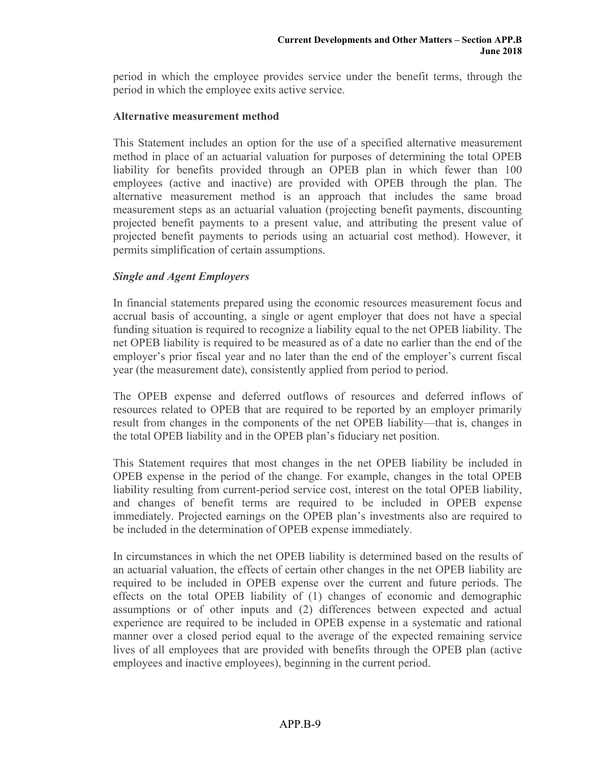period in which the employee provides service under the benefit terms, through the period in which the employee exits active service.

#### **Alternative measurement method**

This Statement includes an option for the use of a specified alternative measurement method in place of an actuarial valuation for purposes of determining the total OPEB liability for benefits provided through an OPEB plan in which fewer than 100 employees (active and inactive) are provided with OPEB through the plan. The alternative measurement method is an approach that includes the same broad measurement steps as an actuarial valuation (projecting benefit payments, discounting projected benefit payments to a present value, and attributing the present value of projected benefit payments to periods using an actuarial cost method). However, it permits simplification of certain assumptions.

# *Single and Agent Employers*

In financial statements prepared using the economic resources measurement focus and accrual basis of accounting, a single or agent employer that does not have a special funding situation is required to recognize a liability equal to the net OPEB liability. The net OPEB liability is required to be measured as of a date no earlier than the end of the employer's prior fiscal year and no later than the end of the employer's current fiscal year (the measurement date), consistently applied from period to period.

The OPEB expense and deferred outflows of resources and deferred inflows of resources related to OPEB that are required to be reported by an employer primarily result from changes in the components of the net OPEB liability—that is, changes in the total OPEB liability and in the OPEB plan's fiduciary net position.

This Statement requires that most changes in the net OPEB liability be included in OPEB expense in the period of the change. For example, changes in the total OPEB liability resulting from current-period service cost, interest on the total OPEB liability, and changes of benefit terms are required to be included in OPEB expense immediately. Projected earnings on the OPEB plan's investments also are required to be included in the determination of OPEB expense immediately.

In circumstances in which the net OPEB liability is determined based on the results of an actuarial valuation, the effects of certain other changes in the net OPEB liability are required to be included in OPEB expense over the current and future periods. The effects on the total OPEB liability of (1) changes of economic and demographic assumptions or of other inputs and (2) differences between expected and actual experience are required to be included in OPEB expense in a systematic and rational manner over a closed period equal to the average of the expected remaining service lives of all employees that are provided with benefits through the OPEB plan (active employees and inactive employees), beginning in the current period.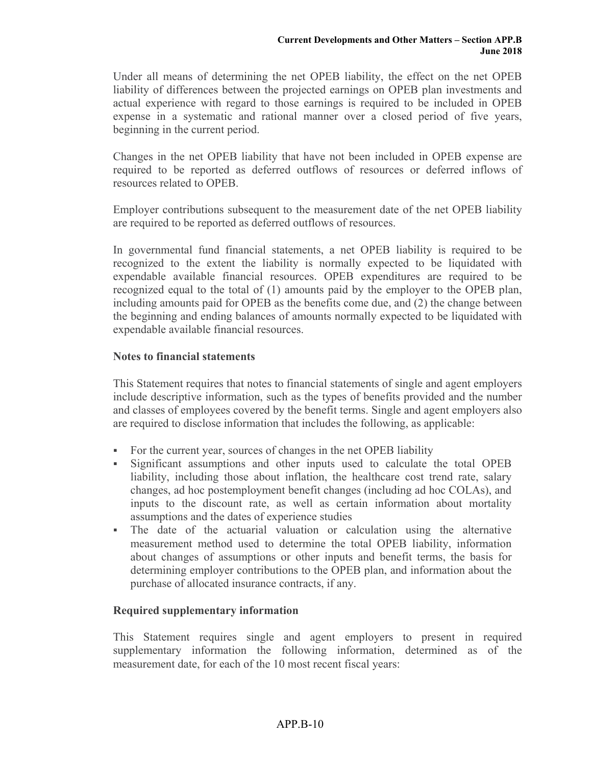Under all means of determining the net OPEB liability, the effect on the net OPEB liability of differences between the projected earnings on OPEB plan investments and actual experience with regard to those earnings is required to be included in OPEB expense in a systematic and rational manner over a closed period of five years, beginning in the current period.

Changes in the net OPEB liability that have not been included in OPEB expense are required to be reported as deferred outflows of resources or deferred inflows of resources related to OPEB.

Employer contributions subsequent to the measurement date of the net OPEB liability are required to be reported as deferred outflows of resources.

In governmental fund financial statements, a net OPEB liability is required to be recognized to the extent the liability is normally expected to be liquidated with expendable available financial resources. OPEB expenditures are required to be recognized equal to the total of (1) amounts paid by the employer to the OPEB plan, including amounts paid for OPEB as the benefits come due, and (2) the change between the beginning and ending balances of amounts normally expected to be liquidated with expendable available financial resources.

# **Notes to financial statements**

This Statement requires that notes to financial statements of single and agent employers include descriptive information, such as the types of benefits provided and the number and classes of employees covered by the benefit terms. Single and agent employers also are required to disclose information that includes the following, as applicable:

- For the current year, sources of changes in the net OPEB liability
- Significant assumptions and other inputs used to calculate the total OPEB liability, including those about inflation, the healthcare cost trend rate, salary changes, ad hoc postemployment benefit changes (including ad hoc COLAs), and inputs to the discount rate, as well as certain information about mortality assumptions and the dates of experience studies
- The date of the actuarial valuation or calculation using the alternative measurement method used to determine the total OPEB liability, information about changes of assumptions or other inputs and benefit terms, the basis for determining employer contributions to the OPEB plan, and information about the purchase of allocated insurance contracts, if any.

#### **Required supplementary information**

This Statement requires single and agent employers to present in required supplementary information the following information, determined as of the measurement date, for each of the 10 most recent fiscal years: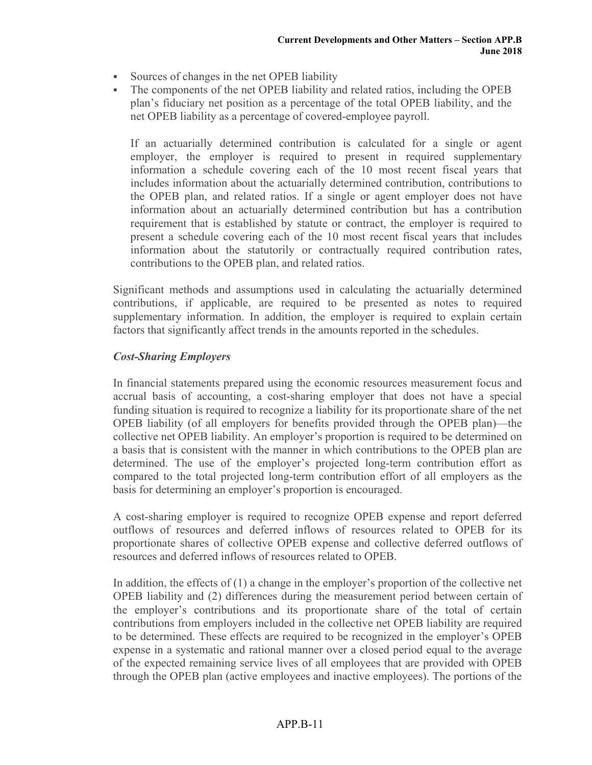- Sources of changes in the net OPEB liability
- The components of the net OPEB liability and related ratios, including the OPEB plan's fiduciary net position as a percentage of the total OPEB liability, and the net OPEB liability as a percentage of covered-employee payroll.

If an actuarially determined contribution is calculated for a single or agent employer, the employer is required to present in required supplementary information a schedule covering each of the 10 most recent fiscal years that includes information about the actuarially determined contribution, contributions to the OPEB plan, and related ratios. If a single or agent employer does not have information about an actuarially determined contribution but has a contribution requirement that is established by statute or contract, the employer is required to present a schedule covering each of the 10 most recent fiscal years that includes information about the statutorily or contractually required contribution rates, contributions to the OPEB plan, and related ratios.

Significant methods and assumptions used in calculating the actuarially determined contributions, if applicable, are required to be presented as notes to required supplementary information. In addition, the employer is required to explain certain factors that significantly affect trends in the amounts reported in the schedules.

# *Cost-Sharing Employers*

In financial statements prepared using the economic resources measurement focus and accrual basis of accounting, a cost-sharing employer that does not have a special funding situation is required to recognize a liability for its proportionate share of the net OPEB liability (of all employers for benefits provided through the OPEB plan)—the collective net OPEB liability. An employer's proportion is required to be determined on a basis that is consistent with the manner in which contributions to the OPEB plan are determined. The use of the employer's projected long-term contribution effort as compared to the total projected long-term contribution effort of all employers as the basis for determining an employer's proportion is encouraged.

A cost-sharing employer is required to recognize OPEB expense and report deferred outflows of resources and deferred inflows of resources related to OPEB for its proportionate shares of collective OPEB expense and collective deferred outflows of resources and deferred inflows of resources related to OPEB.

In addition, the effects of (1) a change in the employer's proportion of the collective net OPEB liability and (2) differences during the measurement period between certain of the employer's contributions and its proportionate share of the total of certain contributions from employers included in the collective net OPEB liability are required to be determined. These effects are required to be recognized in the employer's OPEB expense in a systematic and rational manner over a closed period equal to the average of the expected remaining service lives of all employees that are provided with OPEB through the OPEB plan (active employees and inactive employees). The portions of the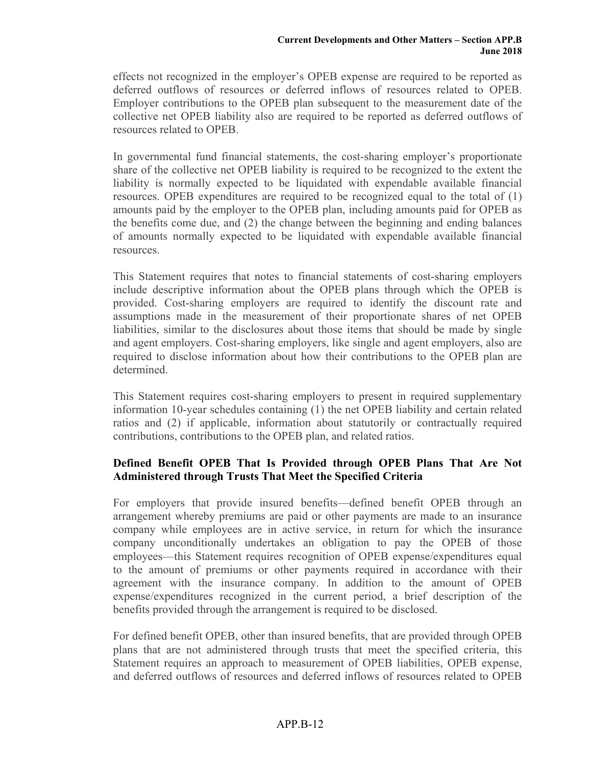effects not recognized in the employer's OPEB expense are required to be reported as deferred outflows of resources or deferred inflows of resources related to OPEB. Employer contributions to the OPEB plan subsequent to the measurement date of the collective net OPEB liability also are required to be reported as deferred outflows of resources related to OPEB.

In governmental fund financial statements, the cost-sharing employer's proportionate share of the collective net OPEB liability is required to be recognized to the extent the liability is normally expected to be liquidated with expendable available financial resources. OPEB expenditures are required to be recognized equal to the total of (1) amounts paid by the employer to the OPEB plan, including amounts paid for OPEB as the benefits come due, and (2) the change between the beginning and ending balances of amounts normally expected to be liquidated with expendable available financial resources.

This Statement requires that notes to financial statements of cost-sharing employers include descriptive information about the OPEB plans through which the OPEB is provided. Cost-sharing employers are required to identify the discount rate and assumptions made in the measurement of their proportionate shares of net OPEB liabilities, similar to the disclosures about those items that should be made by single and agent employers. Cost-sharing employers, like single and agent employers, also are required to disclose information about how their contributions to the OPEB plan are determined.

This Statement requires cost-sharing employers to present in required supplementary information 10-year schedules containing (1) the net OPEB liability and certain related ratios and (2) if applicable, information about statutorily or contractually required contributions, contributions to the OPEB plan, and related ratios.

# **Defined Benefit OPEB That Is Provided through OPEB Plans That Are Not Administered through Trusts That Meet the Specified Criteria**

For employers that provide insured benefits—defined benefit OPEB through an arrangement whereby premiums are paid or other payments are made to an insurance company while employees are in active service, in return for which the insurance company unconditionally undertakes an obligation to pay the OPEB of those employees—this Statement requires recognition of OPEB expense/expenditures equal to the amount of premiums or other payments required in accordance with their agreement with the insurance company. In addition to the amount of OPEB expense/expenditures recognized in the current period, a brief description of the benefits provided through the arrangement is required to be disclosed.

For defined benefit OPEB, other than insured benefits, that are provided through OPEB plans that are not administered through trusts that meet the specified criteria, this Statement requires an approach to measurement of OPEB liabilities, OPEB expense, and deferred outflows of resources and deferred inflows of resources related to OPEB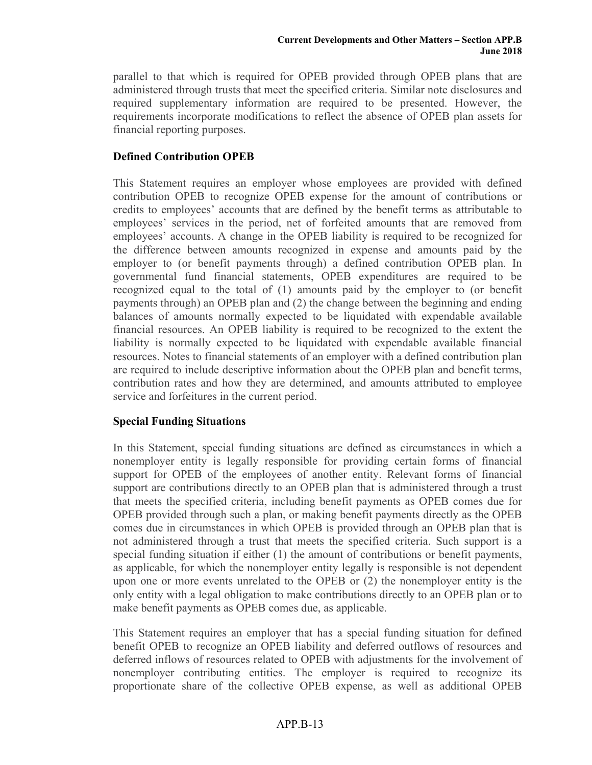parallel to that which is required for OPEB provided through OPEB plans that are administered through trusts that meet the specified criteria. Similar note disclosures and required supplementary information are required to be presented. However, the requirements incorporate modifications to reflect the absence of OPEB plan assets for financial reporting purposes.

# **Defined Contribution OPEB**

This Statement requires an employer whose employees are provided with defined contribution OPEB to recognize OPEB expense for the amount of contributions or credits to employees' accounts that are defined by the benefit terms as attributable to employees' services in the period, net of forfeited amounts that are removed from employees' accounts. A change in the OPEB liability is required to be recognized for the difference between amounts recognized in expense and amounts paid by the employer to (or benefit payments through) a defined contribution OPEB plan. In governmental fund financial statements, OPEB expenditures are required to be recognized equal to the total of (1) amounts paid by the employer to (or benefit payments through) an OPEB plan and (2) the change between the beginning and ending balances of amounts normally expected to be liquidated with expendable available financial resources. An OPEB liability is required to be recognized to the extent the liability is normally expected to be liquidated with expendable available financial resources. Notes to financial statements of an employer with a defined contribution plan are required to include descriptive information about the OPEB plan and benefit terms, contribution rates and how they are determined, and amounts attributed to employee service and forfeitures in the current period.

# **Special Funding Situations**

In this Statement, special funding situations are defined as circumstances in which a nonemployer entity is legally responsible for providing certain forms of financial support for OPEB of the employees of another entity. Relevant forms of financial support are contributions directly to an OPEB plan that is administered through a trust that meets the specified criteria, including benefit payments as OPEB comes due for OPEB provided through such a plan, or making benefit payments directly as the OPEB comes due in circumstances in which OPEB is provided through an OPEB plan that is not administered through a trust that meets the specified criteria. Such support is a special funding situation if either (1) the amount of contributions or benefit payments, as applicable, for which the nonemployer entity legally is responsible is not dependent upon one or more events unrelated to the OPEB or (2) the nonemployer entity is the only entity with a legal obligation to make contributions directly to an OPEB plan or to make benefit payments as OPEB comes due, as applicable.

This Statement requires an employer that has a special funding situation for defined benefit OPEB to recognize an OPEB liability and deferred outflows of resources and deferred inflows of resources related to OPEB with adjustments for the involvement of nonemployer contributing entities. The employer is required to recognize its proportionate share of the collective OPEB expense, as well as additional OPEB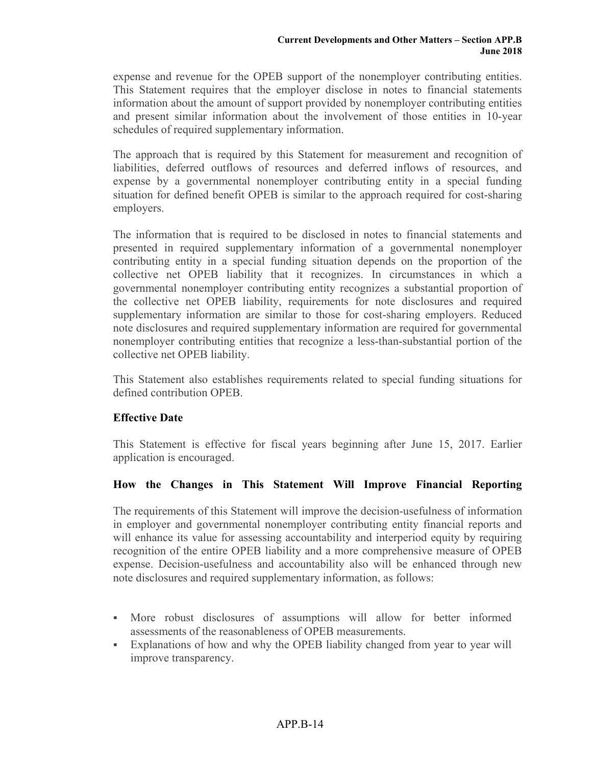expense and revenue for the OPEB support of the nonemployer contributing entities. This Statement requires that the employer disclose in notes to financial statements information about the amount of support provided by nonemployer contributing entities and present similar information about the involvement of those entities in 10-year schedules of required supplementary information.

The approach that is required by this Statement for measurement and recognition of liabilities, deferred outflows of resources and deferred inflows of resources, and expense by a governmental nonemployer contributing entity in a special funding situation for defined benefit OPEB is similar to the approach required for cost-sharing employers.

The information that is required to be disclosed in notes to financial statements and presented in required supplementary information of a governmental nonemployer contributing entity in a special funding situation depends on the proportion of the collective net OPEB liability that it recognizes. In circumstances in which a governmental nonemployer contributing entity recognizes a substantial proportion of the collective net OPEB liability, requirements for note disclosures and required supplementary information are similar to those for cost-sharing employers. Reduced note disclosures and required supplementary information are required for governmental nonemployer contributing entities that recognize a less-than-substantial portion of the collective net OPEB liability.

This Statement also establishes requirements related to special funding situations for defined contribution OPEB.

# **Effective Date**

This Statement is effective for fiscal years beginning after June 15, 2017. Earlier application is encouraged.

# **How the Changes in This Statement Will Improve Financial Reporting**

The requirements of this Statement will improve the decision-usefulness of information in employer and governmental nonemployer contributing entity financial reports and will enhance its value for assessing accountability and interperiod equity by requiring recognition of the entire OPEB liability and a more comprehensive measure of OPEB expense. Decision-usefulness and accountability also will be enhanced through new note disclosures and required supplementary information, as follows:

- More robust disclosures of assumptions will allow for better informed assessments of the reasonableness of OPEB measurements.
- Explanations of how and why the OPEB liability changed from year to year will improve transparency.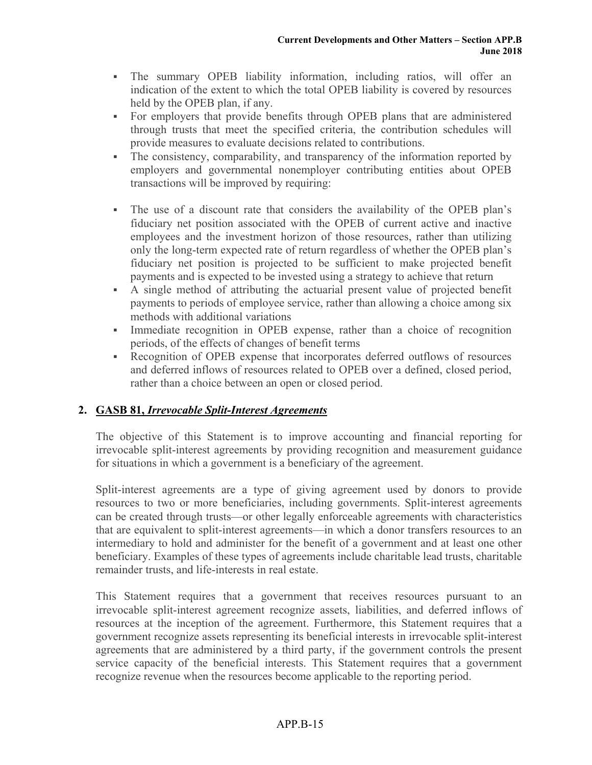- The summary OPEB liability information, including ratios, will offer an indication of the extent to which the total OPEB liability is covered by resources held by the OPEB plan, if any.
- For employers that provide benefits through OPEB plans that are administered through trusts that meet the specified criteria, the contribution schedules will provide measures to evaluate decisions related to contributions.
- The consistency, comparability, and transparency of the information reported by employers and governmental nonemployer contributing entities about OPEB transactions will be improved by requiring:
- The use of a discount rate that considers the availability of the OPEB plan's fiduciary net position associated with the OPEB of current active and inactive employees and the investment horizon of those resources, rather than utilizing only the long-term expected rate of return regardless of whether the OPEB plan's fiduciary net position is projected to be sufficient to make projected benefit payments and is expected to be invested using a strategy to achieve that return
- A single method of attributing the actuarial present value of projected benefit payments to periods of employee service, rather than allowing a choice among six methods with additional variations
- Immediate recognition in OPEB expense, rather than a choice of recognition periods, of the effects of changes of benefit terms
- Recognition of OPEB expense that incorporates deferred outflows of resources and deferred inflows of resources related to OPEB over a defined, closed period, rather than a choice between an open or closed period.

# **2. GASB 81,** *Irrevocable Split-Interest Agreements*

The objective of this Statement is to improve accounting and financial reporting for irrevocable split-interest agreements by providing recognition and measurement guidance for situations in which a government is a beneficiary of the agreement.

Split-interest agreements are a type of giving agreement used by donors to provide resources to two or more beneficiaries, including governments. Split-interest agreements can be created through trusts—or other legally enforceable agreements with characteristics that are equivalent to split-interest agreements—in which a donor transfers resources to an intermediary to hold and administer for the benefit of a government and at least one other beneficiary. Examples of these types of agreements include charitable lead trusts, charitable remainder trusts, and life-interests in real estate.

This Statement requires that a government that receives resources pursuant to an irrevocable split-interest agreement recognize assets, liabilities, and deferred inflows of resources at the inception of the agreement. Furthermore, this Statement requires that a government recognize assets representing its beneficial interests in irrevocable split-interest agreements that are administered by a third party, if the government controls the present service capacity of the beneficial interests. This Statement requires that a government recognize revenue when the resources become applicable to the reporting period.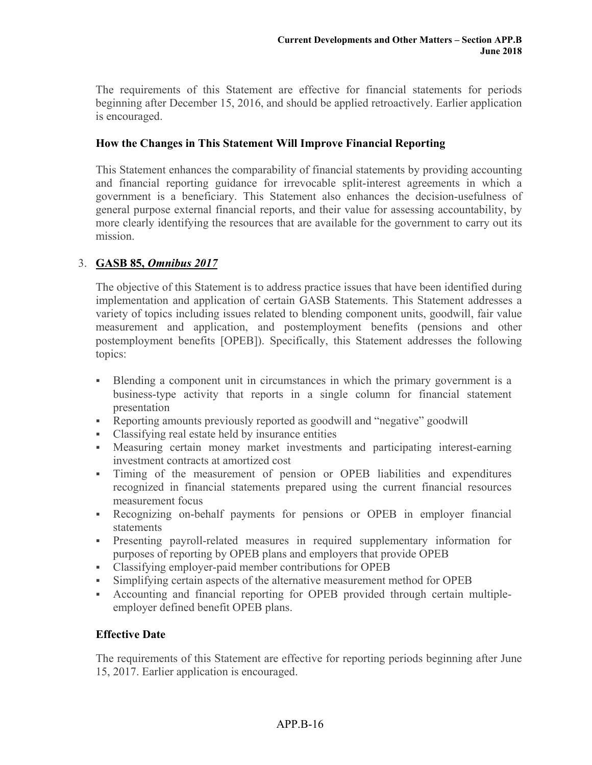The requirements of this Statement are effective for financial statements for periods beginning after December 15, 2016, and should be applied retroactively. Earlier application is encouraged.

# **How the Changes in This Statement Will Improve Financial Reporting**

This Statement enhances the comparability of financial statements by providing accounting and financial reporting guidance for irrevocable split-interest agreements in which a government is a beneficiary. This Statement also enhances the decision-usefulness of general purpose external financial reports, and their value for assessing accountability, by more clearly identifying the resources that are available for the government to carry out its mission.

# 3. **GASB 85,** *Omnibus 2017*

The objective of this Statement is to address practice issues that have been identified during implementation and application of certain GASB Statements. This Statement addresses a variety of topics including issues related to blending component units, goodwill, fair value measurement and application, and postemployment benefits (pensions and other postemployment benefits [OPEB]). Specifically, this Statement addresses the following topics:

- Blending a component unit in circumstances in which the primary government is a business-type activity that reports in a single column for financial statement presentation
- Reporting amounts previously reported as goodwill and "negative" goodwill
- Classifying real estate held by insurance entities
- Measuring certain money market investments and participating interest-earning investment contracts at amortized cost
- Timing of the measurement of pension or OPEB liabilities and expenditures recognized in financial statements prepared using the current financial resources measurement focus
- Recognizing on-behalf payments for pensions or OPEB in employer financial statements
- Presenting payroll-related measures in required supplementary information for purposes of reporting by OPEB plans and employers that provide OPEB
- Classifying employer-paid member contributions for OPEB
- Simplifying certain aspects of the alternative measurement method for OPEB
- Accounting and financial reporting for OPEB provided through certain multipleemployer defined benefit OPEB plans.

# **Effective Date**

The requirements of this Statement are effective for reporting periods beginning after June 15, 2017. Earlier application is encouraged.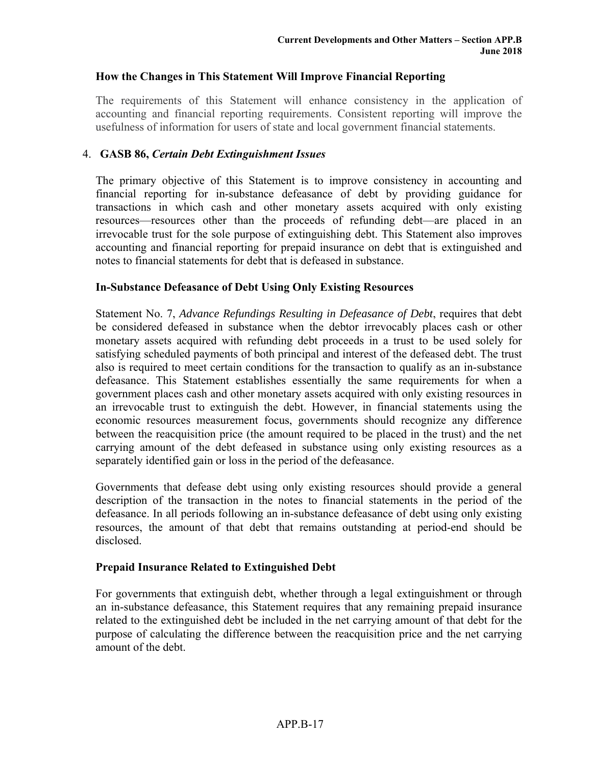### **How the Changes in This Statement Will Improve Financial Reporting**

The requirements of this Statement will enhance consistency in the application of accounting and financial reporting requirements. Consistent reporting will improve the usefulness of information for users of state and local government financial statements.

# 4. **GASB 86,** *Certain Debt Extinguishment Issues*

The primary objective of this Statement is to improve consistency in accounting and financial reporting for in-substance defeasance of debt by providing guidance for transactions in which cash and other monetary assets acquired with only existing resources—resources other than the proceeds of refunding debt—are placed in an irrevocable trust for the sole purpose of extinguishing debt. This Statement also improves accounting and financial reporting for prepaid insurance on debt that is extinguished and notes to financial statements for debt that is defeased in substance.

# **In-Substance Defeasance of Debt Using Only Existing Resources**

Statement No. 7, *Advance Refundings Resulting in Defeasance of Debt*, requires that debt be considered defeased in substance when the debtor irrevocably places cash or other monetary assets acquired with refunding debt proceeds in a trust to be used solely for satisfying scheduled payments of both principal and interest of the defeased debt. The trust also is required to meet certain conditions for the transaction to qualify as an in-substance defeasance. This Statement establishes essentially the same requirements for when a government places cash and other monetary assets acquired with only existing resources in an irrevocable trust to extinguish the debt. However, in financial statements using the economic resources measurement focus, governments should recognize any difference between the reacquisition price (the amount required to be placed in the trust) and the net carrying amount of the debt defeased in substance using only existing resources as a separately identified gain or loss in the period of the defeasance.

Governments that defease debt using only existing resources should provide a general description of the transaction in the notes to financial statements in the period of the defeasance. In all periods following an in-substance defeasance of debt using only existing resources, the amount of that debt that remains outstanding at period-end should be disclosed.

#### **Prepaid Insurance Related to Extinguished Debt**

For governments that extinguish debt, whether through a legal extinguishment or through an in-substance defeasance, this Statement requires that any remaining prepaid insurance related to the extinguished debt be included in the net carrying amount of that debt for the purpose of calculating the difference between the reacquisition price and the net carrying amount of the debt.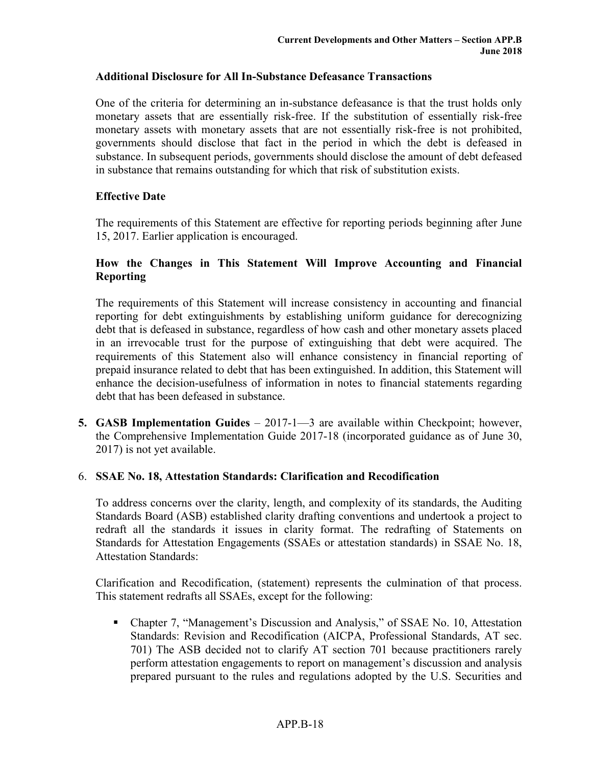### **Additional Disclosure for All In-Substance Defeasance Transactions**

One of the criteria for determining an in-substance defeasance is that the trust holds only monetary assets that are essentially risk-free. If the substitution of essentially risk-free monetary assets with monetary assets that are not essentially risk-free is not prohibited, governments should disclose that fact in the period in which the debt is defeased in substance. In subsequent periods, governments should disclose the amount of debt defeased in substance that remains outstanding for which that risk of substitution exists.

# **Effective Date**

The requirements of this Statement are effective for reporting periods beginning after June 15, 2017. Earlier application is encouraged.

# **How the Changes in This Statement Will Improve Accounting and Financial Reporting**

The requirements of this Statement will increase consistency in accounting and financial reporting for debt extinguishments by establishing uniform guidance for derecognizing debt that is defeased in substance, regardless of how cash and other monetary assets placed in an irrevocable trust for the purpose of extinguishing that debt were acquired. The requirements of this Statement also will enhance consistency in financial reporting of prepaid insurance related to debt that has been extinguished. In addition, this Statement will enhance the decision-usefulness of information in notes to financial statements regarding debt that has been defeased in substance.

**5. GASB Implementation Guides** – 2017-1—3 are available within Checkpoint; however, the Comprehensive Implementation Guide 2017-18 (incorporated guidance as of June 30, 2017) is not yet available.

#### 6. **SSAE No. 18, Attestation Standards: Clarification and Recodification**

To address concerns over the clarity, length, and complexity of its standards, the Auditing Standards Board (ASB) established clarity drafting conventions and undertook a project to redraft all the standards it issues in clarity format. The redrafting of Statements on Standards for Attestation Engagements (SSAEs or attestation standards) in SSAE No. 18, Attestation Standards:

Clarification and Recodification, (statement) represents the culmination of that process. This statement redrafts all SSAEs, except for the following:

 Chapter 7, "Management's Discussion and Analysis," of SSAE No. 10, Attestation Standards: Revision and Recodification (AICPA, Professional Standards, AT sec. 701) The ASB decided not to clarify AT section 701 because practitioners rarely perform attestation engagements to report on management's discussion and analysis prepared pursuant to the rules and regulations adopted by the U.S. Securities and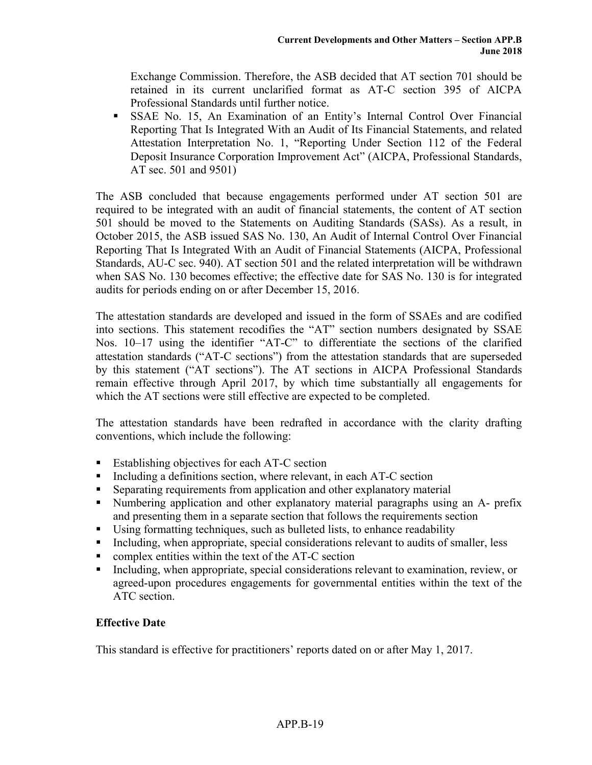Exchange Commission. Therefore, the ASB decided that AT section 701 should be retained in its current unclarified format as AT-C section 395 of AICPA Professional Standards until further notice.

 SSAE No. 15, An Examination of an Entity's Internal Control Over Financial Reporting That Is Integrated With an Audit of Its Financial Statements, and related Attestation Interpretation No. 1, "Reporting Under Section 112 of the Federal Deposit Insurance Corporation Improvement Act" (AICPA, Professional Standards, AT sec. 501 and 9501)

The ASB concluded that because engagements performed under AT section 501 are required to be integrated with an audit of financial statements, the content of AT section 501 should be moved to the Statements on Auditing Standards (SASs). As a result, in October 2015, the ASB issued SAS No. 130, An Audit of Internal Control Over Financial Reporting That Is Integrated With an Audit of Financial Statements (AICPA, Professional Standards, AU-C sec. 940). AT section 501 and the related interpretation will be withdrawn when SAS No. 130 becomes effective; the effective date for SAS No. 130 is for integrated audits for periods ending on or after December 15, 2016.

The attestation standards are developed and issued in the form of SSAEs and are codified into sections. This statement recodifies the "AT" section numbers designated by SSAE Nos. 10–17 using the identifier "AT-C" to differentiate the sections of the clarified attestation standards ("AT-C sections") from the attestation standards that are superseded by this statement ("AT sections"). The AT sections in AICPA Professional Standards remain effective through April 2017, by which time substantially all engagements for which the AT sections were still effective are expected to be completed.

The attestation standards have been redrafted in accordance with the clarity drafting conventions, which include the following:

- Establishing objectives for each AT-C section
- Including a definitions section, where relevant, in each AT-C section
- Separating requirements from application and other explanatory material
- Numbering application and other explanatory material paragraphs using an A- prefix and presenting them in a separate section that follows the requirements section
- Using formatting techniques, such as bulleted lists, to enhance readability
- Including, when appropriate, special considerations relevant to audits of smaller, less
- complex entities within the text of the AT-C section
- Including, when appropriate, special considerations relevant to examination, review, or agreed-upon procedures engagements for governmental entities within the text of the ATC section.

# **Effective Date**

This standard is effective for practitioners' reports dated on or after May 1, 2017.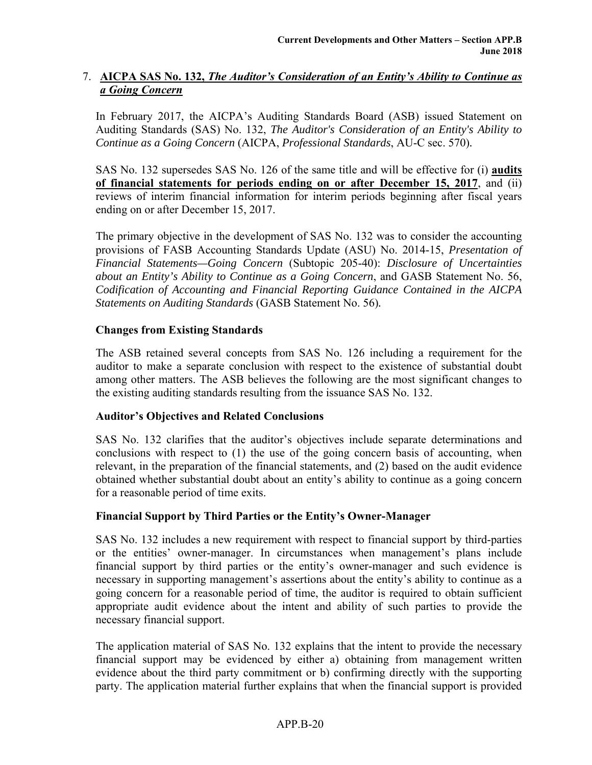# 7. **AICPA SAS No. 132,** *The Auditor's Consideration of an Entity's Ability to Continue as a Going Concern*

In February 2017, the AICPA's Auditing Standards Board (ASB) issued Statement on Auditing Standards (SAS) No. 132, *The Auditor's Consideration of an Entity's Ability to Continue as a Going Concern* (AICPA, *Professional Standards*, AU-C sec. 570)*.* 

SAS No. 132 supersedes SAS No. 126 of the same title and will be effective for (i) **audits of financial statements for periods ending on or after December 15, 2017**, and (ii) reviews of interim financial information for interim periods beginning after fiscal years ending on or after December 15, 2017.

The primary objective in the development of SAS No. 132 was to consider the accounting provisions of FASB Accounting Standards Update (ASU) No. 2014-15, *Presentation of Financial Statements—Going Concern* (Subtopic 205-40): *Disclosure of Uncertainties about an Entity's Ability to Continue as a Going Concern*, and GASB Statement No. 56, *Codification of Accounting and Financial Reporting Guidance Contained in the AICPA Statements on Auditing Standards* (GASB Statement No. 56)*.* 

# **Changes from Existing Standards**

The ASB retained several concepts from SAS No. 126 including a requirement for the auditor to make a separate conclusion with respect to the existence of substantial doubt among other matters. The ASB believes the following are the most significant changes to the existing auditing standards resulting from the issuance SAS No. 132.

#### **Auditor's Objectives and Related Conclusions**

SAS No. 132 clarifies that the auditor's objectives include separate determinations and conclusions with respect to (1) the use of the going concern basis of accounting, when relevant, in the preparation of the financial statements, and (2) based on the audit evidence obtained whether substantial doubt about an entity's ability to continue as a going concern for a reasonable period of time exits.

# **Financial Support by Third Parties or the Entity's Owner-Manager**

SAS No. 132 includes a new requirement with respect to financial support by third-parties or the entities' owner-manager. In circumstances when management's plans include financial support by third parties or the entity's owner-manager and such evidence is necessary in supporting management's assertions about the entity's ability to continue as a going concern for a reasonable period of time, the auditor is required to obtain sufficient appropriate audit evidence about the intent and ability of such parties to provide the necessary financial support.

The application material of SAS No. 132 explains that the intent to provide the necessary financial support may be evidenced by either a) obtaining from management written evidence about the third party commitment or b) confirming directly with the supporting party. The application material further explains that when the financial support is provided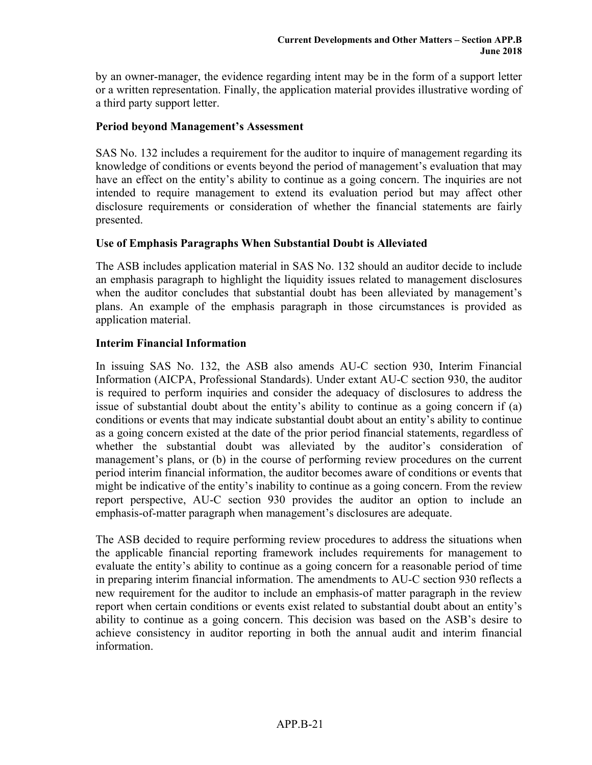by an owner-manager, the evidence regarding intent may be in the form of a support letter or a written representation. Finally, the application material provides illustrative wording of a third party support letter.

# **Period beyond Management's Assessment**

SAS No. 132 includes a requirement for the auditor to inquire of management regarding its knowledge of conditions or events beyond the period of management's evaluation that may have an effect on the entity's ability to continue as a going concern. The inquiries are not intended to require management to extend its evaluation period but may affect other disclosure requirements or consideration of whether the financial statements are fairly presented.

# **Use of Emphasis Paragraphs When Substantial Doubt is Alleviated**

The ASB includes application material in SAS No. 132 should an auditor decide to include an emphasis paragraph to highlight the liquidity issues related to management disclosures when the auditor concludes that substantial doubt has been alleviated by management's plans. An example of the emphasis paragraph in those circumstances is provided as application material.

# **Interim Financial Information**

In issuing SAS No. 132, the ASB also amends AU-C section 930, Interim Financial Information (AICPA, Professional Standards). Under extant AU-C section 930, the auditor is required to perform inquiries and consider the adequacy of disclosures to address the issue of substantial doubt about the entity's ability to continue as a going concern if (a) conditions or events that may indicate substantial doubt about an entity's ability to continue as a going concern existed at the date of the prior period financial statements, regardless of whether the substantial doubt was alleviated by the auditor's consideration of management's plans, or (b) in the course of performing review procedures on the current period interim financial information, the auditor becomes aware of conditions or events that might be indicative of the entity's inability to continue as a going concern. From the review report perspective, AU-C section 930 provides the auditor an option to include an emphasis-of-matter paragraph when management's disclosures are adequate.

The ASB decided to require performing review procedures to address the situations when the applicable financial reporting framework includes requirements for management to evaluate the entity's ability to continue as a going concern for a reasonable period of time in preparing interim financial information. The amendments to AU-C section 930 reflects a new requirement for the auditor to include an emphasis-of matter paragraph in the review report when certain conditions or events exist related to substantial doubt about an entity's ability to continue as a going concern. This decision was based on the ASB's desire to achieve consistency in auditor reporting in both the annual audit and interim financial information.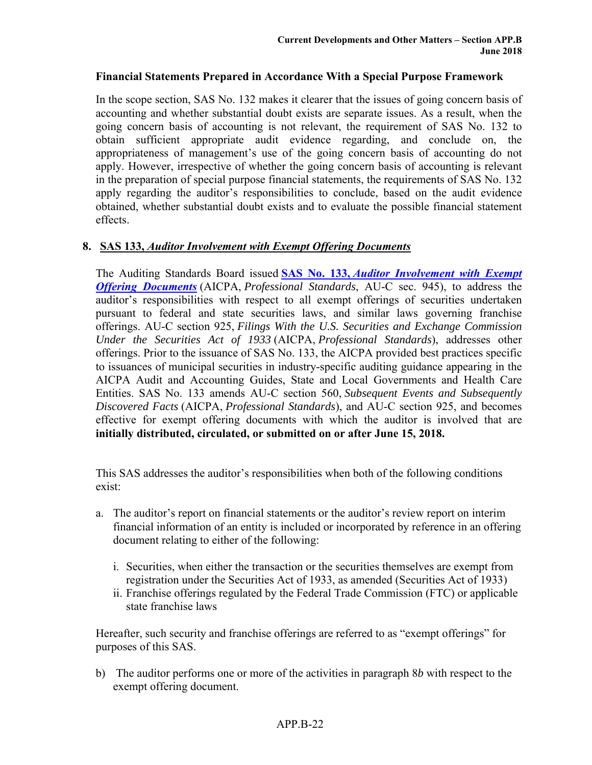#### **Financial Statements Prepared in Accordance With a Special Purpose Framework**

In the scope section, SAS No. 132 makes it clearer that the issues of going concern basis of accounting and whether substantial doubt exists are separate issues. As a result, when the going concern basis of accounting is not relevant, the requirement of SAS No. 132 to obtain sufficient appropriate audit evidence regarding, and conclude on, the appropriateness of management's use of the going concern basis of accounting do not apply. However, irrespective of whether the going concern basis of accounting is relevant in the preparation of special purpose financial statements, the requirements of SAS No. 132 apply regarding the auditor's responsibilities to conclude, based on the audit evidence obtained, whether substantial doubt exists and to evaluate the possible financial statement effects.

#### **8. SAS 133,** *Auditor Involvement with Exempt Offering Documents*

The Auditing Standards Board issued **SAS No. 133,** *Auditor Involvement with Exempt Offering Documents* (AICPA, *Professional Standards*, AU-C sec. 945), to address the auditor's responsibilities with respect to all exempt offerings of securities undertaken pursuant to federal and state securities laws, and similar laws governing franchise offerings. AU-C section 925, *Filings With the U.S. Securities and Exchange Commission Under the Securities Act of 1933* (AICPA, *Professional Standards*), addresses other offerings. Prior to the issuance of SAS No. 133, the AICPA provided best practices specific to issuances of municipal securities in industry-specific auditing guidance appearing in the AICPA Audit and Accounting Guides, State and Local Governments and Health Care Entities. SAS No. 133 amends AU-C section 560, *Subsequent Events and Subsequently Discovered Facts* (AICPA, *Professional Standards*), and AU-C section 925, and becomes effective for exempt offering documents with which the auditor is involved that are **initially distributed, circulated, or submitted on or after June 15, 2018.** 

This SAS addresses the auditor's responsibilities when both of the following conditions exist:

- a. The auditor's report on financial statements or the auditor's review report on interim financial information of an entity is included or incorporated by reference in an offering document relating to either of the following:
	- i. Securities, when either the transaction or the securities themselves are exempt from registration under the Securities Act of 1933, as amended (Securities Act of 1933)
	- ii. Franchise offerings regulated by the Federal Trade Commission (FTC) or applicable state franchise laws

Hereafter, such security and franchise offerings are referred to as "exempt offerings" for purposes of this SAS.

b) The auditor performs one or more of the activities in paragraph 8*b* with respect to the exempt offering document.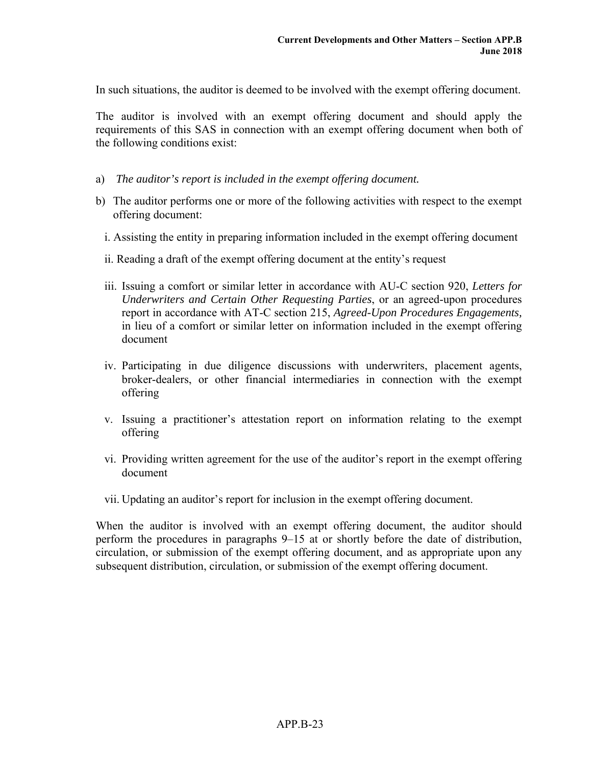In such situations, the auditor is deemed to be involved with the exempt offering document.

The auditor is involved with an exempt offering document and should apply the requirements of this SAS in connection with an exempt offering document when both of the following conditions exist:

- a) *The auditor's report is included in the exempt offering document.*
- b) The auditor performs one or more of the following activities with respect to the exempt offering document:
	- i. Assisting the entity in preparing information included in the exempt offering document
	- ii. Reading a draft of the exempt offering document at the entity's request
	- iii. Issuing a comfort or similar letter in accordance with AU-C section 920, *Letters for Underwriters and Certain Other Requesting Parties*, or an agreed-upon procedures report in accordance with AT-C section 215, *Agreed-Upon Procedures Engagements,*  in lieu of a comfort or similar letter on information included in the exempt offering document
	- iv. Participating in due diligence discussions with underwriters, placement agents, broker-dealers, or other financial intermediaries in connection with the exempt offering
	- v. Issuing a practitioner's attestation report on information relating to the exempt offering
	- vi. Providing written agreement for the use of the auditor's report in the exempt offering document
	- vii. Updating an auditor's report for inclusion in the exempt offering document.

When the auditor is involved with an exempt offering document, the auditor should perform the procedures in paragraphs 9–15 at or shortly before the date of distribution, circulation, or submission of the exempt offering document, and as appropriate upon any subsequent distribution, circulation, or submission of the exempt offering document.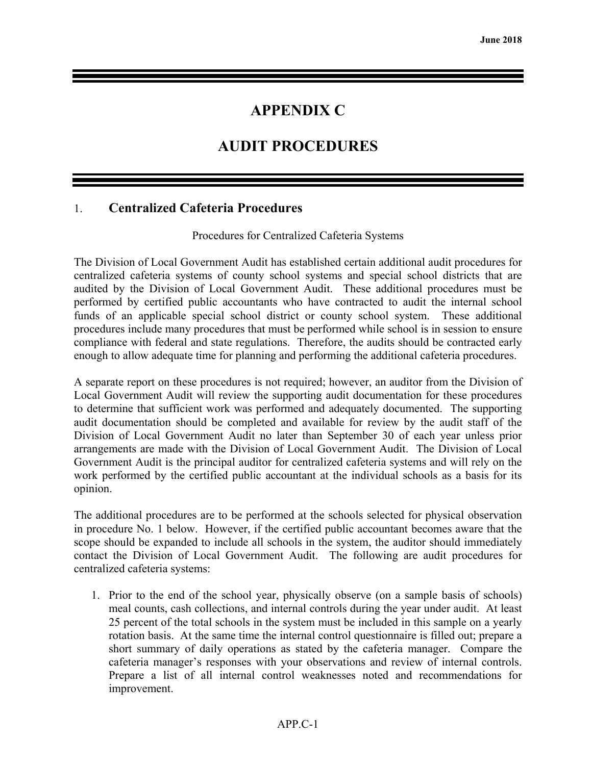# **APPENDIX C**

# **AUDIT PROCEDURES**

# 1. **Centralized Cafeteria Procedures**

Procedures for Centralized Cafeteria Systems

The Division of Local Government Audit has established certain additional audit procedures for centralized cafeteria systems of county school systems and special school districts that are audited by the Division of Local Government Audit. These additional procedures must be performed by certified public accountants who have contracted to audit the internal school funds of an applicable special school district or county school system. These additional procedures include many procedures that must be performed while school is in session to ensure compliance with federal and state regulations. Therefore, the audits should be contracted early enough to allow adequate time for planning and performing the additional cafeteria procedures.

A separate report on these procedures is not required; however, an auditor from the Division of Local Government Audit will review the supporting audit documentation for these procedures to determine that sufficient work was performed and adequately documented. The supporting audit documentation should be completed and available for review by the audit staff of the Division of Local Government Audit no later than September 30 of each year unless prior arrangements are made with the Division of Local Government Audit. The Division of Local Government Audit is the principal auditor for centralized cafeteria systems and will rely on the work performed by the certified public accountant at the individual schools as a basis for its opinion.

The additional procedures are to be performed at the schools selected for physical observation in procedure No. 1 below. However, if the certified public accountant becomes aware that the scope should be expanded to include all schools in the system, the auditor should immediately contact the Division of Local Government Audit. The following are audit procedures for centralized cafeteria systems:

1. Prior to the end of the school year, physically observe (on a sample basis of schools) meal counts, cash collections, and internal controls during the year under audit. At least 25 percent of the total schools in the system must be included in this sample on a yearly rotation basis. At the same time the internal control questionnaire is filled out; prepare a short summary of daily operations as stated by the cafeteria manager. Compare the cafeteria manager's responses with your observations and review of internal controls. Prepare a list of all internal control weaknesses noted and recommendations for improvement.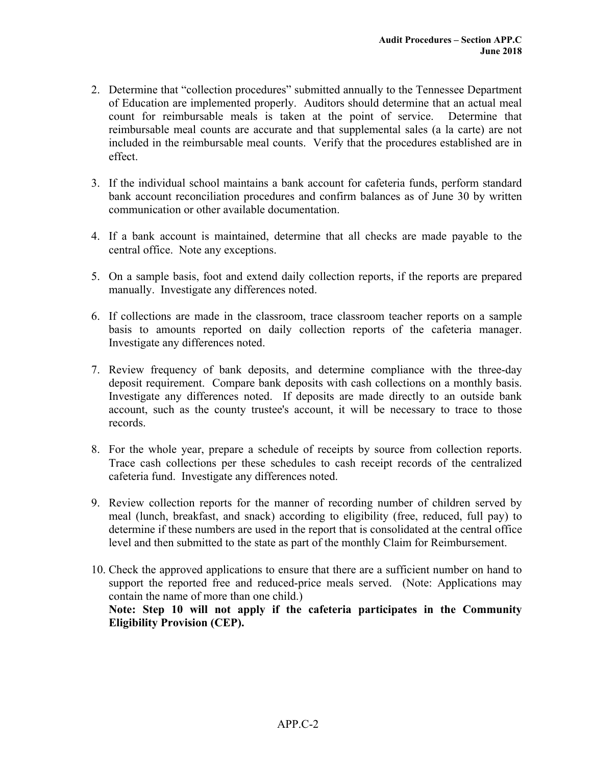- 2. Determine that "collection procedures" submitted annually to the Tennessee Department of Education are implemented properly. Auditors should determine that an actual meal count for reimbursable meals is taken at the point of service. Determine that reimbursable meal counts are accurate and that supplemental sales (a la carte) are not included in the reimbursable meal counts. Verify that the procedures established are in effect.
- 3. If the individual school maintains a bank account for cafeteria funds, perform standard bank account reconciliation procedures and confirm balances as of June 30 by written communication or other available documentation.
- 4. If a bank account is maintained, determine that all checks are made payable to the central office. Note any exceptions.
- 5. On a sample basis, foot and extend daily collection reports, if the reports are prepared manually. Investigate any differences noted.
- 6. If collections are made in the classroom, trace classroom teacher reports on a sample basis to amounts reported on daily collection reports of the cafeteria manager. Investigate any differences noted.
- 7. Review frequency of bank deposits, and determine compliance with the three-day deposit requirement. Compare bank deposits with cash collections on a monthly basis. Investigate any differences noted. If deposits are made directly to an outside bank account, such as the county trustee's account, it will be necessary to trace to those records.
- 8. For the whole year, prepare a schedule of receipts by source from collection reports. Trace cash collections per these schedules to cash receipt records of the centralized cafeteria fund. Investigate any differences noted.
- 9. Review collection reports for the manner of recording number of children served by meal (lunch, breakfast, and snack) according to eligibility (free, reduced, full pay) to determine if these numbers are used in the report that is consolidated at the central office level and then submitted to the state as part of the monthly Claim for Reimbursement.
- 10. Check the approved applications to ensure that there are a sufficient number on hand to support the reported free and reduced-price meals served. (Note: Applications may contain the name of more than one child.)

**Note: Step 10 will not apply if the cafeteria participates in the Community Eligibility Provision (CEP).**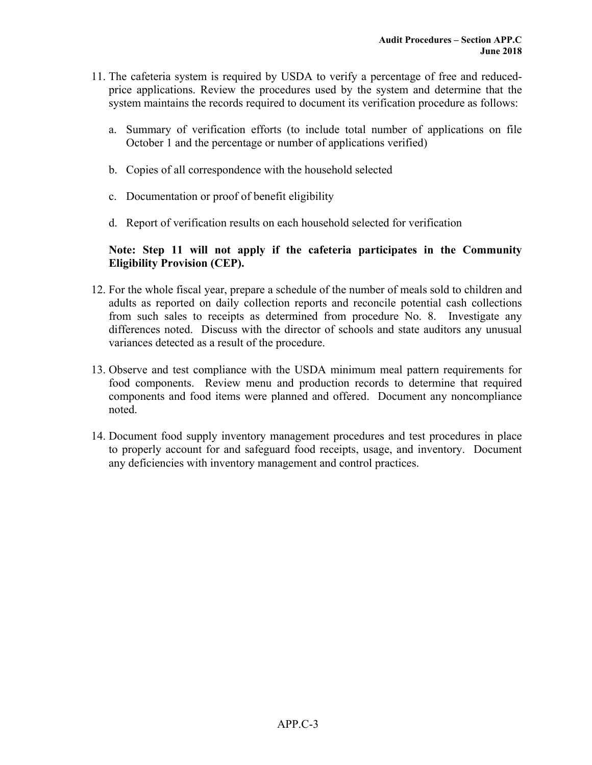- 11. The cafeteria system is required by USDA to verify a percentage of free and reducedprice applications. Review the procedures used by the system and determine that the system maintains the records required to document its verification procedure as follows:
	- a. Summary of verification efforts (to include total number of applications on file October 1 and the percentage or number of applications verified)
	- b. Copies of all correspondence with the household selected
	- c. Documentation or proof of benefit eligibility
	- d. Report of verification results on each household selected for verification

# **Note: Step 11 will not apply if the cafeteria participates in the Community Eligibility Provision (CEP).**

- 12. For the whole fiscal year, prepare a schedule of the number of meals sold to children and adults as reported on daily collection reports and reconcile potential cash collections from such sales to receipts as determined from procedure No. 8. Investigate any differences noted. Discuss with the director of schools and state auditors any unusual variances detected as a result of the procedure.
- 13. Observe and test compliance with the USDA minimum meal pattern requirements for food components. Review menu and production records to determine that required components and food items were planned and offered. Document any noncompliance noted.
- 14. Document food supply inventory management procedures and test procedures in place to properly account for and safeguard food receipts, usage, and inventory. Document any deficiencies with inventory management and control practices.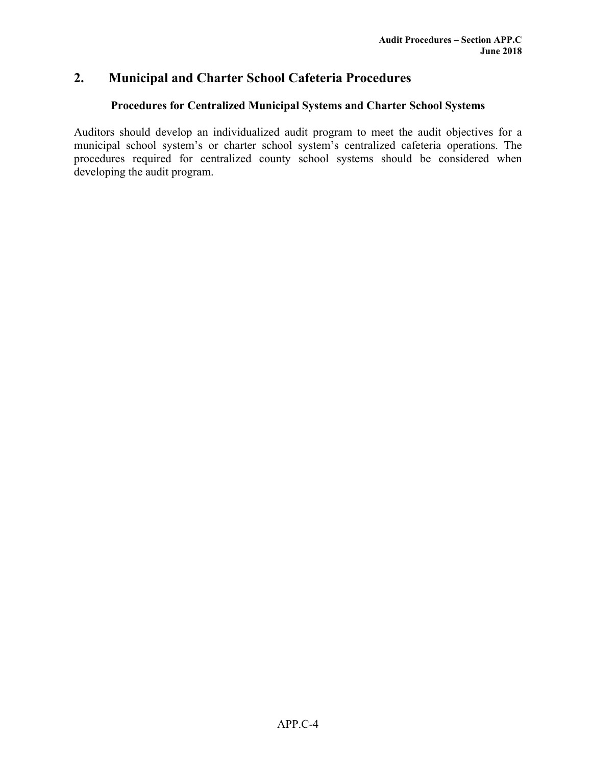# **2. Municipal and Charter School Cafeteria Procedures**

# **Procedures for Centralized Municipal Systems and Charter School Systems**

Auditors should develop an individualized audit program to meet the audit objectives for a municipal school system's or charter school system's centralized cafeteria operations. The procedures required for centralized county school systems should be considered when developing the audit program.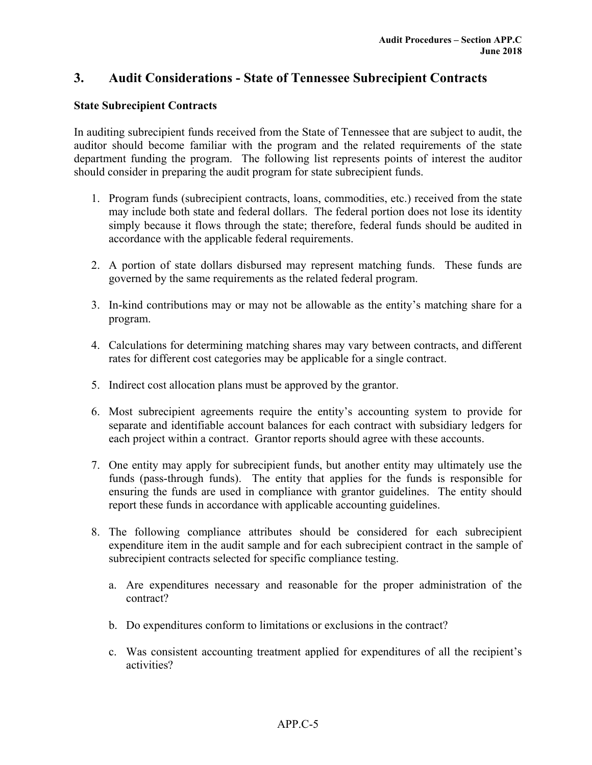## **3. Audit Considerations - State of Tennessee Subrecipient Contracts**

#### **State Subrecipient Contracts**

In auditing subrecipient funds received from the State of Tennessee that are subject to audit, the auditor should become familiar with the program and the related requirements of the state department funding the program. The following list represents points of interest the auditor should consider in preparing the audit program for state subrecipient funds.

- 1. Program funds (subrecipient contracts, loans, commodities, etc.) received from the state may include both state and federal dollars. The federal portion does not lose its identity simply because it flows through the state; therefore, federal funds should be audited in accordance with the applicable federal requirements.
- 2. A portion of state dollars disbursed may represent matching funds. These funds are governed by the same requirements as the related federal program.
- 3. In-kind contributions may or may not be allowable as the entity's matching share for a program.
- 4. Calculations for determining matching shares may vary between contracts, and different rates for different cost categories may be applicable for a single contract.
- 5. Indirect cost allocation plans must be approved by the grantor.
- 6. Most subrecipient agreements require the entity's accounting system to provide for separate and identifiable account balances for each contract with subsidiary ledgers for each project within a contract. Grantor reports should agree with these accounts.
- 7. One entity may apply for subrecipient funds, but another entity may ultimately use the funds (pass-through funds). The entity that applies for the funds is responsible for ensuring the funds are used in compliance with grantor guidelines. The entity should report these funds in accordance with applicable accounting guidelines.
- 8. The following compliance attributes should be considered for each subrecipient expenditure item in the audit sample and for each subrecipient contract in the sample of subrecipient contracts selected for specific compliance testing.
	- a. Are expenditures necessary and reasonable for the proper administration of the contract?
	- b. Do expenditures conform to limitations or exclusions in the contract?
	- c. Was consistent accounting treatment applied for expenditures of all the recipient's activities?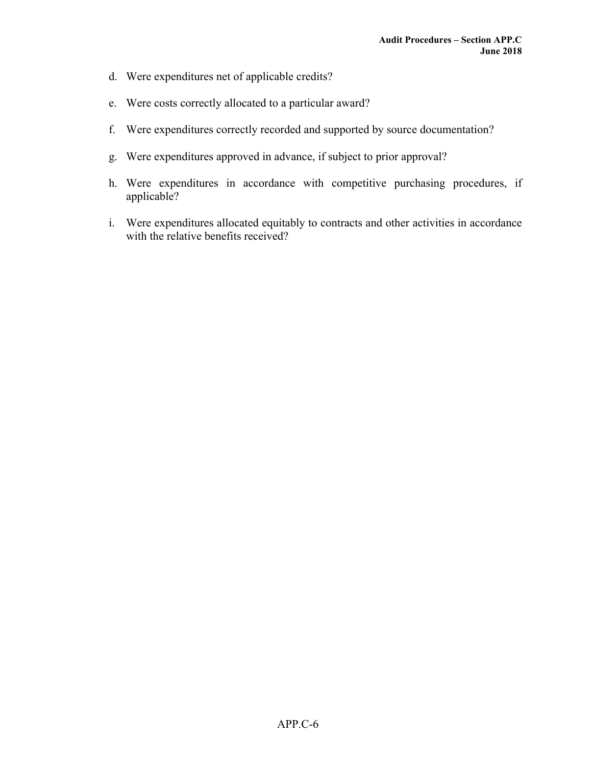- d. Were expenditures net of applicable credits?
- e. Were costs correctly allocated to a particular award?
- f. Were expenditures correctly recorded and supported by source documentation?
- g. Were expenditures approved in advance, if subject to prior approval?
- h. Were expenditures in accordance with competitive purchasing procedures, if applicable?
- i. Were expenditures allocated equitably to contracts and other activities in accordance with the relative benefits received?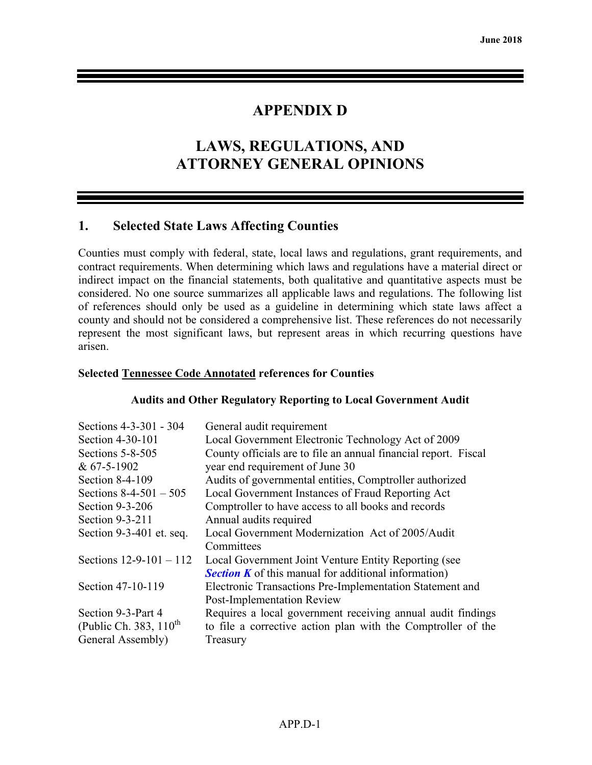## **APPENDIX D**

## **LAWS, REGULATIONS, AND ATTORNEY GENERAL OPINIONS**

## **1. Selected State Laws Affecting Counties**

Counties must comply with federal, state, local laws and regulations, grant requirements, and contract requirements. When determining which laws and regulations have a material direct or indirect impact on the financial statements, both qualitative and quantitative aspects must be considered. No one source summarizes all applicable laws and regulations. The following list of references should only be used as a guideline in determining which state laws affect a county and should not be considered a comprehensive list. These references do not necessarily represent the most significant laws, but represent areas in which recurring questions have arisen.

#### **Selected Tennessee Code Annotated references for Counties**

#### **Audits and Other Regulatory Reporting to Local Government Audit**

| Sections 4-3-301 - 304        | General audit requirement                                       |
|-------------------------------|-----------------------------------------------------------------|
| Section 4-30-101              | Local Government Electronic Technology Act of 2009              |
| Sections 5-8-505              | County officials are to file an annual financial report. Fiscal |
| $& 67 - 5 - 1902$             | year end requirement of June 30                                 |
| Section 8-4-109               | Audits of governmental entities, Comptroller authorized         |
| Sections $8-4-501-505$        | Local Government Instances of Fraud Reporting Act               |
| Section 9-3-206               | Comptroller to have access to all books and records             |
| Section 9-3-211               | Annual audits required                                          |
| Section $9-3-401$ et. seq.    | Local Government Modernization Act of 2005/Audit                |
|                               | Committees                                                      |
| Sections 12-9-101 - 112       | Local Government Joint Venture Entity Reporting (see            |
|                               | <b>Section K</b> of this manual for additional information)     |
| Section 47-10-119             | Electronic Transactions Pre-Implementation Statement and        |
|                               | Post-Implementation Review                                      |
| Section 9-3-Part 4            | Requires a local government receiving annual audit findings     |
| (Public Ch. 383, $110^{th}$ ) | to file a corrective action plan with the Comptroller of the    |
| General Assembly)             | Treasury                                                        |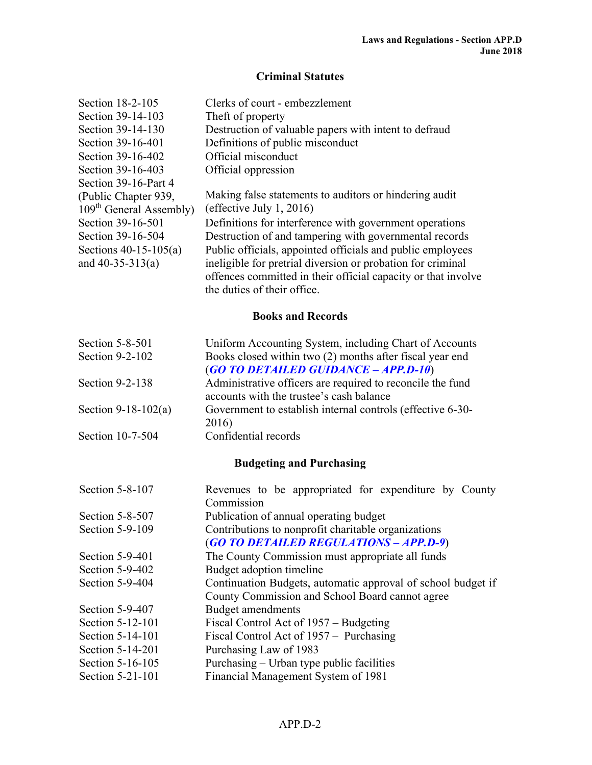## **Criminal Statutes**

| Section 18-2-105<br>Section 39-14-103<br>Section 39-14-130<br>Section 39-16-401<br>Section 39-16-402<br>Section 39-16-403<br>Section 39-16-Part 4<br>(Public Chapter 939,<br>109 <sup>th</sup> General Assembly)<br>Section 39-16-501<br>Section 39-16-504<br>Sections $40-15-105(a)$<br>and $40-35-313(a)$ | Clerks of court - embezzlement<br>Theft of property<br>Destruction of valuable papers with intent to defraud<br>Definitions of public misconduct<br>Official misconduct<br>Official oppression<br>Making false statements to auditors or hindering audit<br>(effective July 1, 2016)<br>Definitions for interference with government operations<br>Destruction of and tampering with governmental records<br>Public officials, appointed officials and public employees<br>ineligible for pretrial diversion or probation for criminal<br>offences committed in their official capacity or that involve<br>the duties of their office. |
|-------------------------------------------------------------------------------------------------------------------------------------------------------------------------------------------------------------------------------------------------------------------------------------------------------------|----------------------------------------------------------------------------------------------------------------------------------------------------------------------------------------------------------------------------------------------------------------------------------------------------------------------------------------------------------------------------------------------------------------------------------------------------------------------------------------------------------------------------------------------------------------------------------------------------------------------------------------|
|                                                                                                                                                                                                                                                                                                             | <b>Books and Records</b>                                                                                                                                                                                                                                                                                                                                                                                                                                                                                                                                                                                                               |
|                                                                                                                                                                                                                                                                                                             |                                                                                                                                                                                                                                                                                                                                                                                                                                                                                                                                                                                                                                        |
| Section 5-8-501<br>Section 9-2-102                                                                                                                                                                                                                                                                          | Uniform Accounting System, including Chart of Accounts<br>Books closed within two (2) months after fiscal year end<br>(GO TO DETAILED GUIDANCE - APP.D-10)                                                                                                                                                                                                                                                                                                                                                                                                                                                                             |
| Section 9-2-138                                                                                                                                                                                                                                                                                             | Administrative officers are required to reconcile the fund<br>accounts with the trustee's cash balance                                                                                                                                                                                                                                                                                                                                                                                                                                                                                                                                 |
| Section 9-18-102(a)                                                                                                                                                                                                                                                                                         | Government to establish internal controls (effective 6-30-<br>2016)                                                                                                                                                                                                                                                                                                                                                                                                                                                                                                                                                                    |
| Section 10-7-504                                                                                                                                                                                                                                                                                            | Confidential records                                                                                                                                                                                                                                                                                                                                                                                                                                                                                                                                                                                                                   |
|                                                                                                                                                                                                                                                                                                             | <b>Budgeting and Purchasing</b>                                                                                                                                                                                                                                                                                                                                                                                                                                                                                                                                                                                                        |
| Section 5-8-107                                                                                                                                                                                                                                                                                             | Revenues to be appropriated for expenditure by County<br>Commission                                                                                                                                                                                                                                                                                                                                                                                                                                                                                                                                                                    |
| Section 5-8-507                                                                                                                                                                                                                                                                                             | Publication of annual operating budget                                                                                                                                                                                                                                                                                                                                                                                                                                                                                                                                                                                                 |
| Section 5-9-109                                                                                                                                                                                                                                                                                             | Contributions to nonprofit charitable organizations<br>(GO TO DETAILED REGULATIONS - APP.D-9)                                                                                                                                                                                                                                                                                                                                                                                                                                                                                                                                          |
| Section 5-9-401                                                                                                                                                                                                                                                                                             | The County Commission must appropriate all funds                                                                                                                                                                                                                                                                                                                                                                                                                                                                                                                                                                                       |
| Section 5-9-402                                                                                                                                                                                                                                                                                             | Budget adoption timeline                                                                                                                                                                                                                                                                                                                                                                                                                                                                                                                                                                                                               |
| Section 5-9-404                                                                                                                                                                                                                                                                                             | Continuation Budgets, automatic approval of school budget if<br>County Commission and School Board cannot agree                                                                                                                                                                                                                                                                                                                                                                                                                                                                                                                        |
| Section 5-9-407                                                                                                                                                                                                                                                                                             | <b>Budget amendments</b>                                                                                                                                                                                                                                                                                                                                                                                                                                                                                                                                                                                                               |
| Section 5-12-101                                                                                                                                                                                                                                                                                            | Fiscal Control Act of 1957 – Budgeting                                                                                                                                                                                                                                                                                                                                                                                                                                                                                                                                                                                                 |
| Section 5-14-101                                                                                                                                                                                                                                                                                            | Fiscal Control Act of 1957 – Purchasing                                                                                                                                                                                                                                                                                                                                                                                                                                                                                                                                                                                                |
| Section 5-14-201                                                                                                                                                                                                                                                                                            | Purchasing Law of 1983                                                                                                                                                                                                                                                                                                                                                                                                                                                                                                                                                                                                                 |
| Section 5-16-105                                                                                                                                                                                                                                                                                            | Purchasing – Urban type public facilities                                                                                                                                                                                                                                                                                                                                                                                                                                                                                                                                                                                              |
| Section 5-21-101                                                                                                                                                                                                                                                                                            | Financial Management System of 1981                                                                                                                                                                                                                                                                                                                                                                                                                                                                                                                                                                                                    |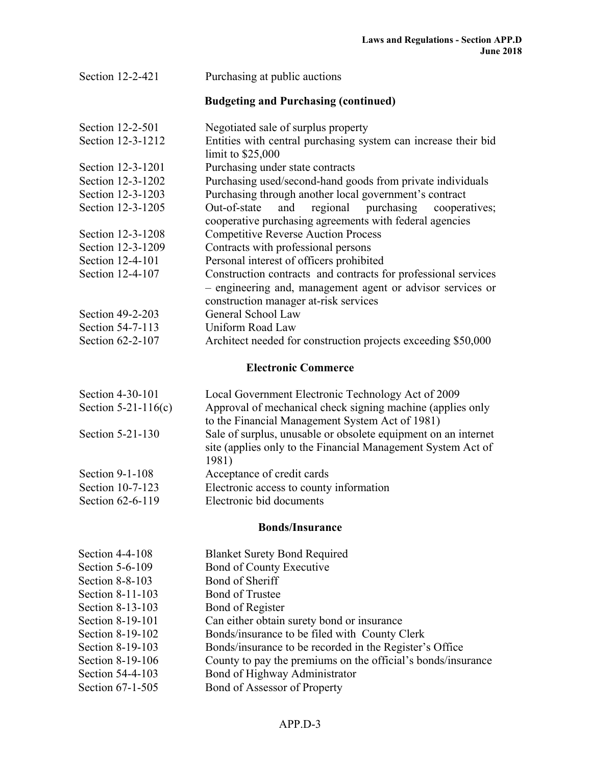| Section 12-2-421                            | Purchasing at public auctions                                                                                                                                         |  |
|---------------------------------------------|-----------------------------------------------------------------------------------------------------------------------------------------------------------------------|--|
| <b>Budgeting and Purchasing (continued)</b> |                                                                                                                                                                       |  |
| Section 12-2-501                            | Negotiated sale of surplus property                                                                                                                                   |  |
| Section 12-3-1212                           | Entities with central purchasing system can increase their bid<br>limit to $$25,000$                                                                                  |  |
| Section 12-3-1201                           | Purchasing under state contracts                                                                                                                                      |  |
| Section 12-3-1202                           | Purchasing used/second-hand goods from private individuals                                                                                                            |  |
| Section 12-3-1203                           | Purchasing through another local government's contract                                                                                                                |  |
| Section 12-3-1205                           | regional<br>purchasing<br>Out-of-state<br>and<br>cooperatives;<br>cooperative purchasing agreements with federal agencies                                             |  |
| Section 12-3-1208                           | <b>Competitive Reverse Auction Process</b>                                                                                                                            |  |
| Section 12-3-1209                           | Contracts with professional persons                                                                                                                                   |  |
| Section 12-4-101                            | Personal interest of officers prohibited                                                                                                                              |  |
| Section 12-4-107                            | Construction contracts and contracts for professional services<br>- engineering and, management agent or advisor services or<br>construction manager at-risk services |  |
| Section 49-2-203                            | General School Law                                                                                                                                                    |  |
| Section 54-7-113                            | Uniform Road Law                                                                                                                                                      |  |
| Section 62-2-107                            | Architect needed for construction projects exceeding \$50,000                                                                                                         |  |
|                                             | <b>Electronic Commerce</b>                                                                                                                                            |  |
| Section 4-30-101                            | Local Government Electronic Technology Act of 2009                                                                                                                    |  |
| Section $5-21-116(c)$                       | Approval of mechanical check signing machine (applies only<br>to the Financial Management System Act of 1981)                                                         |  |
| Section 5-21-130                            | Sale of surplus, unusable or obsolete equipment on an internet<br>site (applies only to the Financial Management System Act of<br>1981)                               |  |
| Section 9-1-108                             | Acceptance of credit cards                                                                                                                                            |  |
| Section 10-7-123                            | Electronic access to county information                                                                                                                               |  |
| Section 62-6-119                            | Electronic bid documents                                                                                                                                              |  |
| <b>Bonds/Insurance</b>                      |                                                                                                                                                                       |  |
| Section 4-4-108                             | <b>Blanket Surety Bond Required</b>                                                                                                                                   |  |
| Section 5-6-109                             | Bond of County Executive                                                                                                                                              |  |
| Section 8-8-103                             | Bond of Sheriff                                                                                                                                                       |  |
| Section 8-11-103                            | <b>Bond of Trustee</b>                                                                                                                                                |  |
| Section 8-13-103                            | Bond of Register                                                                                                                                                      |  |
| Section 8-19-101                            | Can either obtain surety bond or insurance                                                                                                                            |  |
| Section 8-19-102                            | Bonds/insurance to be filed with County Clerk                                                                                                                         |  |
| Section 8-19-103                            | Bonds/insurance to be recorded in the Register's Office                                                                                                               |  |
| Section 8-19-106                            | County to pay the premiums on the official's bonds/insurance                                                                                                          |  |

- 
- Section 54-4-103 Bond of Highway Administrator<br>Section 67-1-505 Bond of Assessor of Property Bond of Assessor of Property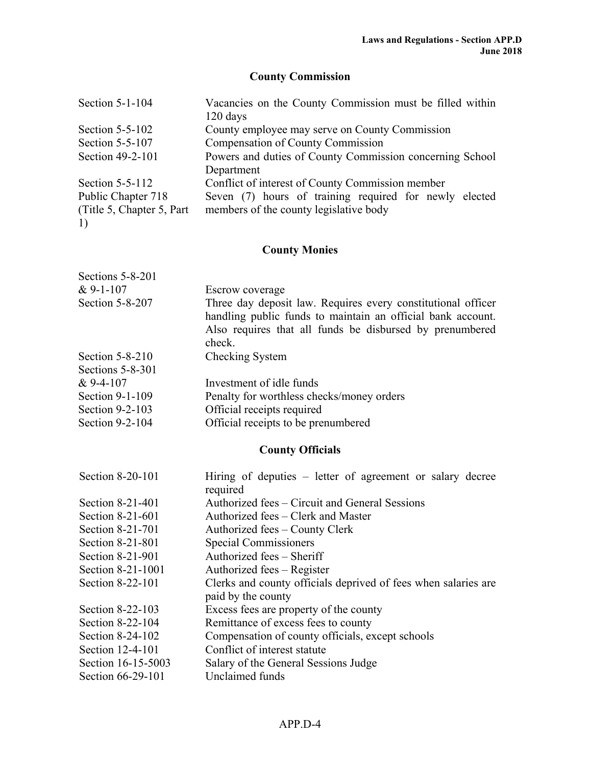## **County Commission**

| Section 5-1-104            | Vacancies on the County Commission must be filled within<br>$120$ days |
|----------------------------|------------------------------------------------------------------------|
| Section $5-5-102$          | County employee may serve on County Commission                         |
| Section 5-5-107            | Compensation of County Commission                                      |
| Section 49-2-101           | Powers and duties of County Commission concerning School               |
|                            | Department                                                             |
| Section 5-5-112            | Conflict of interest of County Commission member                       |
| Public Chapter 718         | Seven (7) hours of training required for newly elected                 |
| (Title 5, Chapter 5, Part) | members of the county legislative body                                 |
|                            |                                                                        |

### **County Monies**

| Escrow coverage                                                                                                                                                                                   |
|---------------------------------------------------------------------------------------------------------------------------------------------------------------------------------------------------|
| Three day deposit law. Requires every constitutional officer<br>handling public funds to maintain an official bank account.<br>Also requires that all funds be disbursed by prenumbered<br>check. |
| Checking System                                                                                                                                                                                   |
|                                                                                                                                                                                                   |
| Investment of idle funds                                                                                                                                                                          |
| Penalty for worthless checks/money orders                                                                                                                                                         |
| Official receipts required                                                                                                                                                                        |
| Official receipts to be prenumbered                                                                                                                                                               |
|                                                                                                                                                                                                   |

## **County Officials**

| Section 8-20-101   | Hiring of deputies – letter of agreement or salary decree<br>required |
|--------------------|-----------------------------------------------------------------------|
| Section 8-21-401   | Authorized fees – Circuit and General Sessions                        |
| Section 8-21-601   | Authorized fees – Clerk and Master                                    |
| Section 8-21-701   | Authorized fees – County Clerk                                        |
| Section 8-21-801   | <b>Special Commissioners</b>                                          |
| Section 8-21-901   | Authorized fees – Sheriff                                             |
| Section 8-21-1001  | Authorized fees – Register                                            |
| Section 8-22-101   | Clerks and county officials deprived of fees when salaries are        |
|                    | paid by the county                                                    |
| Section 8-22-103   | Excess fees are property of the county                                |
| Section 8-22-104   | Remittance of excess fees to county                                   |
| Section 8-24-102   | Compensation of county officials, except schools                      |
| Section 12-4-101   | Conflict of interest statute                                          |
| Section 16-15-5003 | Salary of the General Sessions Judge                                  |
| Section 66-29-101  | Unclaimed funds                                                       |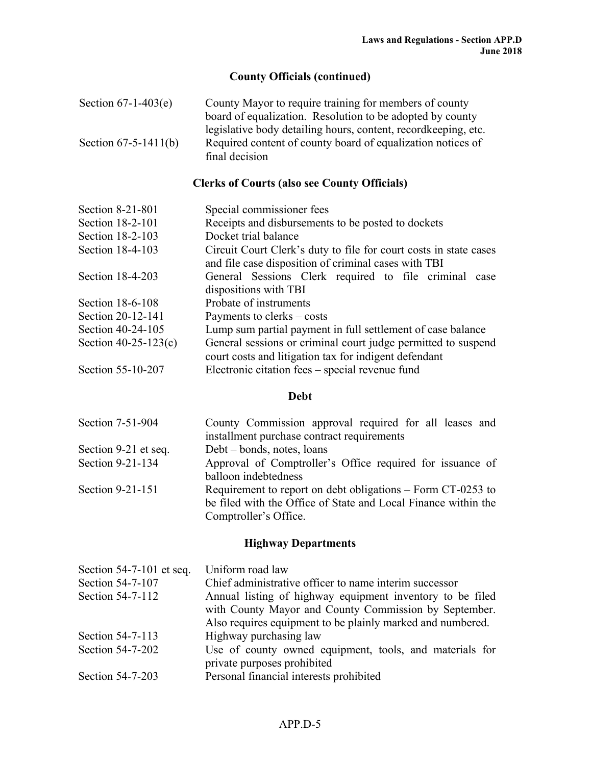## **County Officials (continued)**

| Section $67-1-403(e)$  | County Mayor to require training for members of county          |
|------------------------|-----------------------------------------------------------------|
|                        | board of equalization. Resolution to be adopted by county       |
|                        | legislative body detailing hours, content, record keeping, etc. |
| Section $67-5-1411(b)$ | Required content of county board of equalization notices of     |
|                        | final decision                                                  |

## **Clerks of Courts (also see County Officials)**

| Section 8-21-801       | Special commissioner fees                                         |
|------------------------|-------------------------------------------------------------------|
| Section 18-2-101       | Receipts and disbursements to be posted to dockets                |
| Section 18-2-103       | Docket trial balance                                              |
| Section 18-4-103       | Circuit Court Clerk's duty to file for court costs in state cases |
|                        | and file case disposition of criminal cases with TBI              |
| Section 18-4-203       | General Sessions Clerk required to file criminal<br>case          |
|                        | dispositions with TBI                                             |
| Section 18-6-108       | Probate of instruments                                            |
| Section 20-12-141      | Payments to clerks – costs                                        |
| Section 40-24-105      | Lump sum partial payment in full settlement of case balance       |
| Section $40-25-123(c)$ | General sessions or criminal court judge permitted to suspend     |
|                        | court costs and litigation tax for indigent defendant             |
| Section 55-10-207      | Electronic citation fees – special revenue fund                   |

## **Debt**

| Section 7-51-904     | County Commission approval required for all leases and         |
|----------------------|----------------------------------------------------------------|
|                      | installment purchase contract requirements                     |
| Section 9-21 et seq. | Debt – bonds, notes, loans                                     |
| Section 9-21-134     | Approval of Comptroller's Office required for issuance of      |
|                      | balloon indebtedness                                           |
| Section 9-21-151     | Requirement to report on debt obligations – Form CT-0253 to    |
|                      | be filed with the Office of State and Local Finance within the |
|                      | Comptroller's Office.                                          |

### **Highway Departments**

| Section $54-7-101$ et seq. | Uniform road law                                                                       |
|----------------------------|----------------------------------------------------------------------------------------|
| Section 54-7-107           | Chief administrative officer to name interim successor                                 |
| Section 54-7-112           | Annual listing of highway equipment inventory to be filed                              |
|                            | with County Mayor and County Commission by September.                                  |
|                            | Also requires equipment to be plainly marked and numbered.                             |
| Section 54-7-113           | Highway purchasing law                                                                 |
| Section 54-7-202           | Use of county owned equipment, tools, and materials for<br>private purposes prohibited |
| Section 54-7-203           | Personal financial interests prohibited                                                |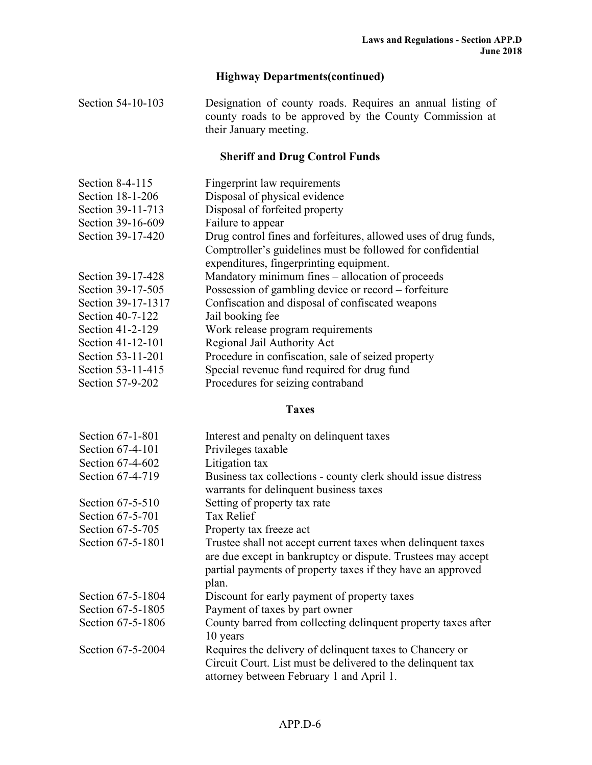## **Highway Departments(continued)**

| Section 54-10-103 | Designation of county roads. Requires an annual listing of |
|-------------------|------------------------------------------------------------|
|                   | county roads to be approved by the County Commission at    |
|                   | their January meeting.                                     |

## **Sheriff and Drug Control Funds**

| Section 8-4-115    | Fingerprint law requirements                                    |
|--------------------|-----------------------------------------------------------------|
| Section 18-1-206   | Disposal of physical evidence                                   |
| Section 39-11-713  | Disposal of forfeited property                                  |
| Section 39-16-609  | Failure to appear                                               |
| Section 39-17-420  | Drug control fines and forfeitures, allowed uses of drug funds, |
|                    | Comptroller's guidelines must be followed for confidential      |
|                    | expenditures, fingerprinting equipment.                         |
| Section 39-17-428  | Mandatory minimum fines – allocation of proceeds                |
| Section 39-17-505  | Possession of gambling device or record – forfeiture            |
| Section 39-17-1317 | Confiscation and disposal of confiscated weapons                |
| Section 40-7-122   | Jail booking fee                                                |
| Section 41-2-129   | Work release program requirements                               |
| Section 41-12-101  | Regional Jail Authority Act                                     |
| Section 53-11-201  | Procedure in confiscation, sale of seized property              |
| Section 53-11-415  | Special revenue fund required for drug fund                     |
| Section 57-9-202   | Procedures for seizing contraband                               |

#### **Taxes**

| Section 67-1-801  | Interest and penalty on delinquent taxes                                                                                                                                                             |
|-------------------|------------------------------------------------------------------------------------------------------------------------------------------------------------------------------------------------------|
| Section 67-4-101  | Privileges taxable                                                                                                                                                                                   |
| Section 67-4-602  | Litigation tax                                                                                                                                                                                       |
| Section 67-4-719  | Business tax collections - county clerk should issue distress<br>warrants for delinquent business taxes                                                                                              |
| Section 67-5-510  | Setting of property tax rate                                                                                                                                                                         |
| Section 67-5-701  | <b>Tax Relief</b>                                                                                                                                                                                    |
| Section 67-5-705  | Property tax freeze act                                                                                                                                                                              |
| Section 67-5-1801 | Trustee shall not accept current taxes when delinquent taxes<br>are due except in bankruptcy or dispute. Trustees may accept<br>partial payments of property taxes if they have an approved<br>plan. |
| Section 67-5-1804 | Discount for early payment of property taxes                                                                                                                                                         |
| Section 67-5-1805 | Payment of taxes by part owner                                                                                                                                                                       |
| Section 67-5-1806 | County barred from collecting delinquent property taxes after<br>10 years                                                                                                                            |
| Section 67-5-2004 | Requires the delivery of delinquent taxes to Chancery or<br>Circuit Court. List must be delivered to the delinquent tax<br>attorney between February 1 and April 1.                                  |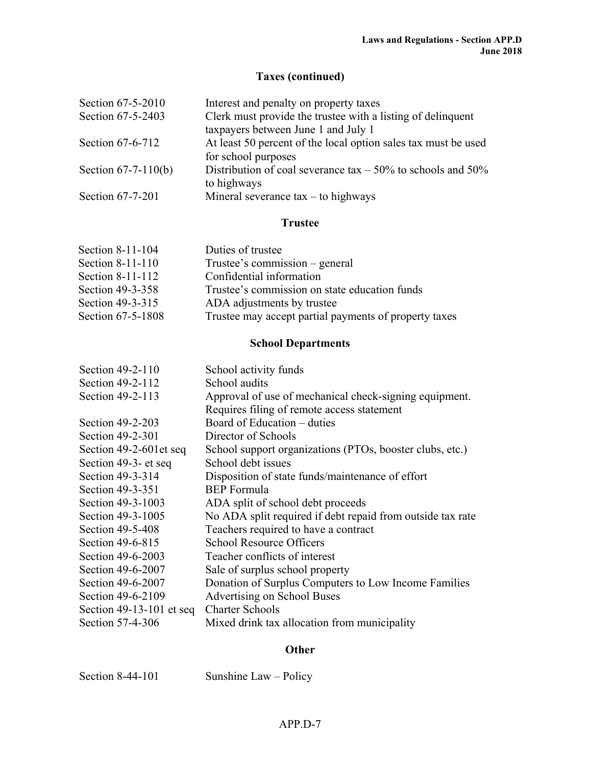## **Taxes (continued)**

| Section 67-5-2010     | Interest and penalty on property taxes                                        |
|-----------------------|-------------------------------------------------------------------------------|
| Section 67-5-2403     | Clerk must provide the trustee with a listing of delinquent                   |
|                       | taxpayers between June 1 and July 1                                           |
| Section 67-6-712      | At least 50 percent of the local option sales tax must be used                |
|                       | for school purposes                                                           |
| Section $67-7-110(b)$ | Distribution of coal severance $tax - 50\%$ to schools and 50%<br>to highways |
|                       |                                                                               |
| Section 67-7-201      | Mineral severance $tax - to$ highways                                         |

### **Trustee**

| Section 8-11-104  | Duties of trustee                                     |
|-------------------|-------------------------------------------------------|
| Section 8-11-110  | Trustee's commission – general                        |
| Section 8-11-112  | Confidential information                              |
| Section 49-3-358  | Trustee's commission on state education funds         |
| Section 49-3-315  | ADA adjustments by trustee                            |
| Section 67-5-1808 | Trustee may accept partial payments of property taxes |

## **School Departments**

| Section 49-2-110           | School activity funds                                      |
|----------------------------|------------------------------------------------------------|
| Section 49-2-112           | School audits                                              |
| Section 49-2-113           | Approval of use of mechanical check-signing equipment.     |
|                            | Requires filing of remote access statement                 |
| Section 49-2-203           | Board of Education – duties                                |
| Section 49-2-301           | Director of Schools                                        |
| Section 49-2-601 et seq    | School support organizations (PTOs, booster clubs, etc.)   |
| Section 49-3- et seq       | School debt issues                                         |
| Section 49-3-314           | Disposition of state funds/maintenance of effort           |
| Section 49-3-351           | <b>BEP</b> Formula                                         |
| Section 49-3-1003          | ADA split of school debt proceeds                          |
| Section 49-3-1005          | No ADA split required if debt repaid from outside tax rate |
| Section 49-5-408           | Teachers required to have a contract                       |
| Section 49-6-815           | <b>School Resource Officers</b>                            |
| Section 49-6-2003          | Teacher conflicts of interest                              |
| Section 49-6-2007          | Sale of surplus school property                            |
| Section 49-6-2007          | Donation of Surplus Computers to Low Income Families       |
| Section 49-6-2109          | Advertising on School Buses                                |
| Section $49-13-101$ et seq | <b>Charter Schools</b>                                     |
| Section 57-4-306           | Mixed drink tax allocation from municipality               |

### **Other**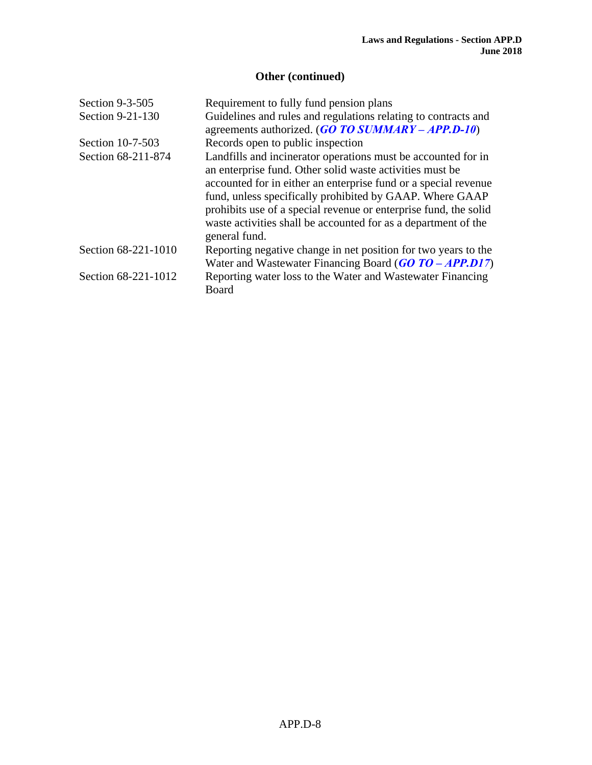## **Other (continued)**

| Section 9-3-505     | Requirement to fully fund pension plans                                                                                                                                                                                                                                                                                                                                                                         |
|---------------------|-----------------------------------------------------------------------------------------------------------------------------------------------------------------------------------------------------------------------------------------------------------------------------------------------------------------------------------------------------------------------------------------------------------------|
| Section 9-21-130    | Guidelines and rules and regulations relating to contracts and<br>agreements authorized. (GO TO SUMMARY - APP.D-10)                                                                                                                                                                                                                                                                                             |
| Section 10-7-503    | Records open to public inspection                                                                                                                                                                                                                                                                                                                                                                               |
| Section 68-211-874  | Landfills and incinerator operations must be accounted for in<br>an enterprise fund. Other solid waste activities must be<br>accounted for in either an enterprise fund or a special revenue<br>fund, unless specifically prohibited by GAAP. Where GAAP<br>prohibits use of a special revenue or enterprise fund, the solid<br>waste activities shall be accounted for as a department of the<br>general fund. |
| Section 68-221-1010 | Reporting negative change in net position for two years to the                                                                                                                                                                                                                                                                                                                                                  |
|                     | Water and Wastewater Financing Board ( $GO$ TO $-APP.D17$ )                                                                                                                                                                                                                                                                                                                                                     |
| Section 68-221-1012 | Reporting water loss to the Water and Wastewater Financing<br>Board                                                                                                                                                                                                                                                                                                                                             |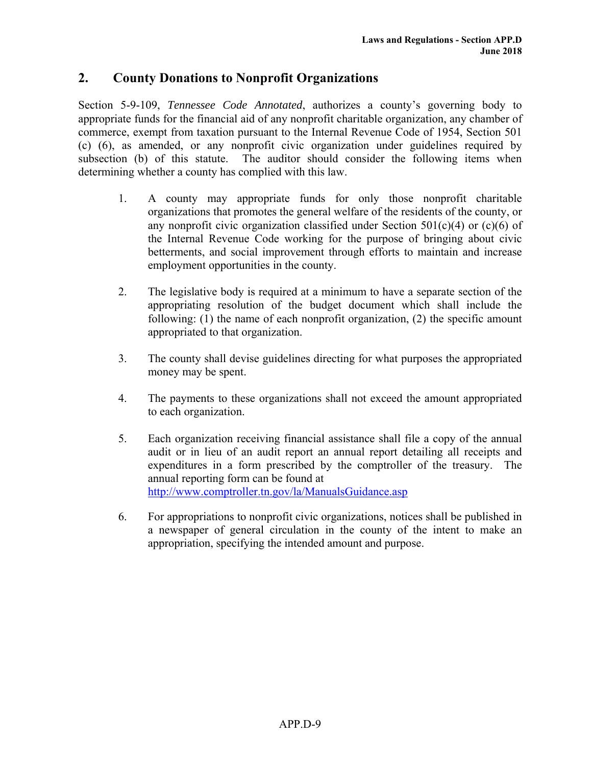## <span id="page-154-0"></span>**2. County Donations to Nonprofit Organizations**

Section 5-9-109, *Tennessee Code Annotated*, authorizes a county's governing body to appropriate funds for the financial aid of any nonprofit charitable organization, any chamber of commerce, exempt from taxation pursuant to the Internal Revenue Code of 1954, Section 501 (c) (6), as amended, or any nonprofit civic organization under guidelines required by subsection (b) of this statute. The auditor should consider the following items when determining whether a county has complied with this law.

- 1. A county may appropriate funds for only those nonprofit charitable organizations that promotes the general welfare of the residents of the county, or any nonprofit civic organization classified under Section  $501(c)(4)$  or  $(c)(6)$  of the Internal Revenue Code working for the purpose of bringing about civic betterments, and social improvement through efforts to maintain and increase employment opportunities in the county.
- 2. The legislative body is required at a minimum to have a separate section of the appropriating resolution of the budget document which shall include the following: (1) the name of each nonprofit organization, (2) the specific amount appropriated to that organization.
- 3. The county shall devise guidelines directing for what purposes the appropriated money may be spent.
- 4. The payments to these organizations shall not exceed the amount appropriated to each organization.
- 5. Each organization receiving financial assistance shall file a copy of the annual audit or in lieu of an audit report an annual report detailing all receipts and expenditures in a form prescribed by the comptroller of the treasury. The annual reporting form can be found at http://www.comptroller.tn.gov/la/ManualsGuidance.asp
- 6. For appropriations to nonprofit civic organizations, notices shall be published in a newspaper of general circulation in the county of the intent to make an appropriation, specifying the intended amount and purpose.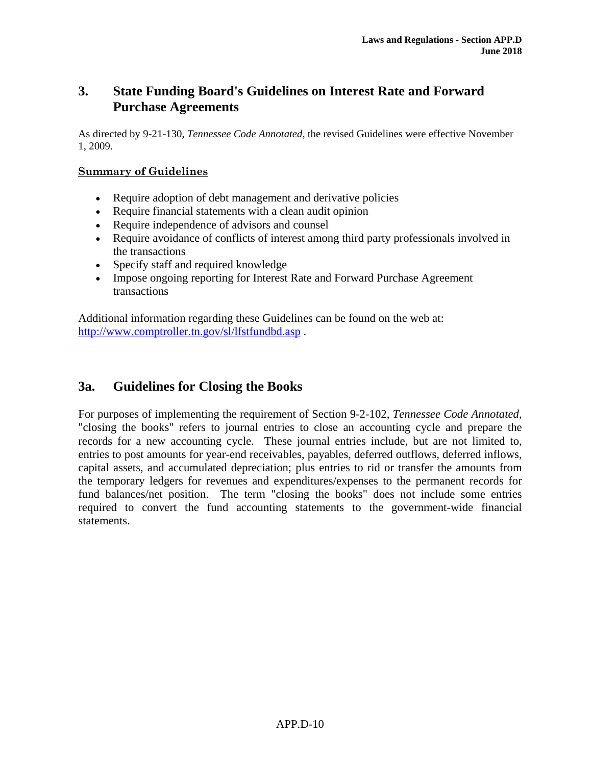## <span id="page-155-0"></span>**3. State Funding Board's Guidelines on Interest Rate and Forward Purchase Agreements**

As directed by 9-21-130, *Tennessee Code Annotated,* the revised Guidelines were effective November 1, 2009.

#### **Summary of Guidelines**

- Require adoption of debt management and derivative policies
- Require financial statements with a clean audit opinion
- Require independence of advisors and counsel
- Require avoidance of conflicts of interest among third party professionals involved in the transactions
- Specify staff and required knowledge
- Impose ongoing reporting for Interest Rate and Forward Purchase Agreement transactions

Additional information regarding these Guidelines can be found on the web at: http://www.comptroller.tn.gov/sl/lfstfundbd.asp .

## **3a. Guidelines for Closing the Books**

For purposes of implementing the requirement of Section 9-2-102, *Tennessee Code Annotated*, "closing the books" refers to journal entries to close an accounting cycle and prepare the records for a new accounting cycle. These journal entries include, but are not limited to, entries to post amounts for year-end receivables, payables, deferred outflows, deferred inflows, capital assets, and accumulated depreciation; plus entries to rid or transfer the amounts from the temporary ledgers for revenues and expenditures/expenses to the permanent records for fund balances/net position. The term "closing the books" does not include some entries required to convert the fund accounting statements to the government-wide financial statements.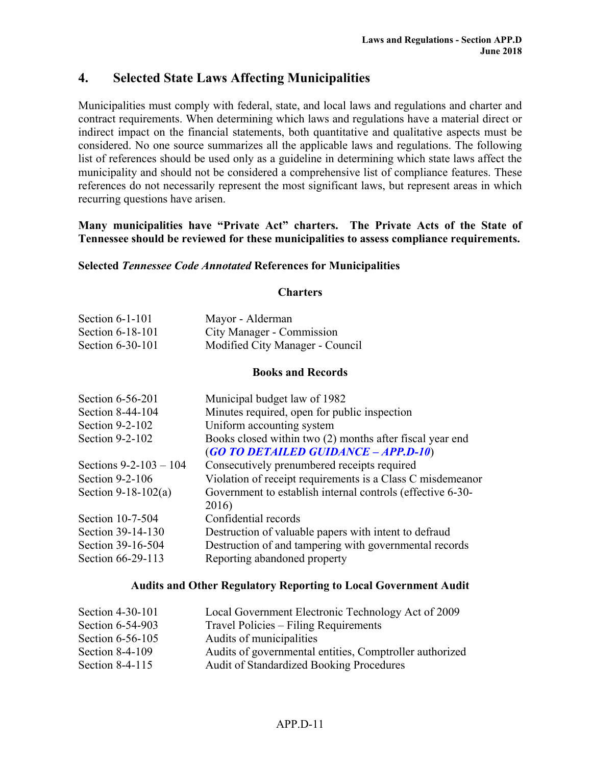## **4. Selected State Laws Affecting Municipalities**

Municipalities must comply with federal, state, and local laws and regulations and charter and contract requirements. When determining which laws and regulations have a material direct or indirect impact on the financial statements, both quantitative and qualitative aspects must be considered. No one source summarizes all the applicable laws and regulations. The following list of references should be used only as a guideline in determining which state laws affect the municipality and should not be considered a comprehensive list of compliance features. These references do not necessarily represent the most significant laws, but represent areas in which recurring questions have arisen.

#### **Many municipalities have "Private Act" charters. The Private Acts of the State of Tennessee should be reviewed for these municipalities to assess compliance requirements.**

#### **Selected** *Tennessee Code Annotated* **References for Municipalities**

#### **Charters**

| Section $6-1-101$ | Mayor - Alderman                |
|-------------------|---------------------------------|
| Section 6-18-101  | City Manager - Commission       |
| Section 6-30-101  | Modified City Manager - Council |

#### **Books and Records**

| Section 6-56-201       | Municipal budget law of 1982                               |
|------------------------|------------------------------------------------------------|
| Section 8-44-104       | Minutes required, open for public inspection               |
| Section 9-2-102        | Uniform accounting system                                  |
| Section 9-2-102        | Books closed within two (2) months after fiscal year end   |
|                        | (GO TO DETAILED GUIDANCE - APP.D-10)                       |
| Sections $9-2-103-104$ | Consecutively prenumbered receipts required                |
| Section 9-2-106        | Violation of receipt requirements is a Class C misdemeanor |
| Section 9-18-102(a)    | Government to establish internal controls (effective 6-30- |
|                        | 2016)                                                      |
| Section 10-7-504       | Confidential records                                       |
| Section 39-14-130      | Destruction of valuable papers with intent to defraud      |
| Section 39-16-504      | Destruction of and tampering with governmental records     |
| Section 66-29-113      | Reporting abandoned property                               |

#### **Audits and Other Regulatory Reporting to Local Government Audit**

| Section 4-30-101 | Local Government Electronic Technology Act of 2009      |
|------------------|---------------------------------------------------------|
| Section 6-54-903 | Travel Policies – Filing Requirements                   |
| Section 6-56-105 | Audits of municipalities                                |
| Section 8-4-109  | Audits of governmental entities, Comptroller authorized |
| Section 8-4-115  | <b>Audit of Standardized Booking Procedures</b>         |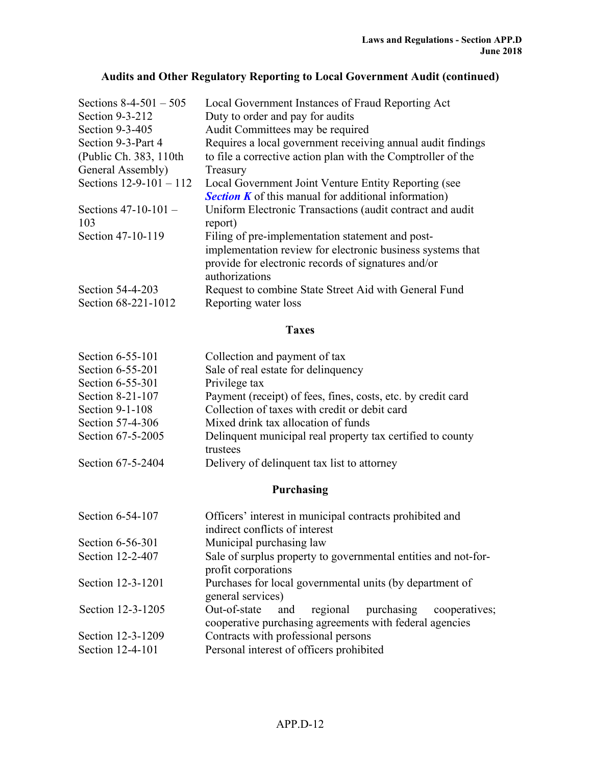## **Audits and Other Regulatory Reporting to Local Government Audit (continued)**

| Sections $8-4-501-505$  | Local Government Instances of Fraud Reporting Act            |
|-------------------------|--------------------------------------------------------------|
| Section 9-3-212         | Duty to order and pay for audits                             |
| Section 9-3-405         | Audit Committees may be required                             |
| Section 9-3-Part 4      | Requires a local government receiving annual audit findings  |
| (Public Ch. 383, 110th) | to file a corrective action plan with the Comptroller of the |
| General Assembly)       | Treasury                                                     |
| Sections $12-9-101-112$ | Local Government Joint Venture Entity Reporting (see         |
|                         | <b>Section K</b> of this manual for additional information)  |
| Sections $47-10-101-$   | Uniform Electronic Transactions (audit contract and audit    |
| 103                     | report)                                                      |
| Section 47-10-119       | Filing of pre-implementation statement and post-             |
|                         | implementation review for electronic business systems that   |
|                         | provide for electronic records of signatures and/or          |
|                         | authorizations                                               |
| Section 54-4-203        | Request to combine State Street Aid with General Fund        |
| Section 68-221-1012     | Reporting water loss                                         |

### **Taxes**

| Section 6-55-101  | Collection and payment of tax                                |
|-------------------|--------------------------------------------------------------|
| Section 6-55-201  | Sale of real estate for delinquency                          |
| Section 6-55-301  | Privilege tax                                                |
| Section 8-21-107  | Payment (receipt) of fees, fines, costs, etc. by credit card |
| Section 9-1-108   | Collection of taxes with credit or debit card                |
| Section 57-4-306  | Mixed drink tax allocation of funds                          |
| Section 67-5-2005 | Delinquent municipal real property tax certified to county   |
|                   | trustees                                                     |
| Section 67-5-2404 | Delivery of delinquent tax list to attorney                  |

#### **Purchasing**

| Section 6-54-107                      | Officers' interest in municipal contracts prohibited and<br>indirect conflicts of interest                    |
|---------------------------------------|---------------------------------------------------------------------------------------------------------------|
| Section 6-56-301                      | Municipal purchasing law                                                                                      |
| Section 12-2-407                      | Sale of surplus property to governmental entities and not-for-<br>profit corporations                         |
| Section 12-3-1201                     | Purchases for local governmental units (by department of<br>general services)                                 |
| Section 12-3-1205                     | Out-of-state and regional purchasing cooperatives;<br>cooperative purchasing agreements with federal agencies |
| Section 12-3-1209<br>Section 12-4-101 | Contracts with professional persons<br>Personal interest of officers prohibited                               |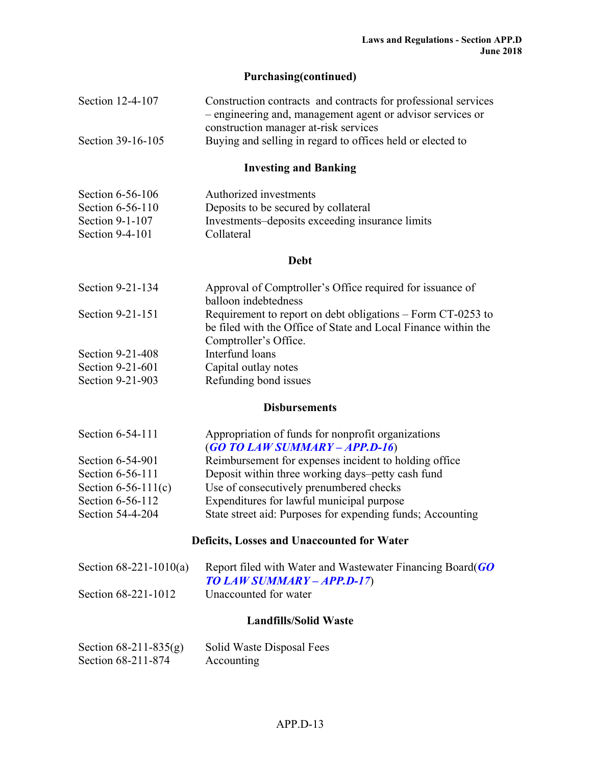## **Purchasing(continued)**

| Section 12-4-107  | Construction contracts and contracts for professional services |
|-------------------|----------------------------------------------------------------|
|                   | - engineering and, management agent or advisor services or     |
|                   | construction manager at-risk services                          |
| Section 39-16-105 | Buying and selling in regard to offices held or elected to     |

## **Investing and Banking**

| Section 6-56-106 | Authorized investments                          |
|------------------|-------------------------------------------------|
| Section 6-56-110 | Deposits to be secured by collateral            |
| Section 9-1-107  | Investments-deposits exceeding insurance limits |
| Section 9-4-101  | Collateral                                      |

#### **Debt**

| Section 9-21-134 | Approval of Comptroller's Office required for issuance of      |
|------------------|----------------------------------------------------------------|
|                  | balloon indebtedness                                           |
| Section 9-21-151 | Requirement to report on debt obligations – Form CT-0253 to    |
|                  | be filed with the Office of State and Local Finance within the |
|                  | Comptroller's Office.                                          |
| Section 9-21-408 | Interfund loans                                                |
| Section 9-21-601 | Capital outlay notes                                           |
| Section 9-21-903 | Refunding bond issues                                          |

### **Disbursements**

| Section 6-54-111      | Appropriation of funds for nonprofit organizations         |  |
|-----------------------|------------------------------------------------------------|--|
|                       | $(GO TO LAW SUMMARY - APP.D-16)$                           |  |
| Section 6-54-901      | Reimbursement for expenses incident to holding office      |  |
| Section 6-56-111      | Deposit within three working days-petty cash fund          |  |
| Section $6-56-111(c)$ | Use of consecutively prenumbered checks                    |  |
| Section 6-56-112      | Expenditures for lawful municipal purpose                  |  |
| Section 54-4-204      | State street aid: Purposes for expending funds; Accounting |  |

### **Deficits, Losses and Unaccounted for Water**

| Section $68-221-1010(a)$ | Report filed with Water and Wastewater Financing Board GO |
|--------------------------|-----------------------------------------------------------|
|                          | <b>TO LAW SUMMARY - APP.D-17</b>                          |
| Section 68-221-1012      | Unaccounted for water                                     |

#### **Landfills/Solid Waste**

| Section $68-211-835(g)$ | Solid Waste Disposal Fees |
|-------------------------|---------------------------|
| Section 68-211-874      | Accounting                |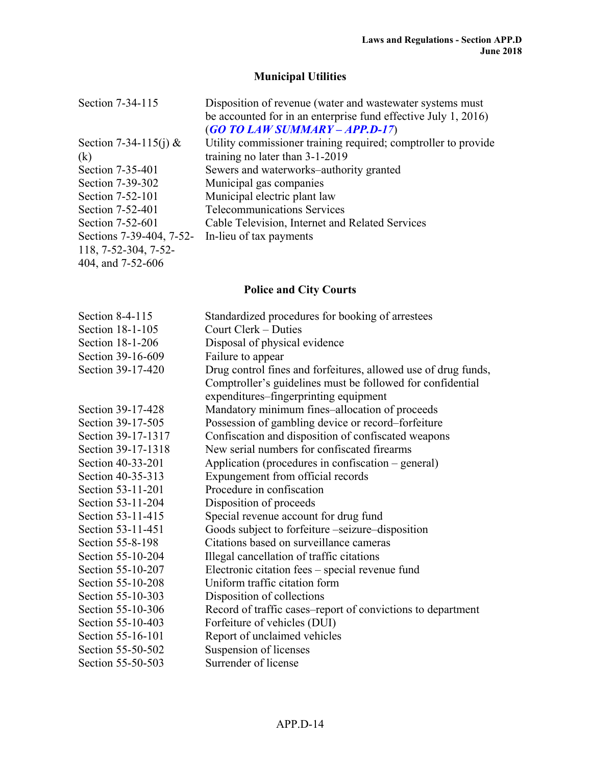## **Municipal Utilities**

| Section 7-34-115         | Disposition of revenue (water and wastewater systems must      |
|--------------------------|----------------------------------------------------------------|
|                          | be accounted for in an enterprise fund effective July 1, 2016) |
|                          | $(GO TO LAW SUMMARY - APP.D-17)$                               |
| Section 7-34-115(j) &    | Utility commissioner training required; comptroller to provide |
| (k)                      | training no later than 3-1-2019                                |
| Section 7-35-401         | Sewers and waterworks-authority granted                        |
| Section 7-39-302         | Municipal gas companies                                        |
| Section 7-52-101         | Municipal electric plant law                                   |
| Section 7-52-401         | <b>Telecommunications Services</b>                             |
| Section 7-52-601         | Cable Television, Internet and Related Services                |
| Sections 7-39-404, 7-52- | In-lieu of tax payments                                        |
| $118, 7-52-304, 7-52-$   |                                                                |
| 404, and 7-52-606        |                                                                |

## **Police and City Courts**

| Section 8-4-115    | Standardized procedures for booking of arrestees                                                                                                                      |
|--------------------|-----------------------------------------------------------------------------------------------------------------------------------------------------------------------|
| Section 18-1-105   | Court Clerk – Duties                                                                                                                                                  |
| Section 18-1-206   | Disposal of physical evidence                                                                                                                                         |
| Section 39-16-609  | Failure to appear                                                                                                                                                     |
| Section 39-17-420  | Drug control fines and forfeitures, allowed use of drug funds,<br>Comptroller's guidelines must be followed for confidential<br>expenditures-fingerprinting equipment |
| Section 39-17-428  | Mandatory minimum fines-allocation of proceeds                                                                                                                        |
| Section 39-17-505  | Possession of gambling device or record-forfeiture                                                                                                                    |
| Section 39-17-1317 | Confiscation and disposition of confiscated weapons                                                                                                                   |
| Section 39-17-1318 | New serial numbers for confiscated firearms                                                                                                                           |
| Section 40-33-201  | Application (procedures in confiscation – general)                                                                                                                    |
| Section 40-35-313  | Expungement from official records                                                                                                                                     |
| Section 53-11-201  | Procedure in confiscation                                                                                                                                             |
| Section 53-11-204  | Disposition of proceeds                                                                                                                                               |
| Section 53-11-415  | Special revenue account for drug fund                                                                                                                                 |
| Section 53-11-451  | Goods subject to forfeiture –seizure–disposition                                                                                                                      |
| Section 55-8-198   | Citations based on surveillance cameras                                                                                                                               |
| Section 55-10-204  | Illegal cancellation of traffic citations                                                                                                                             |
| Section 55-10-207  | Electronic citation fees – special revenue fund                                                                                                                       |
| Section 55-10-208  | Uniform traffic citation form                                                                                                                                         |
| Section 55-10-303  | Disposition of collections                                                                                                                                            |
| Section 55-10-306  | Record of traffic cases–report of convictions to department                                                                                                           |
| Section 55-10-403  | Forfeiture of vehicles (DUI)                                                                                                                                          |
| Section 55-16-101  | Report of unclaimed vehicles                                                                                                                                          |
| Section 55-50-502  | Suspension of licenses                                                                                                                                                |
| Section 55-50-503  | Surrender of license                                                                                                                                                  |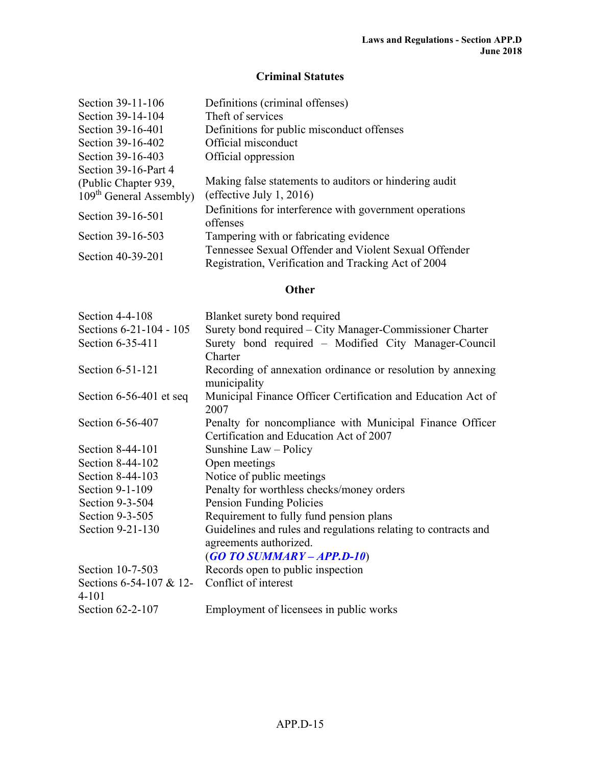## **Criminal Statutes**

| Section 39-11-106         | Definitions (criminal offenses)                                                                              |
|---------------------------|--------------------------------------------------------------------------------------------------------------|
| Section 39-14-104         | Theft of services                                                                                            |
| Section 39-16-401         | Definitions for public misconduct offenses                                                                   |
| Section 39-16-402         | Official misconduct                                                                                          |
| Section 39-16-403         | Official oppression                                                                                          |
| Section 39-16-Part 4      |                                                                                                              |
| (Public Chapter 939,      | Making false statements to auditors or hindering audit                                                       |
| $109th$ General Assembly) | (effective July 1, 2016)                                                                                     |
| Section 39-16-501         | Definitions for interference with government operations<br>offenses                                          |
| Section 39-16-503         | Tampering with or fabricating evidence                                                                       |
| Section 40-39-201         | Tennessee Sexual Offender and Violent Sexual Offender<br>Registration, Verification and Tracking Act of 2004 |

### **Other**

| Section 4-4-108                      | Blanket surety bond required                                                             |
|--------------------------------------|------------------------------------------------------------------------------------------|
| Sections 6-21-104 - 105              | Surety bond required – City Manager-Commissioner Charter                                 |
| Section 6-35-411                     | Surety bond required - Modified City Manager-Council                                     |
|                                      | Charter                                                                                  |
| Section 6-51-121                     | Recording of annexation ordinance or resolution by annexing<br>municipality              |
| Section $6-56-401$ et seq            | Municipal Finance Officer Certification and Education Act of<br>2007                     |
| Section 6-56-407                     | Penalty for noncompliance with Municipal Finance Officer                                 |
|                                      | Certification and Education Act of 2007                                                  |
| Section 8-44-101                     | Sunshine Law – Policy                                                                    |
| Section 8-44-102                     | Open meetings                                                                            |
| Section 8-44-103                     | Notice of public meetings                                                                |
| Section 9-1-109                      | Penalty for worthless checks/money orders                                                |
| Section 9-3-504                      | <b>Pension Funding Policies</b>                                                          |
| Section 9-3-505                      | Requirement to fully fund pension plans                                                  |
| Section 9-21-130                     | Guidelines and rules and regulations relating to contracts and<br>agreements authorized. |
|                                      | $(GO TO SUMMARY - APP.D-10)$                                                             |
| Section 10-7-503                     | Records open to public inspection                                                        |
| Sections 6-54-107 & 12-<br>$4 - 101$ | Conflict of interest                                                                     |
| Section 62-2-107                     | Employment of licensees in public works                                                  |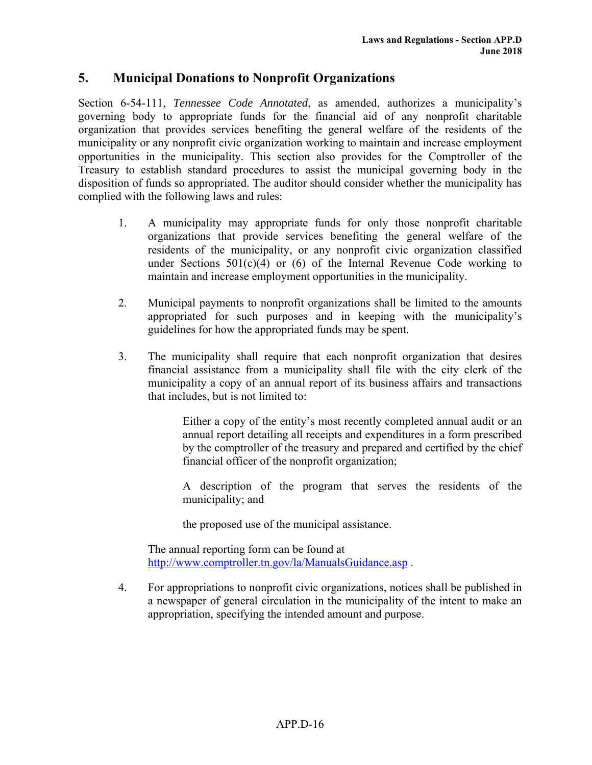### <span id="page-161-0"></span>**5. Municipal Donations to Nonprofit Organizations**

Section 6-54-111, *Tennessee Code Annotated*, as amended, authorizes a municipality's governing body to appropriate funds for the financial aid of any nonprofit charitable organization that provides services benefiting the general welfare of the residents of the municipality or any nonprofit civic organization working to maintain and increase employment opportunities in the municipality. This section also provides for the Comptroller of the Treasury to establish standard procedures to assist the municipal governing body in the disposition of funds so appropriated. The auditor should consider whether the municipality has complied with the following laws and rules:

- 1. A municipality may appropriate funds for only those nonprofit charitable organizations that provide services benefiting the general welfare of the residents of the municipality, or any nonprofit civic organization classified under Sections  $501(c)(4)$  or (6) of the Internal Revenue Code working to maintain and increase employment opportunities in the municipality.
- 2. Municipal payments to nonprofit organizations shall be limited to the amounts appropriated for such purposes and in keeping with the municipality's guidelines for how the appropriated funds may be spent.
- 3. The municipality shall require that each nonprofit organization that desires financial assistance from a municipality shall file with the city clerk of the municipality a copy of an annual report of its business affairs and transactions that includes, but is not limited to:

Either a copy of the entity's most recently completed annual audit or an annual report detailing all receipts and expenditures in a form prescribed by the comptroller of the treasury and prepared and certified by the chief financial officer of the nonprofit organization;

A description of the program that serves the residents of the municipality; and

the proposed use of the municipal assistance.

The annual reporting form can be found at http://www.comptroller.tn.gov/la/ManualsGuidance.asp .

4. For appropriations to nonprofit civic organizations, notices shall be published in a newspaper of general circulation in the municipality of the intent to make an appropriation, specifying the intended amount and purpose.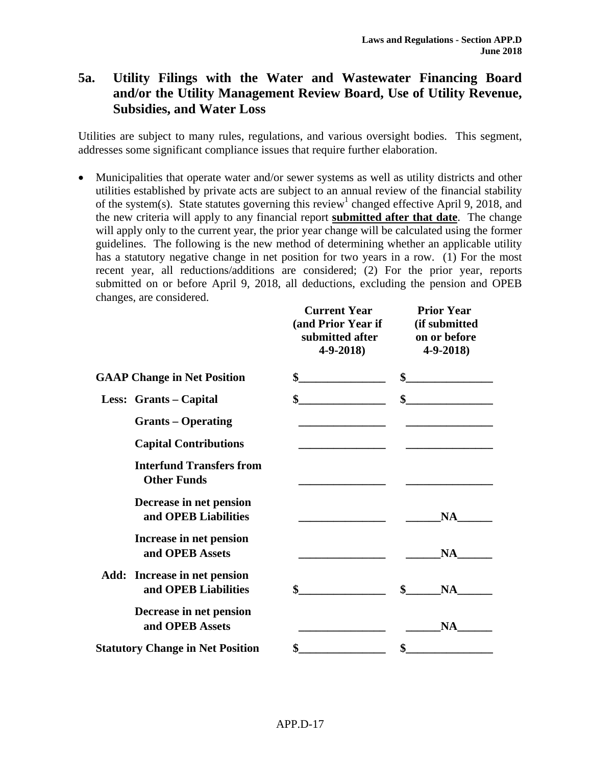## <span id="page-162-0"></span>**5a. Utility Filings with the Water and Wastewater Financing Board and/or the Utility Management Review Board, Use of Utility Revenue, Subsidies, and Water Loss**

Utilities are subject to many rules, regulations, and various oversight bodies. This segment, addresses some significant compliance issues that require further elaboration.

 Municipalities that operate water and/or sewer systems as well as utility districts and other utilities established by private acts are subject to an annual review of the financial stability of the system(s). State statutes governing this review<sup>1</sup> changed effective April 9, 2018, and the new criteria will apply to any financial report **submitted after that date**. The change will apply only to the current year, the prior year change will be calculated using the former guidelines. The following is the new method of determining whether an applicable utility has a statutory negative change in net position for two years in a row. (1) For the most recent year, all reductions/additions are considered; (2) For the prior year, reports submitted on or before April 9, 2018, all deductions, excluding the pension and OPEB changes, are considered.

|                                                       | <b>Current Year</b><br>(and Prior Year if<br>submitted after<br>$4-9-2018$ | <b>Prior Year</b><br>(if submitted<br>on or before<br>$4 - 9 - 2018$ |
|-------------------------------------------------------|----------------------------------------------------------------------------|----------------------------------------------------------------------|
| <b>GAAP Change in Net Position</b>                    | \$                                                                         | \$                                                                   |
| Less: Grants – Capital                                | \$                                                                         | \$                                                                   |
| <b>Grants – Operating</b>                             |                                                                            |                                                                      |
| <b>Capital Contributions</b>                          |                                                                            |                                                                      |
| <b>Interfund Transfers from</b><br><b>Other Funds</b> |                                                                            |                                                                      |
| Decrease in net pension<br>and OPEB Liabilities       |                                                                            | <b>NA</b>                                                            |
| Increase in net pension<br>and OPEB Assets            |                                                                            | <b>NA</b>                                                            |
| Add: Increase in net pension<br>and OPEB Liabilities  | \$                                                                         | \$<br><b>NA</b>                                                      |
| Decrease in net pension<br>and OPEB Assets            |                                                                            | <b>NA</b>                                                            |
| <b>Statutory Change in Net Position</b>               | \$                                                                         | \$                                                                   |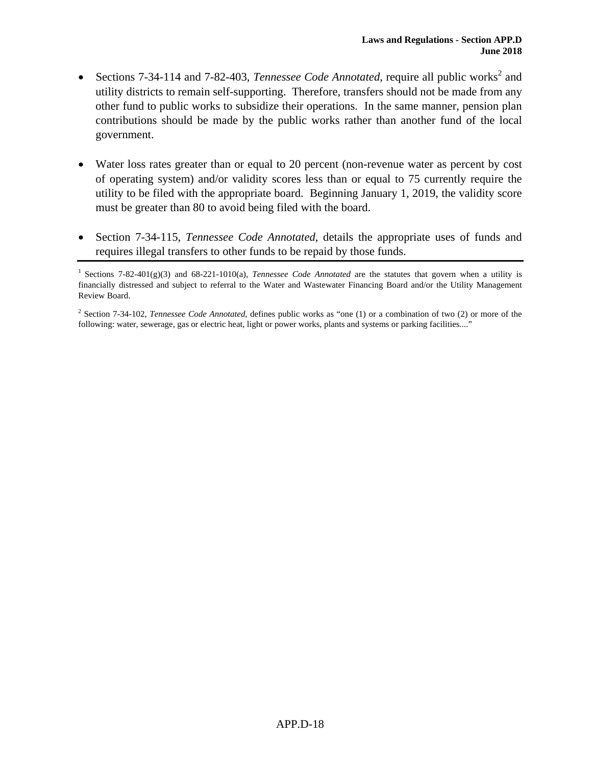- Sections  $7-34-114$  and  $7-82-403$ , *Tennessee Code Annotated*, require all public works<sup>2</sup> and utility districts to remain self-supporting. Therefore, transfers should not be made from any other fund to public works to subsidize their operations. In the same manner, pension plan contributions should be made by the public works rather than another fund of the local government.
- Water loss rates greater than or equal to 20 percent (non-revenue water as percent by cost of operating system) and/or validity scores less than or equal to 75 currently require the utility to be filed with the appropriate board. Beginning January 1, 2019, the validity score must be greater than 80 to avoid being filed with the board.
- Section 7-34-115, *Tennessee Code Annotated*, details the appropriate uses of funds and requires illegal transfers to other funds to be repaid by those funds.

<sup>&</sup>lt;sup>1</sup> Sections 7-82-401(g)(3) and 68-221-1010(a), *Tennessee Code Annotated* are the statutes that govern when a utility is financially distressed and subject to referral to the Water and Wastewater Financing Board and/or the Utility Management Review Board.

<sup>2</sup> Section 7-34-102, *Tennessee Code Annotated*, defines public works as "one (1) or a combination of two (2) or more of the following: water, sewerage, gas or electric heat, light or power works, plants and systems or parking facilities...."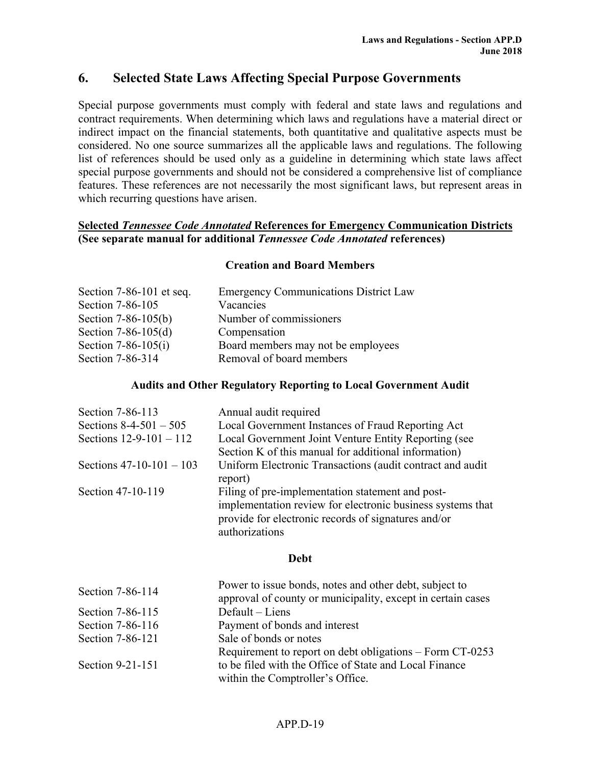### **6. Selected State Laws Affecting Special Purpose Governments**

Special purpose governments must comply with federal and state laws and regulations and contract requirements. When determining which laws and regulations have a material direct or indirect impact on the financial statements, both quantitative and qualitative aspects must be considered. No one source summarizes all the applicable laws and regulations. The following list of references should be used only as a guideline in determining which state laws affect special purpose governments and should not be considered a comprehensive list of compliance features. These references are not necessarily the most significant laws, but represent areas in which recurring questions have arisen.

#### **Selected** *Tennessee Code Annotated* **References for Emergency Communication Districts (See separate manual for additional** *Tennessee Code Annotated* **references)**

#### **Creation and Board Members**

| Section $7-86-101$ et seq. | <b>Emergency Communications District Law</b> |
|----------------------------|----------------------------------------------|
| Section 7-86-105           | Vacancies                                    |
| Section $7-86-105(b)$      | Number of commissioners                      |
| Section 7-86-105(d)        | Compensation                                 |
| Section 7-86-105(i)        | Board members may not be employees           |
| Section 7-86-314           | Removal of board members                     |
|                            |                                              |

#### **Audits and Other Regulatory Reporting to Local Government Audit**

| Section 7-86-113         | Annual audit required                                      |
|--------------------------|------------------------------------------------------------|
| Sections $8-4-501-505$   | Local Government Instances of Fraud Reporting Act          |
| Sections $12-9-101-112$  | Local Government Joint Venture Entity Reporting (see       |
|                          | Section K of this manual for additional information)       |
| Sections $47-10-101-103$ | Uniform Electronic Transactions (audit contract and audit  |
|                          | report)                                                    |
| Section 47-10-119        | Filing of pre-implementation statement and post-           |
|                          | implementation review for electronic business systems that |
|                          | provide for electronic records of signatures and/or        |
|                          | authorizations                                             |

#### **Debt**

| Section 7-86-114 | Power to issue bonds, notes and other debt, subject to<br>approval of county or municipality, except in certain cases |
|------------------|-----------------------------------------------------------------------------------------------------------------------|
| Section 7-86-115 | Default - Liens                                                                                                       |
| Section 7-86-116 | Payment of bonds and interest                                                                                         |
| Section 7-86-121 | Sale of bonds or notes                                                                                                |
|                  | Requirement to report on debt obligations – Form CT-0253                                                              |
| Section 9-21-151 | to be filed with the Office of State and Local Finance                                                                |
|                  | within the Comptroller's Office.                                                                                      |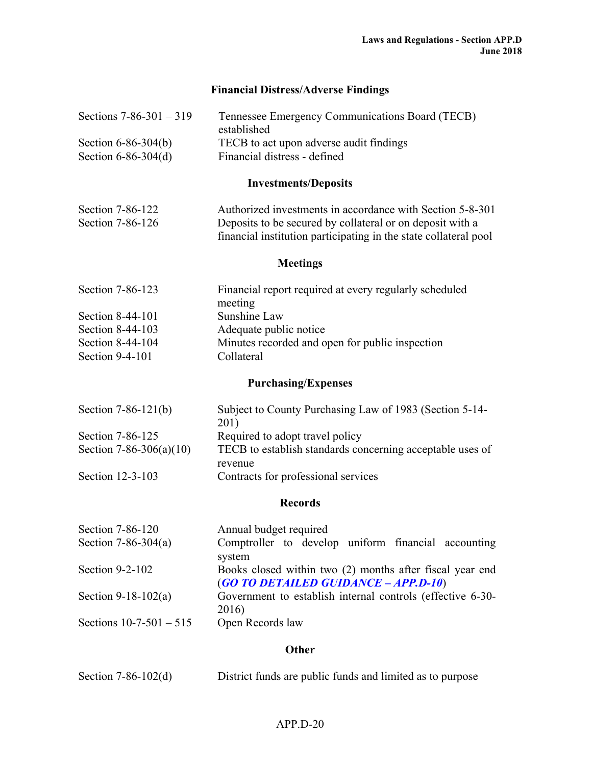## **Financial Distress/Adverse Findings**

| Sections $7-86-301-319$              | Tennessee Emergency Communications Board (TECB)<br>established                                                                                                                             |
|--------------------------------------|--------------------------------------------------------------------------------------------------------------------------------------------------------------------------------------------|
| Section $6-86-304(b)$                | TECB to act upon adverse audit findings                                                                                                                                                    |
| Section 6-86-304(d)                  | Financial distress - defined                                                                                                                                                               |
|                                      | <b>Investments/Deposits</b>                                                                                                                                                                |
| Section 7-86-122<br>Section 7-86-126 | Authorized investments in accordance with Section 5-8-301<br>Deposits to be secured by collateral or on deposit with a<br>financial institution participating in the state collateral pool |
|                                      | <b>Meetings</b>                                                                                                                                                                            |
|                                      |                                                                                                                                                                                            |
| Section 7-86-123                     | Financial report required at every regularly scheduled<br>meeting                                                                                                                          |
| Section 8-44-101                     | Sunshine Law                                                                                                                                                                               |
| Section 8-44-103                     | Adequate public notice                                                                                                                                                                     |
| Section 8-44-104                     | Minutes recorded and open for public inspection                                                                                                                                            |
| Section 9-4-101                      | Collateral                                                                                                                                                                                 |
|                                      | <b>Purchasing/Expenses</b>                                                                                                                                                                 |
| Section 7-86-121(b)                  | Subject to County Purchasing Law of 1983 (Section 5-14-<br>201)                                                                                                                            |
| Section 7-86-125                     | Required to adopt travel policy                                                                                                                                                            |
| Section 7-86-306(a)(10)              | TECB to establish standards concerning acceptable uses of<br>revenue                                                                                                                       |
| Section 12-3-103                     | Contracts for professional services                                                                                                                                                        |
|                                      | <b>Records</b>                                                                                                                                                                             |
| Section 7-86-120                     | Annual budget required                                                                                                                                                                     |
| Section 7-86-304(a)                  | Comptroller to develop uniform financial accounting<br>system                                                                                                                              |
| Section 9-2-102                      | Books closed within two (2) months after fiscal year end<br>(GO TO DETAILED GUIDANCE - APP.D-10)                                                                                           |
| Section 9-18-102(a)                  | Government to establish internal controls (effective 6-30-<br>2016)                                                                                                                        |
| Sections $10-7-501-515$              | Open Records law                                                                                                                                                                           |
|                                      | <b>Other</b>                                                                                                                                                                               |

| Section 7-86-102(d)<br>District funds are public funds and limited as to purpose |
|----------------------------------------------------------------------------------|
|----------------------------------------------------------------------------------|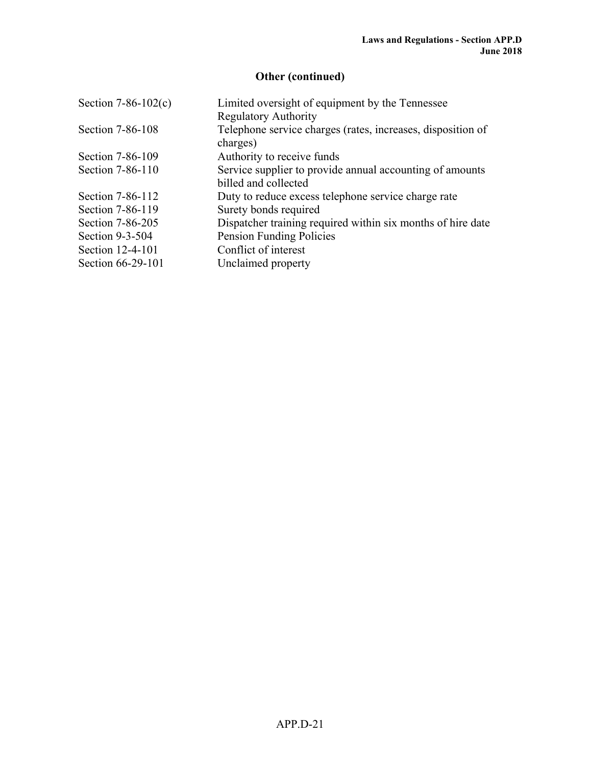## **Other (continued)**

| Section 7-86-102(c) | Limited oversight of equipment by the Tennessee                         |
|---------------------|-------------------------------------------------------------------------|
|                     | <b>Regulatory Authority</b>                                             |
| Section 7-86-108    | Telephone service charges (rates, increases, disposition of<br>charges) |
| Section 7-86-109    | Authority to receive funds                                              |
| Section 7-86-110    | Service supplier to provide annual accounting of amounts                |
|                     | billed and collected                                                    |
| Section 7-86-112    | Duty to reduce excess telephone service charge rate                     |
| Section 7-86-119    | Surety bonds required                                                   |
| Section 7-86-205    | Dispatcher training required within six months of hire date             |
| Section 9-3-504     | Pension Funding Policies                                                |
| Section 12-4-101    | Conflict of interest                                                    |
| Section 66-29-101   | Unclaimed property                                                      |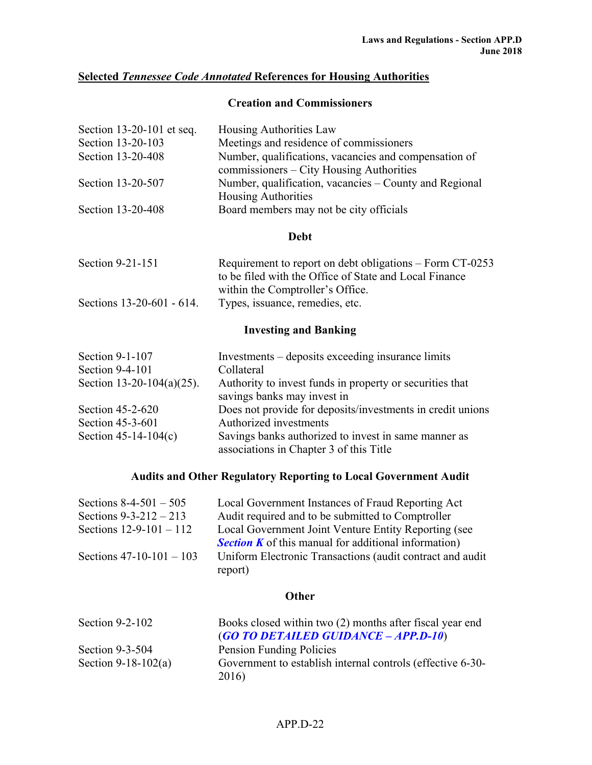## **Selected** *Tennessee Code Annotated* **References for Housing Authorities**

#### **Creation and Commissioners**

| Section 13-20-101 et seq.<br>Section 13-20-103<br>Section 13-20-408 | Housing Authorities Law<br>Meetings and residence of commissioners<br>Number, qualifications, vacancies and compensation of<br>commissioners – City Housing Authorities |
|---------------------------------------------------------------------|-------------------------------------------------------------------------------------------------------------------------------------------------------------------------|
| Section 13-20-507                                                   | Number, qualification, vacancies – County and Regional<br><b>Housing Authorities</b>                                                                                    |
| Section 13-20-408                                                   | Board members may not be city officials                                                                                                                                 |
|                                                                     | <b>Debt</b>                                                                                                                                                             |
| Section 9-21-151                                                    | Requirement to report on debt obligations – Form CT-0253<br>to be filed with the Office of State and Local Finance<br>within the Comptroller's Office.                  |
| Sections 13-20-601 - 614.                                           | Types, issuance, remedies, etc.                                                                                                                                         |
|                                                                     | <b>Investing and Banking</b>                                                                                                                                            |
| Section 9-1-107<br>Section 9-4-101                                  | Investments – deposits exceeding insurance limits<br>Collateral                                                                                                         |
| Section 13-20-104(a)(25).                                           | Authority to invest funds in property or securities that<br>savings banks may invest in                                                                                 |
| Section 45-2-620                                                    | Does not provide for deposits/investments in credit unions                                                                                                              |
| Section 45-3-601<br>Section $45-14-104(c)$                          | Authorized investments<br>Savings banks authorized to invest in same manner as                                                                                          |

# associations in Chapter 3 of this Title

## **Audits and Other Regulatory Reporting to Local Government Audit**

| Sections $8-4-501-505$       | Local Government Instances of Fraud Reporting Act           |
|------------------------------|-------------------------------------------------------------|
| Sections $9 - 3 - 212 - 213$ | Audit required and to be submitted to Comptroller           |
| Sections $12-9-101-112$      | Local Government Joint Venture Entity Reporting (see        |
|                              | <b>Section K</b> of this manual for additional information) |
| Sections $47-10-101-103$     | Uniform Electronic Transactions (audit contract and audit   |
|                              | report)                                                     |

### **Other**

| Section 9-2-102       | Books closed within two (2) months after fiscal year end   |
|-----------------------|------------------------------------------------------------|
|                       | $(GO TO DETAILED GUIDANCE - APP.D-10)$                     |
| Section 9-3-504       | <b>Pension Funding Policies</b>                            |
| Section $9-18-102(a)$ | Government to establish internal controls (effective 6-30- |
|                       | 2016)                                                      |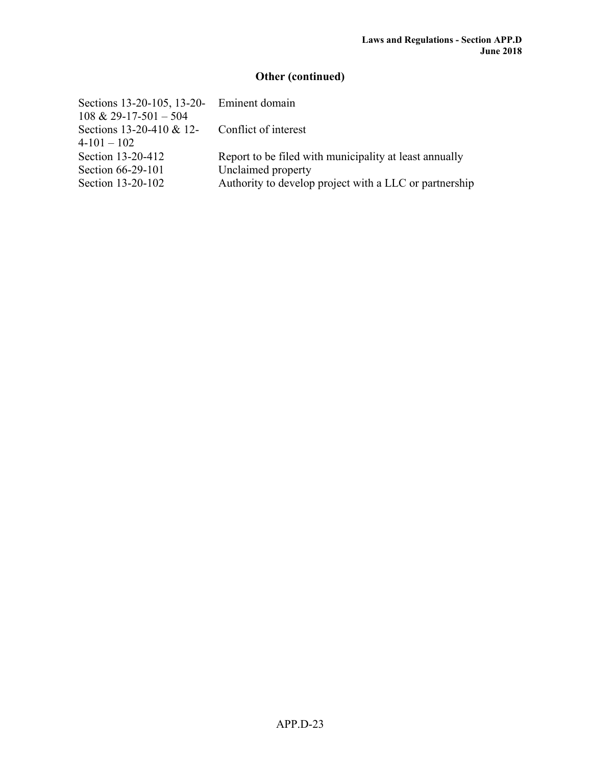## **Other (continued)**

| Sections 13-20-105, 13-20- Eminent domain |                                                        |
|-------------------------------------------|--------------------------------------------------------|
| $108 \& 29 - 17 - 501 - 504$              |                                                        |
| Sections 13-20-410 & 12-                  | Conflict of interest                                   |
| $4 - 101 - 102$                           |                                                        |
| Section 13-20-412                         | Report to be filed with municipality at least annually |
| Section 66-29-101                         | Unclaimed property                                     |
| Section 13-20-102                         | Authority to develop project with a LLC or partnership |
|                                           |                                                        |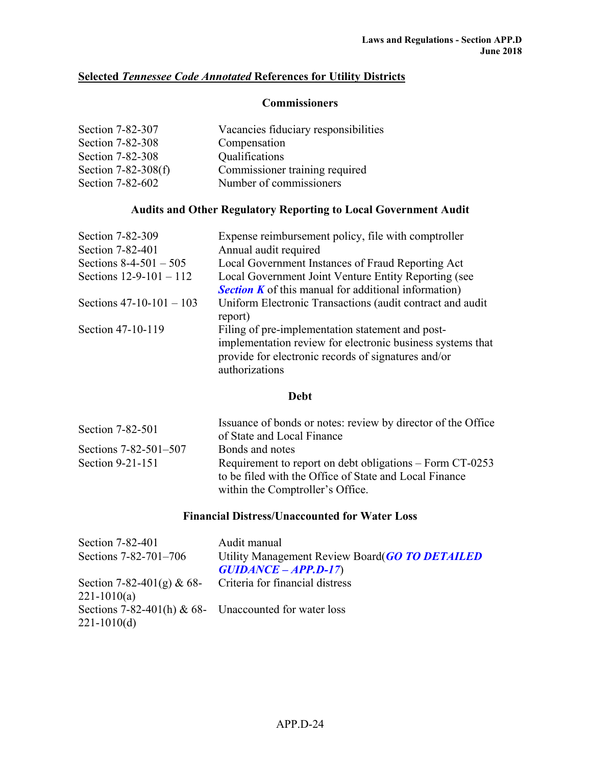## **Selected** *Tennessee Code Annotated* **References for Utility Districts**

#### **Commissioners**

| Section 7-82-307      | Vacancies fiduciary responsibilities |
|-----------------------|--------------------------------------|
| Section 7-82-308      | Compensation                         |
| Section 7-82-308      | Qualifications                       |
| Section $7-82-308(f)$ | Commissioner training required       |
| Section 7-82-602      | Number of commissioners              |

## **Audits and Other Regulatory Reporting to Local Government Audit**

| Section 7-82-309         | Expense reimbursement policy, file with comptroller                                                                                                                                     |
|--------------------------|-----------------------------------------------------------------------------------------------------------------------------------------------------------------------------------------|
| Section 7-82-401         | Annual audit required                                                                                                                                                                   |
| Sections $8-4-501-505$   | Local Government Instances of Fraud Reporting Act                                                                                                                                       |
| Sections $12-9-101-112$  | Local Government Joint Venture Entity Reporting (see                                                                                                                                    |
|                          | <b>Section K</b> of this manual for additional information)                                                                                                                             |
| Sections $47-10-101-103$ | Uniform Electronic Transactions (audit contract and audit<br>report)                                                                                                                    |
| Section 47-10-119        | Filing of pre-implementation statement and post-<br>implementation review for electronic business systems that<br>provide for electronic records of signatures and/or<br>authorizations |

#### **Debt**

| Section 7-82-501      | Issuance of bonds or notes: review by director of the Office<br>of State and Local Finance                                                             |
|-----------------------|--------------------------------------------------------------------------------------------------------------------------------------------------------|
| Sections 7-82-501-507 | Bonds and notes                                                                                                                                        |
| Section 9-21-151      | Requirement to report on debt obligations – Form CT-0253<br>to be filed with the Office of State and Local Finance<br>within the Comptroller's Office. |

### **Financial Distress/Unaccounted for Water Loss**

| Section 7-82-401                                                        | Audit manual                                                             |
|-------------------------------------------------------------------------|--------------------------------------------------------------------------|
| Sections 7-82-701-706                                                   | Utility Management Review Board (GO TO DETAILED<br>$GUIDANCE - APP.D-17$ |
| Section 7-82-401(g) & 68-<br>$221 - 1010(a)$                            | Criteria for financial distress                                          |
| Sections 7-82-401(h) $& 68$ - Unaccounted for water loss<br>221-1010(d) |                                                                          |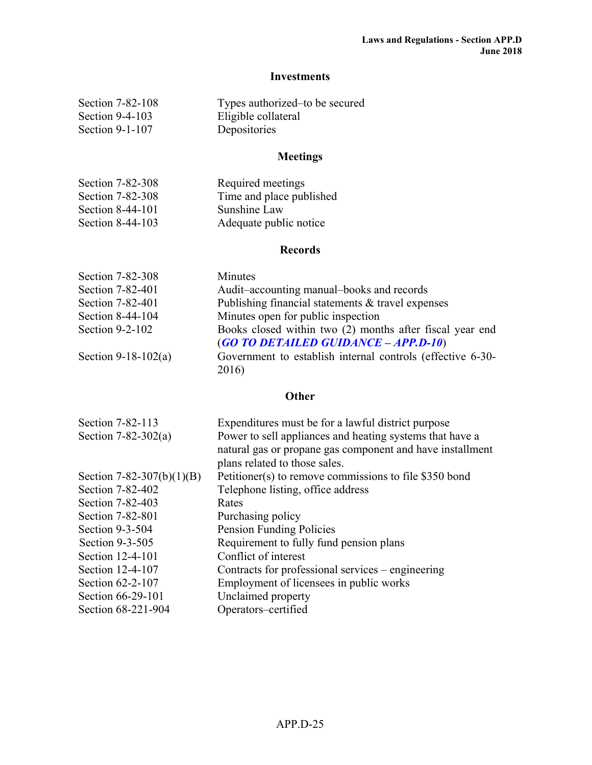### **Investments**

| Section 7-82-108<br>Section 9-4-103<br>Section 9-1-107 | Types authorized–to be secured<br>Eligible collateral<br>Depositories |
|--------------------------------------------------------|-----------------------------------------------------------------------|
|                                                        | <b>Meetings</b>                                                       |
| $\Gamma_{\text{oution}}$ 7.00.00                       | $D_{\text{cavawa}}$ d modified                                        |

| Section 7-82-308 | Required meetings        |
|------------------|--------------------------|
| Section 7-82-308 | Time and place published |
| Section 8-44-101 | Sunshine Law             |
| Section 8-44-103 | Adequate public notice   |

### **Records**

| Section 7-82-308      | Minutes                                                                                          |
|-----------------------|--------------------------------------------------------------------------------------------------|
| Section 7-82-401      | Audit-accounting manual-books and records                                                        |
| Section 7-82-401      | Publishing financial statements $\&$ travel expenses                                             |
| Section 8-44-104      | Minutes open for public inspection                                                               |
| Section 9-2-102       | Books closed within two (2) months after fiscal year end<br>(GO TO DETAILED GUIDANCE - APP.D-10) |
| Section $9-18-102(a)$ | Government to establish internal controls (effective 6-30-<br>2016)                              |

## **Other**

| Section 7-82-113          | Expenditures must be for a lawful district purpose                                         |
|---------------------------|--------------------------------------------------------------------------------------------|
| Section $7-82-302(a)$     | Power to sell appliances and heating systems that have a                                   |
|                           | natural gas or propane gas component and have installment<br>plans related to those sales. |
| Section 7-82-307(b)(1)(B) | Petitioner(s) to remove commissions to file \$350 bond                                     |
| Section 7-82-402          | Telephone listing, office address                                                          |
| Section 7-82-403          | Rates                                                                                      |
| Section 7-82-801          | Purchasing policy                                                                          |
| Section 9-3-504           | Pension Funding Policies                                                                   |
| Section 9-3-505           | Requirement to fully fund pension plans                                                    |
| Section 12-4-101          | Conflict of interest                                                                       |
| Section 12-4-107          | Contracts for professional services – engineering                                          |
| Section 62-2-107          | Employment of licensees in public works                                                    |
| Section 66-29-101         | Unclaimed property                                                                         |
| Section 68-221-904        | Operators-certified                                                                        |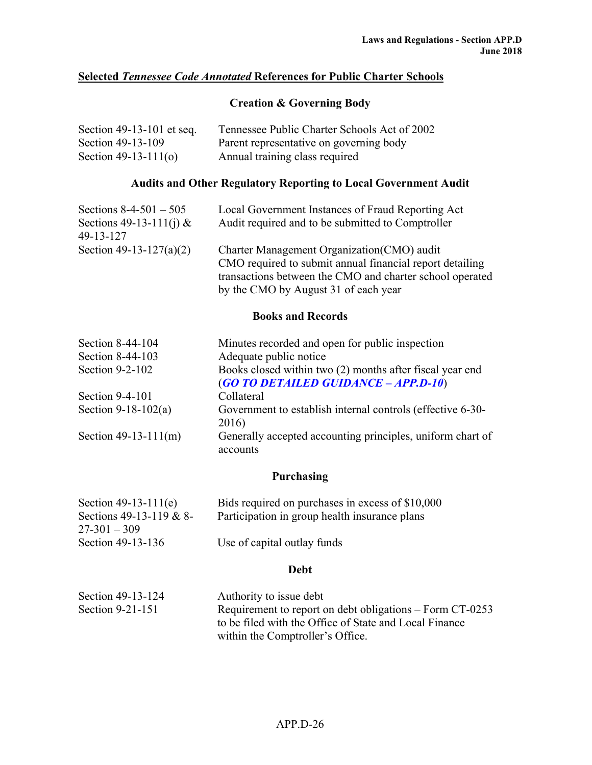## **Selected** *Tennessee Code Annotated* **References for Public Charter Schools**

## **Creation & Governing Body**

| Section $49-13-101$ et seq. | Tennessee Public Charter Schools Act of 2002 |
|-----------------------------|----------------------------------------------|
| Section 49-13-109           | Parent representative on governing body      |
| Section $49-13-111(0)$      | Annual training class required               |

## **Audits and Other Regulatory Reporting to Local Government Audit**

| Sections $8-4-501-505$  | Local Government Instances of Fraud Reporting Act        |
|-------------------------|----------------------------------------------------------|
| Sections 49-13-111(j) & | Audit required and to be submitted to Comptroller        |
| 49-13-127               |                                                          |
| Section 49-13-127(a)(2) | Charter Management Organization (CMO) audit              |
|                         | CMO required to submit annual financial report detailing |
|                         | transactions between the CMO and charter school operated |
|                         | by the CMO by August 31 of each year                     |

## **Books and Records**

| Section 8-44-104       | Minutes recorded and open for public inspection                        |
|------------------------|------------------------------------------------------------------------|
| Section 8-44-103       | Adequate public notice                                                 |
| Section 9-2-102        | Books closed within two (2) months after fiscal year end               |
|                        | (GO TO DETAILED GUIDANCE - APP.D-10)                                   |
| Section 9-4-101        | Collateral                                                             |
| Section $9-18-102(a)$  | Government to establish internal controls (effective 6-30-<br>2016)    |
| Section $49-13-111(m)$ | Generally accepted accounting principles, uniform chart of<br>accounts |

## **Purchasing**

| Section 49-13-111(e)    | Bids required on purchases in excess of \$10,000 |
|-------------------------|--------------------------------------------------|
| Sections 49-13-119 & 8- | Participation in group health insurance plans    |
| $27 - 301 - 309$        |                                                  |
| Section 49-13-136       | Use of capital outlay funds                      |
|                         |                                                  |

#### **Debt**

| Section 49-13-124 | Authority to issue debt                                  |
|-------------------|----------------------------------------------------------|
| Section 9-21-151  | Requirement to report on debt obligations – Form CT-0253 |
|                   | to be filed with the Office of State and Local Finance   |
|                   | within the Comptroller's Office.                         |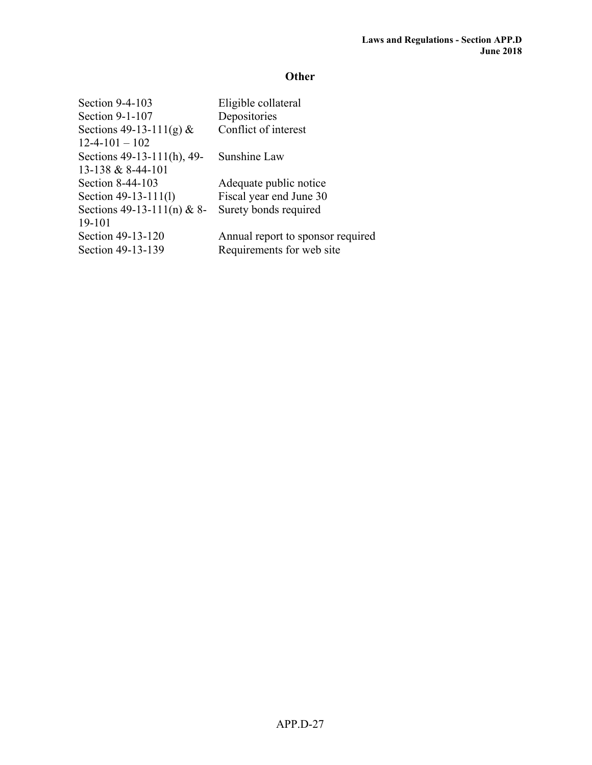## **Other**

| Section 9-4-103            | Eligible collateral               |
|----------------------------|-----------------------------------|
| Section 9-1-107            | Depositories                      |
| Sections 49-13-111(g) &    | Conflict of interest              |
| $12 - 4 - 101 - 102$       |                                   |
| Sections 49-13-111(h), 49- | Sunshine Law                      |
| 13-138 & 8-44-101          |                                   |
| Section 8-44-103           | Adequate public notice            |
| Section 49-13-111(1)       | Fiscal year end June 30           |
| Sections 49-13-111(n) & 8- | Surety bonds required             |
| 19-101                     |                                   |
| Section 49-13-120          | Annual report to sponsor required |
| Section 49-13-139          | Requirements for web site         |
|                            |                                   |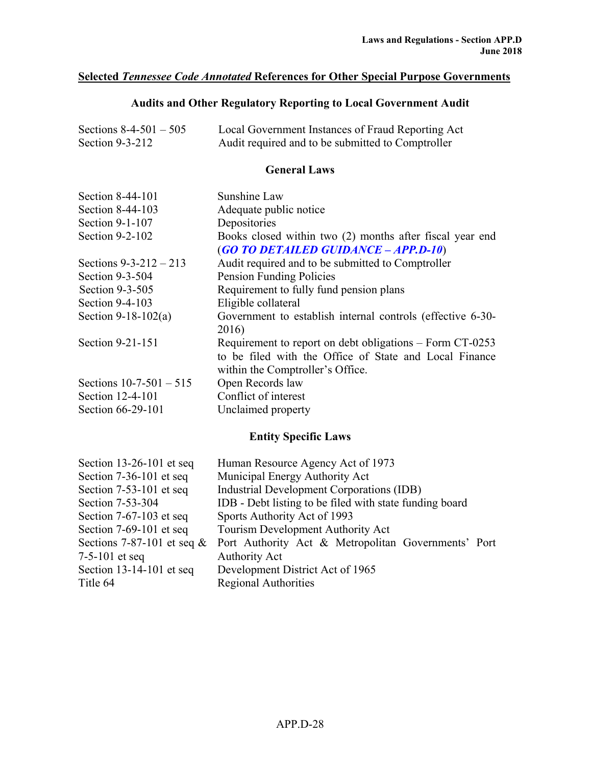## **Selected** *Tennessee Code Annotated* **References for Other Special Purpose Governments**

### **Audits and Other Regulatory Reporting to Local Government Audit**

| Sections $8-4-501-505$ | Local Government Instances of Fraud Reporting Act |
|------------------------|---------------------------------------------------|
| Section $9-3-212$      | Audit required and to be submitted to Comptroller |

#### **General Laws**

| Section 8-44-101        | Sunshine Law                                                                                                                                           |
|-------------------------|--------------------------------------------------------------------------------------------------------------------------------------------------------|
| Section 8-44-103        | Adequate public notice                                                                                                                                 |
| Section 9-1-107         | Depositories                                                                                                                                           |
| Section 9-2-102         | Books closed within two (2) months after fiscal year end                                                                                               |
|                         | (GO TO DETAILED GUIDANCE - APP.D-10)                                                                                                                   |
| Sections $9-3-212-213$  | Audit required and to be submitted to Comptroller                                                                                                      |
| Section 9-3-504         | <b>Pension Funding Policies</b>                                                                                                                        |
| Section 9-3-505         | Requirement to fully fund pension plans                                                                                                                |
| Section 9-4-103         | Eligible collateral                                                                                                                                    |
| Section 9-18-102(a)     | Government to establish internal controls (effective 6-30-<br>2016)                                                                                    |
| Section 9-21-151        | Requirement to report on debt obligations – Form CT-0253<br>to be filed with the Office of State and Local Finance<br>within the Comptroller's Office. |
| Sections $10-7-501-515$ | Open Records law                                                                                                                                       |
| Section 12-4-101        | Conflict of interest                                                                                                                                   |
| Section 66-29-101       | Unclaimed property                                                                                                                                     |

### **Entity Specific Laws**

| Human Resource Agency Act of 1973                       |
|---------------------------------------------------------|
| Municipal Energy Authority Act                          |
| Industrial Development Corporations (IDB)               |
| IDB - Debt listing to be filed with state funding board |
| Sports Authority Act of 1993                            |
| Tourism Development Authority Act                       |
| Port Authority Act & Metropolitan Governments' Port     |
| Authority Act                                           |
| Development District Act of 1965                        |
| <b>Regional Authorities</b>                             |
|                                                         |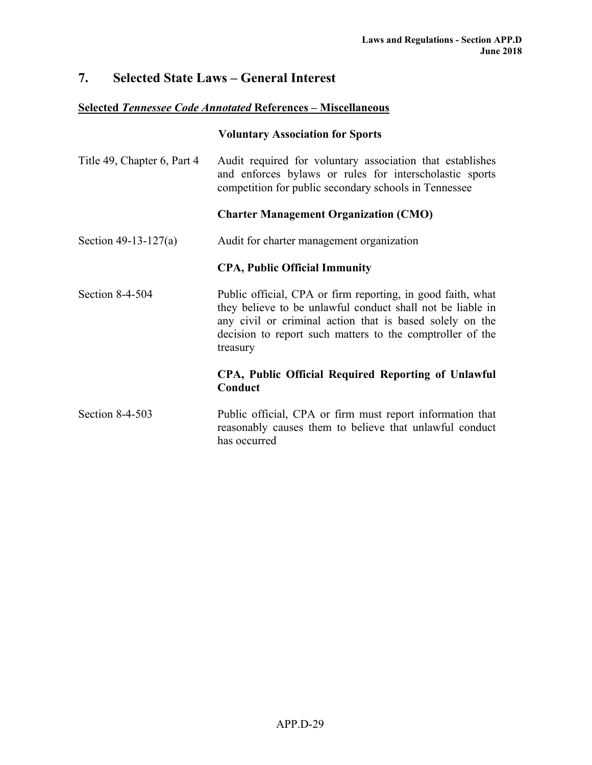## **7. Selected State Laws – General Interest**

#### **Selected** *Tennessee Code Annotated* **References – Miscellaneous**

#### **Voluntary Association for Sports**

| Title 49, Chapter 6, Part 4 | Audit required for voluntary association that establishes |
|-----------------------------|-----------------------------------------------------------|
|                             | and enforces by laws or rules for interscholastic sports  |
|                             | competition for public secondary schools in Tennessee     |

#### **Charter Management Organization (CMO)**

Section 49-13-127(a) Audit for charter management organization

#### **CPA, Public Official Immunity**

Section 8-4-504 Public official, CPA or firm reporting, in good faith, what they believe to be unlawful conduct shall not be liable in any civil or criminal action that is based solely on the decision to report such matters to the comptroller of the treasury

#### **CPA, Public Official Required Reporting of Unlawful Conduct**

Section 8-4-503 Public official, CPA or firm must report information that reasonably causes them to believe that unlawful conduct has occurred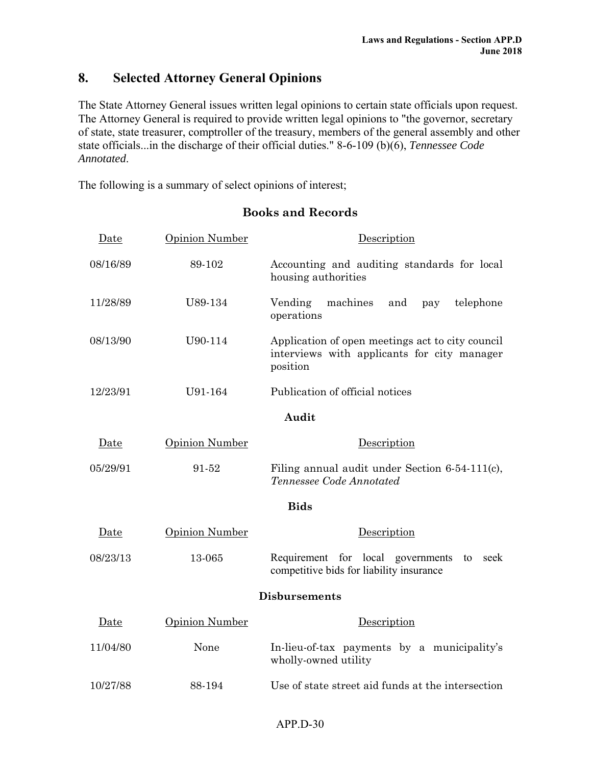## **8. Selected Attorney General Opinions**

The State Attorney General issues written legal opinions to certain state officials upon request. The Attorney General is required to provide written legal opinions to "the governor, secretary of state, state treasurer, comptroller of the treasury, members of the general assembly and other state officials...in the discharge of their official duties." 8-6-109 (b)(6), *Tennessee Code Annotated*.

The following is a summary of select opinions of interest;

# Date Opinion Number Description 08/16/89 89-102 Accounting and auditing standards for local housing authorities 11/28/89 U89-134 Vending machines and pay telephone operations 08/13/90 U90-114 Application of open meetings act to city council interviews with applicants for city manager position 12/23/91 U91-164 Publication of official notices **Audit**  Date Opinion Number Description 05/29/91 91-52 Filing annual audit under Section 6-54-111(c), *Tennessee Code Annotated* **Bids**  Date Opinion Number Description 08/23/13 13-065 Requirement for local governments to seek competitive bids for liability insurance **Disbursements**  Date Opinion Number Description 11/04/80 None In-lieu-of-tax payments by a municipality's wholly-owned utility 10/27/88 88-194 Use of state street aid funds at the intersection

#### **Books and Records**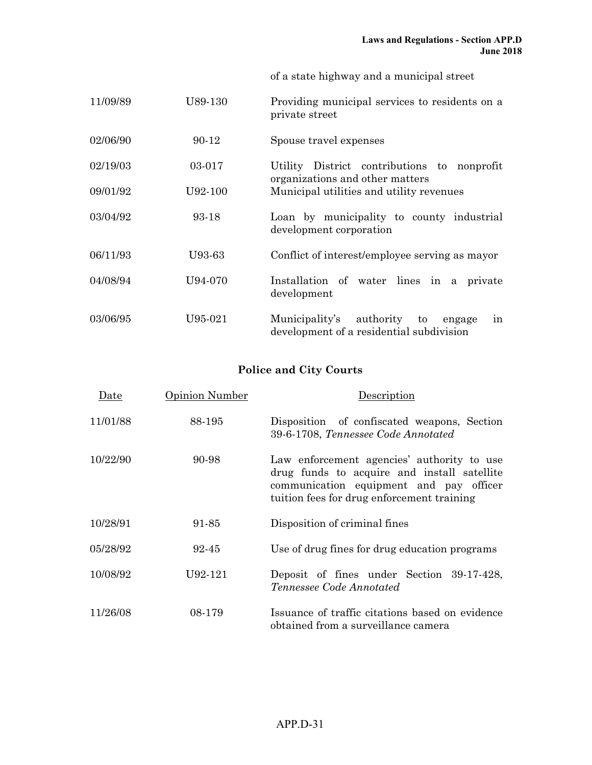of a state highway and a municipal street

| 11/09/89 | U89-130 | Providing municipal services to residents on a<br>private street                           |
|----------|---------|--------------------------------------------------------------------------------------------|
| 02/06/90 | $90-12$ | Spouse travel expenses                                                                     |
| 02/19/03 | 03-017  | Utility District contributions to<br>nonprofit<br>organizations and other matters          |
| 09/01/92 | U92-100 | Municipal utilities and utility revenues                                                   |
| 03/04/92 | 93-18   | Loan by municipality to county industrial<br>development corporation                       |
| 06/11/93 | U93-63  | Conflict of interest/employee serving as mayor                                             |
| 04/08/94 | U94-070 | Installation of water lines in a private<br>development                                    |
| 03/06/95 | U95-021 | in<br>Municipality's authority<br>to<br>engage<br>development of a residential subdivision |

## **Police and City Courts**

| Date     | Opinion Number | Description                                                                                                                                                                        |
|----------|----------------|------------------------------------------------------------------------------------------------------------------------------------------------------------------------------------|
| 11/01/88 | 88-195         | Disposition of confiscated weapons, Section<br>39-6-1708, Tennessee Code Annotated                                                                                                 |
| 10/22/90 | 90-98          | Law enforcement agencies' authority to use<br>drug funds to acquire and install satellite<br>communication equipment and pay officer<br>tuition fees for drug enforcement training |
| 10/28/91 | 91-85          | Disposition of criminal fines                                                                                                                                                      |
| 05/28/92 | $92 - 45$      | Use of drug fines for drug education programs                                                                                                                                      |
| 10/08/92 | U92-121        | Deposit of fines under Section 39-17-428,<br><i>Tennessee Code Annotated</i>                                                                                                       |
| 11/26/08 | 08-179         | Issuance of traffic citations based on evidence<br>obtained from a surveillance camera                                                                                             |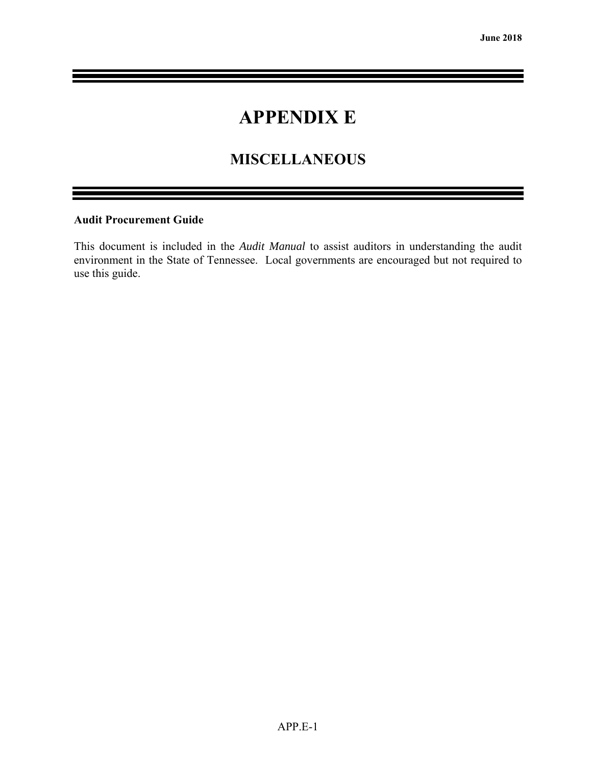# **APPENDIX E**

## **MISCELLANEOUS**

#### **Audit Procurement Guide**

This document is included in the *Audit Manual* to assist auditors in understanding the audit environment in the State of Tennessee. Local governments are encouraged but not required to use this guide.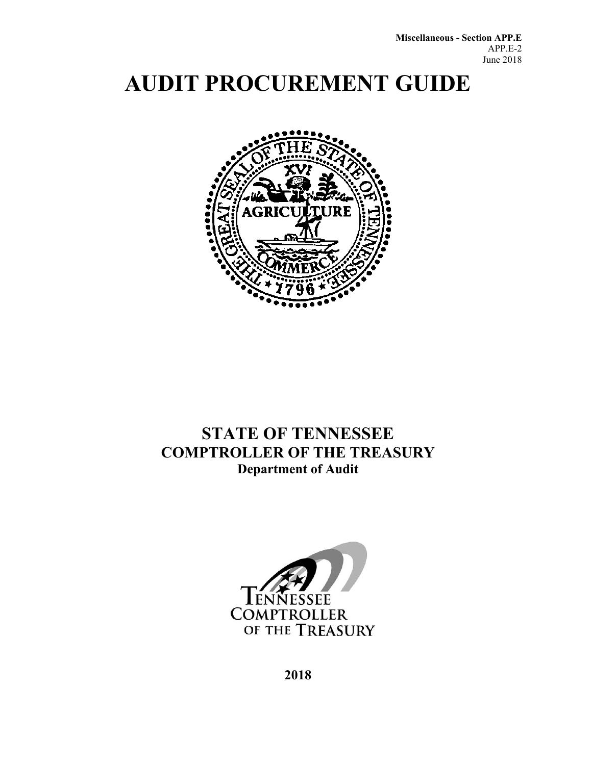# **AUDIT PROCUREMENT GUIDE**



## **STATE OF TENNESSEE COMPTROLLER OF THE TREASURY Department of Audit**



**2018**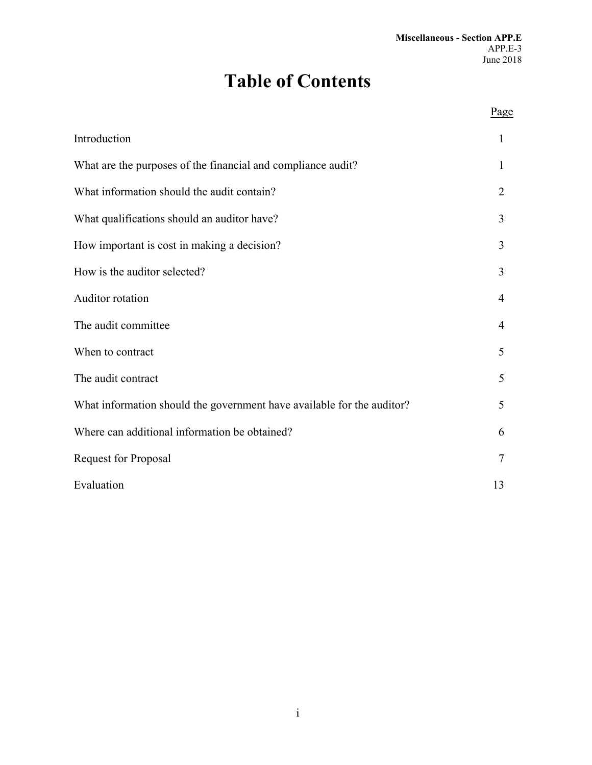# **Table of Contents**

|                                                                        | Page           |
|------------------------------------------------------------------------|----------------|
| Introduction                                                           | 1              |
| What are the purposes of the financial and compliance audit?           | 1              |
| What information should the audit contain?                             | $\overline{2}$ |
| What qualifications should an auditor have?                            | 3              |
| How important is cost in making a decision?                            | 3              |
| How is the auditor selected?                                           | 3              |
| Auditor rotation                                                       | 4              |
| The audit committee                                                    | 4              |
| When to contract                                                       | 5              |
| The audit contract                                                     | 5              |
| What information should the government have available for the auditor? | 5              |
| Where can additional information be obtained?                          | 6              |
| Request for Proposal                                                   | 7              |
| Evaluation                                                             | 13             |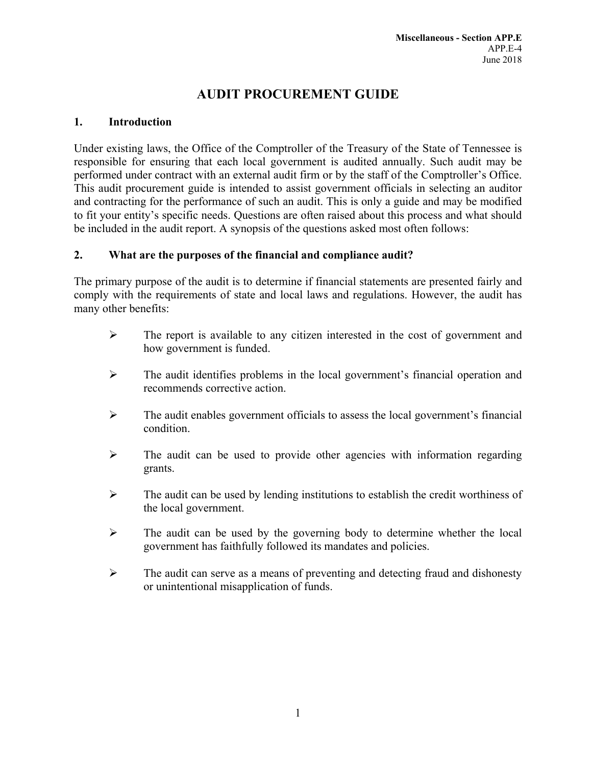## **AUDIT PROCUREMENT GUIDE**

### **1. Introduction**

Under existing laws, the Office of the Comptroller of the Treasury of the State of Tennessee is responsible for ensuring that each local government is audited annually. Such audit may be performed under contract with an external audit firm or by the staff of the Comptroller's Office. This audit procurement guide is intended to assist government officials in selecting an auditor and contracting for the performance of such an audit. This is only a guide and may be modified to fit your entity's specific needs. Questions are often raised about this process and what should be included in the audit report. A synopsis of the questions asked most often follows:

### **2. What are the purposes of the financial and compliance audit?**

The primary purpose of the audit is to determine if financial statements are presented fairly and comply with the requirements of state and local laws and regulations. However, the audit has many other benefits:

- $\triangleright$  The report is available to any citizen interested in the cost of government and how government is funded.
- $\triangleright$  The audit identifies problems in the local government's financial operation and recommends corrective action.
- $\triangleright$  The audit enables government officials to assess the local government's financial condition.
- $\triangleright$  The audit can be used to provide other agencies with information regarding grants.
- $\triangleright$  The audit can be used by lending institutions to establish the credit worthiness of the local government.
- $\triangleright$  The audit can be used by the governing body to determine whether the local government has faithfully followed its mandates and policies.
- $\triangleright$  The audit can serve as a means of preventing and detecting fraud and dishonesty or unintentional misapplication of funds.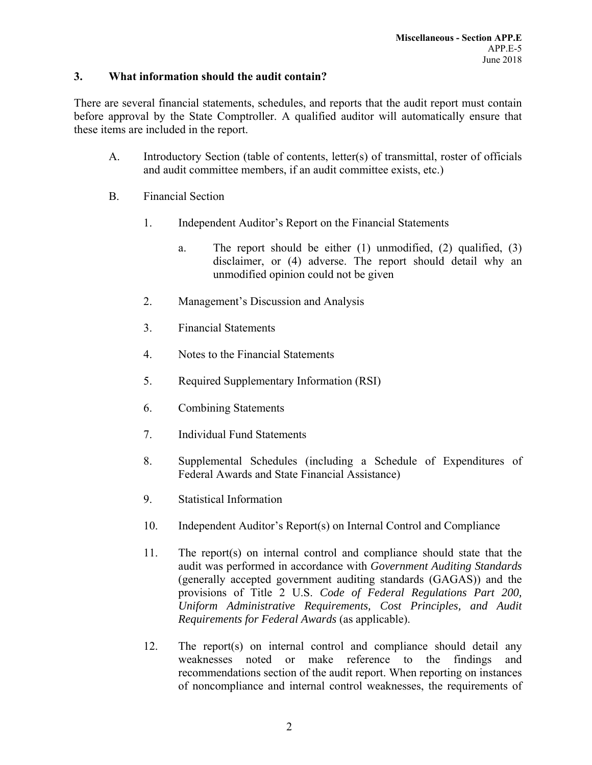### **3. What information should the audit contain?**

There are several financial statements, schedules, and reports that the audit report must contain before approval by the State Comptroller. A qualified auditor will automatically ensure that these items are included in the report.

- A. Introductory Section (table of contents, letter(s) of transmittal, roster of officials and audit committee members, if an audit committee exists, etc.)
- B. Financial Section
	- 1. Independent Auditor's Report on the Financial Statements
		- a. The report should be either (1) unmodified, (2) qualified, (3) disclaimer, or (4) adverse. The report should detail why an unmodified opinion could not be given
	- 2. Management's Discussion and Analysis
	- 3. Financial Statements
	- 4. Notes to the Financial Statements
	- 5. Required Supplementary Information (RSI)
	- 6. Combining Statements
	- 7. Individual Fund Statements
	- 8. Supplemental Schedules (including a Schedule of Expenditures of Federal Awards and State Financial Assistance)
	- 9. Statistical Information
	- 10. Independent Auditor's Report(s) on Internal Control and Compliance
	- 11. The report(s) on internal control and compliance should state that the audit was performed in accordance with *Government Auditing Standards* (generally accepted government auditing standards (GAGAS)) and the provisions of Title 2 U.S. *Code of Federal Regulations Part 200, Uniform Administrative Requirements, Cost Principles, and Audit Requirements for Federal Awards* (as applicable).
	- 12. The report(s) on internal control and compliance should detail any weaknesses noted or make reference to the findings and recommendations section of the audit report. When reporting on instances of noncompliance and internal control weaknesses, the requirements of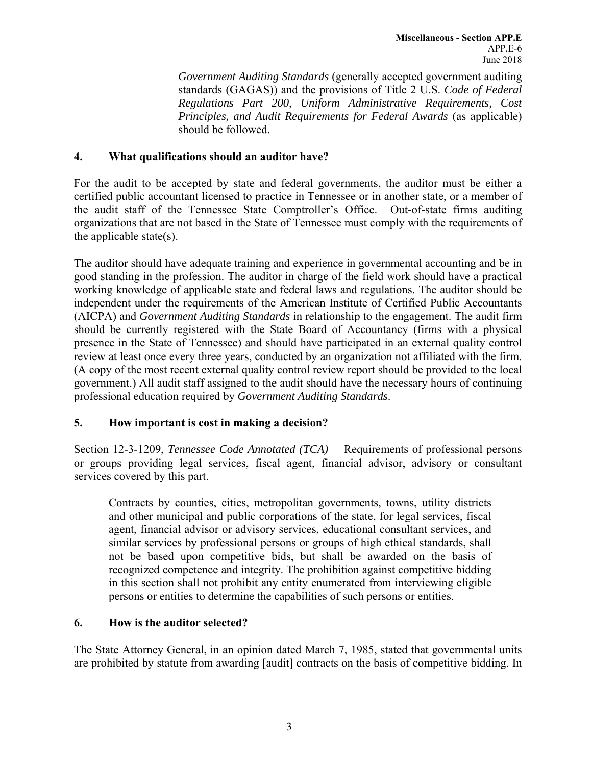*Government Auditing Standards* (generally accepted government auditing standards (GAGAS)) and the provisions of Title 2 U.S. *Code of Federal Regulations Part 200, Uniform Administrative Requirements, Cost Principles, and Audit Requirements for Federal Awards (as applicable)* should be followed.

### **4. What qualifications should an auditor have?**

For the audit to be accepted by state and federal governments, the auditor must be either a certified public accountant licensed to practice in Tennessee or in another state, or a member of the audit staff of the Tennessee State Comptroller's Office. Out-of-state firms auditing organizations that are not based in the State of Tennessee must comply with the requirements of the applicable state(s).

The auditor should have adequate training and experience in governmental accounting and be in good standing in the profession. The auditor in charge of the field work should have a practical working knowledge of applicable state and federal laws and regulations. The auditor should be independent under the requirements of the American Institute of Certified Public Accountants (AICPA) and *Government Auditing Standards* in relationship to the engagement. The audit firm should be currently registered with the State Board of Accountancy (firms with a physical presence in the State of Tennessee) and should have participated in an external quality control review at least once every three years, conducted by an organization not affiliated with the firm. (A copy of the most recent external quality control review report should be provided to the local government.) All audit staff assigned to the audit should have the necessary hours of continuing professional education required by *Government Auditing Standards*.

### **5. How important is cost in making a decision?**

Section 12-3-1209, *Tennessee Code Annotated (TCA)*— Requirements of professional persons or groups providing legal services, fiscal agent, financial advisor, advisory or consultant services covered by this part.

Contracts by counties, cities, metropolitan governments, towns, utility districts and other municipal and public corporations of the state, for legal services, fiscal agent, financial advisor or advisory services, educational consultant services, and similar services by professional persons or groups of high ethical standards, shall not be based upon competitive bids, but shall be awarded on the basis of recognized competence and integrity. The prohibition against competitive bidding in this section shall not prohibit any entity enumerated from interviewing eligible persons or entities to determine the capabilities of such persons or entities.

### **6. How is the auditor selected?**

The State Attorney General, in an opinion dated March 7, 1985, stated that governmental units are prohibited by statute from awarding [audit] contracts on the basis of competitive bidding. In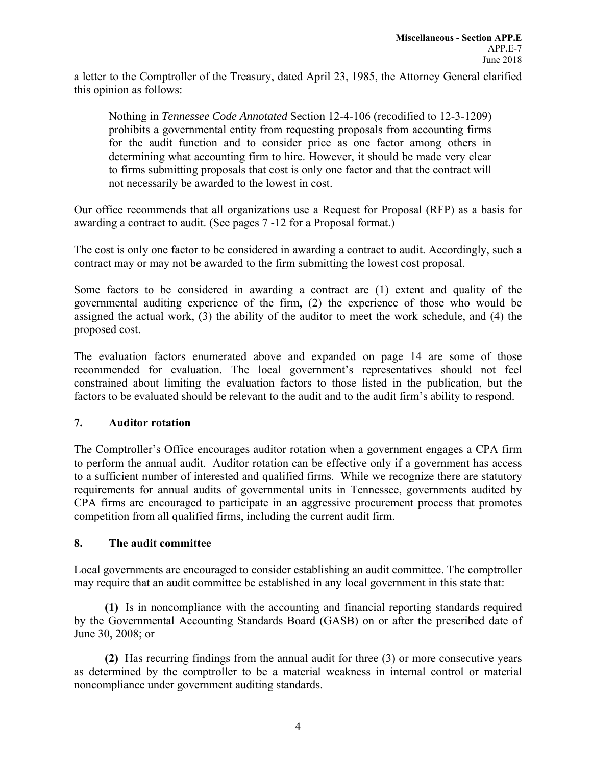a letter to the Comptroller of the Treasury, dated April 23, 1985, the Attorney General clarified this opinion as follows:

Nothing in *Tennessee Code Annotated* Section 12-4-106 (recodified to 12-3-1209) prohibits a governmental entity from requesting proposals from accounting firms for the audit function and to consider price as one factor among others in determining what accounting firm to hire. However, it should be made very clear to firms submitting proposals that cost is only one factor and that the contract will not necessarily be awarded to the lowest in cost.

Our office recommends that all organizations use a Request for Proposal (RFP) as a basis for awarding a contract to audit. (See pages 7 -12 for a Proposal format.)

The cost is only one factor to be considered in awarding a contract to audit. Accordingly, such a contract may or may not be awarded to the firm submitting the lowest cost proposal.

Some factors to be considered in awarding a contract are (1) extent and quality of the governmental auditing experience of the firm, (2) the experience of those who would be assigned the actual work, (3) the ability of the auditor to meet the work schedule, and (4) the proposed cost.

The evaluation factors enumerated above and expanded on page 14 are some of those recommended for evaluation. The local government's representatives should not feel constrained about limiting the evaluation factors to those listed in the publication, but the factors to be evaluated should be relevant to the audit and to the audit firm's ability to respond.

### **7. Auditor rotation**

The Comptroller's Office encourages auditor rotation when a government engages a CPA firm to perform the annual audit. Auditor rotation can be effective only if a government has access to a sufficient number of interested and qualified firms. While we recognize there are statutory requirements for annual audits of governmental units in Tennessee, governments audited by CPA firms are encouraged to participate in an aggressive procurement process that promotes competition from all qualified firms, including the current audit firm.

#### **8. The audit committee**

Local governments are encouraged to consider establishing an audit committee. The comptroller may require that an audit committee be established in any local government in this state that:

 **(1)** Is in noncompliance with the accounting and financial reporting standards required by the Governmental Accounting Standards Board (GASB) on or after the prescribed date of June 30, 2008; or

 **(2)** Has recurring findings from the annual audit for three (3) or more consecutive years as determined by the comptroller to be a material weakness in internal control or material noncompliance under government auditing standards.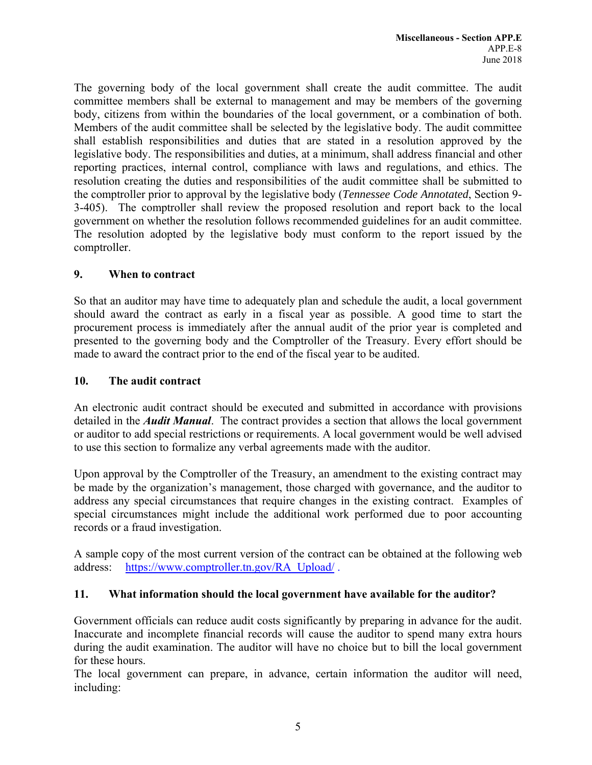The governing body of the local government shall create the audit committee. The audit committee members shall be external to management and may be members of the governing body, citizens from within the boundaries of the local government, or a combination of both. Members of the audit committee shall be selected by the legislative body. The audit committee shall establish responsibilities and duties that are stated in a resolution approved by the legislative body. The responsibilities and duties, at a minimum, shall address financial and other reporting practices, internal control, compliance with laws and regulations, and ethics. The resolution creating the duties and responsibilities of the audit committee shall be submitted to the comptroller prior to approval by the legislative body (*Tennessee Code Annotated*, Section 9- 3-405). The comptroller shall review the proposed resolution and report back to the local government on whether the resolution follows recommended guidelines for an audit committee. The resolution adopted by the legislative body must conform to the report issued by the comptroller.

### **9. When to contract**

So that an auditor may have time to adequately plan and schedule the audit, a local government should award the contract as early in a fiscal year as possible. A good time to start the procurement process is immediately after the annual audit of the prior year is completed and presented to the governing body and the Comptroller of the Treasury. Every effort should be made to award the contract prior to the end of the fiscal year to be audited.

### **10. The audit contract**

An electronic audit contract should be executed and submitted in accordance with provisions detailed in the *Audit Manual*. The contract provides a section that allows the local government or auditor to add special restrictions or requirements. A local government would be well advised to use this section to formalize any verbal agreements made with the auditor.

Upon approval by the Comptroller of the Treasury, an amendment to the existing contract may be made by the organization's management, those charged with governance, and the auditor to address any special circumstances that require changes in the existing contract. Examples of special circumstances might include the additional work performed due to poor accounting records or a fraud investigation.

A sample copy of the most current version of the contract can be obtained at the following web address: https://www.comptroller.tn.gov/RA\_Upload/.

### **11. What information should the local government have available for the auditor?**

Government officials can reduce audit costs significantly by preparing in advance for the audit. Inaccurate and incomplete financial records will cause the auditor to spend many extra hours during the audit examination. The auditor will have no choice but to bill the local government for these hours.

The local government can prepare, in advance, certain information the auditor will need, including: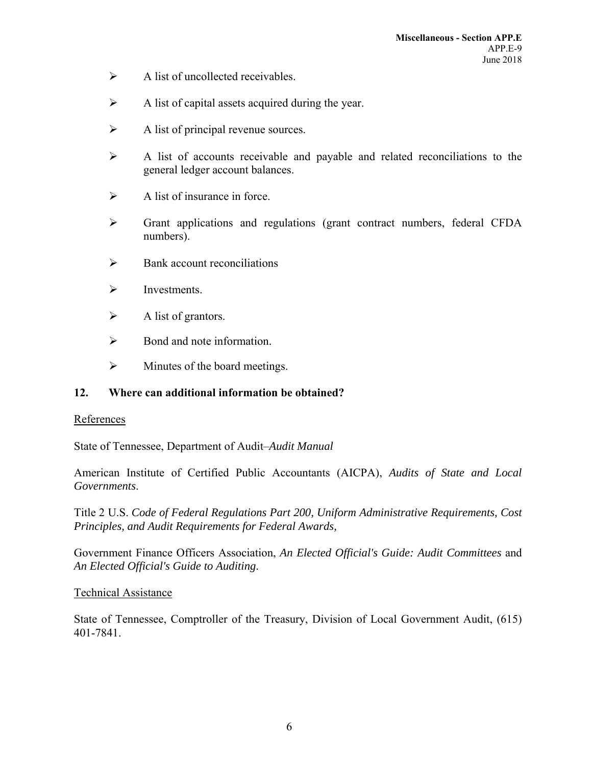- $\triangleright$  A list of uncollected receivables.
- $\triangleright$  A list of capital assets acquired during the year.
- $\triangleright$  A list of principal revenue sources.
- $\triangleright$  A list of accounts receivable and payable and related reconciliations to the general ledger account balances.
- $\triangleright$  A list of insurance in force.
- Grant applications and regulations (grant contract numbers, federal CFDA numbers).
- $\triangleright$  Bank account reconciliations
- $\triangleright$  Investments.
- $\triangleright$  A list of grantors.
- $\triangleright$  Bond and note information.
- $\triangleright$  Minutes of the board meetings.

### **12. Where can additional information be obtained?**

#### References

State of Tennessee, Department of Audit–*Audit Manual*

American Institute of Certified Public Accountants (AICPA), *Audits of State and Local Governments*.

Title 2 U.S. *Code of Federal Regulations Part 200, Uniform Administrative Requirements, Cost Principles, and Audit Requirements for Federal Awards,*

Government Finance Officers Association, *An Elected Official's Guide: Audit Committees* and *An Elected Official's Guide to Auditing*.

### Technical Assistance

State of Tennessee, Comptroller of the Treasury, Division of Local Government Audit, (615) 401-7841.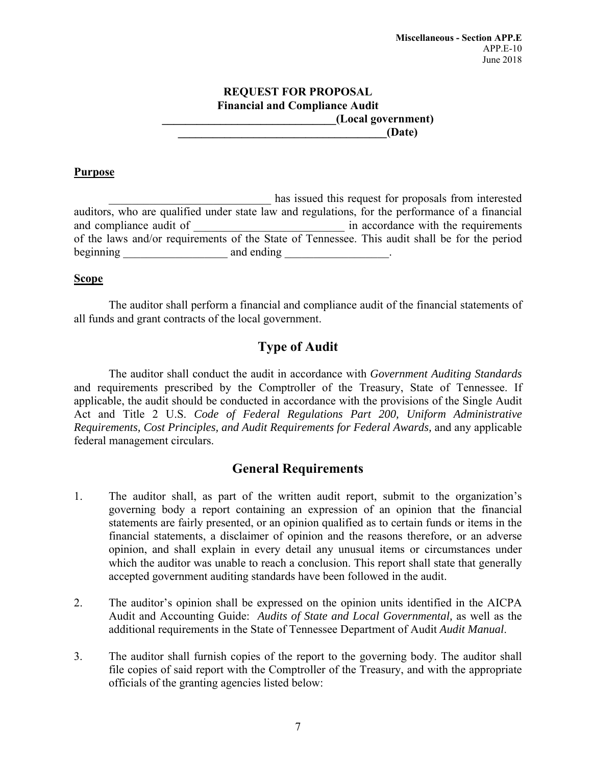### **REQUEST FOR PROPOSAL Financial and Compliance Audit \_\_\_\_\_\_\_\_\_\_\_\_\_\_\_\_\_\_\_\_\_\_\_\_\_\_\_\_\_\_(Local government) \_\_\_\_\_\_\_\_\_\_\_\_\_\_\_\_\_\_\_\_\_\_\_\_\_\_\_\_\_\_\_\_\_\_\_\_(Date)**

#### **Purpose**

has issued this request for proposals from interested auditors, who are qualified under state law and regulations, for the performance of a financial and compliance audit of \_\_\_\_\_\_\_\_\_\_\_\_\_\_\_\_\_\_\_\_\_\_\_\_\_\_\_\_\_\_\_\_\_ in accordance with the requirements of the laws and/or requirements of the State of Tennessee. This audit shall be for the period beginning and ending and ending the same state of  $\alpha$ 

#### **Scope**

 The auditor shall perform a financial and compliance audit of the financial statements of all funds and grant contracts of the local government.

### **Type of Audit**

 The auditor shall conduct the audit in accordance with *Government Auditing Standards*  and requirements prescribed by the Comptroller of the Treasury, State of Tennessee. If applicable, the audit should be conducted in accordance with the provisions of the Single Audit Act and Title 2 U.S. *Code of Federal Regulations Part 200, Uniform Administrative Requirements, Cost Principles, and Audit Requirements for Federal Awards,* and any applicable federal management circulars.

### **General Requirements**

- 1. The auditor shall, as part of the written audit report, submit to the organization's governing body a report containing an expression of an opinion that the financial statements are fairly presented, or an opinion qualified as to certain funds or items in the financial statements, a disclaimer of opinion and the reasons therefore, or an adverse opinion, and shall explain in every detail any unusual items or circumstances under which the auditor was unable to reach a conclusion. This report shall state that generally accepted government auditing standards have been followed in the audit.
- 2. The auditor's opinion shall be expressed on the opinion units identified in the AICPA Audit and Accounting Guide: *Audits of State and Local Governmental,* as well as the additional requirements in the State of Tennessee Department of Audit *Audit Manual*.
- 3. The auditor shall furnish copies of the report to the governing body. The auditor shall file copies of said report with the Comptroller of the Treasury, and with the appropriate officials of the granting agencies listed below: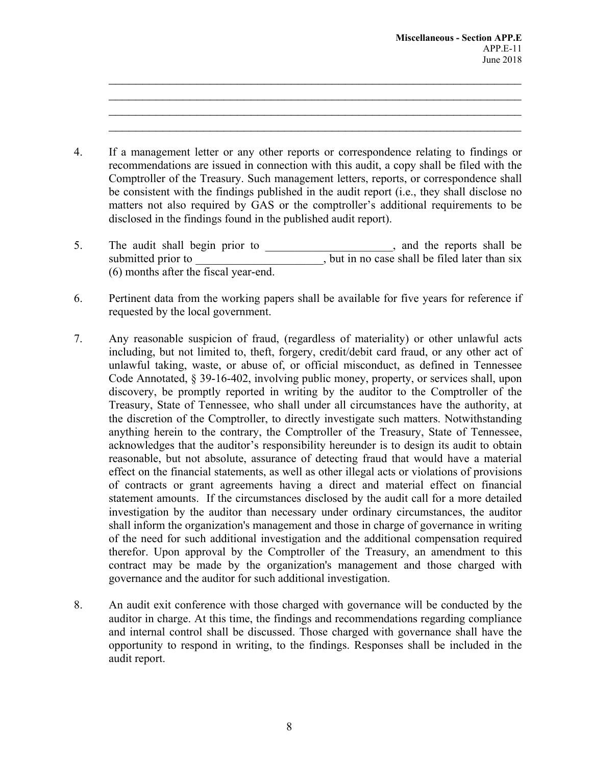4. If a management letter or any other reports or correspondence relating to findings or recommendations are issued in connection with this audit, a copy shall be filed with the Comptroller of the Treasury. Such management letters, reports, or correspondence shall be consistent with the findings published in the audit report (i.e., they shall disclose no matters not also required by GAS or the comptroller's additional requirements to be disclosed in the findings found in the published audit report).

 $\overline{a}$  , and the contribution of the contribution of the contribution of the contribution of the contribution of the contribution of the contribution of the contribution of the contribution of the contribution of the co  $\mathcal{L}_\text{max}$  , and the contribution of the contribution of the contribution of the contribution of the contribution of the contribution of the contribution of the contribution of the contribution of the contribution of t  $\overline{a}$  , and the contribution of the contribution of the contribution of the contribution of the contribution of the contribution of the contribution of the contribution of the contribution of the contribution of the co  $\mathcal{L}_\text{max}$  , and the contract of the contract of the contract of the contract of the contract of the contract of the contract of the contract of the contract of the contract of the contract of the contract of the contr

- 5. The audit shall begin prior to \_\_\_\_\_\_\_\_\_\_\_\_\_\_\_\_\_\_\_\_, and the reports shall be submitted prior to \_\_\_\_\_\_\_\_\_\_\_\_\_\_\_\_\_\_\_\_, but in no case shall be filed later than six (6) months after the fiscal year-end.
- 6. Pertinent data from the working papers shall be available for five years for reference if requested by the local government.
- 7. Any reasonable suspicion of fraud, (regardless of materiality) or other unlawful acts including, but not limited to, theft, forgery, credit/debit card fraud, or any other act of unlawful taking, waste, or abuse of, or official misconduct, as defined in Tennessee Code Annotated, § 39-16-402, involving public money, property, or services shall, upon discovery, be promptly reported in writing by the auditor to the Comptroller of the Treasury, State of Tennessee, who shall under all circumstances have the authority, at the discretion of the Comptroller, to directly investigate such matters. Notwithstanding anything herein to the contrary, the Comptroller of the Treasury, State of Tennessee, acknowledges that the auditor's responsibility hereunder is to design its audit to obtain reasonable, but not absolute, assurance of detecting fraud that would have a material effect on the financial statements, as well as other illegal acts or violations of provisions of contracts or grant agreements having a direct and material effect on financial statement amounts. If the circumstances disclosed by the audit call for a more detailed investigation by the auditor than necessary under ordinary circumstances, the auditor shall inform the organization's management and those in charge of governance in writing of the need for such additional investigation and the additional compensation required therefor. Upon approval by the Comptroller of the Treasury, an amendment to this contract may be made by the organization's management and those charged with governance and the auditor for such additional investigation.
- 8. An audit exit conference with those charged with governance will be conducted by the auditor in charge. At this time, the findings and recommendations regarding compliance and internal control shall be discussed. Those charged with governance shall have the opportunity to respond in writing, to the findings. Responses shall be included in the audit report.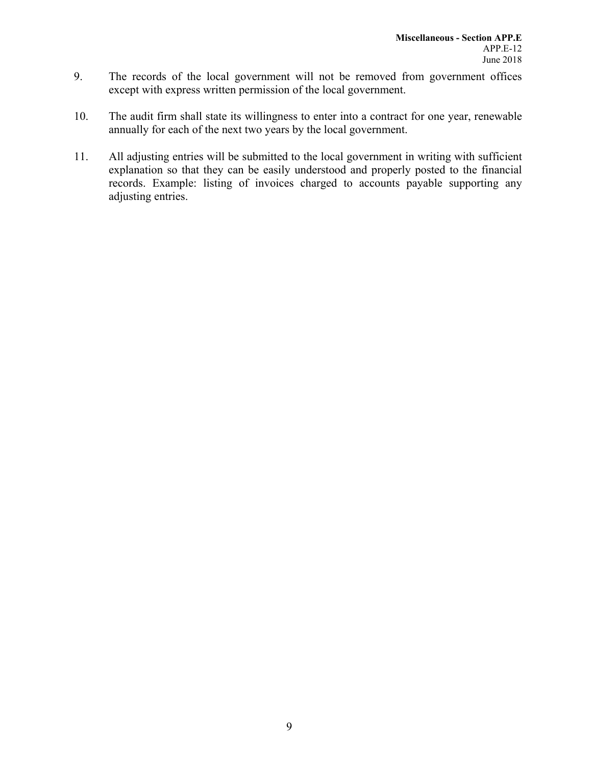- 9. The records of the local government will not be removed from government offices except with express written permission of the local government.
- 10. The audit firm shall state its willingness to enter into a contract for one year, renewable annually for each of the next two years by the local government.
- 11. All adjusting entries will be submitted to the local government in writing with sufficient explanation so that they can be easily understood and properly posted to the financial records. Example: listing of invoices charged to accounts payable supporting any adjusting entries.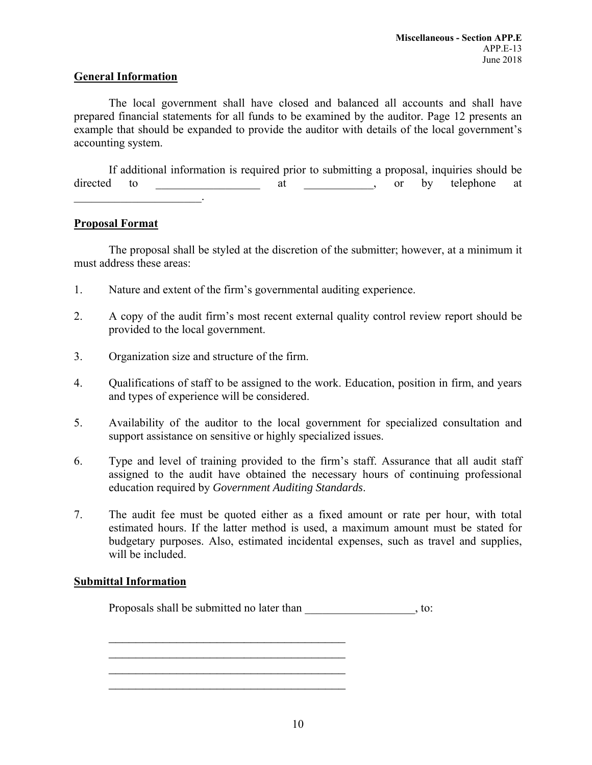### **General Information**

 The local government shall have closed and balanced all accounts and shall have prepared financial statements for all funds to be examined by the auditor. Page 12 presents an example that should be expanded to provide the auditor with details of the local government's accounting system.

 If additional information is required prior to submitting a proposal, inquiries should be directed to at  $\alpha$  at  $\alpha$ , or by telephone at  $\mathcal{L}=\mathcal{L}^{\mathcal{L}}$ 

### **Proposal Format**

 The proposal shall be styled at the discretion of the submitter; however, at a minimum it must address these areas:

- 1. Nature and extent of the firm's governmental auditing experience.
- 2. A copy of the audit firm's most recent external quality control review report should be provided to the local government.
- 3. Organization size and structure of the firm.
- 4. Qualifications of staff to be assigned to the work. Education, position in firm, and years and types of experience will be considered.
- 5. Availability of the auditor to the local government for specialized consultation and support assistance on sensitive or highly specialized issues.
- 6. Type and level of training provided to the firm's staff. Assurance that all audit staff assigned to the audit have obtained the necessary hours of continuing professional education required by *Government Auditing Standards*.
- 7. The audit fee must be quoted either as a fixed amount or rate per hour, with total estimated hours. If the latter method is used, a maximum amount must be stated for budgetary purposes. Also, estimated incidental expenses, such as travel and supplies, will be included.

#### **Submittal Information**

Proposals shall be submitted no later than  $\qquad \qquad$ , to:

 $\mathcal{L}_\text{max}$  , and the set of the set of the set of the set of the set of the set of the set of the set of the set of the set of the set of the set of the set of the set of the set of the set of the set of the set of the  $\mathcal{L}_\text{max}$  , and the set of the set of the set of the set of the set of the set of the set of the set of the set of the set of the set of the set of the set of the set of the set of the set of the set of the set of the  $\mathcal{L}_\text{max}$  , and the set of the set of the set of the set of the set of the set of the set of the set of the set of the set of the set of the set of the set of the set of the set of the set of the set of the set of the  $\mathcal{L}_\text{max}$  , where  $\mathcal{L}_\text{max}$  , we are the set of the set of the set of the set of the set of the set of the set of the set of the set of the set of the set of the set of the set of the set of the set of the set of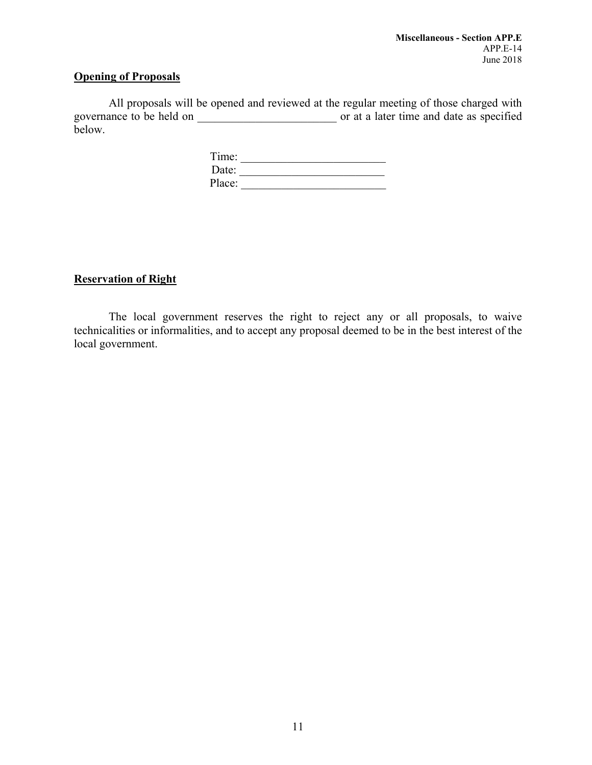### **Opening of Proposals**

 All proposals will be opened and reviewed at the regular meeting of those charged with governance to be held on \_\_\_\_\_\_\_\_\_\_\_\_\_\_\_\_\_\_\_\_\_\_\_\_ or at a later time and date as specified below.

> Time: \_\_\_\_\_\_\_\_\_\_\_\_\_\_\_\_\_\_\_\_\_\_\_\_\_ Date: \_\_\_\_\_\_\_\_\_\_\_\_\_\_\_\_\_\_\_\_\_\_\_\_\_ Place: \_\_\_\_\_\_\_\_\_\_\_\_\_\_\_\_\_\_\_\_\_\_\_\_\_

### **Reservation of Right**

 The local government reserves the right to reject any or all proposals, to waive technicalities or informalities, and to accept any proposal deemed to be in the best interest of the local government.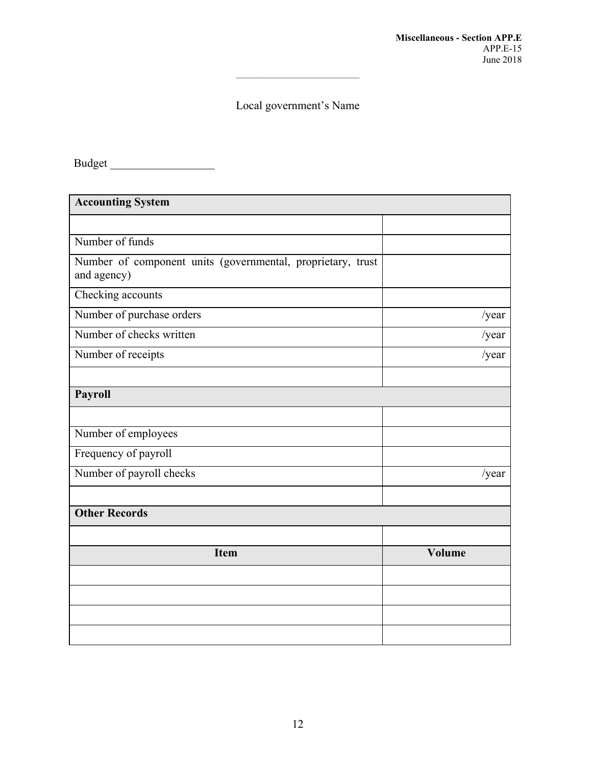### Local government's Name

 $\overline{\phantom{a}}$  , where  $\overline{\phantom{a}}$ 

Budget \_\_\_\_\_\_\_\_\_\_\_\_\_\_\_\_\_\_

| <b>Accounting System</b> |  |  |
|--------------------------|--|--|
|                          |  |  |
|                          |  |  |
|                          |  |  |
|                          |  |  |
| /year                    |  |  |
| /year                    |  |  |
| /year                    |  |  |
|                          |  |  |
|                          |  |  |
|                          |  |  |
|                          |  |  |
|                          |  |  |
| /year                    |  |  |
|                          |  |  |
|                          |  |  |
|                          |  |  |
| Volume                   |  |  |
|                          |  |  |
|                          |  |  |
|                          |  |  |
|                          |  |  |
|                          |  |  |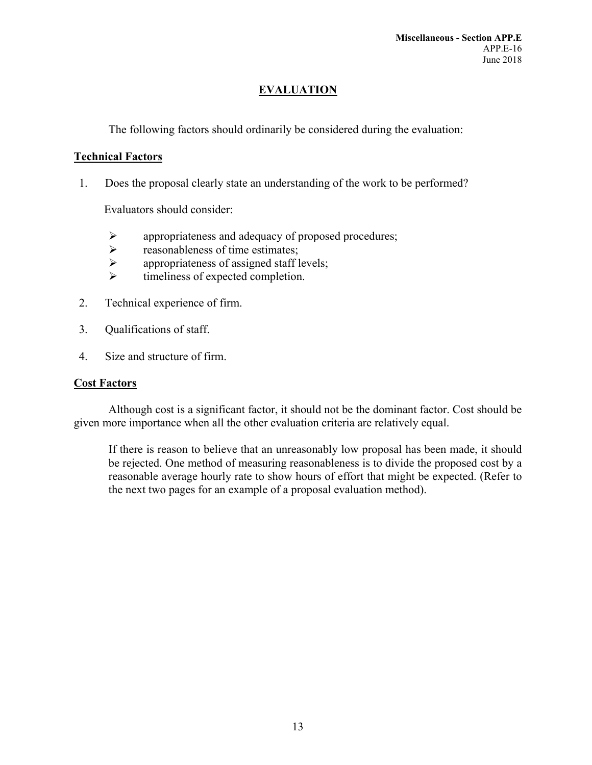### **EVALUATION**

The following factors should ordinarily be considered during the evaluation:

### **Technical Factors**

1. Does the proposal clearly state an understanding of the work to be performed?

Evaluators should consider:

- > appropriateness and adequacy of proposed procedures;<br>> reasonableness of time estimates;
- $\triangleright$  reasonableness of time estimates;<br> $\triangleright$  appropriateness of assigned staff
- appropriateness of assigned staff levels;
- $\triangleright$  timeliness of expected completion.
- 2. Technical experience of firm.
- 3. Qualifications of staff.
- 4. Size and structure of firm.

### **Cost Factors**

 Although cost is a significant factor, it should not be the dominant factor. Cost should be given more importance when all the other evaluation criteria are relatively equal.

If there is reason to believe that an unreasonably low proposal has been made, it should be rejected. One method of measuring reasonableness is to divide the proposed cost by a reasonable average hourly rate to show hours of effort that might be expected. (Refer to the next two pages for an example of a proposal evaluation method).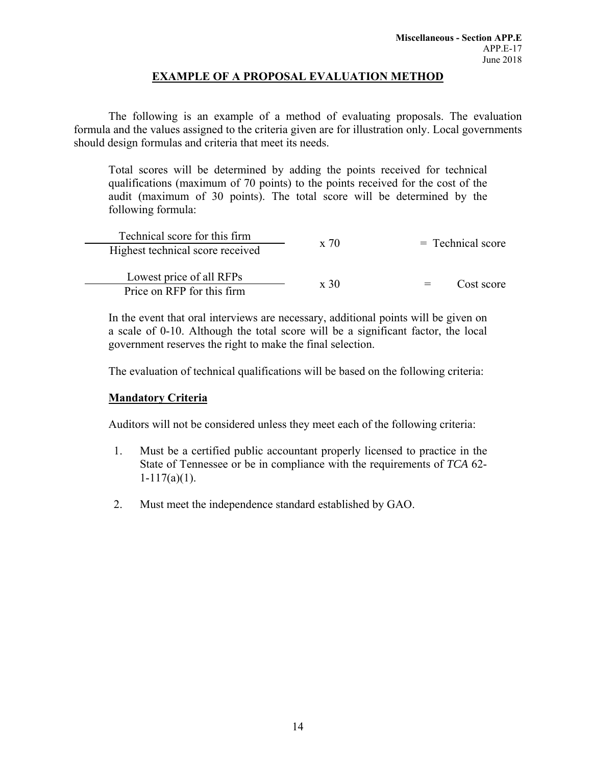### **EXAMPLE OF A PROPOSAL EVALUATION METHOD**

 The following is an example of a method of evaluating proposals. The evaluation formula and the values assigned to the criteria given are for illustration only. Local governments should design formulas and criteria that meet its needs.

Total scores will be determined by adding the points received for technical qualifications (maximum of 70 points) to the points received for the cost of the audit (maximum of 30 points). The total score will be determined by the following formula:

| Technical score for this firm<br>Highest technical score received | $\boldsymbol{\mathrm{x}}$ 70 | $=$ Technical score |
|-------------------------------------------------------------------|------------------------------|---------------------|
| Lowest price of all RFPs<br>Price on RFP for this firm            | $\chi$ 30                    | Cost score          |

In the event that oral interviews are necessary, additional points will be given on a scale of 0-10. Although the total score will be a significant factor, the local government reserves the right to make the final selection.

The evaluation of technical qualifications will be based on the following criteria:

### **Mandatory Criteria**

Auditors will not be considered unless they meet each of the following criteria:

- 1. Must be a certified public accountant properly licensed to practice in the State of Tennessee or be in compliance with the requirements of *TCA* 62-  $1-117(a)(1)$ .
- 2. Must meet the independence standard established by GAO.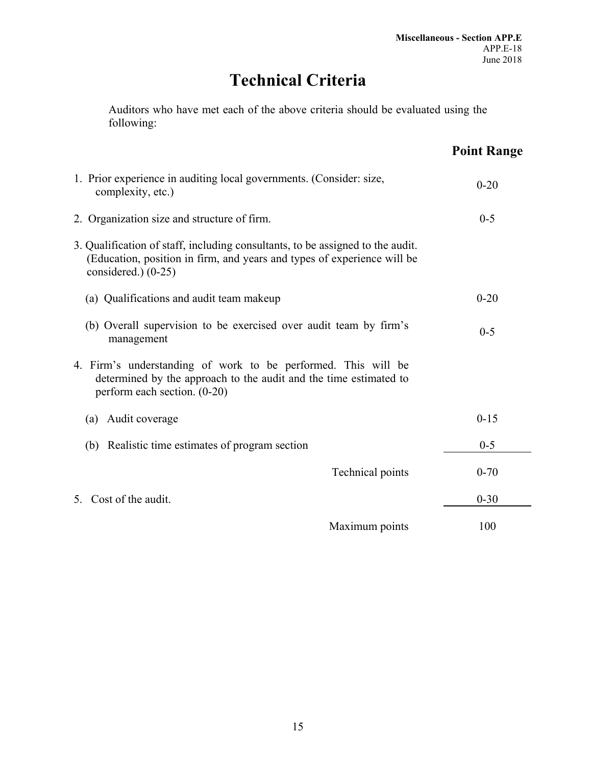# **Technical Criteria**

Auditors who have met each of the above criteria should be evaluated using the following:

|                                                                                                                                                                                    | <b>Point Range</b> |
|------------------------------------------------------------------------------------------------------------------------------------------------------------------------------------|--------------------|
| 1. Prior experience in auditing local governments. (Consider: size,<br>complexity, etc.)                                                                                           | $0 - 20$           |
| 2. Organization size and structure of firm.                                                                                                                                        | $0 - 5$            |
| 3. Qualification of staff, including consultants, to be assigned to the audit.<br>(Education, position in firm, and years and types of experience will be<br>considered.) $(0-25)$ |                    |
| (a) Qualifications and audit team makeup                                                                                                                                           | $0 - 20$           |
| (b) Overall supervision to be exercised over audit team by firm's<br>management                                                                                                    | $0 - 5$            |
| 4. Firm's understanding of work to be performed. This will be<br>determined by the approach to the audit and the time estimated to<br>perform each section. (0-20)                 |                    |
| Audit coverage<br>(a)                                                                                                                                                              | $0 - 15$           |
| (b) Realistic time estimates of program section                                                                                                                                    | $0 - 5$            |
| Technical points                                                                                                                                                                   | $0 - 70$           |
| Cost of the audit.<br>5.                                                                                                                                                           | $0 - 30$           |
| Maximum points                                                                                                                                                                     | 100                |